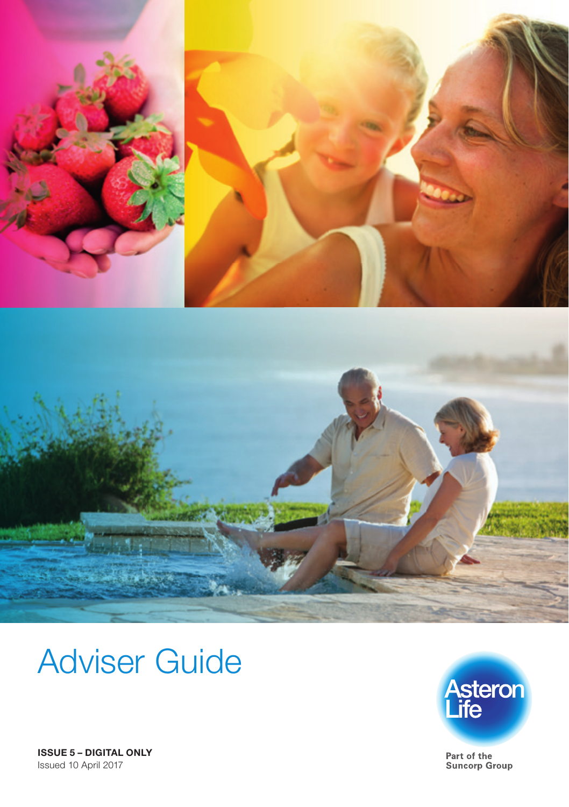



# Adviser Guide



Part of the Suncorp Group

ISSUE 5 – DIGITAL ONLY Issued 10 April 2017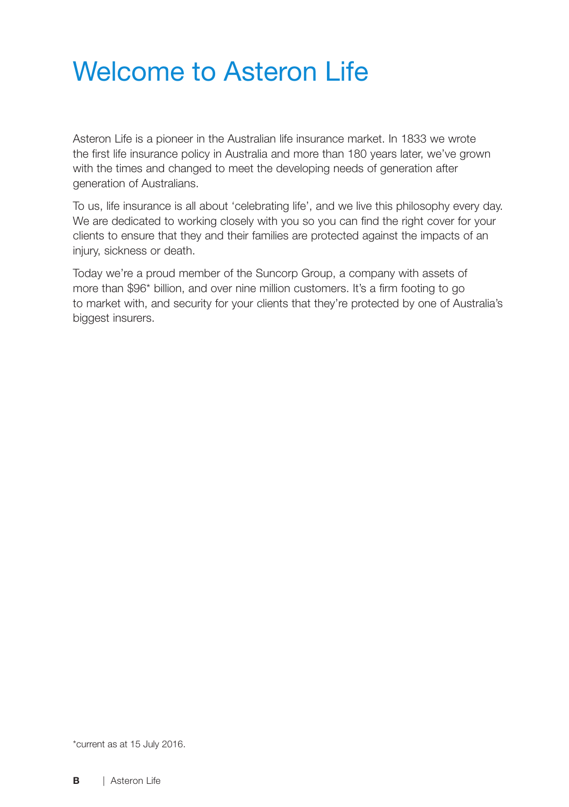# Welcome to Asteron Life

Asteron Life is a pioneer in the Australian life insurance market. In 1833 we wrote the first life insurance policy in Australia and more than 180 years later, we've grown with the times and changed to meet the developing needs of generation after generation of Australians.

To us, life insurance is all about 'celebrating life', and we live this philosophy every day. We are dedicated to working closely with you so you can find the right cover for your clients to ensure that they and their families are protected against the impacts of an injury, sickness or death.

Today we're a proud member of the Suncorp Group, a company with assets of more than \$96\* billion, and over nine million customers. It's a firm footing to go to market with, and security for your clients that they're protected by one of Australia's biggest insurers.

\*current as at 15 July 2016.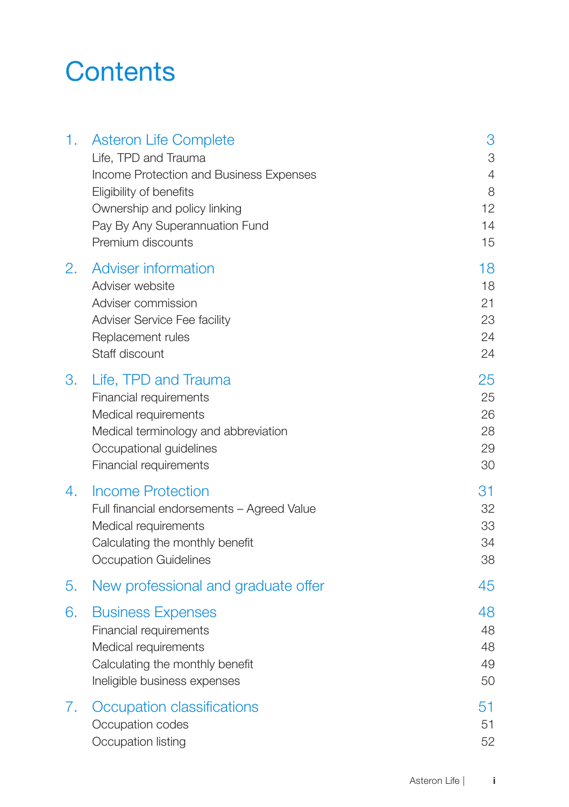# **Contents**

| 1. | <b>Asteron Life Complete</b><br>Life, TPD and Trauma<br>Income Protection and Business Expenses<br>Eligibility of benefits<br>Ownership and policy linking<br>Pay By Any Superannuation Fund<br>Premium discounts | 3<br>3<br>4<br>8<br>12<br>14<br>15 |
|----|-------------------------------------------------------------------------------------------------------------------------------------------------------------------------------------------------------------------|------------------------------------|
| 2. | <b>Adviser information</b><br>Adviser website<br>Adviser commission<br>Adviser Service Fee facility<br>Replacement rules<br>Staff discount                                                                        | 18<br>18<br>21<br>23<br>24<br>24   |
| 3. | Life, TPD and Trauma<br>Financial requirements<br>Medical requirements<br>Medical terminology and abbreviation<br>Occupational guidelines<br>Financial requirements                                               | 25<br>25<br>26<br>28<br>29<br>30   |
| 4. | <b>Income Protection</b><br>Full financial endorsements - Agreed Value<br>Medical requirements<br>Calculating the monthly benefit<br><b>Occupation Guidelines</b>                                                 | 31<br>32<br>33<br>34<br>38         |
| 5. | New professional and graduate offer                                                                                                                                                                               | 45                                 |
| 6. | <b>Business Expenses</b><br>Financial requirements<br>Medical requirements<br>Calculating the monthly benefit<br>Ineligible business expenses                                                                     | 48<br>48<br>48<br>49<br>50         |
| 7. | Occupation classifications<br>Occupation codes<br>Occupation listing                                                                                                                                              | 51<br>51<br>52                     |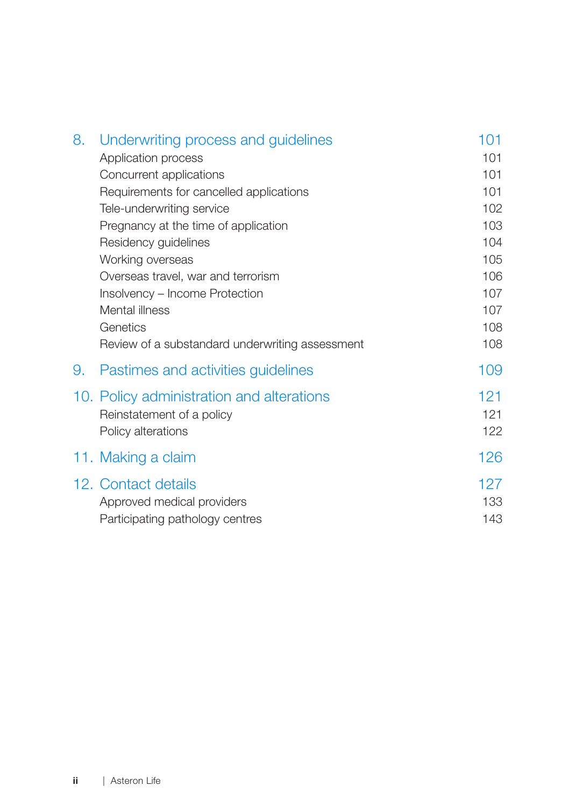| 8. | Underwriting process and guidelines             | 101 |
|----|-------------------------------------------------|-----|
|    | Application process                             | 101 |
|    | Concurrent applications                         | 101 |
|    | Requirements for cancelled applications         | 101 |
|    | Tele-underwriting service                       | 102 |
|    | Pregnancy at the time of application            | 103 |
|    | Residency guidelines                            | 104 |
|    | Working overseas                                | 105 |
|    | Overseas travel, war and terrorism              | 106 |
|    | Insolvency - Income Protection                  | 107 |
|    | Mental illness                                  | 107 |
|    | Genetics                                        | 108 |
|    | Review of a substandard underwriting assessment | 108 |
| 9. | Pastimes and activities guidelines              | 109 |
|    | 10. Policy administration and alterations       | 121 |
|    | Reinstatement of a policy                       | 121 |
|    | Policy alterations                              | 122 |
|    |                                                 | 126 |
|    | 11. Making a claim                              |     |
|    | 12. Contact details                             | 127 |
|    | Approved medical providers                      | 133 |
|    | Participating pathology centres                 | 143 |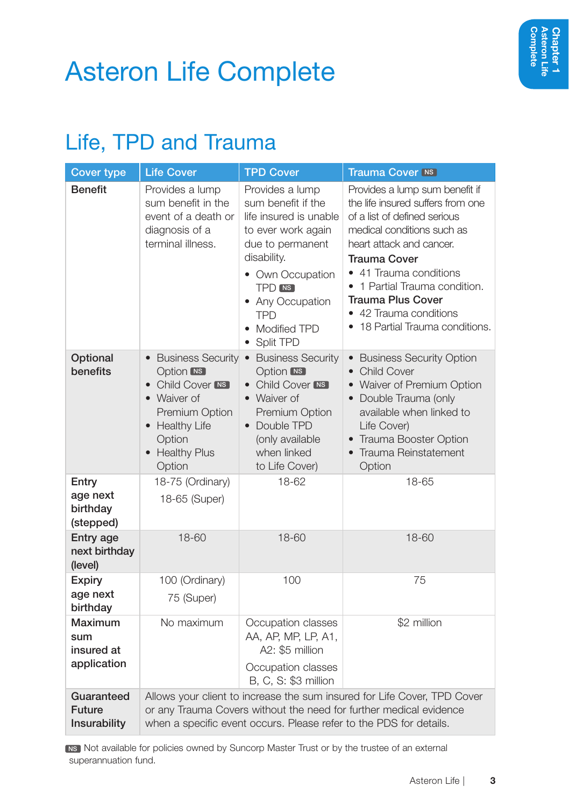# Asteron Life Complete

### Life, TPD and Trauma

| <b>Cover type</b>                           | <b>Life Cover</b>                                                                                                                                                                                                    | <b>TPD Cover</b>                                                                                                                                                                                                                 | <b>Trauma Cover INS</b>                                                                                                                                                                                                                                                                                                           |  |  |
|---------------------------------------------|----------------------------------------------------------------------------------------------------------------------------------------------------------------------------------------------------------------------|----------------------------------------------------------------------------------------------------------------------------------------------------------------------------------------------------------------------------------|-----------------------------------------------------------------------------------------------------------------------------------------------------------------------------------------------------------------------------------------------------------------------------------------------------------------------------------|--|--|
| <b>Benefit</b>                              | Provides a lump<br>sum benefit in the<br>event of a death or<br>diagnosis of a<br>terminal illness.                                                                                                                  | Provides a lump<br>sum benefit if the<br>life insured is unable<br>to ever work again<br>due to permanent<br>disability.<br>• Own Occupation<br><b>TPD</b> NS<br>• Any Occupation<br><b>TPD</b><br>• Modified TPD<br>• Split TPD | Provides a lump sum benefit if<br>the life insured suffers from one<br>of a list of defined serious<br>medical conditions such as<br>heart attack and cancer.<br>Trauma Cover<br>• 41 Trauma conditions<br>• 1 Partial Trauma condition.<br><b>Trauma Plus Cover</b><br>• 42 Trauma conditions<br>• 18 Partial Trauma conditions. |  |  |
| Optional<br>benefits                        | <b>Option MS</b><br>• Child Cover MS<br>• Waiver of<br>Premium Option<br>• Healthy Life<br>Option<br>• Healthy Plus<br>Option                                                                                        | • Business Security • Business Security<br><b>Option MS</b><br>• Child Cover MS<br>• Waiver of<br><b>Premium Option</b><br>• Double TPD<br>(only available<br>when linked<br>to Life Cover)                                      | • Business Security Option<br>• Child Cover<br>• Waiver of Premium Option<br>• Double Trauma (only<br>available when linked to<br>Life Cover)<br>• Trauma Booster Option<br>Trauma Reinstatement<br>Option                                                                                                                        |  |  |
| Entry<br>age next<br>birthday<br>(stepped)  | 18-75 (Ordinary)<br>18-65 (Super)                                                                                                                                                                                    | 18-62                                                                                                                                                                                                                            | 18-65                                                                                                                                                                                                                                                                                                                             |  |  |
| Entry age<br>next birthday<br>(level)       | 18-60                                                                                                                                                                                                                | 18-60                                                                                                                                                                                                                            | 18-60                                                                                                                                                                                                                                                                                                                             |  |  |
| <b>Expiry</b><br>age next<br>birthday       | 100 (Ordinary)<br>75 (Super)                                                                                                                                                                                         | 100                                                                                                                                                                                                                              | 75                                                                                                                                                                                                                                                                                                                                |  |  |
| Maximum<br>sum<br>insured at<br>application | No maximum                                                                                                                                                                                                           | Occupation classes<br>AA, AP, MP, LP, A1,<br>A2: \$5 million<br>Occupation classes<br>B, C, S: \$3 million                                                                                                                       | \$2 million                                                                                                                                                                                                                                                                                                                       |  |  |
| Guaranteed<br><b>Future</b><br>Insurability | Allows your client to increase the sum insured for Life Cover, TPD Cover<br>or any Trauma Covers without the need for further medical evidence<br>when a specific event occurs. Please refer to the PDS for details. |                                                                                                                                                                                                                                  |                                                                                                                                                                                                                                                                                                                                   |  |  |

**NS Not available for policies owned by Suncorp Master Trust or by the trustee of an external** superannuation fund.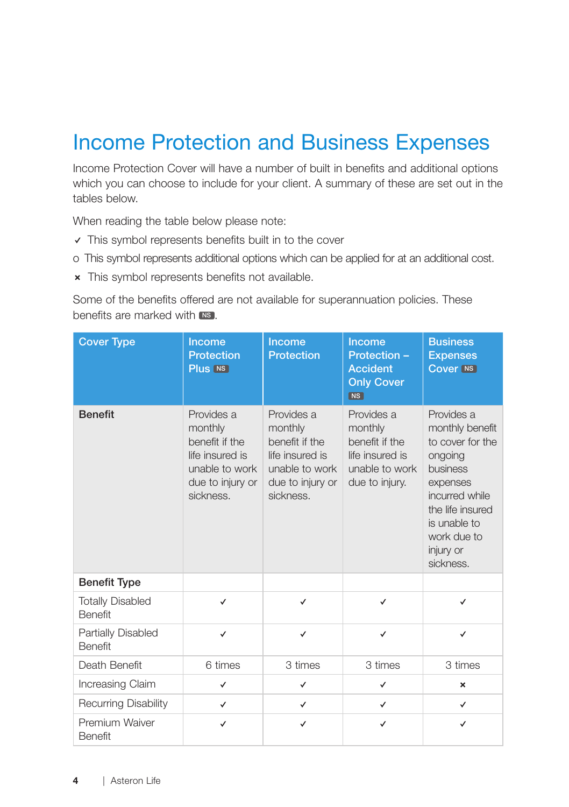### Income Protection and Business Expenses

Income Protection Cover will have a number of built in benefits and additional options which you can choose to include for your client. A summary of these are set out in the tables below.

When reading the table below please note:

- $\vee$  This symbol represents benefits built in to the cover
- o This symbol represents additional options which can be applied for at an additional cost.
- **x** This symbol represents benefits not available.

Some of the benefits offered are not available for superannuation policies. These benefits are marked with NS

| <b>Cover Type</b>                         | Income<br><b>Protection</b><br>Plus [NS]                                                                      | Income<br><b>Protection</b>                                                                                   | Income<br>Protection -<br><b>Accident</b><br><b>Only Cover</b><br><b>NS</b>                    | <b>Business</b><br><b>Expenses</b><br><b>Cover NS</b>                                                                                                                               |
|-------------------------------------------|---------------------------------------------------------------------------------------------------------------|---------------------------------------------------------------------------------------------------------------|------------------------------------------------------------------------------------------------|-------------------------------------------------------------------------------------------------------------------------------------------------------------------------------------|
| <b>Benefit</b>                            | Provides a<br>monthly<br>benefit if the<br>life insured is<br>unable to work<br>due to injury or<br>sickness. | Provides a<br>monthly<br>benefit if the<br>life insured is<br>unable to work<br>due to injury or<br>sickness. | Provides a<br>monthly<br>benefit if the<br>life insured is<br>unable to work<br>due to injury. | Provides a<br>monthly benefit<br>to cover for the<br>ongoing<br>business<br>expenses<br>incurred while<br>the life insured<br>is unable to<br>work due to<br>injury or<br>sickness. |
| <b>Benefit Type</b>                       |                                                                                                               |                                                                                                               |                                                                                                |                                                                                                                                                                                     |
| <b>Totally Disabled</b><br><b>Benefit</b> | ✓                                                                                                             | $\checkmark$                                                                                                  | $\checkmark$                                                                                   | ✓                                                                                                                                                                                   |
| Partially Disabled<br><b>Benefit</b>      | $\checkmark$                                                                                                  | $\checkmark$                                                                                                  | $\checkmark$                                                                                   | $\checkmark$                                                                                                                                                                        |
| Death Benefit                             | 6 times                                                                                                       | 3 times                                                                                                       | 3 times                                                                                        | 3 times                                                                                                                                                                             |
| Increasing Claim                          | ✓                                                                                                             | ✓                                                                                                             | ✓                                                                                              | $\boldsymbol{\times}$                                                                                                                                                               |
| <b>Recurring Disability</b>               | $\checkmark$                                                                                                  | $\checkmark$                                                                                                  | $\checkmark$                                                                                   | $\checkmark$                                                                                                                                                                        |
| Premium Waiver<br><b>Benefit</b>          | ✓                                                                                                             | ✓                                                                                                             | ✓                                                                                              | $\checkmark$                                                                                                                                                                        |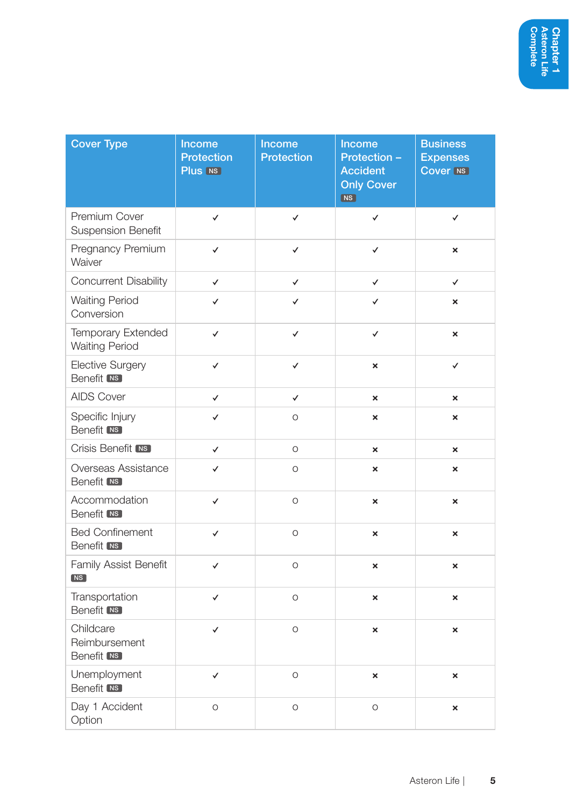| <b>Cover Type</b>                               | Income<br><b>Protection</b><br>Plus [NS] | Income<br>Protection | Income<br>Protection -<br><b>Accident</b><br><b>Only Cover</b><br><b>NS</b> | <b>Business</b><br><b>Expenses</b><br><b>Cover NS</b> |
|-------------------------------------------------|------------------------------------------|----------------------|-----------------------------------------------------------------------------|-------------------------------------------------------|
| Premium Cover<br><b>Suspension Benefit</b>      | $\checkmark$                             | $\checkmark$         | ✓                                                                           | $\checkmark$                                          |
| Pregnancy Premium<br>Waiver                     | $\checkmark$                             | ✓                    | ✓                                                                           | ×                                                     |
| Concurrent Disability                           | $\checkmark$                             | $\checkmark$         | √                                                                           | ✓                                                     |
| <b>Waiting Period</b><br>Conversion             | ✓                                        | ✓                    | ✓                                                                           | $\boldsymbol{\times}$                                 |
| Temporary Extended<br><b>Waiting Period</b>     | $\checkmark$                             | $\checkmark$         | $\checkmark$                                                                | $\boldsymbol{\mathsf{x}}$                             |
| <b>Elective Surgery</b><br>Benefit [NS]         | $\checkmark$                             | $\checkmark$         | ×                                                                           | $\checkmark$                                          |
| <b>AIDS Cover</b>                               | $\checkmark$                             | $\checkmark$         | ×                                                                           | $\boldsymbol{\mathsf{x}}$                             |
| Specific Injury<br><b>Benefit NS</b>            | $\checkmark$                             | $\circ$              | ×                                                                           | $\boldsymbol{\mathsf{x}}$                             |
| Crisis Benefit [NS]                             | $\checkmark$                             | $\circ$              | $\boldsymbol{\mathsf{x}}$                                                   | $\boldsymbol{\mathsf{x}}$                             |
| Overseas Assistance<br><b>Benefit NS</b>        | $\checkmark$                             | $\circ$              | ×                                                                           | $\boldsymbol{\mathsf{x}}$                             |
| Accommodation<br>Benefit [NS]                   | $\checkmark$                             | $\circ$              | ×                                                                           | $\boldsymbol{\mathsf{x}}$                             |
| <b>Bed Confinement</b><br>Benefit <b>NS</b>     | $\checkmark$                             | $\circ$              | ×                                                                           | ×                                                     |
| Family Assist Benefit<br>NS                     | $\checkmark$                             | $\circ$              | ×                                                                           | ×                                                     |
| Transportation<br>Benefit [NS]                  | $\checkmark$                             | $\circ$              | ×                                                                           | $\boldsymbol{\mathsf{x}}$                             |
| Childcare<br>Reimbursement<br><b>Benefit NS</b> | $\checkmark$                             | $\circ$              | ×                                                                           | ×                                                     |
| Unemployment<br>Benefit <b>NS</b>               | $\checkmark$                             | $\circ$              | ×                                                                           | ×                                                     |
| Day 1 Accident<br>Option                        | $\circ$                                  | $\circ$              | O                                                                           | $\boldsymbol{\mathsf{x}}$                             |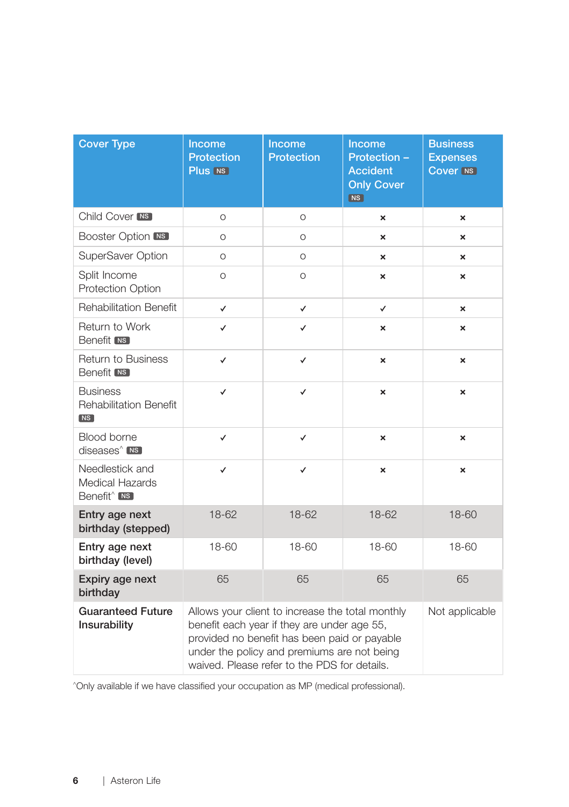| <b>Cover Type</b>                                                      | Income<br><b>Protection</b><br>Plus NS                                                                                                                                                                                                         | Income<br><b>Protection</b> | Income<br>Protection -<br><b>Accident</b><br><b>Only Cover</b><br>NS | <b>Business</b><br><b>Expenses</b><br><b>Cover NS</b> |
|------------------------------------------------------------------------|------------------------------------------------------------------------------------------------------------------------------------------------------------------------------------------------------------------------------------------------|-----------------------------|----------------------------------------------------------------------|-------------------------------------------------------|
| Child Cover <sub>NS</sub>                                              | $\circ$                                                                                                                                                                                                                                        | $\circ$                     | $\boldsymbol{\mathsf{x}}$                                            | $\boldsymbol{\mathsf{x}}$                             |
| <b>Booster Option INS</b>                                              | $\circ$                                                                                                                                                                                                                                        | O                           | ×                                                                    | $\boldsymbol{\mathsf{x}}$                             |
| SuperSaver Option                                                      | $\Omega$                                                                                                                                                                                                                                       | $\Omega$                    | ×                                                                    | ×                                                     |
| Split Income<br><b>Protection Option</b>                               | $\circ$                                                                                                                                                                                                                                        | $\circ$                     | ×                                                                    | $\boldsymbol{\mathsf{x}}$                             |
| <b>Rehabilitation Benefit</b>                                          | $\checkmark$                                                                                                                                                                                                                                   | ✓                           | ✓                                                                    | $\boldsymbol{\mathsf{x}}$                             |
| Return to Work<br><b>Benefit</b> [NS]                                  | ✓                                                                                                                                                                                                                                              | ✓                           | ×                                                                    | $\boldsymbol{\mathsf{x}}$                             |
| <b>Return to Business</b><br><b>Benefit NS</b>                         | ✓<br>✓<br>$\boldsymbol{\mathsf{x}}$                                                                                                                                                                                                            |                             | $\boldsymbol{\mathsf{x}}$                                            |                                                       |
| <b>Business</b><br><b>Rehabilitation Benefit</b><br>$N_S$              | ✓                                                                                                                                                                                                                                              | ✓                           | $\mathbf{x}$                                                         | $\boldsymbol{\mathsf{x}}$                             |
| Blood borne<br>diseases <sup>^</sup> NS                                | ✓                                                                                                                                                                                                                                              | ✓                           | ×                                                                    | ×                                                     |
| Needlestick and<br><b>Medical Hazards</b><br>Benefit <sup>^</sup> [NS] | $\checkmark$                                                                                                                                                                                                                                   | $\checkmark$                | $\boldsymbol{\mathsf{x}}$                                            | $\boldsymbol{\mathsf{x}}$                             |
| Entry age next<br>birthday (stepped)                                   | 18-62                                                                                                                                                                                                                                          | 18-62                       | 18-62                                                                | 18-60                                                 |
| Entry age next<br>birthday (level)                                     | 18-60                                                                                                                                                                                                                                          | 18-60                       | 18-60                                                                | 18-60                                                 |
| Expiry age next<br>65<br>birthday                                      |                                                                                                                                                                                                                                                | 65                          | 65                                                                   | 65                                                    |
| <b>Guaranteed Future</b><br>Insurability                               | Allows your client to increase the total monthly<br>benefit each year if they are under age 55,<br>provided no benefit has been paid or payable<br>under the policy and premiums are not being<br>waived. Please refer to the PDS for details. |                             |                                                                      |                                                       |

^Only available if we have classified your occupation as MP (medical professional).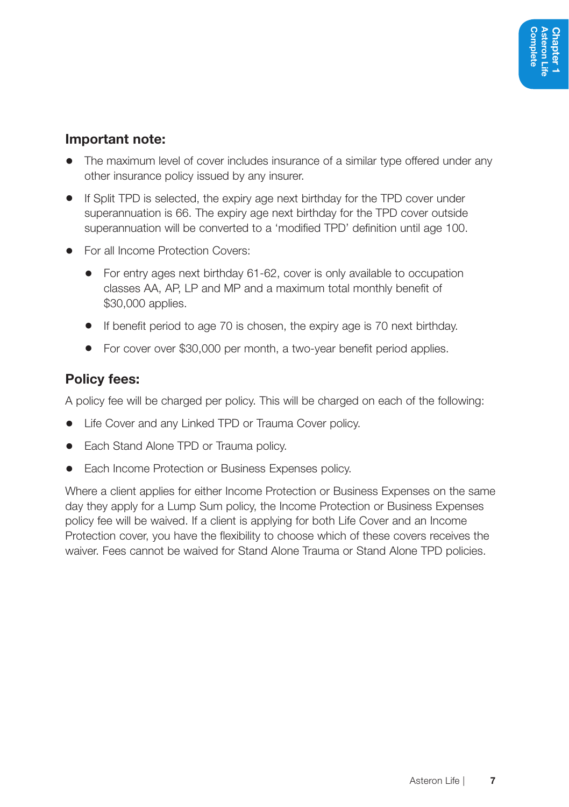#### Important note:

- The maximum level of cover includes insurance of a similar type offered under any other insurance policy issued by any insurer.
- If Split TPD is selected, the expiry age next birthday for the TPD cover under superannuation is 66. The expiry age next birthday for the TPD cover outside superannuation will be converted to a 'modified TPD' definition until age 100.
- For all Income Protection Covers:
	- For entry ages next birthday 61-62, cover is only available to occupation classes AA, AP, LP and MP and a maximum total monthly benefit of \$30,000 applies.
	- If benefit period to age 70 is chosen, the expiry age is 70 next birthday.
	- For cover over \$30,000 per month, a two-year benefit period applies.

#### Policy fees:

A policy fee will be charged per policy. This will be charged on each of the following:

- Life Cover and any Linked TPD or Trauma Cover policy.
- Each Stand Alone TPD or Trauma policy.
- Each Income Protection or Business Expenses policy.

Where a client applies for either Income Protection or Business Expenses on the same day they apply for a Lump Sum policy, the Income Protection or Business Expenses policy fee will be waived. If a client is applying for both Life Cover and an Income Protection cover, you have the flexibility to choose which of these covers receives the waiver. Fees cannot be waived for Stand Alone Trauma or Stand Alone TPD policies.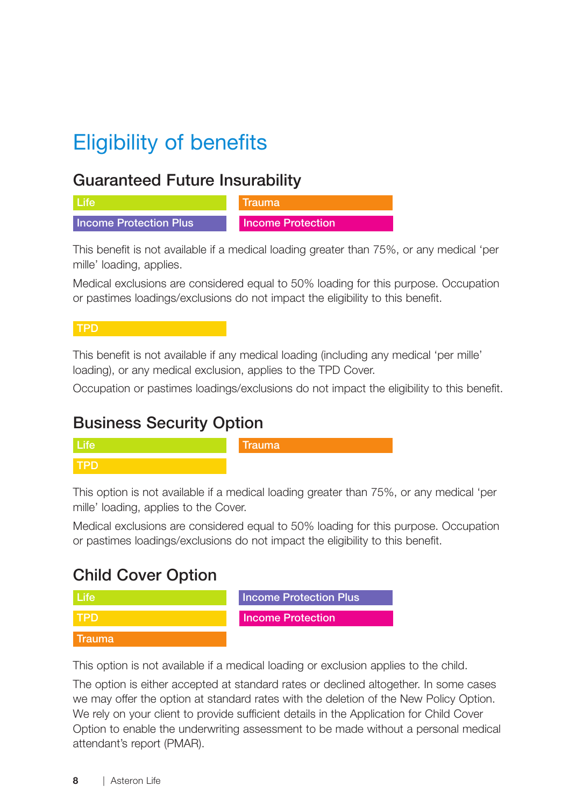# Eligibility of benefits

#### Guaranteed Future Insurability

| ⊟l Lite                | Nrauma                   |
|------------------------|--------------------------|
| Income Protection Plus | <b>Income Protection</b> |

This benefit is not available if a medical loading greater than 75%, or any medical 'per mille' loading, applies.

Medical exclusions are considered equal to 50% loading for this purpose. Occupation or pastimes loadings/exclusions do not impact the eligibility to this benefit.

#### TPD

This benefit is not available if any medical loading (including any medical 'per mille' loading), or any medical exclusion, applies to the TPD Cover.

Occupation or pastimes loadings/exclusions do not impact the eligibility to this benefit.

#### Business Security Option



This option is not available if a medical loading greater than 75%, or any medical 'per mille' loading, applies to the Cover.

Medical exclusions are considered equal to 50% loading for this purpose. Occupation or pastimes loadings/exclusions do not impact the eligibility to this benefit.

#### Child Cover Option

|         | <b>Income Protection Plus</b> |
|---------|-------------------------------|
|         | <b>Income Protection</b>      |
| โrauma' |                               |

This option is not available if a medical loading or exclusion applies to the child.

The option is either accepted at standard rates or declined altogether. In some cases we may offer the option at standard rates with the deletion of the New Policy Option. We rely on your client to provide sufficient details in the Application for Child Cover Option to enable the underwriting assessment to be made without a personal medical attendant's report (PMAR).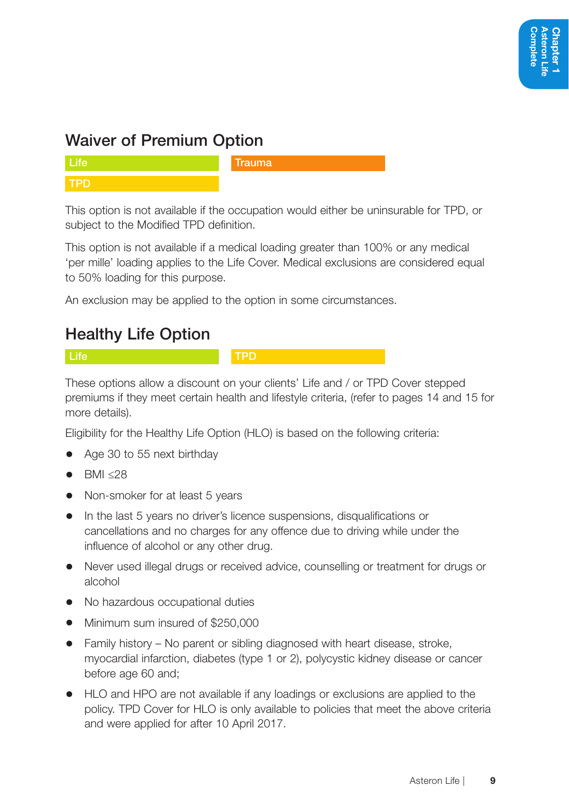### Waiver of Premium Option

This option is not available if the occupation would either be uninsurable for TPD, or subject to the Modified TPD definition.

This option is not available if a medical loading greater than 100% or any medical 'per mille' loading applies to the Life Cover. Medical exclusions are considered equal to 50% loading for this purpose.

An exclusion may be applied to the option in some circumstances.

### Healthy Life Option

Life **TRD** 

These options allow a discount on your clients' Life and / or TPD Cover stepped premiums if they meet certain health and lifestyle criteria, (refer to pages 14 and 15 for more details).

Eligibility for the Healthy Life Option (HLO) is based on the following criteria:

- Age 30 to 55 next birthday
- BMI ≤28
- Non-smoker for at least 5 years
- In the last 5 years no driver's licence suspensions, disqualifications or cancellations and no charges for any offence due to driving while under the influence of alcohol or any other drug.
- Never used illegal drugs or received advice, counselling or treatment for drugs or alcohol
- No hazardous occupational duties
- Minimum sum insured of \$250,000
- Family history No parent or sibling diagnosed with heart disease, stroke, myocardial infarction, diabetes (type 1 or 2), polycystic kidney disease or cancer before age 60 and;
- HLO and HPO are not available if any loadings or exclusions are applied to the policy. TPD Cover for HLO is only available to policies that meet the above criteria and were applied for after 10 April 2017.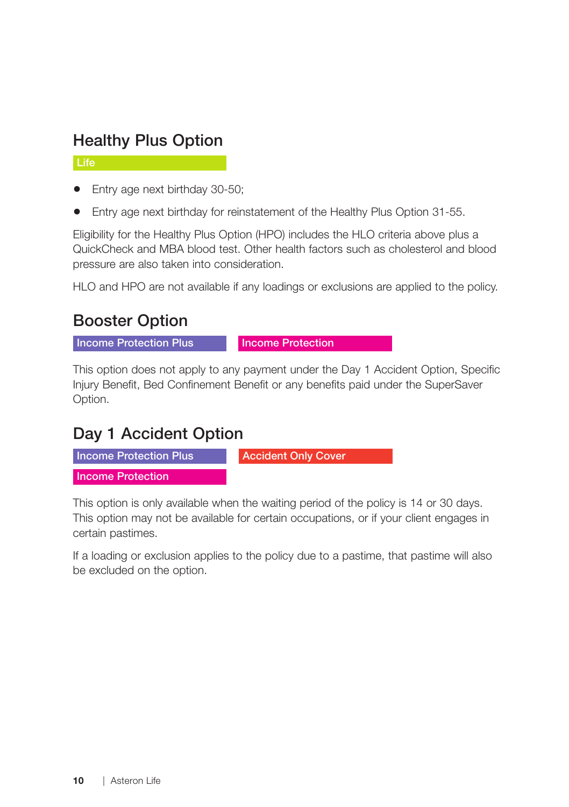#### Healthy Plus Option

Life

- Entry age next birthday 30-50;
- Entry age next birthday for reinstatement of the Healthy Plus Option 31-55.

Eligibility for the Healthy Plus Option (HPO) includes the HLO criteria above plus a QuickCheck and MBA blood test. Other health factors such as cholesterol and blood pressure are also taken into consideration.

HLO and HPO are not available if any loadings or exclusions are applied to the policy.

#### Booster Option

Income Protection Plus Income Protection

This option does not apply to any payment under the Day 1 Accident Option, Specific Injury Benefit, Bed Confinement Benefit or any benefits paid under the SuperSaver Option.

#### Day 1 Accident Option



This option is only available when the waiting period of the policy is 14 or 30 days. This option may not be available for certain occupations, or if your client engages in certain pastimes.

If a loading or exclusion applies to the policy due to a pastime, that pastime will also be excluded on the option.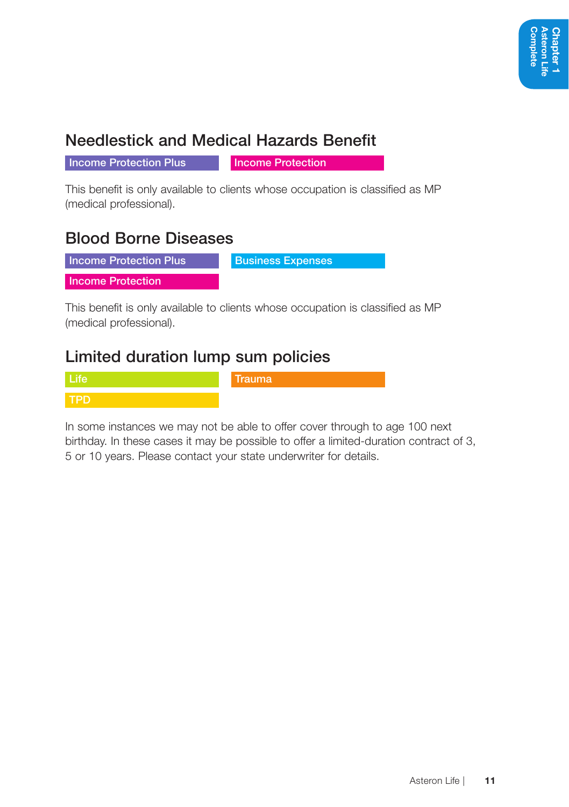### Needlestick and Medical Hazards Benefit

**Income Protection Plus** Income Protection

This benefit is only available to clients whose occupation is classified as MP (medical professional).

#### Blood Borne Diseases

**Income Protection Plus Business Expenses** 

Income Protection

This benefit is only available to clients whose occupation is classified as MP (medical professional).

#### Limited duration lump sum policies

Life **Trauma** TPD

In some instances we may not be able to offer cover through to age 100 next birthday. In these cases it may be possible to offer a limited-duration contract of 3, 5 or 10 years. Please contact your state underwriter for details.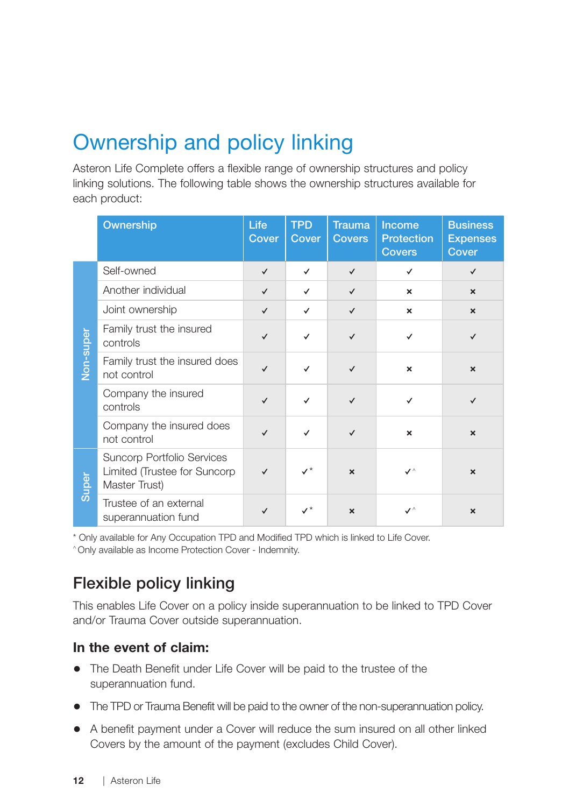# Ownership and policy linking

Asteron Life Complete offers a flexible range of ownership structures and policy linking solutions. The following table shows the ownership structures available for each product:

|           | Ownership                                                                    | Life<br>Cover | <b>TPD</b><br>Cover | <b>Trauma</b><br><b>Covers</b> | Income<br><b>Protection</b><br><b>Covers</b> | <b>Business</b><br><b>Expenses</b><br>Cover |
|-----------|------------------------------------------------------------------------------|---------------|---------------------|--------------------------------|----------------------------------------------|---------------------------------------------|
|           | Self-owned                                                                   | $\checkmark$  | $\checkmark$        | $\checkmark$                   | ✓                                            | $\checkmark$                                |
|           | Another individual                                                           | $\checkmark$  | $\checkmark$        | $\checkmark$                   | $\boldsymbol{\mathsf{x}}$                    | $\boldsymbol{\mathsf{x}}$                   |
|           | Joint ownership                                                              | $\checkmark$  | $\checkmark$        | $\checkmark$                   | $\boldsymbol{\mathsf{x}}$                    | $\boldsymbol{\times}$                       |
| Non-super | Family trust the insured<br>controls                                         | $\checkmark$  | $\checkmark$        | $\checkmark$                   | ✓                                            | $\checkmark$                                |
|           | Family trust the insured does<br>not control                                 | $\checkmark$  | $\checkmark$        | $\checkmark$                   | ×                                            | $\boldsymbol{\mathsf{x}}$                   |
|           | Company the insured<br>controls                                              | $\checkmark$  | $\checkmark$        | $\checkmark$                   | $\checkmark$                                 | $\checkmark$                                |
|           | Company the insured does<br>not control                                      | $\checkmark$  | $\checkmark$        | $\checkmark$                   | $\boldsymbol{\mathsf{x}}$                    | $\boldsymbol{\mathsf{x}}$                   |
| Super     | Suncorp Portfolio Services<br>Limited (Trustee for Suncorp)<br>Master Trust) | $\checkmark$  |                     | $\boldsymbol{\mathsf{x}}$      | $\checkmark$                                 | $\boldsymbol{\mathsf{x}}$                   |
|           | Trustee of an external<br>superannuation fund                                | ✓             |                     | $\boldsymbol{\mathsf{x}}$      | $\checkmark$                                 | $\boldsymbol{\mathsf{x}}$                   |

\* Only available for Any Occupation TPD and Modified TPD which is linked to Life Cover.

^ Only available as Income Protection Cover - Indemnity.

### Flexible policy linking

This enables Life Cover on a policy inside superannuation to be linked to TPD Cover and/or Trauma Cover outside superannuation.

#### In the event of claim:

- The Death Benefit under Life Cover will be paid to the trustee of the superannuation fund.
- The TPD or Trauma Benefit will be paid to the owner of the non-superannuation policy.
- A benefit payment under a Cover will reduce the sum insured on all other linked Covers by the amount of the payment (excludes Child Cover).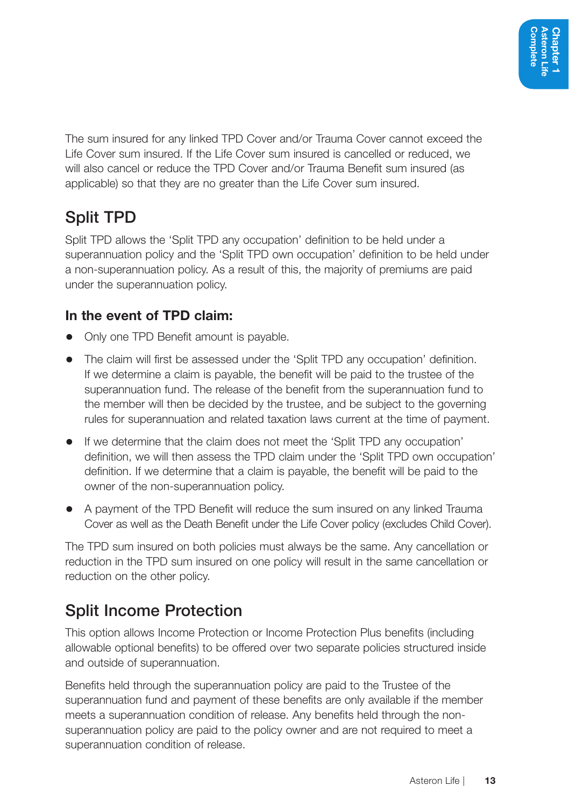The sum insured for any linked TPD Cover and/or Trauma Cover cannot exceed the Life Cover sum insured. If the Life Cover sum insured is cancelled or reduced, we will also cancel or reduce the TPD Cover and/or Trauma Benefit sum insured (as applicable) so that they are no greater than the Life Cover sum insured.

### Split TPD

Split TPD allows the 'Split TPD any occupation' definition to be held under a superannuation policy and the 'Split TPD own occupation' definition to be held under a non-superannuation policy. As a result of this, the majority of premiums are paid under the superannuation policy.

#### In the event of TPD claim:

- Only one TPD Benefit amount is payable.
- The claim will first be assessed under the 'Split TPD any occupation' definition. If we determine a claim is payable, the benefit will be paid to the trustee of the superannuation fund. The release of the benefit from the superannuation fund to the member will then be decided by the trustee, and be subject to the governing rules for superannuation and related taxation laws current at the time of payment.
- If we determine that the claim does not meet the 'Split TPD any occupation' definition, we will then assess the TPD claim under the 'Split TPD own occupation' definition. If we determine that a claim is payable, the benefit will be paid to the owner of the non-superannuation policy.
- A payment of the TPD Benefit will reduce the sum insured on any linked Trauma Cover as well as the Death Benefit under the Life Cover policy (excludes Child Cover).

The TPD sum insured on both policies must always be the same. Any cancellation or reduction in the TPD sum insured on one policy will result in the same cancellation or reduction on the other policy.

### Split Income Protection

This option allows Income Protection or Income Protection Plus benefits (including allowable optional benefits) to be offered over two separate policies structured inside and outside of superannuation.

Benefits held through the superannuation policy are paid to the Trustee of the superannuation fund and payment of these benefits are only available if the member meets a superannuation condition of release. Any benefits held through the nonsuperannuation policy are paid to the policy owner and are not required to meet a superannuation condition of release.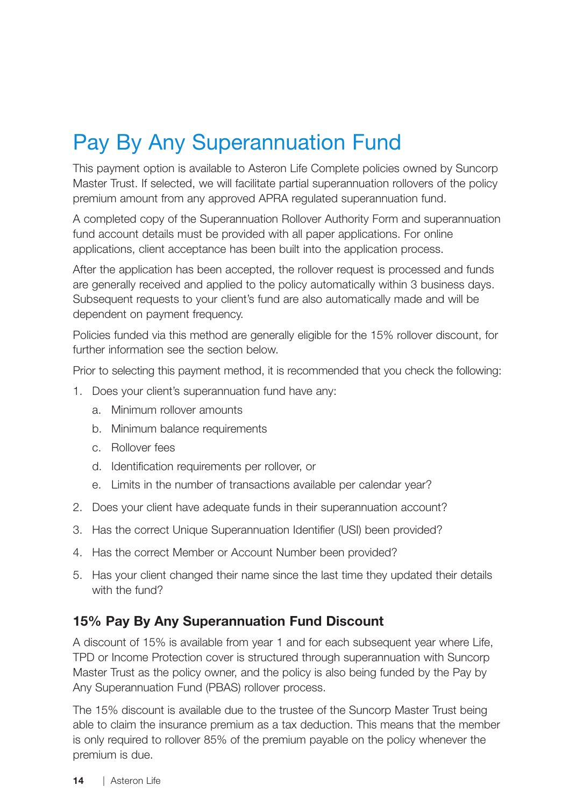# Pay By Any Superannuation Fund

This payment option is available to Asteron Life Complete policies owned by Suncorp Master Trust. If selected, we will facilitate partial superannuation rollovers of the policy premium amount from any approved APRA regulated superannuation fund.

A completed copy of the Superannuation Rollover Authority Form and superannuation fund account details must be provided with all paper applications. For online applications, client acceptance has been built into the application process.

After the application has been accepted, the rollover request is processed and funds are generally received and applied to the policy automatically within 3 business days. Subsequent requests to your client's fund are also automatically made and will be dependent on payment frequency.

Policies funded via this method are generally eligible for the 15% rollover discount, for further information see the section below.

Prior to selecting this payment method, it is recommended that you check the following:

- 1. Does your client's superannuation fund have any:
	- a. Minimum rollover amounts
	- b. Minimum balance requirements
	- c. Rollover fees
	- d. Identification requirements per rollover, or
	- e. Limits in the number of transactions available per calendar year?
- 2. Does your client have adequate funds in their superannuation account?
- 3. Has the correct Unique Superannuation Identifier (USI) been provided?
- 4. Has the correct Member or Account Number been provided?
- 5. Has your client changed their name since the last time they updated their details with the fund?

#### 15% Pay By Any Superannuation Fund Discount

A discount of 15% is available from year 1 and for each subsequent year where Life, TPD or Income Protection cover is structured through superannuation with Suncorp Master Trust as the policy owner, and the policy is also being funded by the Pay by Any Superannuation Fund (PBAS) rollover process.

The 15% discount is available due to the trustee of the Suncorp Master Trust being able to claim the insurance premium as a tax deduction. This means that the member is only required to rollover 85% of the premium payable on the policy whenever the premium is due.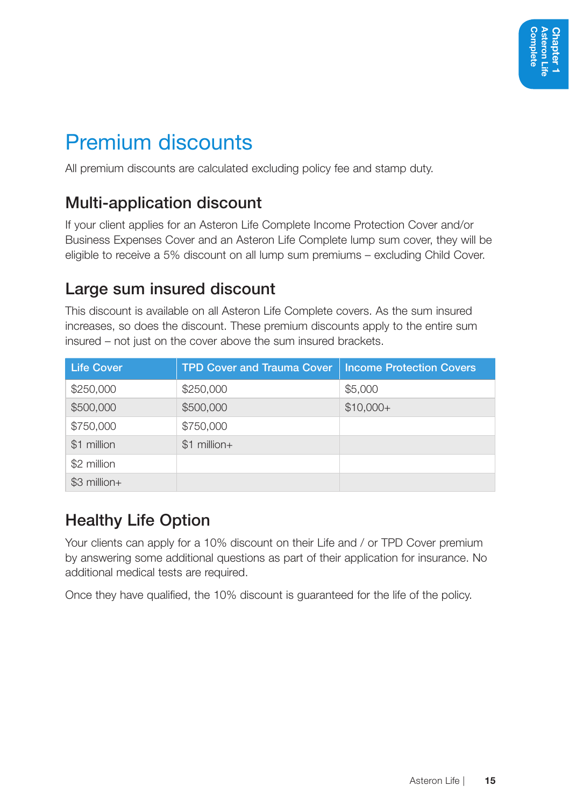### Premium discounts

All premium discounts are calculated excluding policy fee and stamp duty.

### Multi-application discount

If your client applies for an Asteron Life Complete Income Protection Cover and/or Business Expenses Cover and an Asteron Life Complete lump sum cover, they will be eligible to receive a 5% discount on all lump sum premiums – excluding Child Cover.

#### Large sum insured discount

This discount is available on all Asteron Life Complete covers. As the sum insured increases, so does the discount. These premium discounts apply to the entire sum insured – not just on the cover above the sum insured brackets.

| <b>Life Cover</b> | <b>TPD Cover and Trauma Cover</b> | <b>Income Protection Covers</b> |
|-------------------|-----------------------------------|---------------------------------|
| \$250,000         | \$250,000                         | \$5,000                         |
| \$500,000         | \$500,000                         | $$10,000+$                      |
| \$750,000         | \$750,000                         |                                 |
| \$1 million       | $$1$ million+                     |                                 |
| \$2 million       |                                   |                                 |
| $$3$ million+     |                                   |                                 |

### Healthy Life Option

Your clients can apply for a 10% discount on their Life and / or TPD Cover premium by answering some additional questions as part of their application for insurance. No additional medical tests are required.

Once they have qualified, the 10% discount is guaranteed for the life of the policy.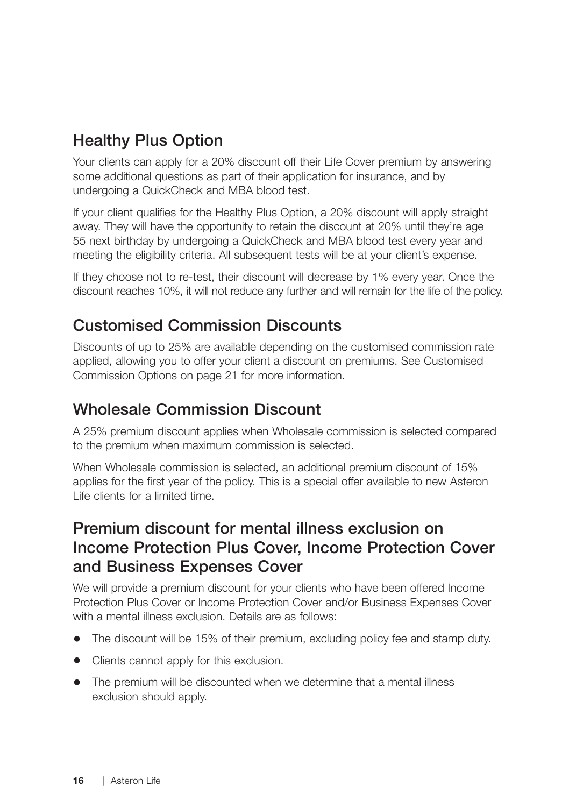### Healthy Plus Option

Your clients can apply for a 20% discount off their Life Cover premium by answering some additional questions as part of their application for insurance, and by undergoing a QuickCheck and MBA blood test.

If your client qualifies for the Healthy Plus Option, a 20% discount will apply straight away. They will have the opportunity to retain the discount at 20% until they're age 55 next birthday by undergoing a QuickCheck and MBA blood test every year and meeting the eligibility criteria. All subsequent tests will be at your client's expense.

If they choose not to re-test, their discount will decrease by 1% every year. Once the discount reaches 10%, it will not reduce any further and will remain for the life of the policy.

#### Customised Commission Discounts

Discounts of up to 25% are available depending on the customised commission rate applied, allowing you to offer your client a discount on premiums. See Customised Commission Options on page 21 for more information.

#### Wholesale Commission Discount

A 25% premium discount applies when Wholesale commission is selected compared to the premium when maximum commission is selected.

When Wholesale commission is selected, an additional premium discount of 15% applies for the first year of the policy. This is a special offer available to new Asteron Life clients for a limited time.

#### Premium discount for mental illness exclusion on Income Protection Plus Cover, Income Protection Cover and Business Expenses Cover

We will provide a premium discount for your clients who have been offered Income Protection Plus Cover or Income Protection Cover and/or Business Expenses Cover with a mental illness exclusion. Details are as follows:

- The discount will be 15% of their premium, excluding policy fee and stamp duty.
- Clients cannot apply for this exclusion.
- The premium will be discounted when we determine that a mental illness exclusion should apply.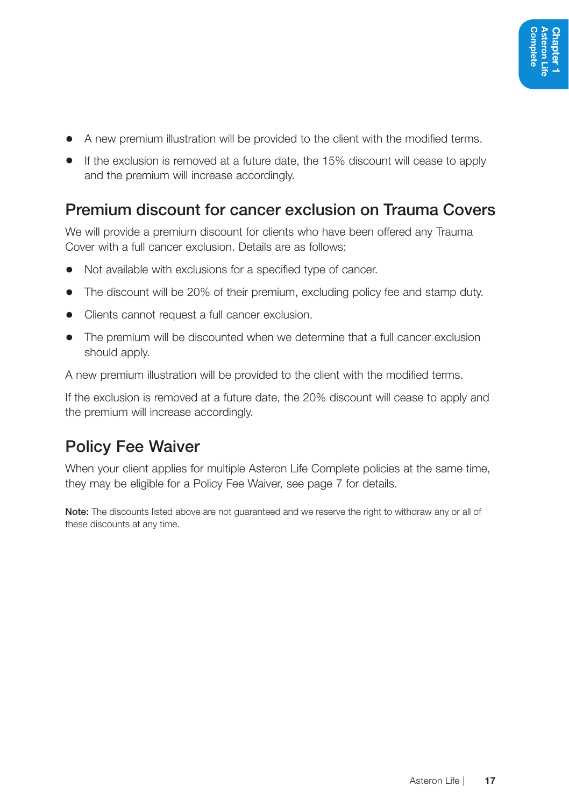- A new premium illustration will be provided to the client with the modified terms.
- If the exclusion is removed at a future date, the 15% discount will cease to apply and the premium will increase accordingly.

#### Premium discount for cancer exclusion on Trauma Covers

We will provide a premium discount for clients who have been offered any Trauma Cover with a full cancer exclusion. Details are as follows:

- Not available with exclusions for a specified type of cancer.
- The discount will be 20% of their premium, excluding policy fee and stamp duty.
- Clients cannot request a full cancer exclusion.
- The premium will be discounted when we determine that a full cancer exclusion should apply.

A new premium illustration will be provided to the client with the modified terms.

If the exclusion is removed at a future date, the 20% discount will cease to apply and the premium will increase accordingly.

#### Policy Fee Waiver

When your client applies for multiple Asteron Life Complete policies at the same time, they may be eligible for a Policy Fee Waiver, see page 7 for details.

Note: The discounts listed above are not quaranteed and we reserve the right to withdraw any or all of these discounts at any time.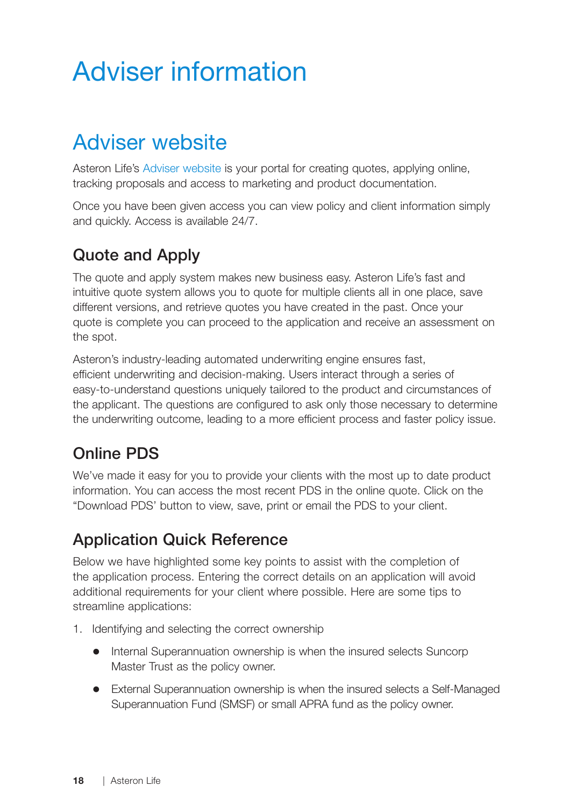# Adviser information

### Adviser website

Asteron Life's Adviser website is your portal for creating quotes, applying online, tracking proposals and access to marketing and product documentation.

Once you have been given access you can view policy and client information simply and quickly. Access is available 24/7.

#### Quote and Apply

The quote and apply system makes new business easy. Asteron Life's fast and intuitive quote system allows you to quote for multiple clients all in one place, save different versions, and retrieve quotes you have created in the past. Once your quote is complete you can proceed to the application and receive an assessment on the spot.

Asteron's industry-leading automated underwriting engine ensures fast, efficient underwriting and decision-making. Users interact through a series of easy-to-understand questions uniquely tailored to the product and circumstances of the applicant. The questions are configured to ask only those necessary to determine the underwriting outcome, leading to a more efficient process and faster policy issue.

### Online PDS

We've made it easy for you to provide your clients with the most up to date product information. You can access the most recent PDS in the online quote. Click on the "Download PDS' button to view, save, print or email the PDS to your client.

### Application Quick Reference

Below we have highlighted some key points to assist with the completion of the application process. Entering the correct details on an application will avoid additional requirements for your client where possible. Here are some tips to streamline applications:

- 1. Identifying and selecting the correct ownership
	- Internal Superannuation ownership is when the insured selects Suncorp Master Trust as the policy owner.
	- External Superannuation ownership is when the insured selects a Self-Managed Superannuation Fund (SMSF) or small APRA fund as the policy owner.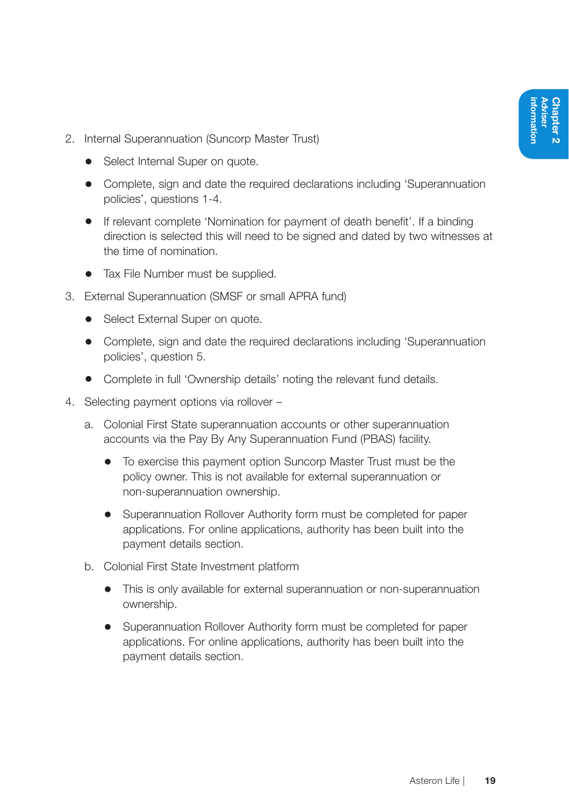- 2. Internal Superannuation (Suncorp Master Trust)
	- Select Internal Super on quote.
	- Complete, sign and date the required declarations including 'Superannuation policies', questions 1-4.
	- If relevant complete 'Nomination for payment of death benefit'. If a binding direction is selected this will need to be signed and dated by two witnesses at the time of nomination.
	- Tax File Number must be supplied.
- 3. External Superannuation (SMSF or small APRA fund)
	- Select External Super on quote.
	- Complete, sign and date the required declarations including 'Superannuation policies', question 5.
	- Complete in full 'Ownership details' noting the relevant fund details.
- 4. Selecting payment options via rollover
	- a. Colonial First State superannuation accounts or other superannuation accounts via the Pay By Any Superannuation Fund (PBAS) facility.
		- To exercise this payment option Suncorp Master Trust must be the policy owner. This is not available for external superannuation or non-superannuation ownership.
		- Superannuation Rollover Authority form must be completed for paper applications. For online applications, authority has been built into the payment details section.
	- b. Colonial First State Investment platform
		- This is only available for external superannuation or non-superannuation ownership.
		- Superannuation Rollover Authority form must be completed for paper applications. For online applications, authority has been built into the payment details section.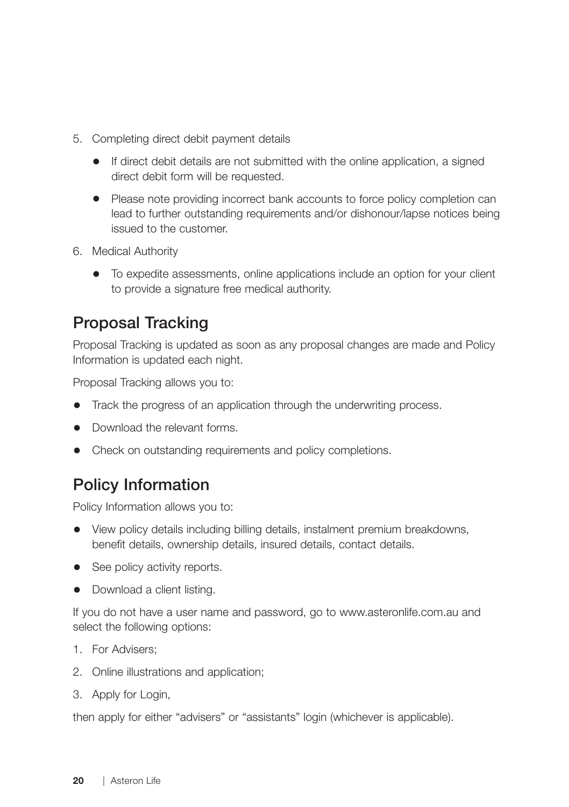- 5. Completing direct debit payment details
	- If direct debit details are not submitted with the online application, a signed direct debit form will be requested.
	- Please note providing incorrect bank accounts to force policy completion can lead to further outstanding requirements and/or dishonour/lapse notices being issued to the customer.
- 6. Medical Authority
	- To expedite assessments, online applications include an option for your client to provide a signature free medical authority.

#### Proposal Tracking

Proposal Tracking is updated as soon as any proposal changes are made and Policy Information is updated each night.

Proposal Tracking allows you to:

- Track the progress of an application through the underwriting process.
- Download the relevant forms.
- Check on outstanding requirements and policy completions.

#### Policy Information

Policy Information allows you to:

- View policy details including billing details, instalment premium breakdowns, benefit details, ownership details, insured details, contact details.
- See policy activity reports.
- Download a client listing.

If you do not have a user name and password, go to www.asteronlife.com.au and select the following options:

- 1. For Advisers;
- 2. Online illustrations and application;
- 3. Apply for Login,

then apply for either "advisers" or "assistants" login (whichever is applicable).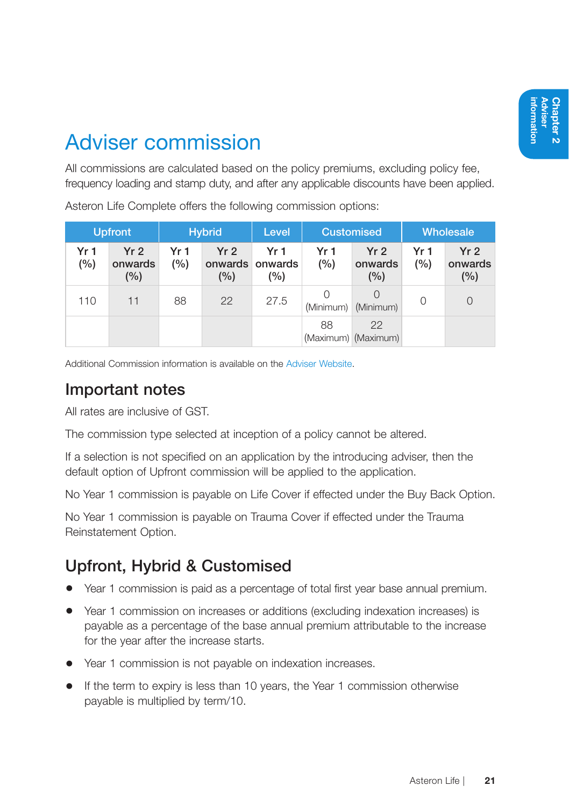### Adviser commission

All commissions are calculated based on the policy premiums, excluding policy fee, frequency loading and stamp duty, and after any applicable discounts have been applied.

Asteron Life Complete offers the following commission options:

| <b>Upfront</b> |                                       |            | <b>Hybrid</b>                     | <b>Customised</b><br>Level           |                        | <b>Wholesale</b>                  |             |                                   |
|----------------|---------------------------------------|------------|-----------------------------------|--------------------------------------|------------------------|-----------------------------------|-------------|-----------------------------------|
| Yr 1<br>(%)    | Yr <sub>2</sub><br>onwards<br>$(\% )$ | Yr1<br>(%) | Yr <sub>2</sub><br>onwards<br>(%) | Yr <sub>1</sub><br>onwards<br>$(\%)$ | Yr <sub>1</sub><br>(%) | Yr <sub>2</sub><br>onwards<br>(%) | Yr 1<br>(%) | Yr <sub>2</sub><br>onwards<br>(%) |
| 110            | 11                                    | 88         | 22                                | 27.5                                 | (Minimum)              | (Minimum)                         | 0           | $\Omega$                          |
|                |                                       |            |                                   |                                      | 88                     | 22<br>(Maximum) (Maximum)         |             |                                   |

Additional Commission information is available on the Adviser Website.

#### Important notes

All rates are inclusive of GST.

The commission type selected at inception of a policy cannot be altered.

If a selection is not specified on an application by the introducing adviser, then the default option of Upfront commission will be applied to the application.

No Year 1 commission is payable on Life Cover if effected under the Buy Back Option.

No Year 1 commission is payable on Trauma Cover if effected under the Trauma Reinstatement Option.

#### Upfront, Hybrid & Customised

- Year 1 commission is paid as a percentage of total first year base annual premium.
- Year 1 commission on increases or additions (excluding indexation increases) is payable as a percentage of the base annual premium attributable to the increase for the year after the increase starts.
- Year 1 commission is not payable on indexation increases.
- If the term to expiry is less than 10 years, the Year 1 commission otherwise payable is multiplied by term/10.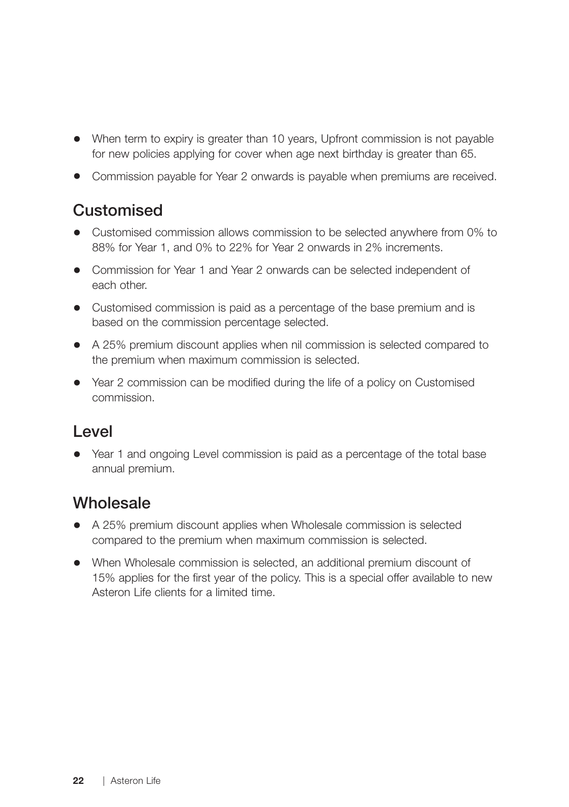- When term to expiry is greater than 10 years, Upfront commission is not payable for new policies applying for cover when age next birthday is greater than 65.
- Commission payable for Year 2 onwards is payable when premiums are received.

#### **Customised**

- Customised commission allows commission to be selected anywhere from 0% to 88% for Year 1, and 0% to 22% for Year 2 onwards in 2% increments.
- Commission for Year 1 and Year 2 onwards can be selected independent of each other.
- Customised commission is paid as a percentage of the base premium and is based on the commission percentage selected.
- A 25% premium discount applies when nil commission is selected compared to the premium when maximum commission is selected.
- Year 2 commission can be modified during the life of a policy on Customised commission.

#### Level

• Year 1 and ongoing Level commission is paid as a percentage of the total base annual premium.

#### **Wholesale**

- A 25% premium discount applies when Wholesale commission is selected compared to the premium when maximum commission is selected.
- When Wholesale commission is selected, an additional premium discount of 15% applies for the first year of the policy. This is a special offer available to new Asteron Life clients for a limited time.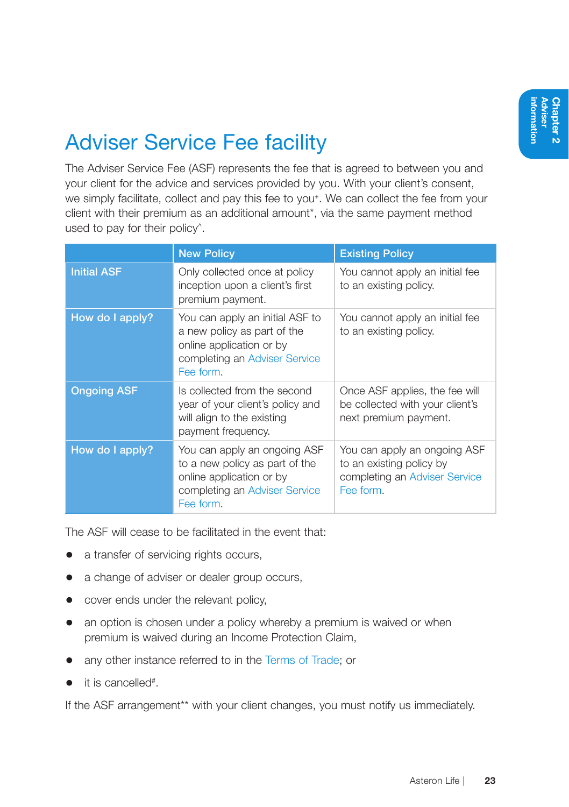# Adviser Service Fee facility

The Adviser Service Fee (ASF) represents the fee that is agreed to between you and your client for the advice and services provided by you. With your client's consent, we simply facilitate, collect and pay this fee to you<sup>+</sup>. We can collect the fee from your client with their premium as an additional amount\*, via the same payment method used to pay for their policy<sup>^</sup>.

|                    | <b>New Policy</b>                                                                                                                        | <b>Existing Policy</b>                                                                                 |
|--------------------|------------------------------------------------------------------------------------------------------------------------------------------|--------------------------------------------------------------------------------------------------------|
| <b>Initial ASF</b> | Only collected once at policy<br>inception upon a client's first<br>premium payment.                                                     | You cannot apply an initial fee<br>to an existing policy.                                              |
| How do I apply?    | You can apply an initial ASF to<br>a new policy as part of the<br>online application or by<br>completing an Adviser Service<br>Fee form. | You cannot apply an initial fee<br>to an existing policy.                                              |
| <b>Ongoing ASF</b> | Is collected from the second<br>year of your client's policy and<br>will align to the existing<br>payment frequency.                     | Once ASF applies, the fee will<br>be collected with your client's<br>next premium payment.             |
| How do I apply?    | You can apply an ongoing ASF<br>to a new policy as part of the<br>online application or by<br>completing an Adviser Service<br>Fee form. | You can apply an ongoing ASF<br>to an existing policy by<br>completing an Adviser Service<br>Fee form. |

The ASF will cease to be facilitated in the event that:

- a transfer of servicing rights occurs,
- a change of adviser or dealer group occurs,
- cover ends under the relevant policy,
- an option is chosen under a policy whereby a premium is waived or when premium is waived during an Income Protection Claim,
- any other instance referred to in the Terms of Trade; or
- it is cancelled<sup>#</sup>.

If the ASF arrangement<sup>\*\*</sup> with your client changes, you must notify us immediately.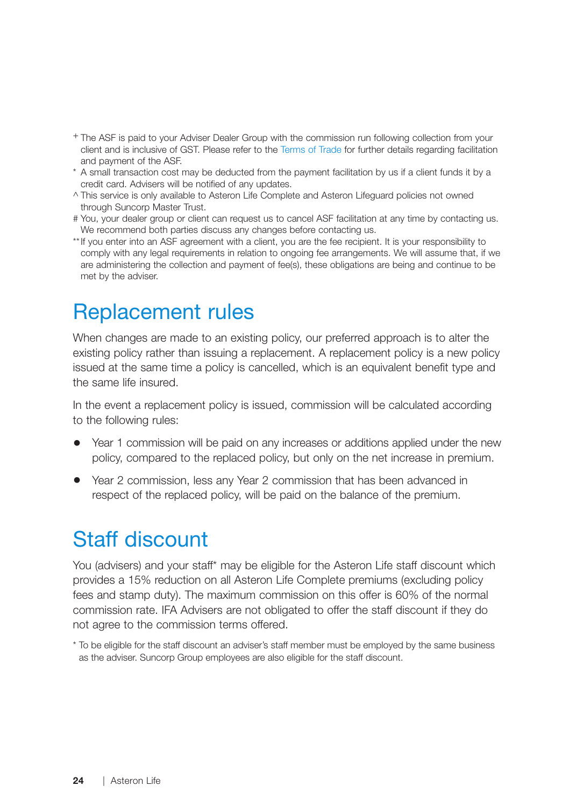- + The ASF is paid to your Adviser Dealer Group with the commission run following collection from your client and is inclusive of GST. Please refer to the Terms of Trade for further details regarding facilitation and payment of the ASF.
- \* A small transaction cost may be deducted from the payment facilitation by us if a client funds it by a credit card. Advisers will be notified of any updates.
- ^ This service is only available to Asteron Life Complete and Asteron Lifeguard policies not owned through Suncorp Master Trust.
- # You, your dealer group or client can request us to cancel ASF facilitation at any time by contacting us. We recommend both parties discuss any changes before contacting us.
- \*\*If you enter into an ASF agreement with a client, you are the fee recipient. It is your responsibility to comply with any legal requirements in relation to ongoing fee arrangements. We will assume that, if we are administering the collection and payment of fee(s), these obligations are being and continue to be met by the adviser.

### Replacement rules

When changes are made to an existing policy, our preferred approach is to alter the existing policy rather than issuing a replacement. A replacement policy is a new policy issued at the same time a policy is cancelled, which is an equivalent benefit type and the same life insured.

In the event a replacement policy is issued, commission will be calculated according to the following rules:

- Year 1 commission will be paid on any increases or additions applied under the new policy, compared to the replaced policy, but only on the net increase in premium.
- Year 2 commission, less any Year 2 commission that has been advanced in respect of the replaced policy, will be paid on the balance of the premium.

### Staff discount

You (advisers) and your staff\* may be eligible for the Asteron Life staff discount which provides a 15% reduction on all Asteron Life Complete premiums (excluding policy fees and stamp duty). The maximum commission on this offer is 60% of the normal commission rate. IFA Advisers are not obligated to offer the staff discount if they do not agree to the commission terms offered.

\* To be eligible for the staff discount an adviser's staff member must be employed by the same business as the adviser. Suncorp Group employees are also eligible for the staff discount.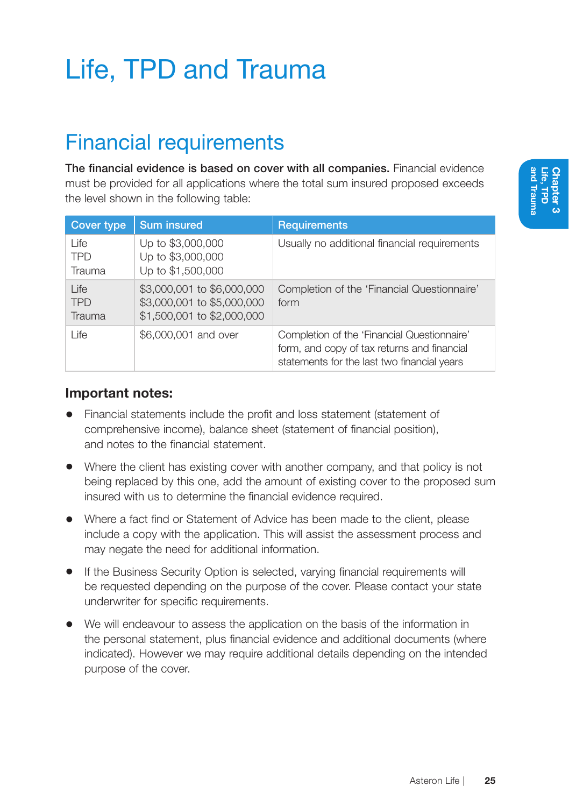# Life, TPD and Trauma

### Financial requirements

The financial evidence is based on cover with all companies. Financial evidence must be provided for all applications where the total sum insured proposed exceeds the level shown in the following table:

| Cover type                   | <b>Sum insured</b>                                                                     | <b>Requirements</b>                                                                                                                       |
|------------------------------|----------------------------------------------------------------------------------------|-------------------------------------------------------------------------------------------------------------------------------------------|
| Life<br><b>TPD</b><br>Trauma | Up to \$3,000,000<br>Up to \$3,000,000<br>Up to \$1,500,000                            | Usually no additional financial requirements                                                                                              |
| Life<br><b>TPD</b><br>Trauma | \$3,000,001 to \$6,000,000<br>\$3,000,001 to \$5,000,000<br>\$1,500,001 to \$2,000,000 | Completion of the 'Financial Questionnaire'<br>form                                                                                       |
| Life                         | \$6,000,001 and over                                                                   | Completion of the 'Financial Questionnaire'<br>form, and copy of tax returns and financial<br>statements for the last two financial years |

#### Important notes:

- Financial statements include the profit and loss statement (statement of comprehensive income), balance sheet (statement of financial position), and notes to the financial statement.
- Where the client has existing cover with another company, and that policy is not being replaced by this one, add the amount of existing cover to the proposed sum insured with us to determine the financial evidence required.
- Where a fact find or Statement of Advice has been made to the client, please include a copy with the application. This will assist the assessment process and may negate the need for additional information.
- If the Business Security Option is selected, varying financial requirements will be requested depending on the purpose of the cover. Please contact your state underwriter for specific requirements.
- We will endeavour to assess the application on the basis of the information in the personal statement, plus financial evidence and additional documents (where indicated). However we may require additional details depending on the intended purpose of the cover.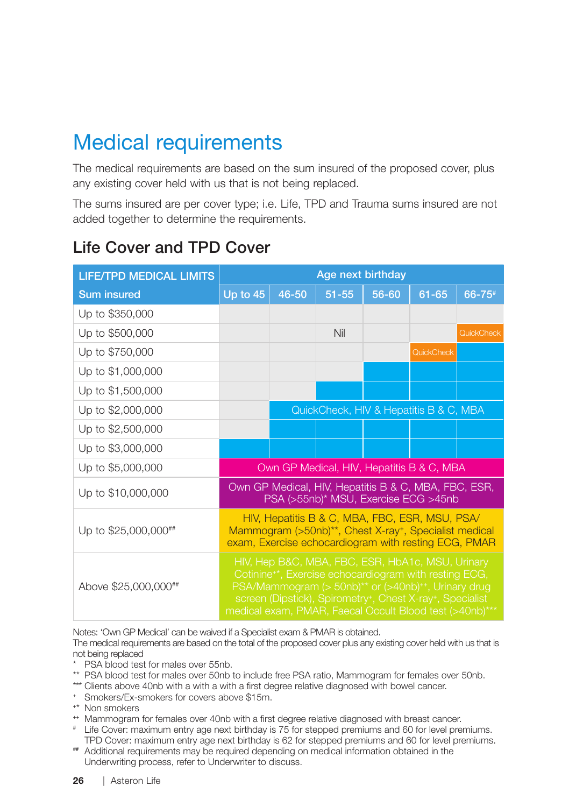## Medical requirements

The medical requirements are based on the sum insured of the proposed cover, plus any existing cover held with us that is not being replaced.

The sums insured are per cover type; i.e. Life, TPD and Trauma sums insured are not added together to determine the requirements.

#### Life Cover and TPD Cover

| <b>LIFE/TPD MEDICAL LIMITS</b> | Age next birthday                                                                                                                                                                                                                                                                                                                                       |       |           |       |                                           |            |
|--------------------------------|---------------------------------------------------------------------------------------------------------------------------------------------------------------------------------------------------------------------------------------------------------------------------------------------------------------------------------------------------------|-------|-----------|-------|-------------------------------------------|------------|
| <b>Sum insured</b>             | Up to 45                                                                                                                                                                                                                                                                                                                                                | 46-50 | $51 - 55$ | 56-60 | $61 - 65$                                 | 66-75#     |
| Up to \$350,000                |                                                                                                                                                                                                                                                                                                                                                         |       |           |       |                                           |            |
| Up to \$500,000                |                                                                                                                                                                                                                                                                                                                                                         |       | Nil       |       |                                           | QuickCheck |
| Up to \$750,000                |                                                                                                                                                                                                                                                                                                                                                         |       |           |       | QuickCheck                                |            |
| Up to \$1,000,000              |                                                                                                                                                                                                                                                                                                                                                         |       |           |       |                                           |            |
| Up to \$1,500,000              |                                                                                                                                                                                                                                                                                                                                                         |       |           |       |                                           |            |
| Up to \$2,000,000              | QuickCheck, HIV & Hepatitis B & C, MBA                                                                                                                                                                                                                                                                                                                  |       |           |       |                                           |            |
| Up to \$2,500,000              |                                                                                                                                                                                                                                                                                                                                                         |       |           |       |                                           |            |
| Up to \$3,000,000              |                                                                                                                                                                                                                                                                                                                                                         |       |           |       |                                           |            |
| Up to \$5,000,000              |                                                                                                                                                                                                                                                                                                                                                         |       |           |       | Own GP Medical, HIV, Hepatitis B & C, MBA |            |
| Up to \$10,000,000             | Own GP Medical, HIV, Hepatitis B & C, MBA, FBC, ESR,<br>PSA (>55nb)* MSU, Exercise ECG >45nb                                                                                                                                                                                                                                                            |       |           |       |                                           |            |
| Up to \$25,000,000##           | HIV, Hepatitis B & C, MBA, FBC, ESR, MSU, PSA/<br>Mammogram (>50nb)**, Chest X-ray+, Specialist medical<br>exam, Exercise echocardiogram with resting ECG, PMAR                                                                                                                                                                                         |       |           |       |                                           |            |
| Above \$25,000,000##           | HIV, Hep B&C, MBA, FBC, ESR, HbA1c, MSU, Urinary<br>Cotinine <sup>+*</sup> , Exercise echocardiogram with resting ECG,<br>PSA/Mammogram (> 50nb) <sup>**</sup> or (>40nb) <sup>++</sup> , Urinary drug<br>screen (Dipstick), Spirometry <sup>+</sup> , Chest X-ray <sup>+</sup> , Specialist<br>medical exam, PMAR, Faecal Occult Blood test (>40nb)*** |       |           |       |                                           |            |

Notes: 'Own GP Medical' can be waived if a Specialist exam & PMAR is obtained.

The medical requirements are based on the total of the proposed cover plus any existing cover held with us that is not being replaced

- \* PSA blood test for males over 55nb.
- \*\* PSA blood test for males over 50nb to include free PSA ratio, Mammogram for females over 50nb.
- \*\*\* Clients above 40nb with a with a with a first degree relative diagnosed with bowel cancer.
- <sup>+</sup> Smokers/Ex-smokers for covers above \$15m.
- <sup>+</sup>\* Non smokers
- <sup>++</sup> Mammogram for females over 40nb with a first degree relative diagnosed with breast cancer.
- # Life Cover: maximum entry age next birthday is 75 for stepped premiums and 60 for level premiums. TPD Cover: maximum entry age next birthday is 62 for stepped premiums and 60 for level premiums.
- ## Additional requirements may be required depending on medical information obtained in the Underwriting process, refer to Underwriter to discuss.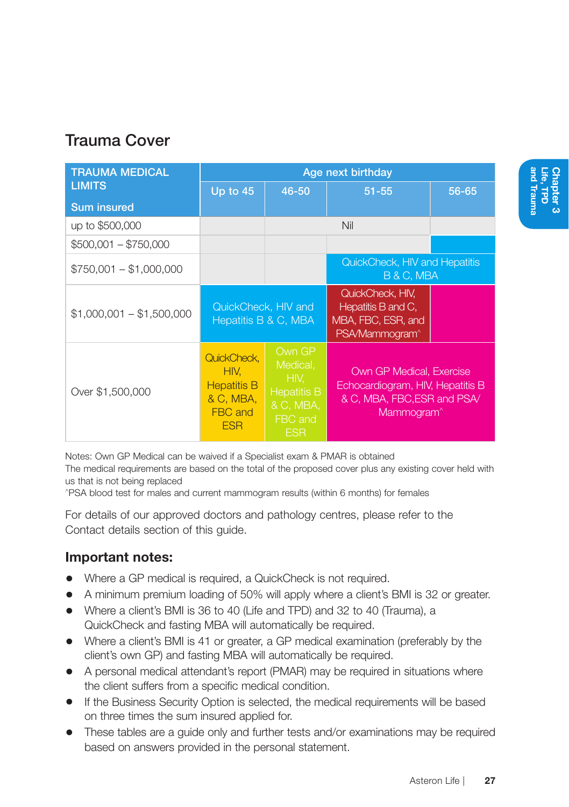#### Trauma Cover

| <b>TRAUMA MEDICAL</b>     | Age next birthday                                                               |                                                                                        |                                                                                                                       |       |
|---------------------------|---------------------------------------------------------------------------------|----------------------------------------------------------------------------------------|-----------------------------------------------------------------------------------------------------------------------|-------|
| <b>LIMITS</b>             | Up to 45<br>$46 - 50$                                                           |                                                                                        | $51 - 55$                                                                                                             | 56-65 |
| <b>Sum insured</b>        |                                                                                 |                                                                                        |                                                                                                                       |       |
| up to \$500,000           |                                                                                 |                                                                                        | Nil                                                                                                                   |       |
| $$500,001 - $750,000$     |                                                                                 |                                                                                        |                                                                                                                       |       |
| $$750,001 - $1,000,000$   |                                                                                 | QuickCheck, HIV and Hepatitis<br>B & C, MBA                                            |                                                                                                                       |       |
| $$1,000,001 - $1,500,000$ | QuickCheck, HIV and<br>Hepatitis B & C, MBA                                     |                                                                                        | QuickCheck, HIV,<br>Hepatitis B and C.<br>MBA, FBC, ESR, and<br>PSA/Mammogram <sup>^</sup>                            |       |
| Over \$1,500,000          | QuickCheck.<br>HIV.<br><b>Hepatitis B</b><br>& C, MBA,<br>FBC and<br><b>ESR</b> | Own GP<br>Medical,<br>HIV.<br><b>Hepatitis B</b><br>& C, MBA,<br>FBC and<br><b>ESR</b> | Own GP Medical, Exercise<br>Echocardiogram, HIV, Hepatitis B<br>& C, MBA, FBC, ESR and PSA/<br>Mammogram <sup>^</sup> |       |

Notes: Own GP Medical can be waived if a Specialist exam & PMAR is obtained

The medical requirements are based on the total of the proposed cover plus any existing cover held with us that is not being replaced

^PSA blood test for males and current mammogram results (within 6 months) for females

For details of our approved doctors and pathology centres, please refer to the Contact details section of this guide.

#### Important notes:

- Where a GP medical is required, a QuickCheck is not required.
- A minimum premium loading of 50% will apply where a client's BMI is 32 or greater.
- Where a client's BMI is 36 to 40 (Life and TPD) and 32 to 40 (Trauma), a QuickCheck and fasting MBA will automatically be required.
- Where a client's BMI is 41 or greater, a GP medical examination (preferably by the client's own GP) and fasting MBA will automatically be required.
- A personal medical attendant's report (PMAR) may be required in situations where the client suffers from a specific medical condition.
- If the Business Security Option is selected, the medical requirements will be based on three times the sum insured applied for.
- These tables are a guide only and further tests and/or examinations may be required based on answers provided in the personal statement.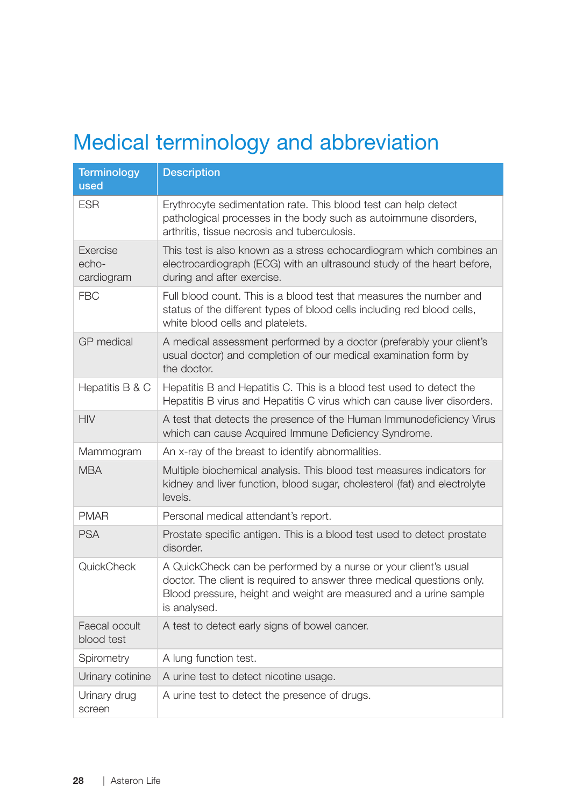# Medical terminology and abbreviation

| <b>Terminology</b><br>used        | <b>Description</b>                                                                                                                                                                                                             |
|-----------------------------------|--------------------------------------------------------------------------------------------------------------------------------------------------------------------------------------------------------------------------------|
| <b>ESR</b>                        | Erythrocyte sedimentation rate. This blood test can help detect<br>pathological processes in the body such as autoimmune disorders,<br>arthritis, tissue necrosis and tuberculosis.                                            |
| Exercise<br>$echo-$<br>cardiogram | This test is also known as a stress echocardiogram which combines an<br>electrocardiograph (ECG) with an ultrasound study of the heart before,<br>during and after exercise.                                                   |
| <b>FBC</b>                        | Full blood count. This is a blood test that measures the number and<br>status of the different types of blood cells including red blood cells,<br>white blood cells and platelets.                                             |
| <b>GP</b> medical                 | A medical assessment performed by a doctor (preferably your client's<br>usual doctor) and completion of our medical examination form by<br>the doctor.                                                                         |
| Hepatitis B & C                   | Hepatitis B and Hepatitis C. This is a blood test used to detect the<br>Hepatitis B virus and Hepatitis C virus which can cause liver disorders.                                                                               |
| <b>HIV</b>                        | A test that detects the presence of the Human Immunodeficiency Virus<br>which can cause Acquired Immune Deficiency Syndrome.                                                                                                   |
| Mammogram                         | An x-ray of the breast to identify abnormalities.                                                                                                                                                                              |
| <b>MBA</b>                        | Multiple biochemical analysis. This blood test measures indicators for<br>kidney and liver function, blood sugar, cholesterol (fat) and electrolyte<br>levels.                                                                 |
| <b>PMAR</b>                       | Personal medical attendant's report.                                                                                                                                                                                           |
| <b>PSA</b>                        | Prostate specific antigen. This is a blood test used to detect prostate<br>disorder.                                                                                                                                           |
| QuickCheck                        | A QuickCheck can be performed by a nurse or your client's usual<br>doctor. The client is required to answer three medical questions only.<br>Blood pressure, height and weight are measured and a urine sample<br>is analysed. |
| Faecal occult<br>blood test       | A test to detect early signs of bowel cancer.                                                                                                                                                                                  |
| Spirometry                        | A lung function test.                                                                                                                                                                                                          |
| Urinary cotinine                  | A urine test to detect nicotine usage.                                                                                                                                                                                         |
| Urinary drug<br>screen            | A urine test to detect the presence of drugs.                                                                                                                                                                                  |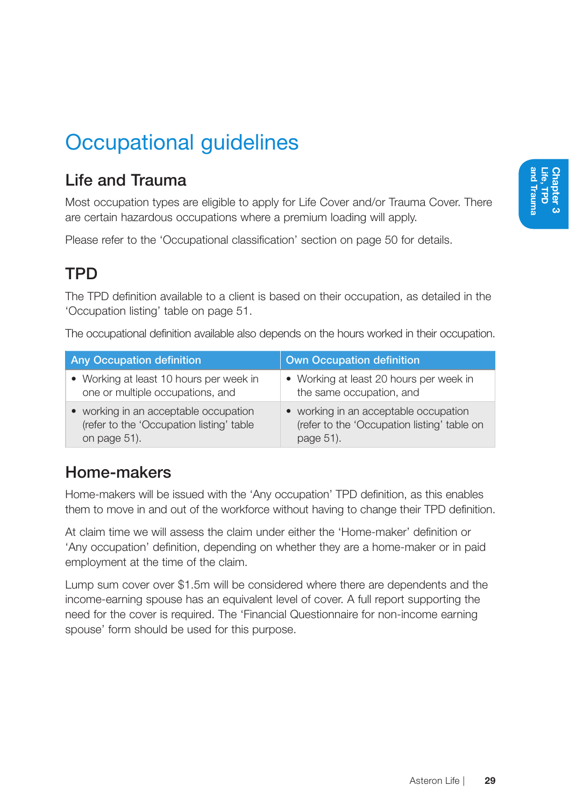## Occupational guidelines

#### Life and Trauma

Most occupation types are eligible to apply for Life Cover and/or Trauma Cover. There are certain hazardous occupations where a premium loading will apply.

Please refer to the 'Occupational classification' section on page 50 for details.

### **TPD**

The TPD definition available to a client is based on their occupation, as detailed in the 'Occupation listing' table on page 51.

The occupational definition available also depends on the hours worked in their occupation.

| <b>Any Occupation definition</b>         | <b>Own Occupation definition</b>            |
|------------------------------------------|---------------------------------------------|
| • Working at least 10 hours per week in  | • Working at least 20 hours per week in     |
| one or multiple occupations, and         | the same occupation, and                    |
| • working in an acceptable occupation    | • working in an acceptable occupation       |
| (refer to the 'Occupation listing' table | (refer to the 'Occupation listing' table on |
| on page 51).                             | page 51).                                   |

#### Home-makers

Home-makers will be issued with the 'Any occupation' TPD definition, as this enables them to move in and out of the workforce without having to change their TPD definition.

At claim time we will assess the claim under either the 'Home-maker' definition or 'Any occupation' definition, depending on whether they are a home-maker or in paid employment at the time of the claim.

Lump sum cover over \$1.5m will be considered where there are dependents and the income-earning spouse has an equivalent level of cover. A full report supporting the need for the cover is required. The 'Financial Questionnaire for non-income earning spouse' form should be used for this purpose.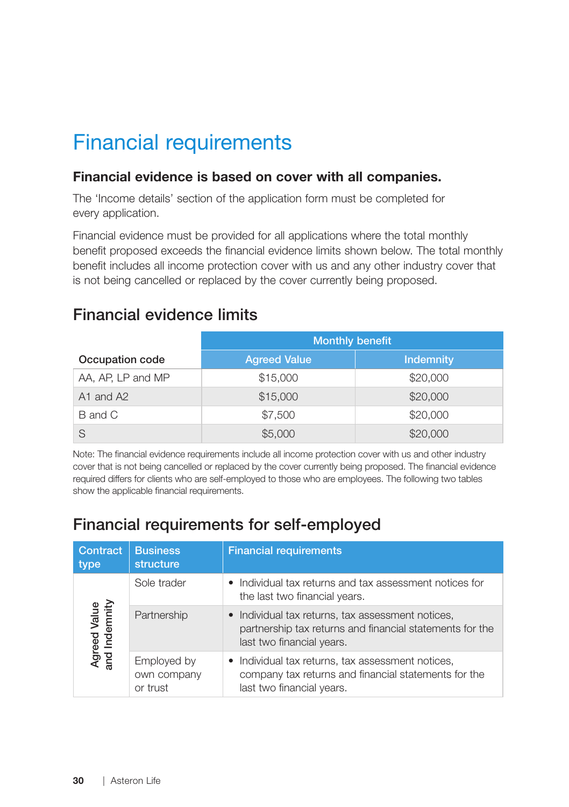## Financial requirements

#### Financial evidence is based on cover with all companies.

The 'Income details' section of the application form must be completed for every application.

Financial evidence must be provided for all applications where the total monthly benefit proposed exceeds the financial evidence limits shown below. The total monthly benefit includes all income protection cover with us and any other industry cover that is not being cancelled or replaced by the cover currently being proposed.

#### Financial evidence limits

|                   | <b>Monthly benefit</b> |                  |  |
|-------------------|------------------------|------------------|--|
| Occupation code   | <b>Agreed Value</b>    | <b>Indemnity</b> |  |
| AA, AP, LP and MP | \$15,000               | \$20,000         |  |
| A1 and A2         | \$15,000               | \$20,000         |  |
| B and C           | \$7,500                | \$20,000         |  |
|                   | \$5,000                | \$20,000         |  |

Note: The financial evidence requirements include all income protection cover with us and other industry cover that is not being cancelled or replaced by the cover currently being proposed. The financial evidence required differs for clients who are self-employed to those who are employees. The following two tables show the applicable financial requirements.

#### Financial requirements for self-employed

| Contract<br>type              | <b>Business</b><br>structure           | <b>Financial requirements</b>                                                                                                              |
|-------------------------------|----------------------------------------|--------------------------------------------------------------------------------------------------------------------------------------------|
|                               | Sole trader                            | • Individual tax returns and tax assessment notices for<br>the last two financial years.                                                   |
| Agreed Value<br>and Indemnity | Partnership                            | • Individual tax returns, tax assessment notices,<br>partnership tax returns and financial statements for the<br>last two financial years. |
|                               | Employed by<br>own company<br>or trust | • Individual tax returns, tax assessment notices,<br>company tax returns and financial statements for the<br>last two financial years.     |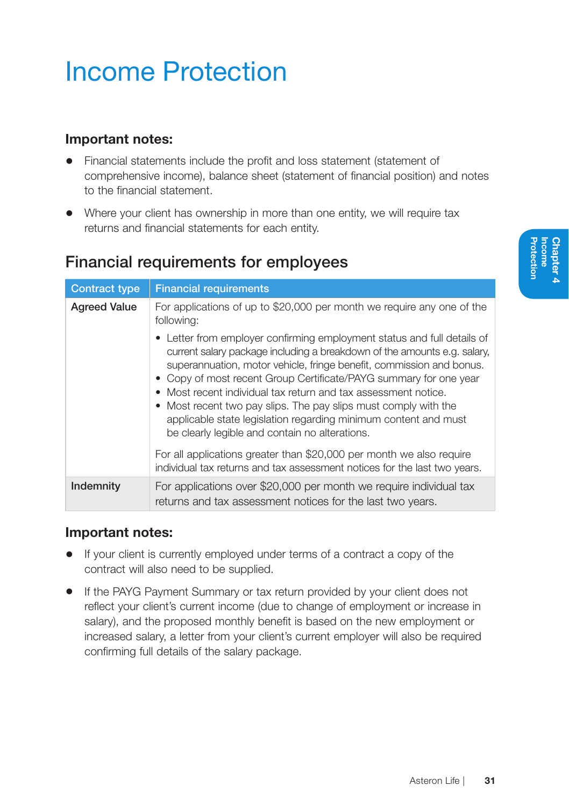# Income Protection

#### Important notes:

- Financial statements include the profit and loss statement (statement of comprehensive income), balance sheet (statement of financial position) and notes to the financial statement.
- Where your client has ownership in more than one entity, we will require tax returns and financial statements for each entity.

### Financial requirements for employees

| <b>Contract type</b> | <b>Financial requirements</b>                                                                                                                                                                                                                                                                                                                                                                                                                                                                                               |
|----------------------|-----------------------------------------------------------------------------------------------------------------------------------------------------------------------------------------------------------------------------------------------------------------------------------------------------------------------------------------------------------------------------------------------------------------------------------------------------------------------------------------------------------------------------|
| <b>Agreed Value</b>  | For applications of up to \$20,000 per month we require any one of the<br>following:<br>• Letter from employer confirming employment status and full details of<br>current salary package including a breakdown of the amounts e.g. salary,<br>superannuation, motor vehicle, fringe benefit, commission and bonus.<br>• Copy of most recent Group Certificate/PAYG summary for one year<br>Most recent individual tax return and tax assessment notice.<br>• Most recent two pay slips. The pay slips must comply with the |
|                      | applicable state legislation regarding minimum content and must<br>be clearly legible and contain no alterations.<br>For all applications greater than \$20,000 per month we also require<br>individual tax returns and tax assessment notices for the last two years.                                                                                                                                                                                                                                                      |
| Indemnity            | For applications over \$20,000 per month we require individual tax<br>returns and tax assessment notices for the last two years.                                                                                                                                                                                                                                                                                                                                                                                            |

#### Important notes:

- If your client is currently employed under terms of a contract a copy of the contract will also need to be supplied.
- If the PAYG Payment Summary or tax return provided by your client does not reflect your client's current income (due to change of employment or increase in salary), and the proposed monthly benefit is based on the new employment or increased salary, a letter from your client's current employer will also be required confirming full details of the salary package.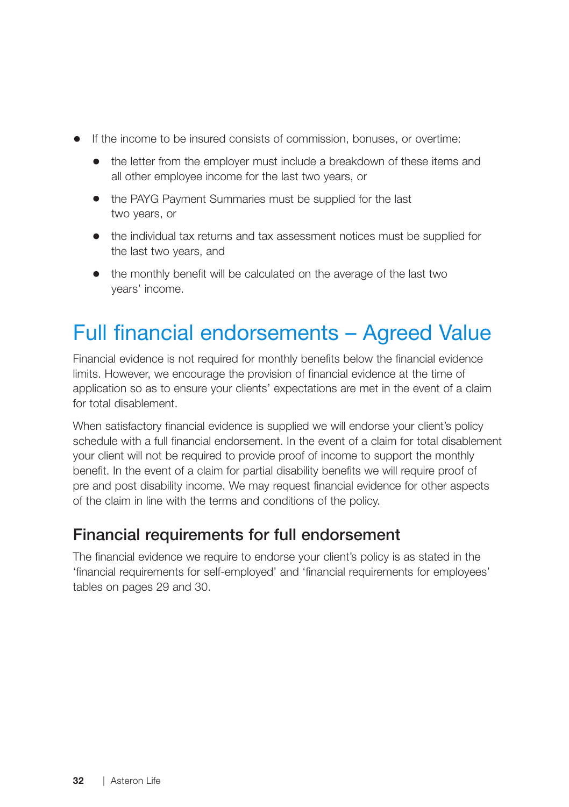- If the income to be insured consists of commission, bonuses, or overtime:
	- the letter from the employer must include a breakdown of these items and all other employee income for the last two years, or
	- the PAYG Payment Summaries must be supplied for the last two years, or
	- the individual tax returns and tax assessment notices must be supplied for the last two years, and
	- the monthly benefit will be calculated on the average of the last two years' income.

### Full financial endorsements – Agreed Value

Financial evidence is not required for monthly benefits below the financial evidence limits. However, we encourage the provision of financial evidence at the time of application so as to ensure your clients' expectations are met in the event of a claim for total disablement.

When satisfactory financial evidence is supplied we will endorse your client's policy schedule with a full financial endorsement. In the event of a claim for total disablement your client will not be required to provide proof of income to support the monthly benefit. In the event of a claim for partial disability benefits we will require proof of pre and post disability income. We may request financial evidence for other aspects of the claim in line with the terms and conditions of the policy.

#### Financial requirements for full endorsement

The financial evidence we require to endorse your client's policy is as stated in the 'financial requirements for self-employed' and 'financial requirements for employees' tables on pages 29 and 30.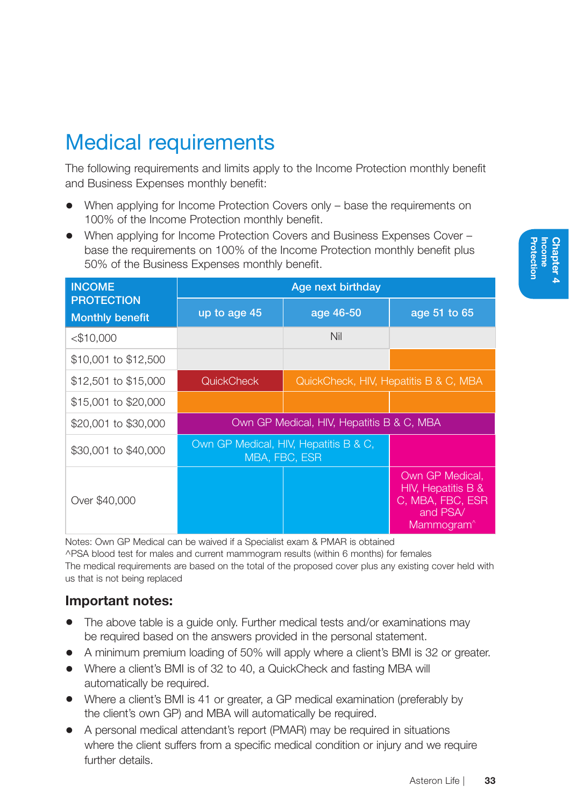## Medical requirements

The following requirements and limits apply to the Income Protection monthly benefit and Business Expenses monthly benefit:

- When applying for Income Protection Covers only base the requirements on 100% of the Income Protection monthly benefit.
- When applying for Income Protection Covers and Business Expenses Cover base the requirements on 100% of the Income Protection monthly benefit plus 50% of the Business Expenses monthly benefit.

| <b>INCOME</b>                               | Age next birthday                                      |                                           |                                                                                                 |  |
|---------------------------------------------|--------------------------------------------------------|-------------------------------------------|-------------------------------------------------------------------------------------------------|--|
| <b>PROTECTION</b><br><b>Monthly benefit</b> | up to age 45                                           | age 46-50                                 | age 51 to 65                                                                                    |  |
| $<$ \$10,000                                |                                                        | Nil                                       |                                                                                                 |  |
| \$10,001 to \$12,500                        |                                                        |                                           |                                                                                                 |  |
| \$12,501 to \$15,000                        | <b>QuickCheck</b>                                      |                                           | QuickCheck, HIV, Hepatitis B & C, MBA                                                           |  |
| \$15,001 to \$20,000                        |                                                        |                                           |                                                                                                 |  |
| \$20,001 to \$30,000                        |                                                        | Own GP Medical, HIV, Hepatitis B & C, MBA |                                                                                                 |  |
| \$30,001 to \$40,000                        | Own GP Medical, HIV, Hepatitis B & C,<br>MBA, FBC, ESR |                                           |                                                                                                 |  |
| Over \$40,000                               |                                                        |                                           | Own GP Medical,<br>HIV, Hepatitis B &<br>C, MBA, FBC, ESR<br>and PSA/<br>Mammogram <sup>^</sup> |  |

Notes: Own GP Medical can be waived if a Specialist exam & PMAR is obtained ^PSA blood test for males and current mammogram results (within 6 months) for females The medical requirements are based on the total of the proposed cover plus any existing cover held with us that is not being replaced

#### Important notes:

- The above table is a guide only. Further medical tests and/or examinations may be required based on the answers provided in the personal statement.
- A minimum premium loading of 50% will apply where a client's BMI is 32 or greater.
- Where a client's BMI is of 32 to 40, a QuickCheck and fasting MBA will automatically be required.
- Where a client's BMI is 41 or greater, a GP medical examination (preferably by the client's own GP) and MBA will automatically be required.
- A personal medical attendant's report (PMAR) may be required in situations where the client suffers from a specific medical condition or injury and we require further details.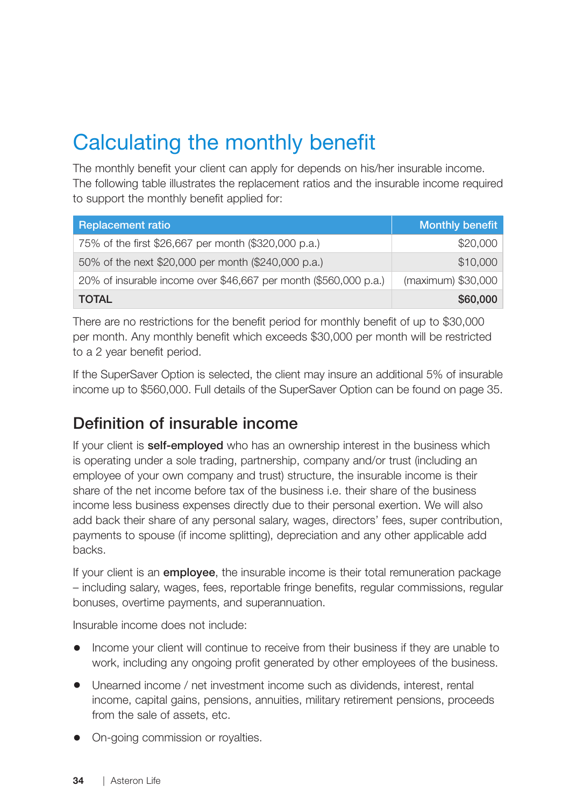# Calculating the monthly benefit

The monthly benefit your client can apply for depends on his/her insurable income. The following table illustrates the replacement ratios and the insurable income required to support the monthly benefit applied for:

| <b>Replacement ratio</b>                                         | <b>Monthly benefit</b> |
|------------------------------------------------------------------|------------------------|
| 75% of the first \$26,667 per month (\$320,000 p.a.)             | \$20,000               |
| 50% of the next \$20,000 per month (\$240,000 p.a.)              | \$10,000               |
| 20% of insurable income over \$46,667 per month (\$560,000 p.a.) | (maximum) \$30,000     |
| <b>TOTAL</b>                                                     | \$60,000               |

There are no restrictions for the benefit period for monthly benefit of up to \$30,000 per month. Any monthly benefit which exceeds \$30,000 per month will be restricted to a 2 year benefit period.

If the SuperSaver Option is selected, the client may insure an additional 5% of insurable income up to \$560,000. Full details of the SuperSaver Option can be found on page 35.

#### Definition of insurable income

If your client is **self-employed** who has an ownership interest in the business which is operating under a sole trading, partnership, company and/or trust (including an employee of your own company and trust) structure, the insurable income is their share of the net income before tax of the business i.e. their share of the business income less business expenses directly due to their personal exertion. We will also add back their share of any personal salary, wages, directors' fees, super contribution, payments to spouse (if income splitting), depreciation and any other applicable add backs.

If your client is an **employee**, the insurable income is their total remuneration package – including salary, wages, fees, reportable fringe benefits, regular commissions, regular bonuses, overtime payments, and superannuation.

Insurable income does not include:

- Income your client will continue to receive from their business if they are unable to work, including any ongoing profit generated by other employees of the business.
- Unearned income / net investment income such as dividends, interest, rental income, capital gains, pensions, annuities, military retirement pensions, proceeds from the sale of assets, etc.
- On-going commission or royalties.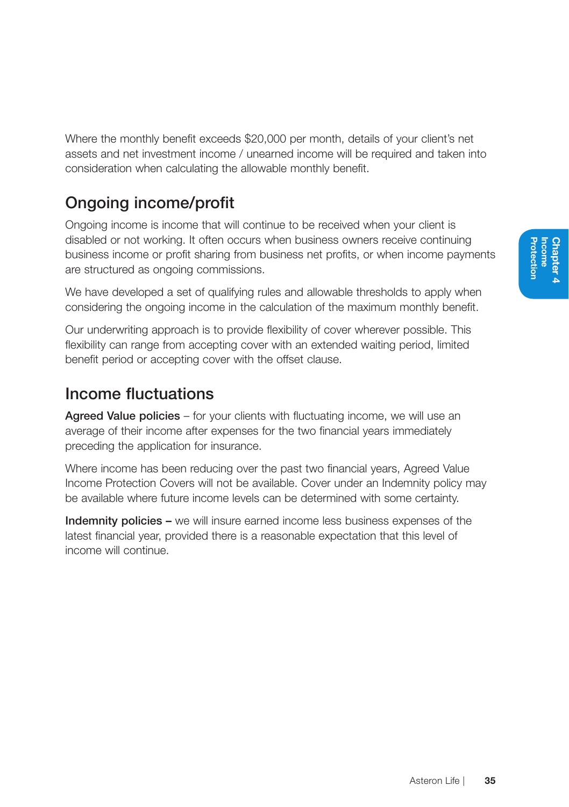Where the monthly benefit exceeds \$20,000 per month, details of your client's net assets and net investment income / unearned income will be required and taken into consideration when calculating the allowable monthly benefit.

## Ongoing income/profit

Ongoing income is income that will continue to be received when your client is disabled or not working. It often occurs when business owners receive continuing business income or profit sharing from business net profits, or when income payments are structured as ongoing commissions.

We have developed a set of qualifying rules and allowable thresholds to apply when considering the ongoing income in the calculation of the maximum monthly benefit.

Our underwriting approach is to provide flexibility of cover wherever possible. This flexibility can range from accepting cover with an extended waiting period, limited benefit period or accepting cover with the offset clause.

### Income fluctuations

Agreed Value policies – for your clients with fluctuating income, we will use an average of their income after expenses for the two financial years immediately preceding the application for insurance.

Where income has been reducing over the past two financial years, Agreed Value Income Protection Covers will not be available. Cover under an Indemnity policy may be available where future income levels can be determined with some certainty.

Indemnity policies – we will insure earned income less business expenses of the latest financial year, provided there is a reasonable expectation that this level of income will continue.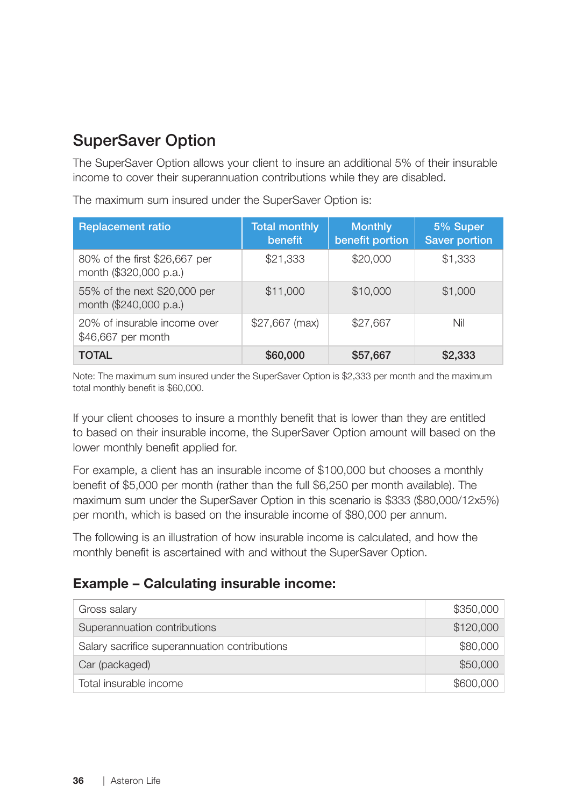### SuperSaver Option

The SuperSaver Option allows your client to insure an additional 5% of their insurable income to cover their superannuation contributions while they are disabled.

| <b>Replacement ratio</b>                                | <b>Total monthly</b><br>benefit | <b>Monthly</b><br>benefit portion | 5% Super<br><b>Saver portion</b> |  |
|---------------------------------------------------------|---------------------------------|-----------------------------------|----------------------------------|--|
| 80% of the first \$26,667 per<br>month (\$320,000 p.a.) | \$21,333                        | \$20,000                          | \$1,333                          |  |
| 55% of the next \$20,000 per<br>month (\$240,000 p.a.)  | \$11,000                        | \$10,000                          | \$1,000                          |  |
| 20% of insurable income over<br>\$46,667 per month      | $$27,667$ (max)                 | \$27,667                          | Nil                              |  |
| <b>TOTAL</b>                                            | \$60,000                        | \$57,667                          | \$2,333                          |  |

The maximum sum insured under the SuperSaver Option is:

Note: The maximum sum insured under the SuperSaver Option is \$2,333 per month and the maximum total monthly benefit is \$60,000.

If your client chooses to insure a monthly benefit that is lower than they are entitled to based on their insurable income, the SuperSaver Option amount will based on the lower monthly benefit applied for.

For example, a client has an insurable income of \$100,000 but chooses a monthly benefit of \$5,000 per month (rather than the full \$6,250 per month available). The maximum sum under the SuperSaver Option in this scenario is \$333 (\$80,000/12x5%) per month, which is based on the insurable income of \$80,000 per annum.

The following is an illustration of how insurable income is calculated, and how the monthly benefit is ascertained with and without the SuperSaver Option.

#### Example – Calculating insurable income:

| Gross salary                                  | \$350,000 |
|-----------------------------------------------|-----------|
| Superannuation contributions                  | \$120,000 |
| Salary sacrifice superannuation contributions | \$80,000  |
| Car (packaged)                                | \$50,000  |
| Total insurable income                        | \$600,000 |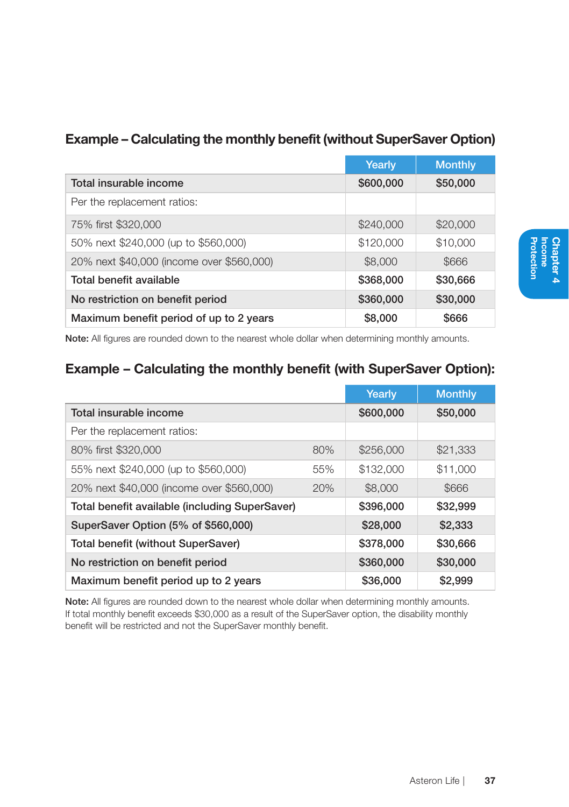|                                           | Yearly    | <b>Monthly</b> |
|-------------------------------------------|-----------|----------------|
| Total insurable income                    | \$600,000 | \$50,000       |
| Per the replacement ratios:               |           |                |
| 75% first \$320,000                       | \$240,000 | \$20,000       |
| 50% next \$240,000 (up to \$560,000)      | \$120,000 | \$10,000       |
| 20% next \$40,000 (income over \$560,000) | \$8,000   | \$666          |
| Total benefit available                   | \$368,000 | \$30,666       |
| No restriction on benefit period          | \$360,000 | \$30,000       |
| Maximum benefit period of up to 2 years   | \$8,000   | \$666          |

#### Example – Calculating the monthly benefit (without SuperSaver Option)

Note: All figures are rounded down to the nearest whole dollar when determining monthly amounts.

#### Example – Calculating the monthly benefit (with SuperSaver Option):

|                                                |     | Yearly    | <b>Monthly</b> |
|------------------------------------------------|-----|-----------|----------------|
| Total insurable income                         |     | \$600,000 | \$50,000       |
| Per the replacement ratios:                    |     |           |                |
| 80% first \$320,000                            | 80% | \$256,000 | \$21,333       |
| 55% next \$240,000 (up to \$560,000)           | 55% | \$132,000 | \$11,000       |
| 20% next \$40,000 (income over \$560,000)      | 20% | \$8,000   | \$666          |
| Total benefit available (including SuperSaver) |     | \$396,000 | \$32,999       |
| SuperSaver Option (5% of \$560,000)            |     | \$28,000  | \$2,333        |
| Total benefit (without SuperSaver)             |     | \$378,000 | \$30,666       |
| No restriction on benefit period               |     | \$360,000 | \$30,000       |
| Maximum benefit period up to 2 years           |     | \$36,000  | \$2,999        |

Note: All figures are rounded down to the nearest whole dollar when determining monthly amounts. If total monthly benefit exceeds \$30,000 as a result of the SuperSaver option, the disability monthly benefit will be restricted and not the SuperSaver monthly benefit.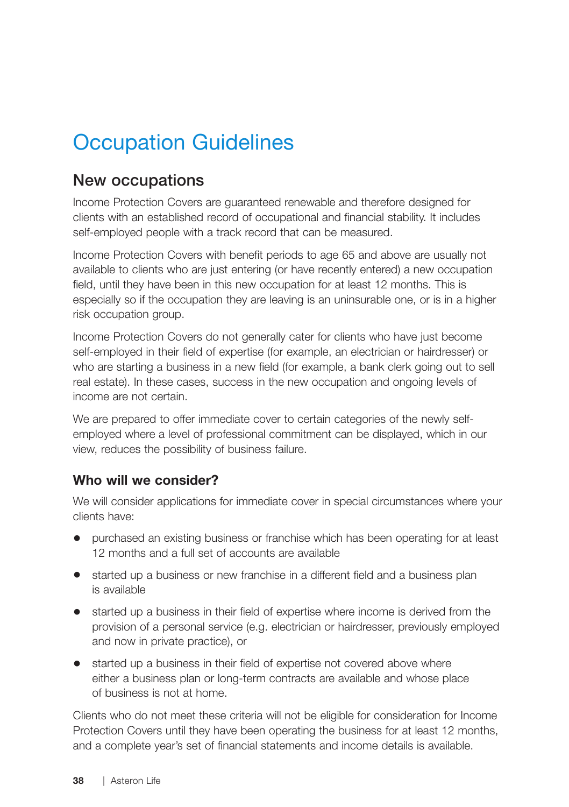## Occupation Guidelines

#### New occupations

Income Protection Covers are guaranteed renewable and therefore designed for clients with an established record of occupational and financial stability. It includes self-employed people with a track record that can be measured.

Income Protection Covers with benefit periods to age 65 and above are usually not available to clients who are just entering (or have recently entered) a new occupation field, until they have been in this new occupation for at least 12 months. This is especially so if the occupation they are leaving is an uninsurable one, or is in a higher risk occupation group.

Income Protection Covers do not generally cater for clients who have just become self-employed in their field of expertise (for example, an electrician or hairdresser) or who are starting a business in a new field (for example, a bank clerk going out to sell real estate). In these cases, success in the new occupation and ongoing levels of income are not certain.

We are prepared to offer immediate cover to certain categories of the newly selfemployed where a level of professional commitment can be displayed, which in our view, reduces the possibility of business failure.

#### Who will we consider?

We will consider applications for immediate cover in special circumstances where your clients have:

- purchased an existing business or franchise which has been operating for at least 12 months and a full set of accounts are available
- started up a business or new franchise in a different field and a business plan is available
- started up a business in their field of expertise where income is derived from the provision of a personal service (e.g. electrician or hairdresser, previously employed and now in private practice), or
- started up a business in their field of expertise not covered above where either a business plan or long-term contracts are available and whose place of business is not at home.

Clients who do not meet these criteria will not be eligible for consideration for Income Protection Covers until they have been operating the business for at least 12 months, and a complete year's set of financial statements and income details is available.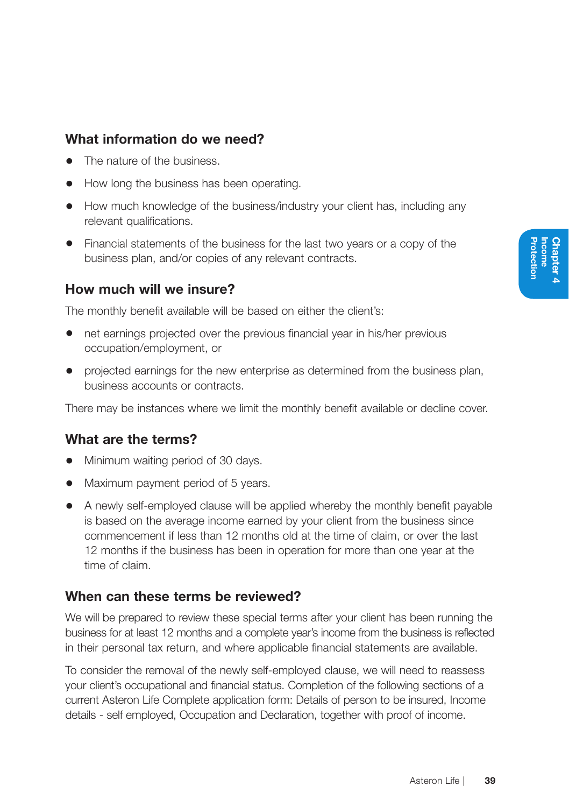#### What information do we need?

- The nature of the business.
- How long the business has been operating.
- How much knowledge of the business/industry your client has, including any relevant qualifications.
- Financial statements of the business for the last two years or a copy of the business plan, and/or copies of any relevant contracts.

#### How much will we insure?

The monthly benefit available will be based on either the client's:

- net earnings projected over the previous financial year in his/her previous occupation/employment, or
- projected earnings for the new enterprise as determined from the business plan, business accounts or contracts.

There may be instances where we limit the monthly benefit available or decline cover.

#### What are the terms?

- Minimum waiting period of 30 days.
- Maximum payment period of 5 years.
- A newly self-employed clause will be applied whereby the monthly benefit payable is based on the average income earned by your client from the business since commencement if less than 12 months old at the time of claim, or over the last 12 months if the business has been in operation for more than one year at the time of claim.

#### When can these terms be reviewed?

We will be prepared to review these special terms after your client has been running the business for at least 12 months and a complete year's income from the business is reflected in their personal tax return, and where applicable financial statements are available.

To consider the removal of the newly self-employed clause, we will need to reassess your client's occupational and financial status. Completion of the following sections of a current Asteron Life Complete application form: Details of person to be insured, Income details - self employed, Occupation and Declaration, together with proof of income.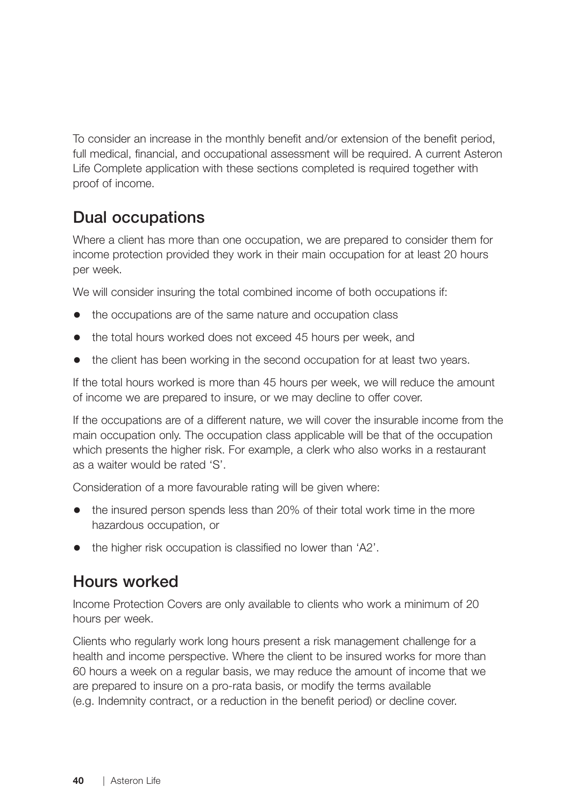To consider an increase in the monthly benefit and/or extension of the benefit period, full medical, financial, and occupational assessment will be required. A current Asteron Life Complete application with these sections completed is required together with proof of income.

### Dual occupations

Where a client has more than one occupation, we are prepared to consider them for income protection provided they work in their main occupation for at least 20 hours per week.

We will consider insuring the total combined income of both occupations if:

- the occupations are of the same nature and occupation class
- the total hours worked does not exceed 45 hours per week, and
- the client has been working in the second occupation for at least two years.

If the total hours worked is more than 45 hours per week, we will reduce the amount of income we are prepared to insure, or we may decline to offer cover.

If the occupations are of a different nature, we will cover the insurable income from the main occupation only. The occupation class applicable will be that of the occupation which presents the higher risk. For example, a clerk who also works in a restaurant as a waiter would be rated 'S'.

Consideration of a more favourable rating will be given where:

- the insured person spends less than 20% of their total work time in the more hazardous occupation, or
- the higher risk occupation is classified no lower than 'A2'.

### Hours worked

Income Protection Covers are only available to clients who work a minimum of 20 hours per week.

Clients who regularly work long hours present a risk management challenge for a health and income perspective. Where the client to be insured works for more than 60 hours a week on a regular basis, we may reduce the amount of income that we are prepared to insure on a pro-rata basis, or modify the terms available (e.g. Indemnity contract, or a reduction in the benefit period) or decline cover.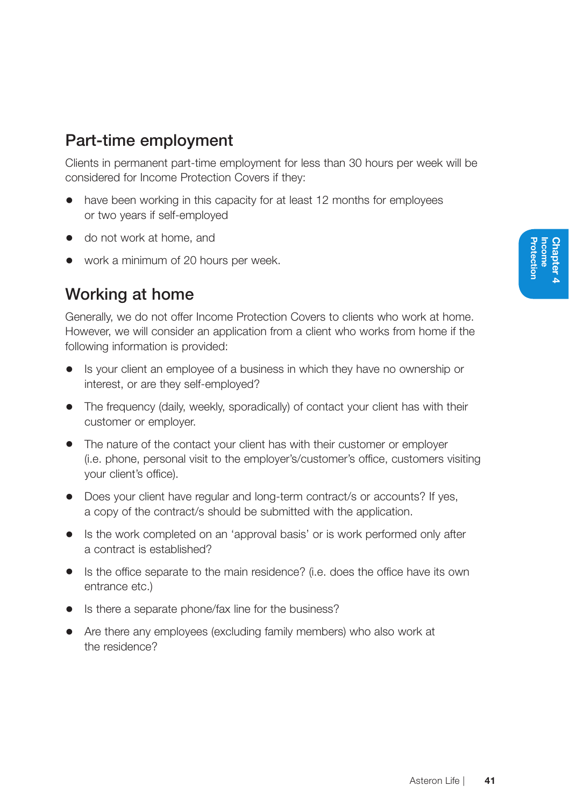### Part-time employment

Clients in permanent part-time employment for less than 30 hours per week will be considered for Income Protection Covers if they:

- have been working in this capacity for at least 12 months for employees or two years if self-employed
- do not work at home, and
- work a minimum of 20 hours per week.

### Working at home

Generally, we do not offer Income Protection Covers to clients who work at home. However, we will consider an application from a client who works from home if the following information is provided:

- Is your client an employee of a business in which they have no ownership or interest, or are they self-employed?
- The frequency (daily, weekly, sporadically) of contact your client has with their customer or employer.
- The nature of the contact your client has with their customer or employer (i.e. phone, personal visit to the employer's/customer's office, customers visiting your client's office).
- Does your client have regular and long-term contract/s or accounts? If yes, a copy of the contract/s should be submitted with the application.
- Is the work completed on an 'approval basis' or is work performed only after a contract is established?
- Is the office separate to the main residence? (i.e. does the office have its own entrance etc.)
- Is there a separate phone/fax line for the business?
- Are there any employees (excluding family members) who also work at the residence?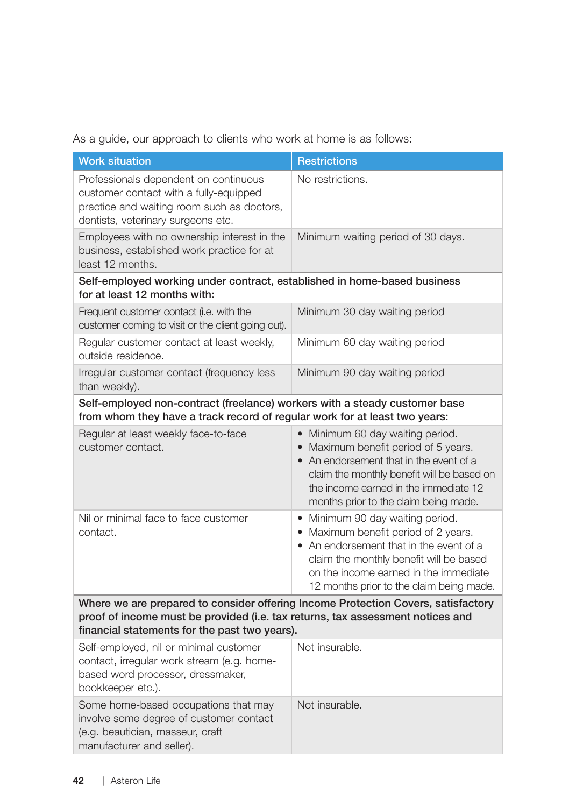As a guide, our approach to clients who work at home is as follows:

| <b>Work situation</b>                                                                                                                                                                                                | <b>Restrictions</b>                                                                                                                                                                                                                                 |
|----------------------------------------------------------------------------------------------------------------------------------------------------------------------------------------------------------------------|-----------------------------------------------------------------------------------------------------------------------------------------------------------------------------------------------------------------------------------------------------|
| Professionals dependent on continuous<br>customer contact with a fully-equipped<br>practice and waiting room such as doctors,<br>dentists, veterinary surgeons etc.                                                  | No restrictions.                                                                                                                                                                                                                                    |
| Employees with no ownership interest in the<br>business, established work practice for at<br>least 12 months.                                                                                                        | Minimum waiting period of 30 days.                                                                                                                                                                                                                  |
| Self-employed working under contract, established in home-based business<br>for at least 12 months with:                                                                                                             |                                                                                                                                                                                                                                                     |
| Frequent customer contact (i.e. with the<br>customer coming to visit or the client going out).                                                                                                                       | Minimum 30 day waiting period                                                                                                                                                                                                                       |
| Regular customer contact at least weekly,<br>outside residence.                                                                                                                                                      | Minimum 60 day waiting period                                                                                                                                                                                                                       |
| Irregular customer contact (frequency less<br>than weekly).                                                                                                                                                          | Minimum 90 day waiting period                                                                                                                                                                                                                       |
| Self-employed non-contract (freelance) workers with a steady customer base<br>from whom they have a track record of regular work for at least two years:                                                             |                                                                                                                                                                                                                                                     |
| Regular at least weekly face-to-face<br>customer contact.                                                                                                                                                            | • Minimum 60 day waiting period.<br>• Maximum benefit period of 5 years.<br>• An endorsement that in the event of a<br>claim the monthly benefit will be based on<br>the income earned in the immediate 12<br>months prior to the claim being made. |
| Nil or minimal face to face customer<br>contact.                                                                                                                                                                     | • Minimum 90 day waiting period.<br>• Maximum benefit period of 2 years.<br>• An endorsement that in the event of a<br>claim the monthly benefit will be based<br>on the income earned in the immediate<br>12 months prior to the claim being made. |
| Where we are prepared to consider offering Income Protection Covers, satisfactory<br>proof of income must be provided (i.e. tax returns, tax assessment notices and<br>financial statements for the past two years). |                                                                                                                                                                                                                                                     |
| Self-employed, nil or minimal customer<br>contact, irregular work stream (e.g. home-<br>based word processor, dressmaker,<br>bookkeeper etc.).                                                                       | Not insurable.                                                                                                                                                                                                                                      |
| Some home-based occupations that may<br>involve some degree of customer contact<br>(e.g. beautician, masseur, craft<br>manufacturer and seller).                                                                     | Not insurable.                                                                                                                                                                                                                                      |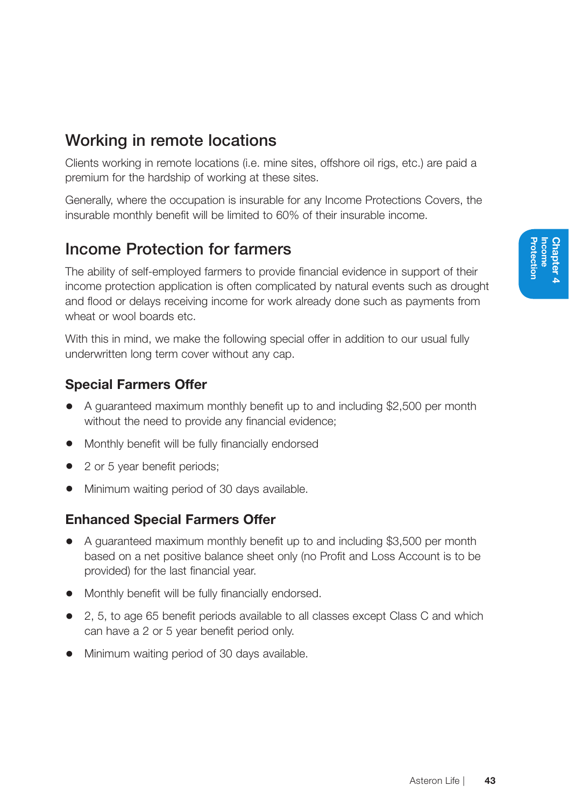## Working in remote locations

Clients working in remote locations (i.e. mine sites, offshore oil rigs, etc.) are paid a premium for the hardship of working at these sites.

Generally, where the occupation is insurable for any Income Protections Covers, the insurable monthly benefit will be limited to 60% of their insurable income.

### Income Protection for farmers

The ability of self-employed farmers to provide financial evidence in support of their income protection application is often complicated by natural events such as drought and flood or delays receiving income for work already done such as payments from wheat or wool boards etc.

With this in mind, we make the following special offer in addition to our usual fully underwritten long term cover without any cap.

### Special Farmers Offer

- A guaranteed maximum monthly benefit up to and including \$2,500 per month without the need to provide any financial evidence;
- Monthly benefit will be fully financially endorsed
- 2 or 5 year benefit periods;
- Minimum waiting period of 30 days available.

### Enhanced Special Farmers Offer

- A guaranteed maximum monthly benefit up to and including \$3,500 per month based on a net positive balance sheet only (no Profit and Loss Account is to be provided) for the last financial year.
- Monthly benefit will be fully financially endorsed.
- 2, 5, to age 65 benefit periods available to all classes except Class C and which can have a 2 or 5 year benefit period only.
- Minimum waiting period of 30 days available.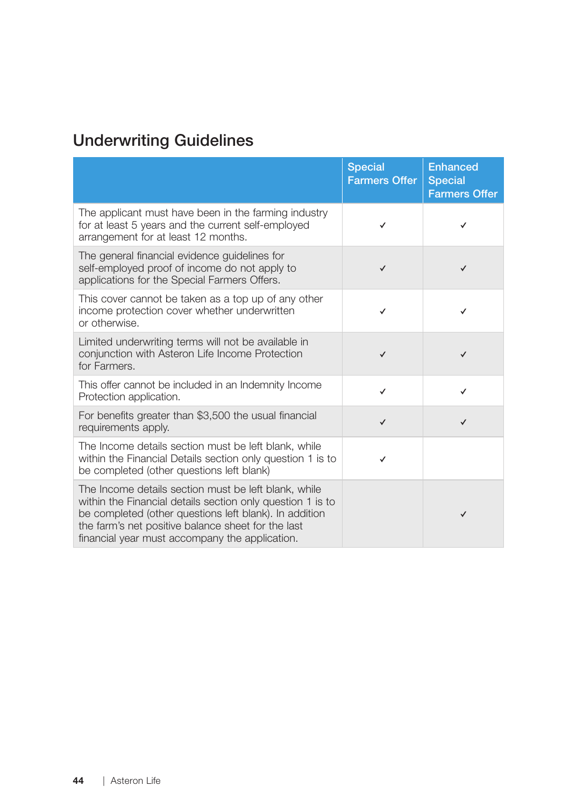## Underwriting Guidelines

|                                                                                                                                                                                                                                                                                      | <b>Special</b><br><b>Farmers Offer</b> | <b>Enhanced</b><br><b>Special</b><br><b>Farmers Offer</b> |
|--------------------------------------------------------------------------------------------------------------------------------------------------------------------------------------------------------------------------------------------------------------------------------------|----------------------------------------|-----------------------------------------------------------|
| The applicant must have been in the farming industry<br>for at least 5 years and the current self-employed<br>arrangement for at least 12 months.                                                                                                                                    | ✓                                      | ✓                                                         |
| The general financial evidence guidelines for<br>self-employed proof of income do not apply to<br>applications for the Special Farmers Offers.                                                                                                                                       | $\checkmark$                           | ✓                                                         |
| This cover cannot be taken as a top up of any other<br>income protection cover whether underwritten<br>or otherwise.                                                                                                                                                                 | ✓                                      | ✓                                                         |
| Limited underwriting terms will not be available in<br>conjunction with Asteron Life Income Protection<br>for Farmers.                                                                                                                                                               | $\checkmark$                           | $\checkmark$                                              |
| This offer cannot be included in an Indemnity Income<br>Protection application.                                                                                                                                                                                                      | $\checkmark$                           | $\checkmark$                                              |
| For benefits greater than \$3,500 the usual financial<br>requirements apply.                                                                                                                                                                                                         | $\checkmark$                           | ✓                                                         |
| The Income details section must be left blank, while<br>within the Financial Details section only question 1 is to<br>be completed (other questions left blank)                                                                                                                      | ✓                                      |                                                           |
| The Income details section must be left blank, while<br>within the Financial details section only question 1 is to<br>be completed (other questions left blank). In addition<br>the farm's net positive balance sheet for the last<br>financial year must accompany the application. |                                        | ✓                                                         |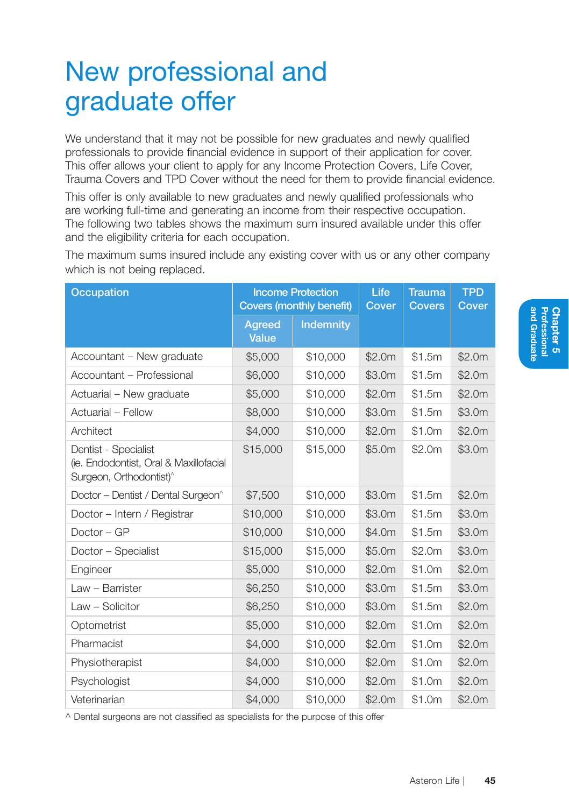# New professional and graduate offer

We understand that it may not be possible for new graduates and newly qualified professionals to provide financial evidence in support of their application for cover. This offer allows your client to apply for any Income Protection Covers, Life Cover, Trauma Covers and TPD Cover without the need for them to provide financial evidence.

This offer is only available to new graduates and newly qualified professionals who are working full-time and generating an income from their respective occupation. The following two tables shows the maximum sum insured available under this offer and the eligibility criteria for each occupation.

Occupation **Income Protection** Covers (monthly benefit) Life **Cover Trauma Covers** TPD **Cover** Agreed Value Indemnity Accountant – New graduate \$5,000 \$10,000 \$2.0m \$1.5m \$2.0m Accountant – Professional \$6,000 \$10,000 \$3.0m \$1.5m \$2.0m Actuarial – New graduate \$5,000 \$10,000 \$2.0m \$1.5m \$2.0m Actuarial – Fellow \$8,000 \$10,000 \$3.0m \$1.5m \$3.0m Architect \$4,000 \$10,000 \$2.0m \$1.0m \$2.0m Dentist - Specialist (ie. Endodontist, Oral & Maxillofacial Surgeon, Orthodontist)^ \$15,000 \$15,000 \$5.0m \$2.0m \$3.0m Doctor – Dentist / Dental Surgeon^ \$7,500 \$10,000 \$3.0m \$1.5m \$2.0m Doctor – Intern / Registrar \$10,000 \$10,000 \$3.0m \$1.5m \$3.0m Doctor – GP \$10,000 \$10,000 \$4.0m \$1.5m \$3.0m Doctor – Specialist \$15,000 \$15,000 \$5.0m \$2.0m \$3.0m Engineer \$5,000 \$10,000 \$2.0m \$1.0m \$2.0m Law – Barrister \$6,250 \$10,000 \$3.0m \$1.5m \$3.0m Law – Solicitor \$6,250 \$10,000 \$3.0m \$1.5m \$2.0m Optometrist \$5,000 \$10,000 \$2.0m \$1.0m \$2.0m Pharmacist \$4,000 \$10,000 \$2.0m \$1.0m \$2.0m Physiotherapist \$4,000 \$10,000 \$2.0m \$1.0m \$2.0m Psychologist \$4,000 \$10,000 \$2.0m \$1.0m \$2.0m Veterinarian \$4,000 \$10,000 \$2.0m \$1.0m \$2.0m

The maximum sums insured include any existing cover with us or any other company which is not being replaced.

^ Dental surgeons are not classified as specialists for the purpose of this offer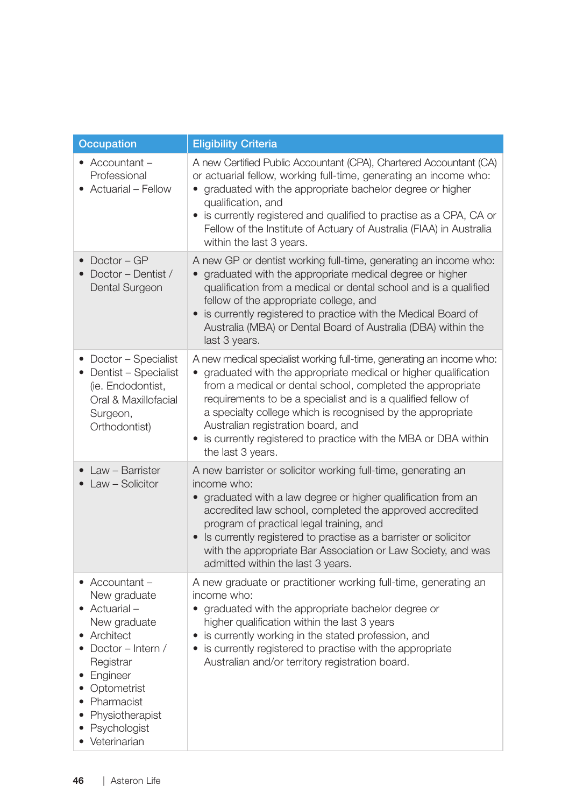| Occupation                                                                                                                                                                                                                           | <b>Eligibility Criteria</b>                                                                                                                                                                                                                                                                                                                                                                                                                                        |
|--------------------------------------------------------------------------------------------------------------------------------------------------------------------------------------------------------------------------------------|--------------------------------------------------------------------------------------------------------------------------------------------------------------------------------------------------------------------------------------------------------------------------------------------------------------------------------------------------------------------------------------------------------------------------------------------------------------------|
| $\bullet$ Accountant -<br>Professional<br>• Actuarial - Fellow                                                                                                                                                                       | A new Certified Public Accountant (CPA), Chartered Accountant (CA)<br>or actuarial fellow, working full-time, generating an income who:<br>• graduated with the appropriate bachelor degree or higher<br>qualification, and<br>• is currently registered and qualified to practise as a CPA, CA or<br>Fellow of the Institute of Actuary of Australia (FIAA) in Australia<br>within the last 3 years.                                                              |
| $\bullet$ Doctor - GP<br>Doctor - Dentist /<br>Dental Surgeon                                                                                                                                                                        | A new GP or dentist working full-time, generating an income who:<br>• graduated with the appropriate medical degree or higher<br>qualification from a medical or dental school and is a qualified<br>fellow of the appropriate college, and<br>• is currently registered to practice with the Medical Board of<br>Australia (MBA) or Dental Board of Australia (DBA) within the<br>last 3 years.                                                                   |
| • Doctor - Specialist<br>• Dentist - Specialist<br>(ie. Endodontist,<br>Oral & Maxillofacial<br>Surgeon,<br>Orthodontist)                                                                                                            | A new medical specialist working full-time, generating an income who:<br>graduated with the appropriate medical or higher qualification<br>from a medical or dental school, completed the appropriate<br>requirements to be a specialist and is a qualified fellow of<br>a specialty college which is recognised by the appropriate<br>Australian registration board, and<br>• is currently registered to practice with the MBA or DBA within<br>the last 3 years. |
| • Law - Barrister<br>• Law - Solicitor                                                                                                                                                                                               | A new barrister or solicitor working full-time, generating an<br>income who:<br>• graduated with a law degree or higher qualification from an<br>accredited law school, completed the approved accredited<br>program of practical legal training, and<br>• Is currently registered to practise as a barrister or solicitor<br>with the appropriate Bar Association or Law Society, and was<br>admitted within the last 3 years.                                    |
| • Accountant $-$<br>New graduate<br>$\bullet$ Actuarial –<br>New graduate<br>• Architect<br>• Doctor - Intern /<br>Registrar<br>• Engineer<br>• Optometrist<br>• Pharmacist<br>• Physiotherapist<br>• Psychologist<br>• Veterinarian | A new graduate or practitioner working full-time, generating an<br>income who:<br>• graduated with the appropriate bachelor degree or<br>higher qualification within the last 3 years<br>• is currently working in the stated profession, and<br>• is currently registered to practise with the appropriate<br>Australian and/or territory registration board.                                                                                                     |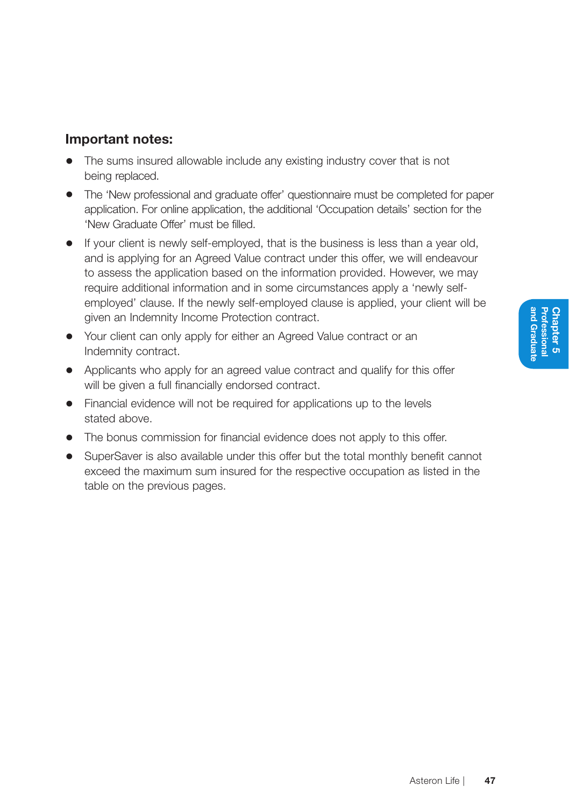#### Important notes:

- The sums insured allowable include any existing industry cover that is not being replaced.
- The 'New professional and graduate offer' questionnaire must be completed for paper application. For online application, the additional 'Occupation details' section for the 'New Graduate Offer' must be filled.
- If your client is newly self-employed, that is the business is less than a year old, and is applying for an Agreed Value contract under this offer, we will endeavour to assess the application based on the information provided. However, we may require additional information and in some circumstances apply a 'newly selfemployed' clause. If the newly self-employed clause is applied, your client will be given an Indemnity Income Protection contract.
- Your client can only apply for either an Agreed Value contract or an Indemnity contract.
- Applicants who apply for an agreed value contract and qualify for this offer will be given a full financially endorsed contract.
- Financial evidence will not be required for applications up to the levels stated above.
- The bonus commission for financial evidence does not apply to this offer.
- SuperSaver is also available under this offer but the total monthly benefit cannot exceed the maximum sum insured for the respective occupation as listed in the table on the previous pages.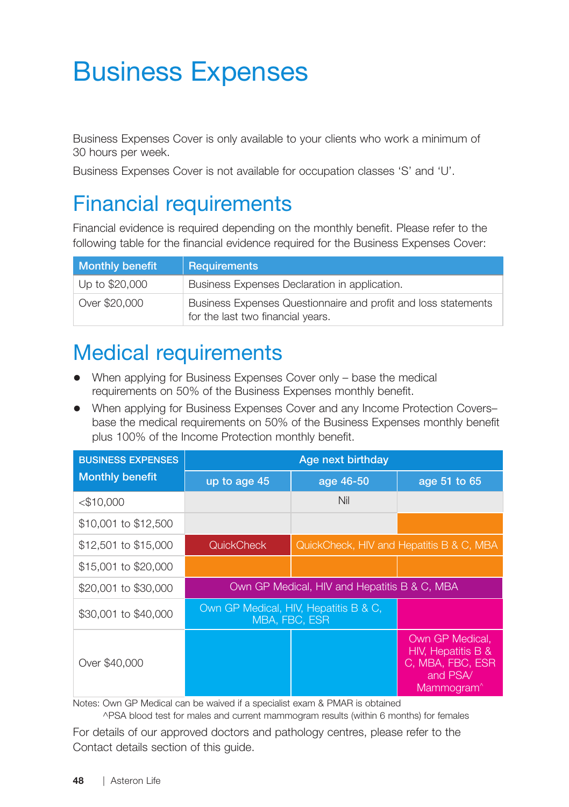# Business Expenses

Business Expenses Cover is only available to your clients who work a minimum of 30 hours per week.

Business Expenses Cover is not available for occupation classes 'S' and 'U'.

## Financial requirements

Financial evidence is required depending on the monthly benefit. Please refer to the following table for the financial evidence required for the Business Expenses Cover:

| <b>Monthly benefit</b> | <b>Requirements</b>                                                                                 |
|------------------------|-----------------------------------------------------------------------------------------------------|
| Up to \$20,000         | Business Expenses Declaration in application.                                                       |
| Over \$20,000          | Business Expenses Questionnaire and profit and loss statements<br>for the last two financial years. |

## Medical requirements

- When applying for Business Expenses Cover only base the medical requirements on 50% of the Business Expenses monthly benefit.
- When applying for Business Expenses Cover and any Income Protection Covers– base the medical requirements on 50% of the Business Expenses monthly benefit plus 100% of the Income Protection monthly benefit.

| <b>BUSINESS EXPENSES</b> | Age next birthday                                      |                                          |                                                                                                 |  |  |
|--------------------------|--------------------------------------------------------|------------------------------------------|-------------------------------------------------------------------------------------------------|--|--|
| <b>Monthly benefit</b>   | up to age 45                                           | age 46-50                                | age 51 to 65                                                                                    |  |  |
| $<$ \$10,000             |                                                        | Nil                                      |                                                                                                 |  |  |
| \$10,001 to \$12,500     |                                                        |                                          |                                                                                                 |  |  |
| \$12,501 to \$15,000     | <b>QuickCheck</b>                                      | QuickCheck, HIV and Hepatitis B & C, MBA |                                                                                                 |  |  |
| \$15,001 to \$20,000     |                                                        |                                          |                                                                                                 |  |  |
| \$20,001 to \$30,000     | Own GP Medical, HIV and Hepatitis B & C, MBA           |                                          |                                                                                                 |  |  |
| \$30,001 to \$40,000     | Own GP Medical, HIV, Hepatitis B & C,<br>MBA, FBC, ESR |                                          |                                                                                                 |  |  |
| Over \$40,000            |                                                        |                                          | Own GP Medical.<br>HIV, Hepatitis B &<br>C, MBA, FBC, ESR<br>and PSA/<br>Mammogram <sup>^</sup> |  |  |

Notes: Own GP Medical can be waived if a specialist exam & PMAR is obtained

^PSA blood test for males and current mammogram results (within 6 months) for females

For details of our approved doctors and pathology centres, please refer to the Contact details section of this guide.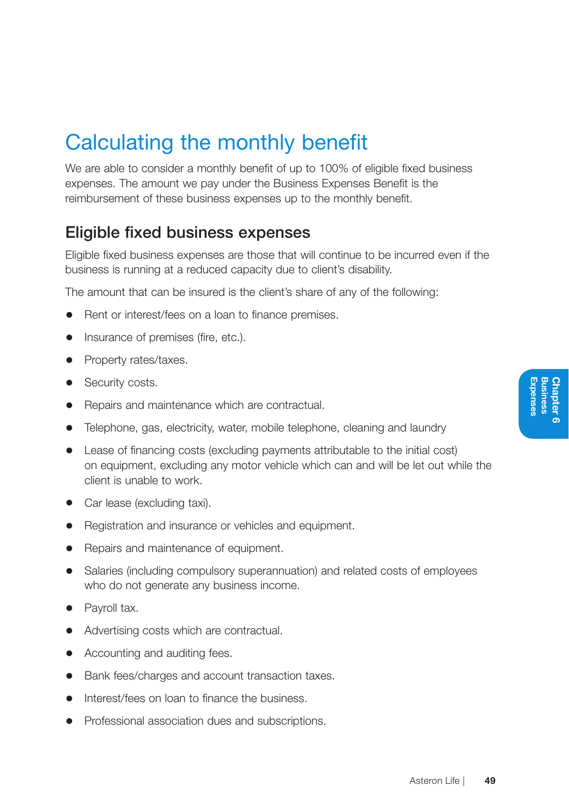## Calculating the monthly benefit

We are able to consider a monthly benefit of up to 100% of eligible fixed business expenses. The amount we pay under the Business Expenses Benefit is the reimbursement of these business expenses up to the monthly benefit.

### Eligible fixed business expenses

Eligible fixed business expenses are those that will continue to be incurred even if the business is running at a reduced capacity due to client's disability.

The amount that can be insured is the client's share of any of the following:

- Rent or interest/fees on a loan to finance premises.
- Insurance of premises (fire, etc.).
- Property rates/taxes.
- Security costs.
- Repairs and maintenance which are contractual.
- Telephone, gas, electricity, water, mobile telephone, cleaning and laundry
- Lease of financing costs (excluding payments attributable to the initial cost) on equipment, excluding any motor vehicle which can and will be let out while the client is unable to work.
- Car lease (excluding taxi).
- Registration and insurance or vehicles and equipment.
- Repairs and maintenance of equipment.
- Salaries (including compulsory superannuation) and related costs of employees who do not generate any business income.
- Pavroll tax.
- Advertising costs which are contractual.
- Accounting and auditing fees.
- Bank fees/charges and account transaction taxes.
- Interest/fees on loan to finance the business.
- Professional association dues and subscriptions.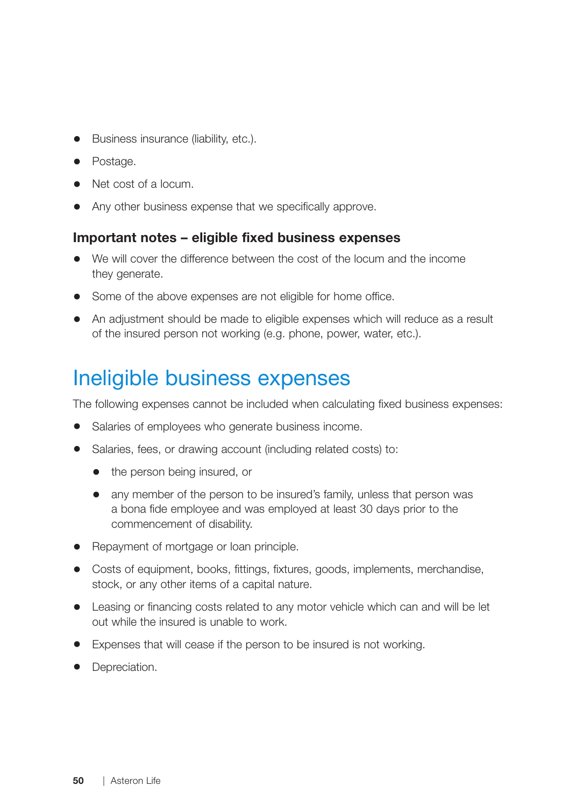- Business insurance (liability, etc.).
- Postage.
- Net cost of a locum.
- Any other business expense that we specifically approve.

#### Important notes – eligible fixed business expenses

- We will cover the difference between the cost of the locum and the income they generate.
- Some of the above expenses are not eligible for home office.
- An adjustment should be made to eligible expenses which will reduce as a result of the insured person not working (e.g. phone, power, water, etc.).

## Ineligible business expenses

The following expenses cannot be included when calculating fixed business expenses:

- Salaries of employees who generate business income.
- Salaries, fees, or drawing account (including related costs) to:
	- the person being insured, or
	- any member of the person to be insured's family, unless that person was a bona fide employee and was employed at least 30 days prior to the commencement of disability.
- Repayment of mortgage or loan principle.
- Costs of equipment, books, fittings, fixtures, goods, implements, merchandise, stock, or any other items of a capital nature.
- Leasing or financing costs related to any motor vehicle which can and will be let out while the insured is unable to work.
- Expenses that will cease if the person to be insured is not working.
- Depreciation.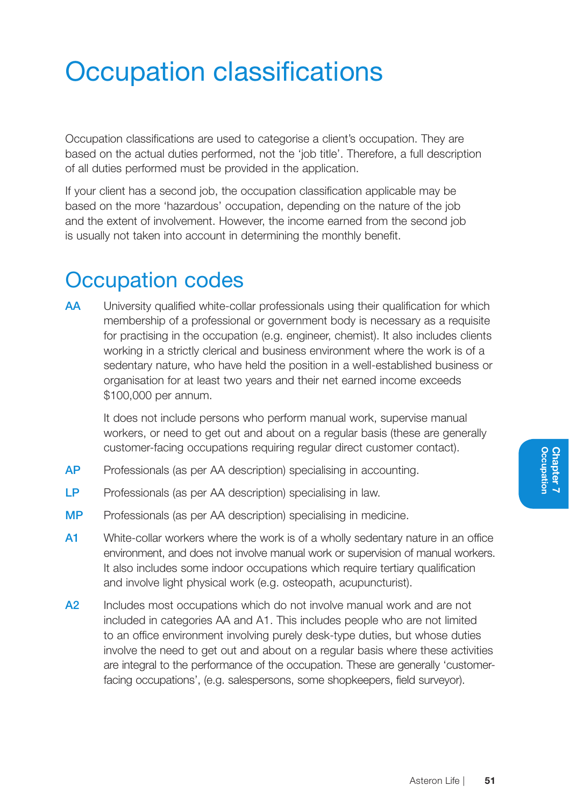# Occupation classifications

Occupation classifications are used to categorise a client's occupation. They are based on the actual duties performed, not the 'job title'. Therefore, a full description of all duties performed must be provided in the application.

If your client has a second job, the occupation classification applicable may be based on the more 'hazardous' occupation, depending on the nature of the job and the extent of involvement. However, the income earned from the second job is usually not taken into account in determining the monthly benefit.

## Occupation codes

AA University qualified white-collar professionals using their qualification for which membership of a professional or government body is necessary as a requisite for practising in the occupation (e.g. engineer, chemist). It also includes clients working in a strictly clerical and business environment where the work is of a sedentary nature, who have held the position in a well-established business or organisation for at least two years and their net earned income exceeds \$100,000 per annum.

 It does not include persons who perform manual work, supervise manual workers, or need to get out and about on a regular basis (these are generally customer-facing occupations requiring regular direct customer contact).

- AP Professionals (as per AA description) specialising in accounting.
- LP Professionals (as per AA description) specialising in law.
- MP Professionals (as per AA description) specialising in medicine.
- A1 White-collar workers where the work is of a wholly sedentary nature in an office environment, and does not involve manual work or supervision of manual workers. It also includes some indoor occupations which require tertiary qualification and involve light physical work (e.g. osteopath, acupuncturist).
- A<sub>2</sub> Includes most occupations which do not involve manual work and are not included in categories AA and A1. This includes people who are not limited to an office environment involving purely desk-type duties, but whose duties involve the need to get out and about on a regular basis where these activities are integral to the performance of the occupation. These are generally 'customerfacing occupations', (e.g. salespersons, some shopkeepers, field surveyor).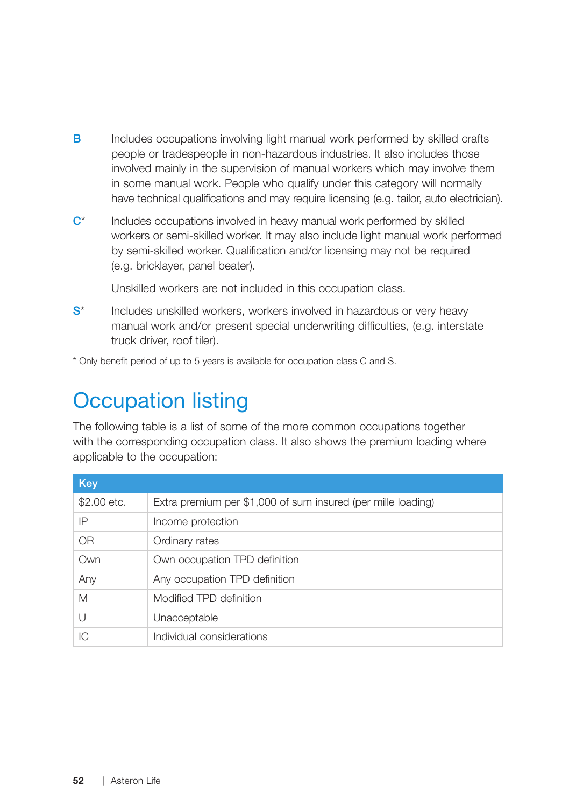- B Includes occupations involving light manual work performed by skilled crafts people or tradespeople in non-hazardous industries. It also includes those involved mainly in the supervision of manual workers which may involve them in some manual work. People who qualify under this category will normally have technical qualifications and may require licensing (e.g. tailor, auto electrician).
- C\* Includes occupations involved in heavy manual work performed by skilled workers or semi-skilled worker. It may also include light manual work performed by semi-skilled worker. Qualification and/or licensing may not be required (e.g. bricklayer, panel beater).

Unskilled workers are not included in this occupation class.

S\* Includes unskilled workers, workers involved in hazardous or very heavy manual work and/or present special underwriting difficulties, (e.g. interstate truck driver, roof tiler).

\* Only benefit period of up to 5 years is available for occupation class C and S.

## Occupation listing

The following table is a list of some of the more common occupations together with the corresponding occupation class. It also shows the premium loading where applicable to the occupation:

| Key         |                                                              |
|-------------|--------------------------------------------------------------|
| \$2,00 etc. | Extra premium per \$1,000 of sum insured (per mille loading) |
| ΙP          | Income protection                                            |
| <b>OR</b>   | Ordinary rates                                               |
| Own         | Own occupation TPD definition                                |
| Any         | Any occupation TPD definition                                |
| M           | Modified TPD definition                                      |
| $\cup$      | Unacceptable                                                 |
| IС          | Individual considerations                                    |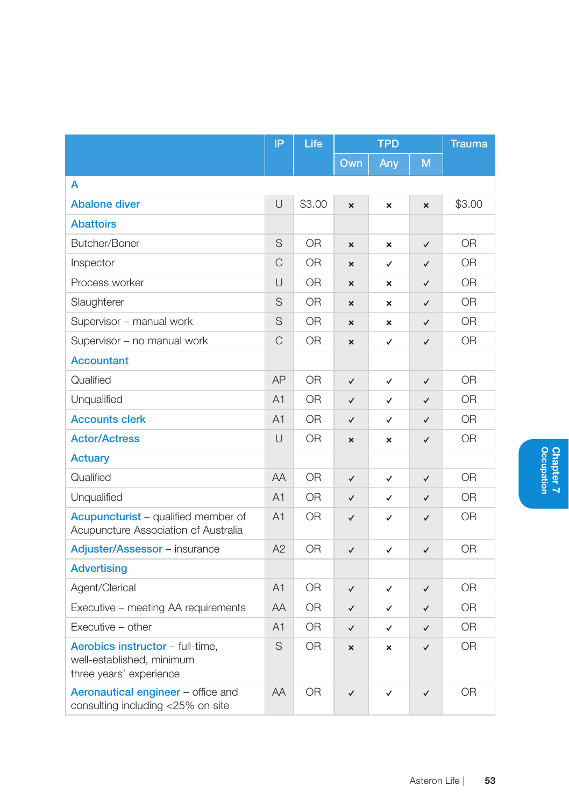|                                                                                          | IP             | Life           | <b>TPD</b>                |                           | <b>Trauma</b>             |                |
|------------------------------------------------------------------------------------------|----------------|----------------|---------------------------|---------------------------|---------------------------|----------------|
|                                                                                          |                |                | Own                       | Any                       | M                         |                |
| А                                                                                        |                |                |                           |                           |                           |                |
| <b>Abalone diver</b>                                                                     | U              | \$3.00         | $\boldsymbol{\mathsf{x}}$ | $\pmb{\times}$            | $\boldsymbol{\mathsf{x}}$ | \$3.00         |
| <b>Abattoirs</b>                                                                         |                |                |                           |                           |                           |                |
| Butcher/Boner                                                                            | S              | <b>OR</b>      | $\boldsymbol{\mathsf{x}}$ | $\pmb{\times}$            | $\checkmark$              | <b>OR</b>      |
| Inspector                                                                                | $\mathcal{C}$  | 0R             | $\boldsymbol{\mathsf{x}}$ | ✓                         | $\checkmark$              | 0R             |
| Process worker                                                                           | U              | 0R             | $\mathbf{x}$              | ×                         | $\checkmark$              | 0R             |
| Slaughterer                                                                              | S              | 0R             | $\mathbf{x}$              | $\boldsymbol{\mathsf{x}}$ | $\checkmark$              | <b>OR</b>      |
| Supervisor - manual work                                                                 | S              | 0R             | $\boldsymbol{\mathsf{x}}$ | $\pmb{\times}$            | $\checkmark$              | <b>OR</b>      |
| Supervisor - no manual work                                                              | $\mathcal{C}$  | 0R             | ×                         | ✓                         | $\checkmark$              | 0R             |
| <b>Accountant</b>                                                                        |                |                |                           |                           |                           |                |
| Qualified                                                                                | AP             | 0R             | $\checkmark$              | $\checkmark$              | $\checkmark$              | <b>OR</b>      |
| Unqualified                                                                              | A <sub>1</sub> | <b>OR</b>      | $\checkmark$              | ✓                         | $\checkmark$              | <b>OR</b>      |
| <b>Accounts clerk</b>                                                                    | A1             | <b>OR</b>      | $\checkmark$              | ✓                         | $\checkmark$              | <b>OR</b>      |
| <b>Actor/Actress</b>                                                                     | $\cup$         | 0R             | $\mathbf{x}$              | $\pmb{\times}$            | $\checkmark$              | <b>OR</b>      |
| Actuary                                                                                  |                |                |                           |                           |                           |                |
| Qualified                                                                                | AA             | <b>OR</b>      | $\checkmark$              | $\checkmark$              | $\checkmark$              | <b>OR</b>      |
| Unqualified                                                                              | A <sub>1</sub> | 0R             | $\checkmark$              | ✓                         | ✓                         | 0R             |
| <b>Acupuncturist</b> – qualified member of<br>Acupuncture Association of Australia       | A <sub>1</sub> | 0R             | $\checkmark$              | ✓                         | ✓                         | <b>OR</b>      |
| Adjuster/Assessor - insurance                                                            | A2             | 0 <sub>R</sub> | $\checkmark$              | ✓                         | $\checkmark$              | 0 <sub>R</sub> |
| <b>Advertising</b>                                                                       |                |                |                           |                           |                           |                |
| Agent/Clerical                                                                           | A <sub>1</sub> | 0 <sub>R</sub> | $\checkmark$              | $\checkmark$              | $\checkmark$              | 0 <sub>R</sub> |
| Executive - meeting AA requirements                                                      | AA             | 0 <sub>R</sub> | $\checkmark$              | ✓                         | $\checkmark$              | 0R             |
| Executive - other                                                                        | A1             | <b>OR</b>      | $\checkmark$              | $\checkmark$              | $\checkmark$              | <b>OR</b>      |
| Aerobics instructor - full-time,<br>well-established, minimum<br>three years' experience | S              | <b>OR</b>      | ×                         | ×                         | $\checkmark$              | 0R             |
| Aeronautical engineer - office and<br>consulting including <25% on site                  | <b>AA</b>      | 0R             | $\checkmark$              | ✓                         | ✓                         | 0R             |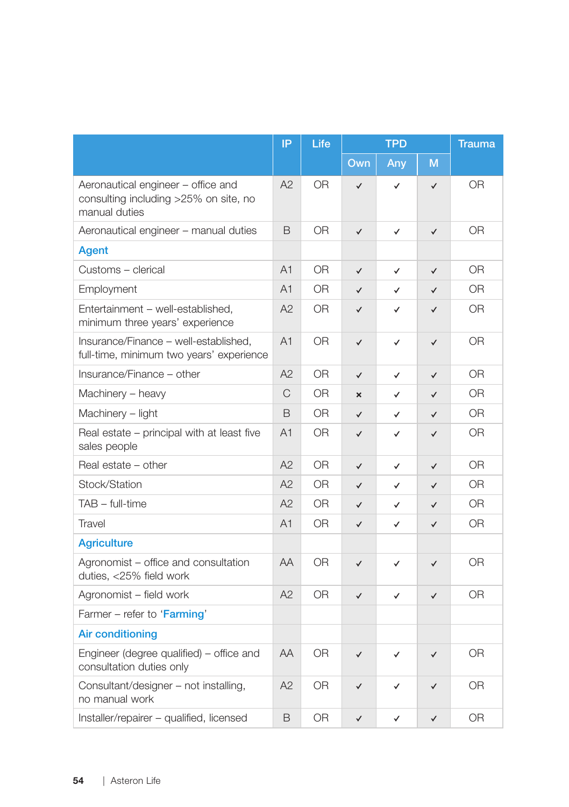|                                                                                              | IP             | Life           | <b>TPD</b>              |              | <b>Trauma</b> |                |
|----------------------------------------------------------------------------------------------|----------------|----------------|-------------------------|--------------|---------------|----------------|
|                                                                                              |                |                | Own                     | Any          | M             |                |
| Aeronautical engineer - office and<br>consulting including >25% on site, no<br>manual duties | A2             | <b>OR</b>      | ✓                       | $\checkmark$ | $\checkmark$  | <b>OR</b>      |
| Aeronautical engineer - manual duties                                                        | B              | 0 <sub>R</sub> | $\checkmark$            | ✓            | $\checkmark$  | 0R             |
| Agent                                                                                        |                |                |                         |              |               |                |
| Customs - clerical                                                                           | A <sub>1</sub> | <b>OR</b>      | $\checkmark$            | $\checkmark$ | $\checkmark$  | 0R             |
| Employment                                                                                   | A1             | OR.            | $\checkmark$            | ✓            | $\checkmark$  | 0R             |
| Entertainment - well-established,<br>minimum three years' experience                         | A2             | 0R             | $\checkmark$            | ✓            | $\checkmark$  | 0 <sub>R</sub> |
| Insurance/Finance - well-established,<br>full-time, minimum two years' experience            | A1             | OR             | $\checkmark$            | $\checkmark$ | $\checkmark$  | 0R             |
| Insurance/Finance - other                                                                    | A2             | <b>OR</b>      | $\checkmark$            | $\checkmark$ | $\checkmark$  | <b>OR</b>      |
| Machinery - heavy                                                                            | C              | <b>OR</b>      | $\overline{\mathsf{x}}$ | ✓            | $\checkmark$  | 0 <sub>R</sub> |
| Machinery - light                                                                            | B              | <b>OR</b>      | $\checkmark$            | $\checkmark$ | $\checkmark$  | <b>OR</b>      |
| Real estate - principal with at least five<br>sales people                                   | A1             | <b>OR</b>      | $\checkmark$            | ✓            | $\checkmark$  | <b>OR</b>      |
| Real estate - other                                                                          | A2             | 0R             | $\checkmark$            | ✓            | $\checkmark$  | 0 <sub>R</sub> |
| Stock/Station                                                                                | A2             | 0 <sub>R</sub> | $\checkmark$            | $\checkmark$ | $\checkmark$  | 0 <sub>R</sub> |
| TAB - full-time                                                                              | A2             | 0R             | $\checkmark$            | ✓            | $\checkmark$  | 0 <sub>R</sub> |
| Travel                                                                                       | A <sub>1</sub> | 0R             | $\checkmark$            | ✓            | $\checkmark$  | 0 <sub>R</sub> |
| <b>Agriculture</b>                                                                           |                |                |                         |              |               |                |
| Agronomist – office and consultation<br>duties, <25% field work                              | AA             | <b>OR</b>      | $\checkmark$            | ✓            | $\checkmark$  | <b>OR</b>      |
| Agronomist - field work                                                                      | A2             | <b>OR</b>      | $\checkmark$            | $\checkmark$ | $\checkmark$  | <b>OR</b>      |
| Farmer - refer to 'Farming'                                                                  |                |                |                         |              |               |                |
| <b>Air conditioning</b>                                                                      |                |                |                         |              |               |                |
| Engineer (degree qualified) - office and<br>consultation duties only                         | AA             | <b>OR</b>      | $\checkmark$            | ✓            | $\checkmark$  | <b>OR</b>      |
| Consultant/designer - not installing,<br>no manual work                                      | A2             | <b>OR</b>      | $\checkmark$            | ✓            | ✓             | 0 <sub>R</sub> |
| Installer/repairer - qualified, licensed                                                     | B              | <b>OR</b>      | ✓                       | ✓            | ✓             | <b>OR</b>      |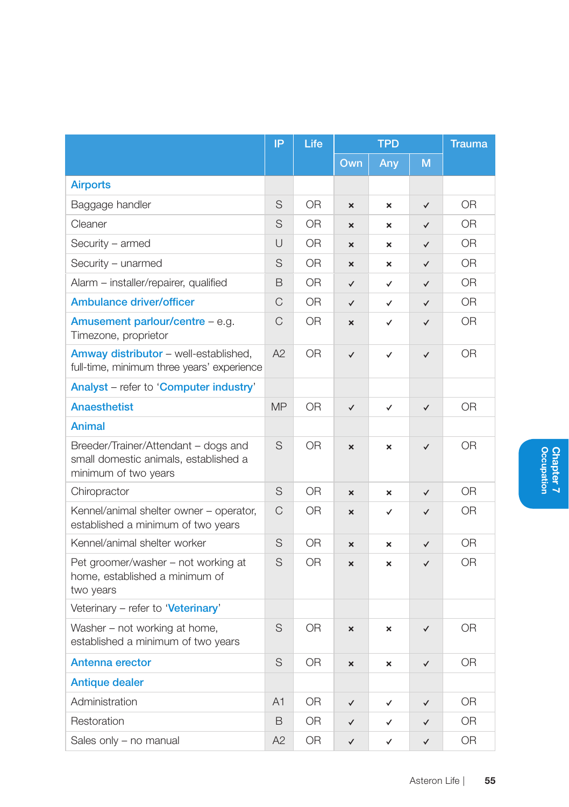|                                                                                                       | IP             | Life           | <b>TPD</b>                |                           | <b>Trauma</b> |                |
|-------------------------------------------------------------------------------------------------------|----------------|----------------|---------------------------|---------------------------|---------------|----------------|
|                                                                                                       |                |                | Own                       | Any                       | M             |                |
| <b>Airports</b>                                                                                       |                |                |                           |                           |               |                |
| Baggage handler                                                                                       | S              | 0 <sub>R</sub> | $\boldsymbol{\mathsf{x}}$ | $\boldsymbol{\mathsf{x}}$ | $\checkmark$  | 0 <sub>R</sub> |
| Cleaner                                                                                               | S              | 0 <sub>R</sub> | $\boldsymbol{\mathsf{x}}$ | $\boldsymbol{\mathsf{x}}$ | $\checkmark$  | 0 <sub>R</sub> |
| Security - armed                                                                                      | $\cup$         | 0 <sub>R</sub> | $\mathbf{x}$              | $\pmb{\times}$            | $\checkmark$  | 0 <sub>R</sub> |
| Security - unarmed                                                                                    | S              | 0R             | $\boldsymbol{\mathsf{x}}$ | ×                         | $\checkmark$  | 0R             |
| Alarm - installer/repairer, qualified                                                                 | B              | <b>OR</b>      | $\checkmark$              | ✓                         | $\checkmark$  | <b>OR</b>      |
| <b>Ambulance driver/officer</b>                                                                       | C              | 0 <sub>R</sub> | $\checkmark$              | ✓                         | $\checkmark$  | 0 <sub>R</sub> |
| Amusement parlour/centre - e.g.<br>Timezone, proprietor                                               | $\mathcal{C}$  | 0R             | ×                         | ✓                         | ✓             | 0R             |
| Amway distributor - well-established,<br>full-time, minimum three years' experience                   | A2             | 0R             | $\checkmark$              | ✓                         | $\checkmark$  | <b>OR</b>      |
| Analyst – refer to 'Computer industry'                                                                |                |                |                           |                           |               |                |
| <b>Anaesthetist</b>                                                                                   | <b>MP</b>      | <b>OR</b>      | $\checkmark$              | ✓                         | $\checkmark$  | <b>OR</b>      |
| Animal                                                                                                |                |                |                           |                           |               |                |
| Breeder/Trainer/Attendant – dogs and<br>small domestic animals, established a<br>minimum of two years | S              | 0R             | ×                         | ×                         | $\checkmark$  | 0R             |
| Chiropractor                                                                                          | S              | 0 <sub>R</sub> | $\mathbf{x}$              | $\boldsymbol{\mathsf{x}}$ | $\checkmark$  | 0 <sub>R</sub> |
| Kennel/animal shelter owner – operator,<br>established a minimum of two years                         | $\mathcal{C}$  | 0R             | ×                         | ✓                         | ✓             | 0R             |
| Kennel/animal shelter worker                                                                          | S              | OR.            | $\mathbf{x}$              | $\boldsymbol{\mathsf{x}}$ | $\checkmark$  | OR.            |
| Pet groomer/washer – not working at<br>home, established a minimum of<br>two years                    | S              | <b>OR</b>      | $\mathbf{x}$              | ×                         | $\checkmark$  | <b>OR</b>      |
| Veterinary - refer to 'Veterinary'                                                                    |                |                |                           |                           |               |                |
| Washer - not working at home,<br>established a minimum of two years                                   | S              | <b>OR</b>      | $\mathbf{x}$              | $\boldsymbol{\mathsf{x}}$ | $\checkmark$  | 0R             |
| Antenna erector                                                                                       | S              | 0R             | ×                         | ×                         | $\checkmark$  | OR.            |
| <b>Antique dealer</b>                                                                                 |                |                |                           |                           |               |                |
| Administration                                                                                        | A <sub>1</sub> | 0R             | ✓                         | ✓                         | $\checkmark$  | OR             |
| Restoration                                                                                           | B              | <b>OR</b>      | $\checkmark$              | ✓                         | ✓             | 0 <sub>R</sub> |
| Sales only - no manual                                                                                | A2             | 0 <sub>R</sub> | $\checkmark$              | ✓                         | $\checkmark$  | 0 <sub>R</sub> |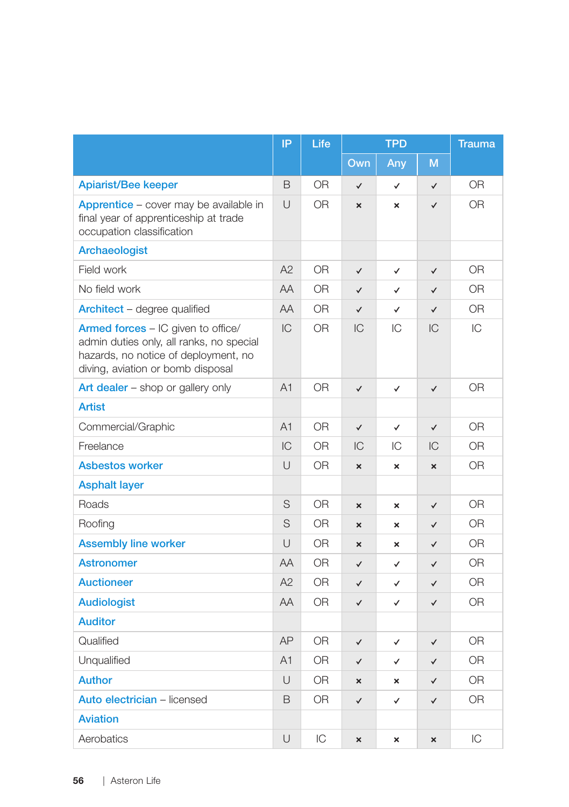|                                                                                                                                                             | IP             | Life      | <b>TPD</b>                |                           | <b>Trauma</b>             |                |
|-------------------------------------------------------------------------------------------------------------------------------------------------------------|----------------|-----------|---------------------------|---------------------------|---------------------------|----------------|
|                                                                                                                                                             |                |           | Own                       | Any                       | M                         |                |
| <b>Apiarist/Bee keeper</b>                                                                                                                                  | B              | <b>OR</b> | $\checkmark$              | $\checkmark$              | $\checkmark$              | 0 <sub>R</sub> |
| Apprentice - cover may be available in<br>final year of apprenticeship at trade<br>occupation classification                                                | $\cup$         | 0R        | $\boldsymbol{\mathsf{x}}$ | $\boldsymbol{\mathsf{x}}$ | $\checkmark$              | 0 <sub>R</sub> |
| Archaeologist                                                                                                                                               |                |           |                           |                           |                           |                |
| Field work                                                                                                                                                  | A2             | <b>OR</b> | $\checkmark$              | $\checkmark$              | $\checkmark$              | 0 <sub>R</sub> |
| No field work                                                                                                                                               | AA             | OR.       | $\checkmark$              | ✓                         | $\checkmark$              | <b>OR</b>      |
| Architect - degree qualified                                                                                                                                | AA             | <b>OR</b> | $\checkmark$              | $\checkmark$              | $\checkmark$              | <b>OR</b>      |
| Armed forces - IC given to office/<br>admin duties only, all ranks, no special<br>hazards, no notice of deployment, no<br>diving, aviation or bomb disposal | IC             | <b>OR</b> | IC                        | IC                        | IC                        | IC             |
| Art dealer - shop or gallery only                                                                                                                           | A <sub>1</sub> | <b>OR</b> | $\checkmark$              | $\checkmark$              | $\checkmark$              | 0R             |
| <b>Artist</b>                                                                                                                                               |                |           |                           |                           |                           |                |
| Commercial/Graphic                                                                                                                                          | A1             | OR.       | $\checkmark$              | $\checkmark$              | $\checkmark$              | 0 <sub>R</sub> |
| Freelance                                                                                                                                                   | IC             | OR.       | IC                        | IС                        | IC                        | <b>OR</b>      |
| <b>Asbestos worker</b>                                                                                                                                      | $\cup$         | <b>OR</b> | $\boldsymbol{\mathsf{x}}$ | $\boldsymbol{\mathsf{x}}$ | $\boldsymbol{\mathsf{x}}$ | <b>OR</b>      |
| <b>Asphalt layer</b>                                                                                                                                        |                |           |                           |                           |                           |                |
| Roads                                                                                                                                                       | S              | <b>OR</b> | ×                         | ×                         | $\checkmark$              | <b>OR</b>      |
| Roofing                                                                                                                                                     | S              | <b>OR</b> | $\mathbf{x}$              | $\mathbf x$               | $\checkmark$              | <b>OR</b>      |
| <b>Assembly line worker</b>                                                                                                                                 | U              | <b>OR</b> | $\boldsymbol{\mathsf{x}}$ | ×                         | $\checkmark$              | <b>OR</b>      |
| <b>Astronomer</b>                                                                                                                                           | AA             | <b>OR</b> | $\checkmark$              | ✓                         | $\checkmark$              | <b>OR</b>      |
| <b>Auctioneer</b>                                                                                                                                           | A2             | <b>OR</b> | $\checkmark$              | $\checkmark$              | $\checkmark$              | 0 <sub>R</sub> |
| <b>Audiologist</b>                                                                                                                                          | AA             | <b>OR</b> | $\checkmark$              | ✓                         | $\checkmark$              | <b>OR</b>      |
| <b>Auditor</b>                                                                                                                                              |                |           |                           |                           |                           |                |
| Qualified                                                                                                                                                   | AP             | <b>OR</b> | $\checkmark$              | ✓                         | $\checkmark$              | 0R             |
| Unqualified                                                                                                                                                 | A1             | <b>OR</b> | $\checkmark$              | ✓                         | $\checkmark$              | <b>OR</b>      |
| <b>Author</b>                                                                                                                                               | U              | <b>OR</b> | $\mathbf{x}$              | ×                         | $\checkmark$              | <b>OR</b>      |
| Auto electrician - licensed                                                                                                                                 | B              | OR.       | $\checkmark$              | $\checkmark$              | $\checkmark$              | 0R             |
| <b>Aviation</b>                                                                                                                                             |                |           |                           |                           |                           |                |
| Aerobatics                                                                                                                                                  | U              | IC        | $\boldsymbol{\mathsf{x}}$ | $\boldsymbol{\mathsf{x}}$ | ×                         | IC             |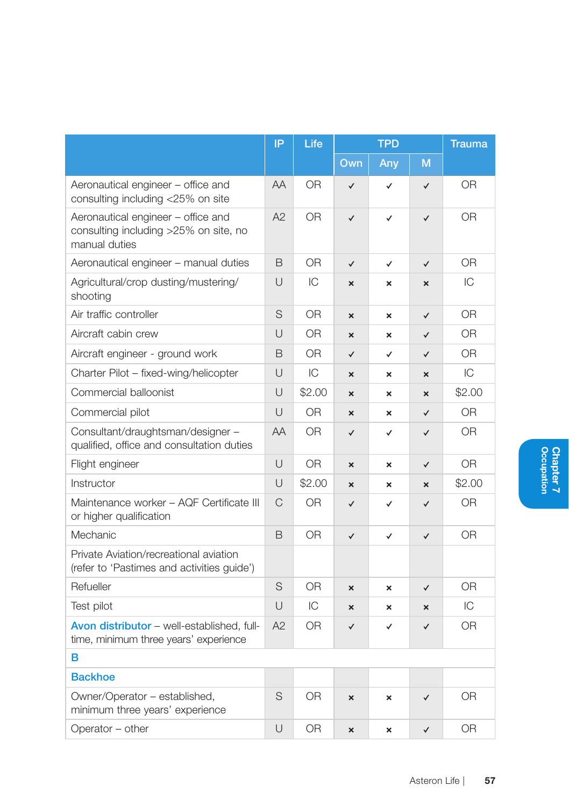|                                                                                              | IP     | Life           |                           | <b>TPD</b>                | <b>Trauma</b> |                |
|----------------------------------------------------------------------------------------------|--------|----------------|---------------------------|---------------------------|---------------|----------------|
|                                                                                              |        |                | Own                       | Any                       | M             |                |
| Aeronautical engineer - office and<br>consulting including <25% on site                      | AA     | 0R             | $\checkmark$              | ✓                         | $\checkmark$  | <b>OR</b>      |
| Aeronautical engineer - office and<br>consulting including >25% on site, no<br>manual duties | A2     | 0 <sub>R</sub> | $\checkmark$              | ✓                         | $\checkmark$  | 0 <sub>R</sub> |
| Aeronautical engineer - manual duties                                                        | B      | 0R             | $\checkmark$              | $\checkmark$              | ✓             | 0R             |
| Agricultural/crop dusting/mustering/<br>shooting                                             | $\cup$ | IC             | $\boldsymbol{\mathsf{x}}$ | ×                         | ×             | IC             |
| Air traffic controller                                                                       | S      | 0 <sub>R</sub> | $\boldsymbol{\mathsf{x}}$ | $\boldsymbol{\mathsf{x}}$ | $\checkmark$  | 0 <sub>R</sub> |
| Aircraft cabin crew                                                                          | $\cup$ | 0 <sub>R</sub> | $\mathbf x$               | $\boldsymbol{\mathsf{x}}$ | $\checkmark$  | 0 <sub>R</sub> |
| Aircraft engineer - ground work                                                              | B      | 0R             | $\checkmark$              | ✓                         | $\checkmark$  | 0R             |
| Charter Pilot - fixed-wing/helicopter                                                        | U      | IC             | $\boldsymbol{\mathsf{x}}$ | ×                         | ×             | IC             |
| Commercial balloonist                                                                        | $\cup$ | \$2.00         | $\mathbf x$               | $\boldsymbol{\mathsf{x}}$ | $\mathbf x$   | \$2.00         |
| Commercial pilot                                                                             | U      | <b>OR</b>      | $\boldsymbol{\mathsf{x}}$ | $\boldsymbol{\mathsf{x}}$ | $\checkmark$  | <b>OR</b>      |
| Consultant/draughtsman/designer -<br>qualified, office and consultation duties               | AA     | 0 <sub>R</sub> | ✓                         | ✓                         | ✓             | 0R             |
| Flight engineer                                                                              | $\cup$ | 0R             | $\boldsymbol{\mathsf{x}}$ | ×                         | $\checkmark$  | 0R             |
| Instructor                                                                                   | $\cup$ | \$2.00         | $\mathbf{x}$              | $\boldsymbol{\mathsf{x}}$ | $\mathbf x$   | \$2.00         |
| Maintenance worker - AQF Certificate III<br>or higher qualification                          | C      | 0R             | $\checkmark$              | ✓                         | $\checkmark$  | 0R             |
| Mechanic                                                                                     | B      | <b>OR</b>      | $\checkmark$              | ✓                         | ✓             | <b>OR</b>      |
| Private Aviation/recreational aviation<br>(refer to 'Pastimes and activities guide')         |        |                |                           |                           |               |                |
| Refueller                                                                                    | S      | 0 <sub>R</sub> | $\mathbf{x}$              | ×                         | $\checkmark$  | 0 <sub>R</sub> |
| Test pilot                                                                                   | U      | IC             | ×                         | $\boldsymbol{\mathsf{x}}$ | ×             | IC             |
| Avon distributor - well-established, full-<br>time, minimum three years' experience          | A2     | 0 <sub>R</sub> | ✓                         | ✓                         | ✓             | <b>OR</b>      |
| в                                                                                            |        |                |                           |                           |               |                |
| <b>Backhoe</b>                                                                               |        |                |                           |                           |               |                |
| Owner/Operator - established,<br>minimum three years' experience                             | S      | <b>OR</b>      | ×                         | ×                         | $\checkmark$  | OR             |
| Operator - other                                                                             | U      | 0R             | ×                         | ×                         | $\checkmark$  | 0R             |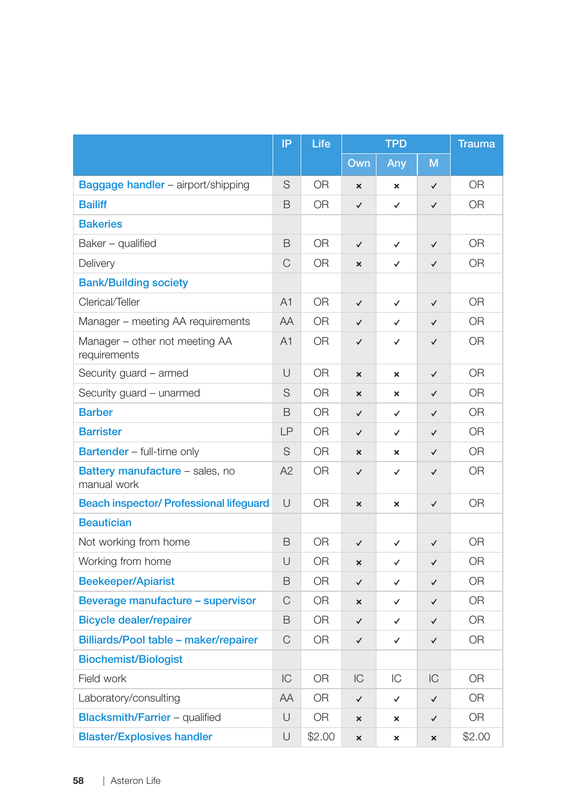|                                                       | IP | Life           | <b>TPD</b>                |                           | <b>Trauma</b> |                |
|-------------------------------------------------------|----|----------------|---------------------------|---------------------------|---------------|----------------|
|                                                       |    |                | Own                       | Any                       | M             |                |
| Baggage handler - airport/shipping                    | S  | <b>OR</b>      | $\boldsymbol{\mathsf{x}}$ | ×                         | $\checkmark$  | <b>OR</b>      |
| <b>Bailiff</b>                                        | B  | 0 <sub>R</sub> | $\checkmark$              | ✓                         | $\checkmark$  | 0 <sub>R</sub> |
| <b>Bakeries</b>                                       |    |                |                           |                           |               |                |
| Baker - qualified                                     | B  | <b>OR</b>      | $\checkmark$              | $\checkmark$              | $\checkmark$  | <b>OR</b>      |
| Delivery                                              | C  | OR.            | $\mathbf{x}$              | $\checkmark$              | $\checkmark$  | 0R             |
| <b>Bank/Building society</b>                          |    |                |                           |                           |               |                |
| Clerical/Teller                                       | A1 | <b>OR</b>      | $\checkmark$              | $\checkmark$              | $\checkmark$  | 0 <sub>R</sub> |
| Manager - meeting AA requirements                     | AA | 0 <sub>R</sub> | $\checkmark$              | ✓                         | $\checkmark$  | 0 <sub>R</sub> |
| Manager - other not meeting AA<br>requirements        | A1 | OR.            | $\checkmark$              | $\checkmark$              | $\checkmark$  | 0R             |
| Security guard - armed                                | U  | <b>OR</b>      | $\boldsymbol{\mathsf{x}}$ | $\boldsymbol{\mathsf{x}}$ | $\checkmark$  | 0 <sub>R</sub> |
| Security guard - unarmed                              | S  | <b>OR</b>      | $\boldsymbol{\mathsf{x}}$ | $\mathbf x$               | $\checkmark$  | 0R             |
| <b>Barber</b>                                         | B  | 0R             | $\checkmark$              | ✓                         | $\checkmark$  | 0R             |
| <b>Barrister</b>                                      | LP | 0 <sub>R</sub> | $\checkmark$              | $\checkmark$              | $\checkmark$  | 0 <sub>R</sub> |
| Bartender - full-time only                            | S  | 0R             | $\boldsymbol{\mathsf{x}}$ | ×                         | ✓             | 0R             |
| <b>Battery manufacture - sales, no</b><br>manual work | A2 | 0 <sub>R</sub> | $\checkmark$              | $\checkmark$              | $\checkmark$  | 0 <sub>R</sub> |
| <b>Beach inspector/ Professional lifeguard</b>        | U  | 0R             | $\mathsf{x}$              | ×                         | $\checkmark$  | 0R             |
| <b>Beautician</b>                                     |    |                |                           |                           |               |                |
| Not working from home                                 | B  | <b>OR</b>      | $\checkmark$              | ✓                         | ✓             | <b>OR</b>      |
| Working from home                                     | U  | <b>OR</b>      | $\boldsymbol{\mathsf{x}}$ | $\checkmark$              | ✓             | 0 <sub>R</sub> |
| <b>Beekeeper/Apiarist</b>                             | B  | OR             | $\checkmark$              | $\checkmark$              | $\checkmark$  | 0 <sub>R</sub> |
| Beverage manufacture - supervisor                     | C  | OR.            | $\boldsymbol{\mathsf{x}}$ | ✓                         | ✓             | 0 <sub>R</sub> |
| <b>Bicycle dealer/repairer</b>                        | B  | OR.            | $\checkmark$              | $\checkmark$              | $\checkmark$  | 0R             |
| Billiards/Pool table - maker/repairer                 | C  | 0 <sub>R</sub> | $\checkmark$              | $\checkmark$              | $\checkmark$  | 0 <sub>R</sub> |
| <b>Biochemist/Biologist</b>                           |    |                |                           |                           |               |                |
| Field work                                            | IC | 0 <sub>R</sub> | IC                        | IC                        | IC            | 0 <sub>R</sub> |
| Laboratory/consulting                                 | AA | 0R             | $\checkmark$              | ✓                         | ✓             | <b>OR</b>      |
| <b>Blacksmith/Farrier - qualified</b>                 | U  | <b>OR</b>      | ×                         | $\mathbf{x}$              | $\checkmark$  | 0 <sub>R</sub> |
| <b>Blaster/Explosives handler</b>                     | U  | \$2.00         | $\mathbf{x}$              | $\mathbf{x}$              | $\mathbf{x}$  | \$2.00         |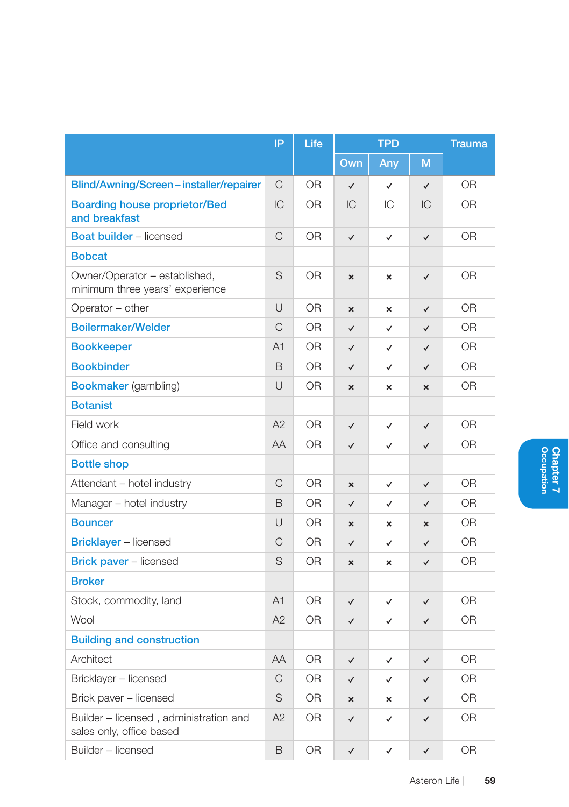|                                                                    | IP | Life           |                           | <b>TPD</b>                |                           | <b>Trauma</b>  |
|--------------------------------------------------------------------|----|----------------|---------------------------|---------------------------|---------------------------|----------------|
|                                                                    |    |                | Own                       | Any                       | M                         |                |
| Blind/Awning/Screen-installer/repairer                             | C  | <b>OR</b>      | $\checkmark$              | $\checkmark$              | $\checkmark$              | <b>OR</b>      |
| <b>Boarding house proprietor/Bed</b><br>and breakfast              | IC | OR             | IC                        | IC                        | IC                        | <b>OR</b>      |
| <b>Boat builder</b> - licensed                                     | C  | <b>OR</b>      | ✓                         | $\checkmark$              | $\checkmark$              | <b>OR</b>      |
| <b>Bobcat</b>                                                      |    |                |                           |                           |                           |                |
| Owner/Operator - established,<br>minimum three years' experience   | S  | <b>OR</b>      | ×                         | ×                         | $\checkmark$              | 0R             |
| Operator - other                                                   | U  | <b>OR</b>      | $\boldsymbol{\mathsf{x}}$ | $\boldsymbol{\mathsf{x}}$ | ✓                         | 0R             |
| <b>Boilermaker/Welder</b>                                          | C  | <b>OR</b>      | $\checkmark$              | ✓                         | $\checkmark$              | <b>OR</b>      |
| <b>Bookkeeper</b>                                                  | A1 | <b>OR</b>      | $\checkmark$              | ✓                         | $\checkmark$              | <b>OR</b>      |
| <b>Bookbinder</b>                                                  | B  | <b>OR</b>      | $\checkmark$              | ✓                         | ✓                         | 0R             |
| <b>Bookmaker</b> (gambling)                                        | U  | <b>OR</b>      | ×                         | ×                         | $\boldsymbol{\mathsf{x}}$ | <b>OR</b>      |
| <b>Botanist</b>                                                    |    |                |                           |                           |                           |                |
| Field work                                                         | A2 | 0R             | ✓                         | ✓                         | $\checkmark$              | 0R             |
| Office and consulting                                              | AA | 0 <sub>R</sub> | $\checkmark$              | ✓                         | $\checkmark$              | 0R             |
| <b>Bottle shop</b>                                                 |    |                |                           |                           |                           |                |
| Attendant - hotel industry                                         | C  | 0R             | $\mathbf{x}$              | ✓                         | $\checkmark$              | 0R             |
| Manager - hotel industry                                           | B  | 0 <sub>R</sub> | $\checkmark$              | $\checkmark$              | $\checkmark$              | 0 <sub>R</sub> |
| <b>Bouncer</b>                                                     | U  | <b>OR</b>      | ×                         | ×                         | ×                         | <b>OR</b>      |
| <b>Bricklayer</b> - licensed                                       | C  | <b>OR</b>      | $\checkmark$              | ✓                         | ✓                         | 0R             |
| <b>Brick paver - licensed</b>                                      | S  | <b>OR</b>      | $\mathbf{x}$              | ×                         | $\checkmark$              | <b>OR</b>      |
| <b>Broker</b>                                                      |    |                |                           |                           |                           |                |
| Stock, commodity, land                                             | A1 | <b>OR</b>      | ✓                         | ✓                         | ✓                         | <b>OR</b>      |
| Wool                                                               | A2 | 0R             | $\checkmark$              | ✓                         | $\checkmark$              | 0R             |
| <b>Building and construction</b>                                   |    |                |                           |                           |                           |                |
| Architect                                                          | AA | 0R             | ✓                         | ✓                         | $\checkmark$              | 0R             |
| Bricklayer - licensed                                              | C  | 0R             | $\checkmark$              | ✓                         | $\checkmark$              | 0R             |
| Brick paver - licensed                                             | S  | OR.            | $\mathbf{x}$              | ×                         | $\checkmark$              | OR.            |
| Builder - licensed, administration and<br>sales only, office based | A2 | OR.            | ✓                         | ✓                         | ✓                         | OR.            |
| Builder - licensed                                                 | B  | OR.            | $\checkmark$              | $\checkmark$              | $\checkmark$              | 0 <sub>R</sub> |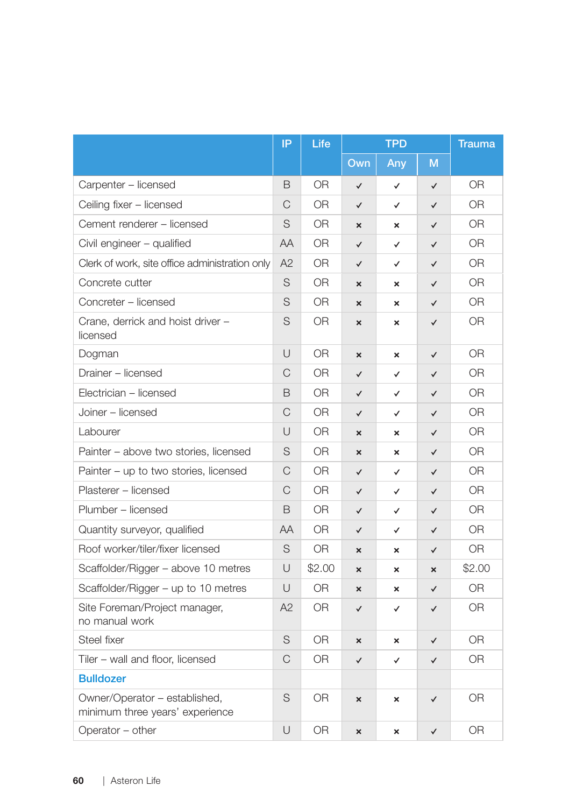|                                                                  | IP     | Life           | <b>TPD</b>                |                           | <b>Trauma</b>         |                |
|------------------------------------------------------------------|--------|----------------|---------------------------|---------------------------|-----------------------|----------------|
|                                                                  |        |                | Own                       | Any                       | M                     |                |
| Carpenter - licensed                                             | B      | <b>OR</b>      | $\checkmark$              | $\checkmark$              | $\checkmark$          | 0 <sub>R</sub> |
| Ceiling fixer - licensed                                         | C      | 0R             | $\checkmark$              | $\checkmark$              | $\checkmark$          | 0 <sub>R</sub> |
| Cement renderer - licensed                                       | S      | <b>OR</b>      | $\boldsymbol{\mathsf{x}}$ | ×                         | $\checkmark$          | 0 <sub>R</sub> |
| Civil engineer - qualified                                       | AA     | <b>OR</b>      | $\checkmark$              | $\checkmark$              | $\checkmark$          | 0 <sub>R</sub> |
| Clerk of work, site office administration only                   | A2     | <b>OR</b>      | $\checkmark$              | $\checkmark$              | $\checkmark$          | 0R             |
| Concrete cutter                                                  | S      | <b>OR</b>      | $\boldsymbol{\mathsf{x}}$ | $\boldsymbol{\mathsf{x}}$ | $\checkmark$          | <b>OR</b>      |
| Concreter - licensed                                             | S      | 0R             | $\mathbf{x}$              | $\mathbf{x}$              | $\checkmark$          | 0R             |
| Crane, derrick and hoist driver -<br>licensed                    | S      | 0R             | ×                         | ×                         | ✓                     | <b>OR</b>      |
| Dogman                                                           | U      | 0R             | ×                         | ×                         | $\checkmark$          | <b>OR</b>      |
| Drainer - licensed                                               | C      | 0R             | $\checkmark$              | $\checkmark$              | $\checkmark$          | 0R             |
| Electrician - licensed                                           | B      | 0R             | $\checkmark$              | ✓                         | $\checkmark$          | 0R             |
| Joiner - licensed                                                | C      | 0R             | $\checkmark$              | $\checkmark$              | $\checkmark$          | <b>OR</b>      |
| Labourer                                                         | $\cup$ | OR.            | $\mathbf{x}$              | ×                         | ✓                     | OR.            |
| Painter – above two stories, licensed                            | S      | 0R             | $\boldsymbol{\mathsf{x}}$ | $\mathbf{x}$              | $\checkmark$          | <b>OR</b>      |
| Painter – up to two stories, licensed                            | C      | 0R             | $\checkmark$              | $\checkmark$              | $\checkmark$          | 0 <sub>R</sub> |
| Plasterer - licensed                                             | C      | 0 <sub>R</sub> | $\checkmark$              | $\checkmark$              | $\checkmark$          | 0 <sub>R</sub> |
| Plumber - licensed                                               | B      | <b>OR</b>      | $\checkmark$              | $\checkmark$              | $\checkmark$          | 0 <sub>R</sub> |
| Quantity surveyor, qualified                                     | AA     | 0R             | $\checkmark$              | ✓                         | $\checkmark$          | 0 <sub>R</sub> |
| Roof worker/tiler/fixer licensed                                 | S      | 0R             | ×                         | ×                         | $\checkmark$          | <b>OR</b>      |
| Scaffolder/Rigger - above 10 metres                              | U      | \$2.00         | ×                         | $\mathbf{x}$              | $\boldsymbol{\times}$ | \$2.00         |
| Scaffolder/Rigger – up to 10 metres                              | U      | 0R             | $\mathbf{x}$              | ×                         | $\checkmark$          | <b>OR</b>      |
| Site Foreman/Project manager,<br>no manual work                  | A2     | 0R             | $\checkmark$              | ✓                         | ✓                     | <b>OR</b>      |
| Steel fixer                                                      | S      | <b>OR</b>      | ×                         | ×                         | ✓                     | <b>OR</b>      |
| Tiler - wall and floor, licensed                                 | C      | 0R             | $\checkmark$              | ✓                         | $\checkmark$          | 0R             |
| <b>Bulldozer</b>                                                 |        |                |                           |                           |                       |                |
| Owner/Operator - established,<br>minimum three years' experience | S      | <b>OR</b>      | ×                         | ×                         | ✓                     | <b>OR</b>      |
| Operator - other                                                 | U      | <b>OR</b>      | ×                         | ×                         | ✓                     | <b>OR</b>      |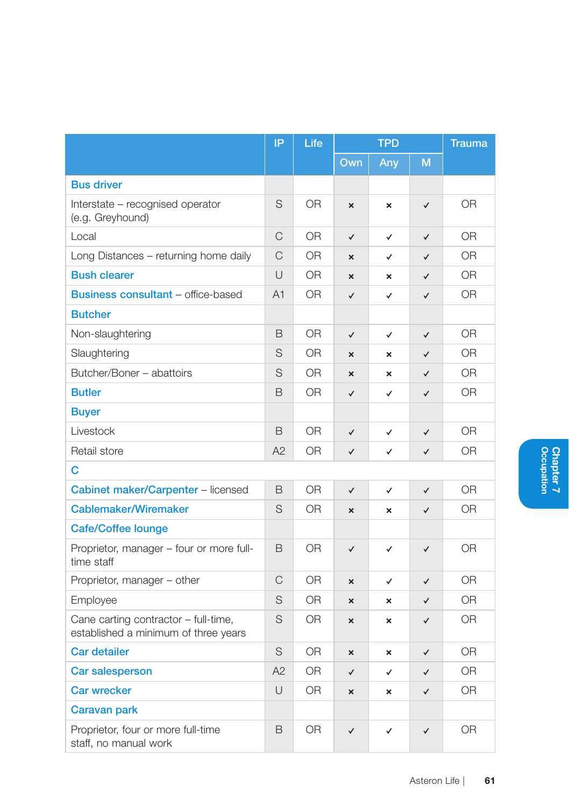|                                                                              | IP             | Life           | <b>TPD</b>                |                           | <b>Trauma</b> |                |
|------------------------------------------------------------------------------|----------------|----------------|---------------------------|---------------------------|---------------|----------------|
|                                                                              |                |                | Own                       | Any                       | M             |                |
| <b>Bus driver</b>                                                            |                |                |                           |                           |               |                |
| Interstate - recognised operator<br>(e.g. Greyhound)                         | S              | 0 <sub>R</sub> | ×                         | $\pmb{\times}$            | $\checkmark$  | 0 <sub>R</sub> |
| Local                                                                        | $\mathsf{C}$   | <b>OR</b>      | $\checkmark$              | $\checkmark$              | $\checkmark$  | <b>OR</b>      |
| Long Distances - returning home daily                                        | C              | 0R             | $\mathbf{x}$              | $\checkmark$              | $\checkmark$  | 0 <sub>R</sub> |
| <b>Bush clearer</b>                                                          | $\cup$         | 0R             | $\mathbf{x}$              | $\boldsymbol{\mathsf{x}}$ | $\checkmark$  | 0 <sub>R</sub> |
| <b>Business consultant - office-based</b>                                    | A <sub>1</sub> | 0 <sub>R</sub> | $\checkmark$              | ✓                         | $\checkmark$  | 0 <sub>R</sub> |
| <b>Butcher</b>                                                               |                |                |                           |                           |               |                |
| Non-slaughtering                                                             | B              | 0 <sub>R</sub> | $\checkmark$              | $\checkmark$              | $\checkmark$  | 0 <sub>R</sub> |
| Slaughtering                                                                 | S              | 0R             | ×                         | $\mathbf{x}$              | $\checkmark$  | 0 <sub>R</sub> |
| Butcher/Boner - abattoirs                                                    | S              | 0R             | $\mathbf{x}$              | $\boldsymbol{\mathsf{x}}$ | ✓             | 0R             |
| <b>Butler</b>                                                                | B              | <b>OR</b>      | $\checkmark$              | ✓                         | $\checkmark$  | <b>OR</b>      |
| <b>Buyer</b>                                                                 |                |                |                           |                           |               |                |
| Livestock                                                                    | B              | 0 <sub>R</sub> | $\checkmark$              | $\checkmark$              | $\checkmark$  | 0 <sub>R</sub> |
| Retail store                                                                 | A2             | 0R             | $\checkmark$              | ✓                         | $\checkmark$  | 0R             |
| C                                                                            |                |                |                           |                           |               |                |
| Cabinet maker/Carpenter - licensed                                           | B              | 0 <sub>R</sub> | $\checkmark$              | $\checkmark$              | $\checkmark$  | 0 <sub>R</sub> |
| Cablemaker/Wiremaker                                                         | S              | 0R             | $\mathbf{x}$              | $\boldsymbol{\mathsf{x}}$ | $\checkmark$  | 0R             |
| <b>Cafe/Coffee lounge</b>                                                    |                |                |                           |                           |               |                |
| Proprietor, manager - four or more full-<br>time staff                       | B              | <b>OR</b>      | $\checkmark$              | ✓                         | ✓             | <b>OR</b>      |
| Proprietor, manager - other                                                  | C              | <b>OR</b>      | $\mathbf{x}$              | ✓                         | $\checkmark$  | <b>OR</b>      |
| Employee                                                                     | S              | <b>OR</b>      | $\boldsymbol{\mathsf{x}}$ | ×                         | ✓             | <b>OR</b>      |
| Cane carting contractor - full-time,<br>established a minimum of three years | S              | <b>OR</b>      | ×                         | $\boldsymbol{\mathsf{x}}$ | $\checkmark$  | 0 <sub>R</sub> |
| Car detailer                                                                 | S              | <b>OR</b>      | ×                         | ×                         | $\checkmark$  | OR             |
| Car salesperson                                                              | A2             | 0 <sub>R</sub> | $\checkmark$              | ✓                         | ✓             | 0R             |
| <b>Car wrecker</b>                                                           | $\cup$         | 0 <sub>R</sub> | $\mathbf{x}$              | $\boldsymbol{\mathsf{x}}$ | $\checkmark$  | 0 <sub>R</sub> |
| Caravan park                                                                 |                |                |                           |                           |               |                |
| Proprietor, four or more full-time<br>staff, no manual work                  | B              | 0R             | ✓                         | ✓                         | ✓             | 0R             |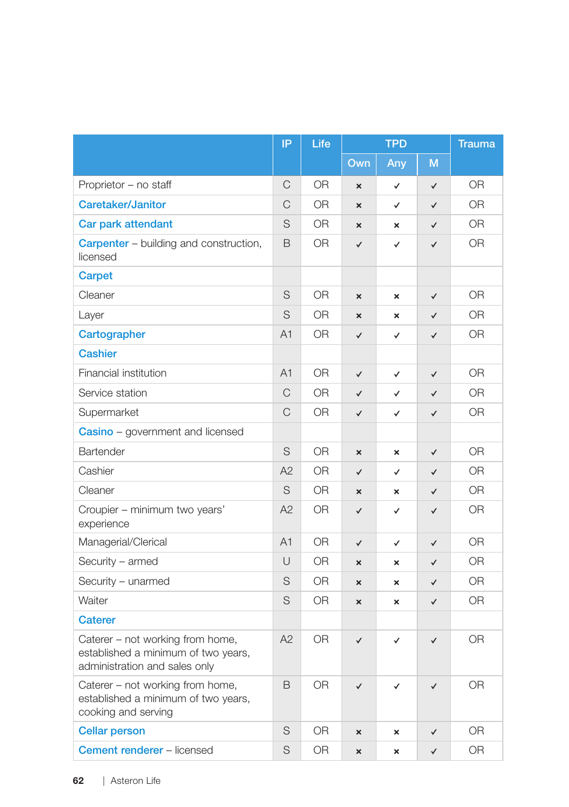|                                                                                                          | IP          | Life      | <b>TPD</b>                |                           | <b>Trauma</b> |                |
|----------------------------------------------------------------------------------------------------------|-------------|-----------|---------------------------|---------------------------|---------------|----------------|
|                                                                                                          |             |           | Own                       | Any                       | M             |                |
| Proprietor - no staff                                                                                    | С           | <b>OR</b> | ×                         | ✓                         | $\checkmark$  | <b>OR</b>      |
| <b>Caretaker/Janitor</b>                                                                                 | C           | <b>OR</b> | $\boldsymbol{\mathsf{x}}$ | ✓                         | $\checkmark$  | <b>OR</b>      |
| Car park attendant                                                                                       | $\mathsf S$ | <b>OR</b> | $\overline{\mathbf{x}}$   | $\mathbf{x}$              | $\checkmark$  | <b>OR</b>      |
| <b>Carpenter</b> – building and construction,<br>licensed                                                | B           | <b>OR</b> | $\checkmark$              | ✓                         | $\checkmark$  | <b>OR</b>      |
| Carpet                                                                                                   |             |           |                           |                           |               |                |
| Cleaner                                                                                                  | S           | <b>OR</b> | ×                         | $\boldsymbol{\mathsf{x}}$ | $\checkmark$  | <b>OR</b>      |
| Layer                                                                                                    | S           | 0R        | ×                         | ×                         | $\checkmark$  | <b>OR</b>      |
| Cartographer                                                                                             | A1          | <b>OR</b> | ✓                         | ✓                         | $\checkmark$  | <b>OR</b>      |
| <b>Cashier</b>                                                                                           |             |           |                           |                           |               |                |
| Financial institution                                                                                    | A1          | <b>OR</b> | $\checkmark$              | $\checkmark$              | $\checkmark$  | <b>OR</b>      |
| Service station                                                                                          | C           | <b>OR</b> | $\checkmark$              | ✓                         | $\checkmark$  | <b>OR</b>      |
| Supermarket                                                                                              | C           | <b>OR</b> | $\checkmark$              | ✓                         | $\checkmark$  | <b>OR</b>      |
| Casino - government and licensed                                                                         |             |           |                           |                           |               |                |
| Bartender                                                                                                | S           | <b>OR</b> | $\boldsymbol{\mathsf{x}}$ | $\boldsymbol{\mathsf{x}}$ | $\checkmark$  | <b>OR</b>      |
| Cashier                                                                                                  | A2          | <b>OR</b> | $\checkmark$              | $\checkmark$              | ✓             | 0 <sub>R</sub> |
| Cleaner                                                                                                  | S           | <b>OR</b> | $\mathbf{x}$              | ×                         | $\checkmark$  | <b>OR</b>      |
| Croupier – minimum two years'<br>experience                                                              | A2          | <b>OR</b> | $\checkmark$              | ✓                         | $\checkmark$  | 0 <sub>R</sub> |
| Managerial/Clerical                                                                                      | A1          | <b>OR</b> | $\checkmark$              | ✓                         | ✓             | OR             |
| Security – armed                                                                                         | U           | <b>OR</b> | ×                         | ×                         | $\checkmark$  | <b>OR</b>      |
| Security - unarmed                                                                                       | S           | <b>OR</b> | $\boldsymbol{\mathsf{x}}$ | $\mathbf{x}$              | ✓             | <b>OR</b>      |
| Waiter                                                                                                   | S           | <b>OR</b> | $\mathbf{x}$              | $\mathbf{x}$              | $\checkmark$  | <b>OR</b>      |
| <b>Caterer</b>                                                                                           |             |           |                           |                           |               |                |
| Caterer – not working from home,<br>established a minimum of two years,<br>administration and sales only | A2          | <b>OR</b> | $\checkmark$              | ✓                         | $\checkmark$  | <b>OR</b>      |
| Caterer – not working from home,<br>established a minimum of two years,<br>cooking and serving           | B           | <b>OR</b> | ✓                         | ✓                         | $\checkmark$  | <b>OR</b>      |
| <b>Cellar person</b>                                                                                     | S           | <b>OR</b> | ×                         | ×                         | ✓             | <b>OR</b>      |
| <b>Cement renderer - licensed</b>                                                                        | S           | <b>OR</b> | $\mathbf{x}$              | $\mathbf{x}$              | ✓             | <b>OR</b>      |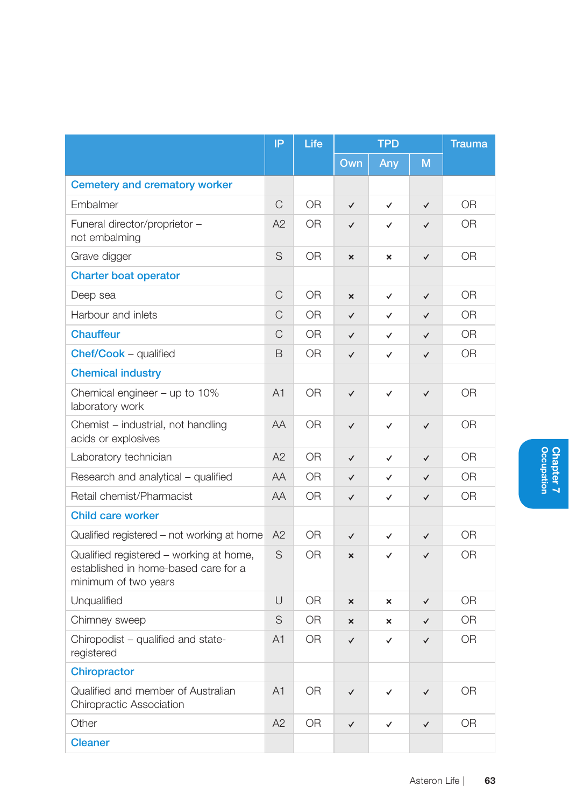|                                                                                                         | IP             | Life           | <b>TPD</b>   |                           | <b>Trauma</b> |                |
|---------------------------------------------------------------------------------------------------------|----------------|----------------|--------------|---------------------------|---------------|----------------|
|                                                                                                         |                |                | Own          | Any                       | M             |                |
| Cemetery and crematory worker                                                                           |                |                |              |                           |               |                |
| Embalmer                                                                                                | $\mathsf{C}$   | 0 <sub>R</sub> | $\checkmark$ | $\checkmark$              | $\checkmark$  | 0 <sub>R</sub> |
| Funeral director/proprietor -<br>not embalming                                                          | A2             | 0 <sub>R</sub> | $\checkmark$ | ✓                         | ✓             | 0 <sub>R</sub> |
| Grave digger                                                                                            | S              | 0 <sub>R</sub> | $\mathbf{x}$ | $\boldsymbol{\mathsf{x}}$ | ✓             | 0 <sub>R</sub> |
| <b>Charter boat operator</b>                                                                            |                |                |              |                           |               |                |
| Deep sea                                                                                                | C              | 0 <sub>R</sub> | $\mathbf{x}$ | $\checkmark$              | $\checkmark$  | 0 <sub>R</sub> |
| Harbour and inlets                                                                                      | C              | 0R             | $\checkmark$ | ✓                         | $\checkmark$  | 0 <sub>R</sub> |
| <b>Chauffeur</b>                                                                                        | C              | 0R             | $\checkmark$ | ✓                         | $\checkmark$  | 0R             |
| Chef/Cook - qualified                                                                                   | B              | 0 <sub>R</sub> | $\checkmark$ | ✓                         | $\checkmark$  | 0 <sub>R</sub> |
| <b>Chemical industry</b>                                                                                |                |                |              |                           |               |                |
| Chemical engineer $-$ up to 10%<br>laboratory work                                                      | A <sub>1</sub> | 0R             | $\checkmark$ | ✓                         | $\checkmark$  | 0R             |
| Chemist - industrial, not handling<br>acids or explosives                                               | AA             | 0R             | $\checkmark$ | $\checkmark$              | $\checkmark$  | 0R             |
| Laboratory technician                                                                                   | A2             | 0 <sub>R</sub> | $\checkmark$ | ✓                         | $\checkmark$  | 0R             |
| Research and analytical - qualified                                                                     | AA             | 0R             | $\checkmark$ | ✓                         | ✓             | 0 <sub>R</sub> |
| Retail chemist/Pharmacist                                                                               | AA             | 0R             | $\checkmark$ | ✓                         | $\checkmark$  | <b>OR</b>      |
| Child care worker                                                                                       |                |                |              |                           |               |                |
| Qualified registered - not working at home                                                              | A2             | 0R             | $\checkmark$ | $\checkmark$              | ✓             | 0R             |
| Qualified registered – working at home,<br>established in home-based care for a<br>minimum of two years | S              | 0 <sub>R</sub> | $\mathbf{x}$ | ✓                         | $\checkmark$  | 0 <sub>R</sub> |
| Unqualified                                                                                             | U              | 0 <sub>R</sub> | ×            | ×                         | $\checkmark$  | 0 <sub>R</sub> |
| Chimney sweep                                                                                           | S              | 0R             | $\mathbf{x}$ | ×                         | ✓             | 0R             |
| Chiropodist - qualified and state-<br>registered                                                        | A1             | 0 <sub>R</sub> | $\checkmark$ | ✓                         | $\checkmark$  | <b>OR</b>      |
| Chiropractor                                                                                            |                |                |              |                           |               |                |
| Qualified and member of Australian<br><b>Chiropractic Association</b>                                   | A <sub>1</sub> | <b>OR</b>      | $\checkmark$ | $\checkmark$              | ✓             | <b>OR</b>      |
| Other                                                                                                   | A2             | <b>OR</b>      | $\checkmark$ | ✓                         | $\checkmark$  | <b>OR</b>      |
| <b>Cleaner</b>                                                                                          |                |                |              |                           |               |                |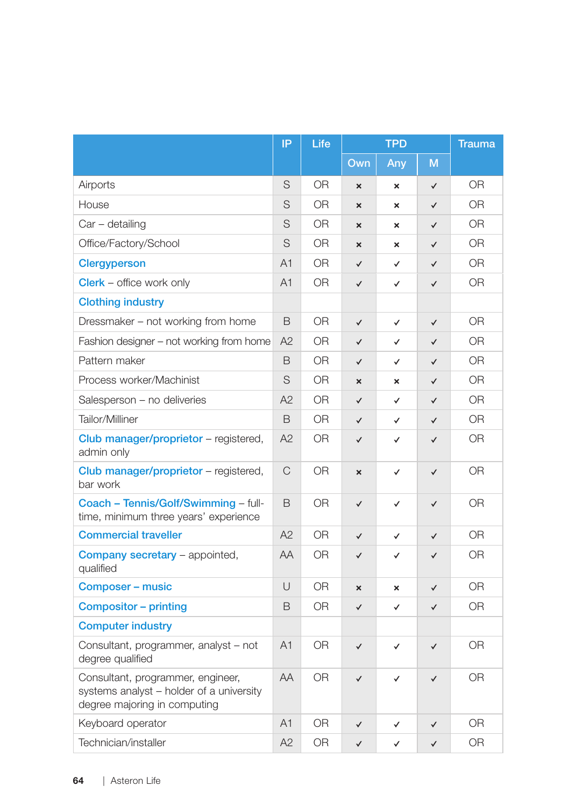|                                                                                                               | IP             | Life           | <b>TPD</b>                |              | <b>Trauma</b> |                |
|---------------------------------------------------------------------------------------------------------------|----------------|----------------|---------------------------|--------------|---------------|----------------|
|                                                                                                               |                |                | Own                       | Any          | M             |                |
| Airports                                                                                                      | S              | 0 <sub>R</sub> | $\overline{\mathsf{x}}$   | $\mathbf x$  | $\checkmark$  | 0 <sub>R</sub> |
| House                                                                                                         | S              | 0 <sub>R</sub> | $\mathbf{x}$              | $\mathbf x$  | $\checkmark$  | 0 <sub>R</sub> |
| Car – detailing                                                                                               | S              | OR.            | $\boldsymbol{\mathsf{x}}$ | ×            | ✓             | 0R             |
| Office/Factory/School                                                                                         | S              | 0 <sub>R</sub> | $\mathbf{x}$              | $\mathbf x$  | $\checkmark$  | 0 <sub>R</sub> |
| <b>Clergyperson</b>                                                                                           | A1             | 0R             | $\checkmark$              | $\checkmark$ | $\checkmark$  | 0R             |
| Clerk - office work only                                                                                      | A <sub>1</sub> | OR.            | $\checkmark$              | $\checkmark$ | $\checkmark$  | 0R             |
| <b>Clothing industry</b>                                                                                      |                |                |                           |              |               |                |
| Dressmaker - not working from home                                                                            | B              | 0R             | $\checkmark$              | $\checkmark$ | $\checkmark$  | 0R             |
| Fashion designer - not working from home                                                                      | A2             | <b>OR</b>      | $\checkmark$              | ✓            | ✓             | 0 <sub>R</sub> |
| Pattern maker                                                                                                 | B              | 0R             | $\checkmark$              | $\checkmark$ | $\checkmark$  | 0 <sub>R</sub> |
| Process worker/Machinist                                                                                      | S              | 0R             | $\mathbf{x}$              | $\mathbf x$  | $\checkmark$  | 0R             |
| Salesperson - no deliveries                                                                                   | A2             | OR             | $\checkmark$              | ✓            | ✓             | <b>OR</b>      |
| Tailor/Milliner                                                                                               | B              | <b>OR</b>      | $\checkmark$              | $\checkmark$ | $\checkmark$  | 0 <sub>R</sub> |
| Club manager/proprietor - registered,<br>admin only                                                           | A2             | 0R             | $\checkmark$              | ✓            | $\checkmark$  | 0R             |
| Club manager/proprietor - registered,<br>bar work                                                             | C              | 0R             | $\boldsymbol{\mathsf{x}}$ | ✓            | $\checkmark$  | 0 <sub>R</sub> |
| Coach - Tennis/Golf/Swimming - full-<br>time, minimum three years' experience                                 | B              | 0 <sub>R</sub> | $\checkmark$              | $\checkmark$ | $\checkmark$  | 0 <sub>R</sub> |
| <b>Commercial traveller</b>                                                                                   | A2             | 0 <sub>R</sub> | $\checkmark$              | $\checkmark$ | $\checkmark$  | 0 <sub>R</sub> |
| <b>Company secretary</b> – appointed,<br>qualified                                                            | AA             | 0R             | $\checkmark$              | ✓            | ✓             | 0R             |
| Composer - music                                                                                              | U              | 0R             | $\mathbf{x}$              | $\mathbf{x}$ | $\checkmark$  | 0 <sub>R</sub> |
| Compositor - printing                                                                                         | B              | <b>OR</b>      | $\checkmark$              | ✓            | ✓             | <b>OR</b>      |
| <b>Computer industry</b>                                                                                      |                |                |                           |              |               |                |
| Consultant, programmer, analyst – not<br>degree qualified                                                     | A1             | 0R             | $\checkmark$              | ✓            | ✓             | 0R             |
| Consultant, programmer, engineer,<br>systems analyst - holder of a university<br>degree majoring in computing | AA             | 0R             | $\checkmark$              | $\checkmark$ | $\checkmark$  | 0R             |
| Keyboard operator                                                                                             | A1             | <b>OR</b>      | $\checkmark$              | ✓            | ✓             | <b>OR</b>      |
| Technician/installer                                                                                          | A2             | 0 <sub>R</sub> | $\checkmark$              | $\checkmark$ | ✓             | OR             |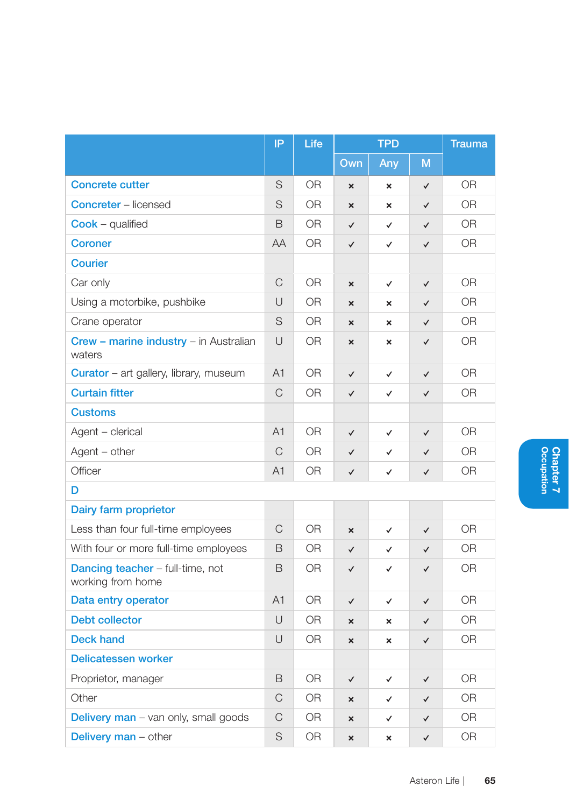|                                                              | IP             | Life           | <b>TPD</b>                |                           | <b>Trauma</b> |                |
|--------------------------------------------------------------|----------------|----------------|---------------------------|---------------------------|---------------|----------------|
|                                                              |                |                | Own                       | Any                       | M             |                |
| <b>Concrete cutter</b>                                       | S              | <b>OR</b>      | $\boldsymbol{\mathsf{x}}$ | $\boldsymbol{\mathsf{x}}$ | $\checkmark$  | <b>OR</b>      |
| <b>Concreter</b> – licensed                                  | S              | 0R             | ×                         | ×                         | $\checkmark$  | 0R             |
| <b>Cook</b> – qualified                                      | B              | 0 <sub>R</sub> | $\checkmark$              | $\checkmark$              | $\checkmark$  | 0 <sub>R</sub> |
| <b>Coroner</b>                                               | AA             | <b>OR</b>      | ✓                         | $\checkmark$              | $\checkmark$  | <b>OR</b>      |
| <b>Courier</b>                                               |                |                |                           |                           |               |                |
| Car only                                                     | C              | OR.            | $\boldsymbol{\mathsf{x}}$ | $\checkmark$              | $\checkmark$  | 0R             |
| Using a motorbike, pushbike                                  | U              | <b>OR</b>      | ×                         | ×                         | $\checkmark$  | <b>OR</b>      |
| Crane operator                                               | S              | 0R             | ×                         | ×                         | $\checkmark$  | 0R             |
| Crew - marine industry - in Australian<br>waters             | $\cup$         | 0 <sub>R</sub> | ×                         | ×                         | $\checkmark$  | 0 <sub>R</sub> |
| <b>Curator</b> – art gallery, library, museum                | A <sub>1</sub> | OR.            | $\checkmark$              | ✓                         | $\checkmark$  | 0R             |
| <b>Curtain fitter</b>                                        | C              | 0 <sub>R</sub> | $\checkmark$              | ✓                         | $\checkmark$  | 0 <sub>R</sub> |
| <b>Customs</b>                                               |                |                |                           |                           |               |                |
| Agent - clerical                                             | A <sub>1</sub> | 0R             | $\checkmark$              | ✓                         | $\checkmark$  | <b>OR</b>      |
| Agent - other                                                | $\mathcal{C}$  | 0 <sub>R</sub> | $\checkmark$              | ✓                         | ✓             | 0 <sub>R</sub> |
| Officer                                                      | A <sub>1</sub> | <b>OR</b>      | ✓                         | ✓                         | ✓             | <b>OR</b>      |
| D                                                            |                |                |                           |                           |               |                |
| Dairy farm proprietor                                        |                |                |                           |                           |               |                |
| Less than four full-time employees                           | C              | 0R             | ×                         | ✓                         | $\checkmark$  | 0R             |
| With four or more full-time employees                        | B              | <b>OR</b>      | $\checkmark$              | ✓                         | $\checkmark$  | 0 <sub>R</sub> |
| <b>Dancing teacher</b> – full-time, not<br>working from home | B              | 0 <sub>R</sub> | ✓                         | $\checkmark$              | ✓             | 0R             |
| Data entry operator                                          | A <sub>1</sub> | 0R             | ✓                         | ✓                         | $\checkmark$  | 0R             |
| <b>Debt collector</b>                                        | $\cup$         | 0 <sub>R</sub> | $\mathbf{x}$              | ×                         | $\checkmark$  | 0 <sub>R</sub> |
| <b>Deck hand</b>                                             | U              | <b>OR</b>      | ×                         | ×                         | $\checkmark$  | <b>OR</b>      |
| Delicatessen worker                                          |                |                |                           |                           |               |                |
| Proprietor, manager                                          | B              | <b>OR</b>      | $\checkmark$              | ✓                         | $\checkmark$  | 0 <sub>R</sub> |
| Other                                                        | C              | 0R             | ×                         | ✓                         | ✓             | 0R             |
| <b>Delivery man</b> – van only, small goods                  | С              | OR.            | ×                         | ✓                         | ✓             | 0R             |
| <b>Delivery man - other</b>                                  | S              | 0 <sub>R</sub> | ×                         | $\boldsymbol{\mathsf{x}}$ | $\checkmark$  | <b>OR</b>      |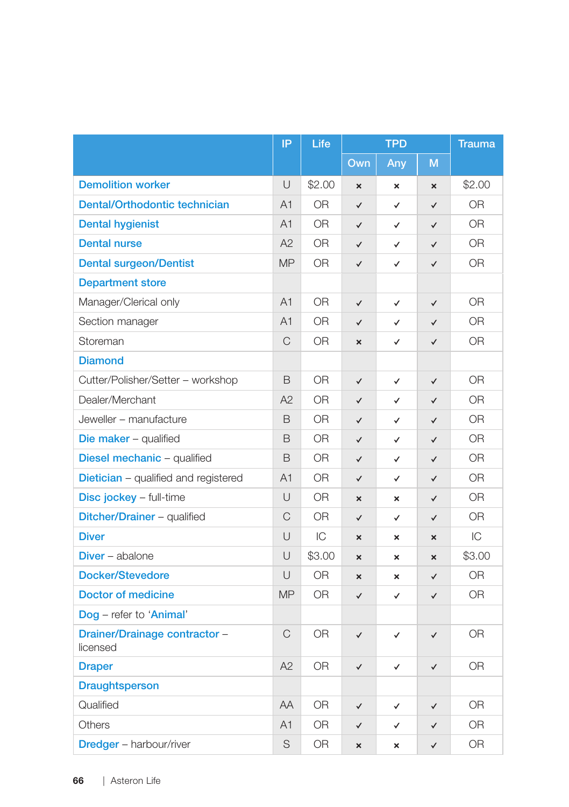|                                             | IP             | Life           | <b>TPD</b>                |                           | <b>Trauma</b>             |                |
|---------------------------------------------|----------------|----------------|---------------------------|---------------------------|---------------------------|----------------|
|                                             |                |                | Own                       | Any                       | M                         |                |
| <b>Demolition worker</b>                    | U              | \$2.00         | $\boldsymbol{\mathsf{x}}$ | $\boldsymbol{\mathsf{x}}$ | $\boldsymbol{\mathsf{x}}$ | \$2.00         |
| Dental/Orthodontic technician               | A1             | <b>OR</b>      | $\checkmark$              | ✓                         | $\checkmark$              | OR             |
| <b>Dental hygienist</b>                     | A1             | <b>OR</b>      | $\checkmark$              | ✓                         | ✓                         | <b>OR</b>      |
| <b>Dental nurse</b>                         | A2             | <b>OR</b>      | ✓                         | $\checkmark$              | $\checkmark$              | <b>OR</b>      |
| <b>Dental surgeon/Dentist</b>               | <b>MP</b>      | OR.            | $\checkmark$              | $\checkmark$              | $\checkmark$              | <b>OR</b>      |
| <b>Department store</b>                     |                |                |                           |                           |                           |                |
| Manager/Clerical only                       | A <sub>1</sub> | <b>OR</b>      | ✓                         | $\checkmark$              | $\checkmark$              | <b>OR</b>      |
| Section manager                             | A1             | OR.            | $\checkmark$              | $\checkmark$              | $\checkmark$              | <b>OR</b>      |
| Storeman                                    | C              | <b>OR</b>      | $\boldsymbol{\mathsf{x}}$ | $\checkmark$              | $\checkmark$              | <b>OR</b>      |
| <b>Diamond</b>                              |                |                |                           |                           |                           |                |
| Cutter/Polisher/Setter - workshop           | B              | 0 <sub>R</sub> | $\checkmark$              | $\checkmark$              | $\checkmark$              | 0 <sub>R</sub> |
| Dealer/Merchant                             | A2             | OR.            | $\checkmark$              | ✓                         | $\checkmark$              | <b>OR</b>      |
| Jeweller - manufacture                      | B              | <b>OR</b>      | $\checkmark$              | $\checkmark$              | $\checkmark$              | <b>OR</b>      |
| Die maker - qualified                       | B              | OR.            | $\checkmark$              | $\checkmark$              | $\checkmark$              | 0 <sub>R</sub> |
| Diesel mechanic - qualified                 | B              | <b>OR</b>      | ✓                         | ✓                         | $\checkmark$              | <b>OR</b>      |
| <b>Dietician</b> – qualified and registered | A <sub>1</sub> | <b>OR</b>      | $\checkmark$              | $\checkmark$              | $\checkmark$              | <b>OR</b>      |
| Disc jockey - full-time                     | U              | 0 <sub>R</sub> | ×                         | ×                         | $\checkmark$              | 0 <sub>R</sub> |
| Ditcher/Drainer - qualified                 | C              | OR.            | $\checkmark$              | $\checkmark$              | $\checkmark$              | 0 <sub>R</sub> |
| <b>Diver</b>                                | U              | IC             | $\boldsymbol{\mathsf{x}}$ | $\boldsymbol{\mathsf{x}}$ | $\boldsymbol{\times}$     | IC             |
| <b>Diver</b> – abalone                      | U              | \$3.00         | $\boldsymbol{\mathsf{x}}$ | ×                         | $\boldsymbol{\times}$     | \$3.00         |
| <b>Docker/Stevedore</b>                     | U              | OR.            | ×                         | ×                         | $\checkmark$              | OR.            |
| <b>Doctor of medicine</b>                   | <b>MP</b>      | <b>OR</b>      | $\checkmark$              | $\checkmark$              | $\checkmark$              | <b>OR</b>      |
| Dog - refer to 'Animal'                     |                |                |                           |                           |                           |                |
| Drainer/Drainage contractor -<br>licensed   | C              | 0 <sub>R</sub> | $\checkmark$              | $\checkmark$              | $\checkmark$              | 0 <sub>R</sub> |
| <b>Draper</b>                               | A2             | <b>OR</b>      | $\checkmark$              | ✓                         | $\checkmark$              | <b>OR</b>      |
| <b>Draughtsperson</b>                       |                |                |                           |                           |                           |                |
| Qualified                                   | AA             | <b>OR</b>      | $\checkmark$              | ✓                         | $\checkmark$              | 0 <sub>R</sub> |
| <b>Others</b>                               | A1             | <b>OR</b>      | $\checkmark$              | ✓                         | $\checkmark$              | 0 <sub>R</sub> |
| <b>Dredger</b> - harbour/river              | S              | <b>OR</b>      | $\boldsymbol{\mathsf{x}}$ | $\mathbf{x}$              | $\checkmark$              | <b>OR</b>      |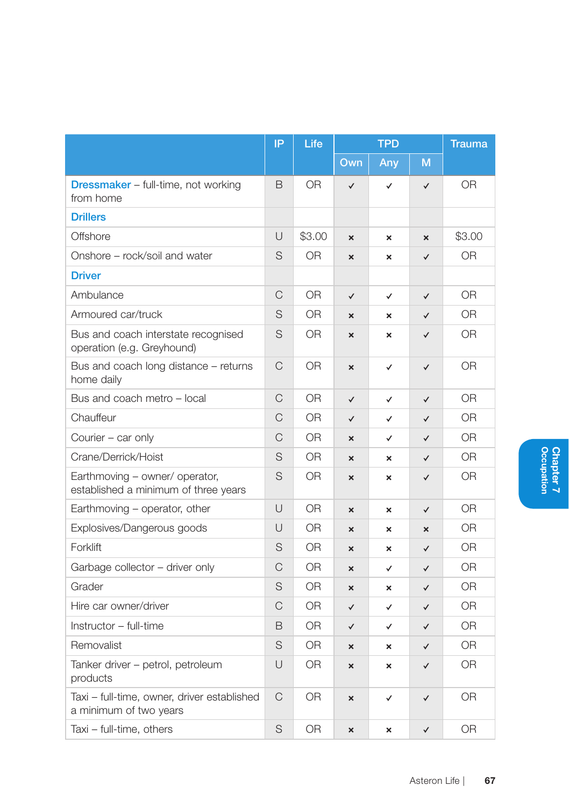|                                                                        | IP           | Life           | <b>TPD</b>                |                           | <b>Trauma</b>             |                |
|------------------------------------------------------------------------|--------------|----------------|---------------------------|---------------------------|---------------------------|----------------|
|                                                                        |              |                | Own                       | Any                       | M                         |                |
| <b>Dressmaker</b> – full-time, not working<br>from home                | B            | 0R             | $\checkmark$              | $\checkmark$              | $\checkmark$              | <b>OR</b>      |
| <b>Drillers</b>                                                        |              |                |                           |                           |                           |                |
| Offshore                                                               | U            | \$3.00         | $\boldsymbol{\mathsf{x}}$ | $\pmb{\times}$            | $\boldsymbol{\mathsf{x}}$ | \$3.00         |
| Onshore - rock/soil and water                                          | S            | 0R             | $\boldsymbol{\mathsf{x}}$ | $\boldsymbol{\mathsf{x}}$ | $\checkmark$              | OR.            |
| <b>Driver</b>                                                          |              |                |                           |                           |                           |                |
| Ambulance                                                              | C            | 0 <sub>R</sub> | $\checkmark$              | $\checkmark$              | $\checkmark$              | 0 <sub>R</sub> |
| Armoured car/truck                                                     | S            | 0 <sub>R</sub> | $\mathbf{x}$              | $\boldsymbol{\mathsf{x}}$ | $\checkmark$              | 0 <sub>R</sub> |
| Bus and coach interstate recognised<br>operation (e.g. Greyhound)      | S            | 0R             | $\boldsymbol{\mathsf{x}}$ | $\boldsymbol{\mathsf{x}}$ | $\checkmark$              | 0R             |
| Bus and coach long distance - returns<br>home daily                    | $\mathsf{C}$ | OR             | ×                         | $\checkmark$              | $\checkmark$              | 0R             |
| Bus and coach metro - local                                            | $\mathsf{C}$ | 0R             | $\checkmark$              | ✓                         | $\checkmark$              | 0 <sub>R</sub> |
| Chauffeur                                                              | C            | 0R             | $\checkmark$              | ✓                         | $\checkmark$              | 0R             |
| Courier - car only                                                     | C            | 0 <sub>R</sub> | $\boldsymbol{\mathsf{x}}$ | ✓                         | $\checkmark$              | 0 <sub>R</sub> |
| Crane/Derrick/Hoist                                                    | S            | <b>OR</b>      | $\mathbf{x}$              | $\boldsymbol{\mathsf{x}}$ | $\checkmark$              | 0 <sub>R</sub> |
| Earthmoving - owner/ operator,<br>established a minimum of three years | S            | <b>OR</b>      | $\mathbf{x}$              | $\boldsymbol{\mathsf{x}}$ | ✓                         | <b>OR</b>      |
| Earthmoving - operator, other                                          | U            | 0R             | ×                         | $\pmb{\times}$            | $\checkmark$              | <b>OR</b>      |
| Explosives/Dangerous goods                                             | U            | 0R             | $\boldsymbol{\mathsf{x}}$ | $\pmb{\times}$            | $\boldsymbol{\mathsf{x}}$ | OR             |
| Forklift                                                               | S            | 0R             | $\boldsymbol{\mathsf{x}}$ | $\pmb{\times}$            | $\checkmark$              | <b>OR</b>      |
| Garbage collector - driver only                                        | C            | 0R             | $\boldsymbol{\mathsf{x}}$ | ✓                         | ✓                         | <b>OR</b>      |
| Grader                                                                 | S            | 0 <sub>R</sub> | ×                         | ×                         | $\checkmark$              | 0 <sub>R</sub> |
| Hire car owner/driver                                                  | $\mathcal C$ | <b>OR</b>      | $\checkmark$              | ✓                         | $\checkmark$              | 0 <sub>R</sub> |
| Instructor - full-time                                                 | B            | 0R             | $\checkmark$              | ✓                         | ✓                         | OR             |
| Removalist                                                             | S            | 0 <sub>R</sub> | ×                         | $\pmb{\times}$            | $\checkmark$              | O <sub>R</sub> |
| Tanker driver - petrol, petroleum<br>products                          | U            | OR.            | $\boldsymbol{\mathsf{x}}$ | $\boldsymbol{\mathsf{x}}$ | $\checkmark$              | <b>OR</b>      |
| Taxi - full-time, owner, driver established<br>a minimum of two years  | C            | <b>OR</b>      | ×                         | ✓                         | ✓                         | 0R             |
| Taxi - full-time, others                                               | S            | <b>OR</b>      | ×                         | ×                         | $\checkmark$              | <b>OR</b>      |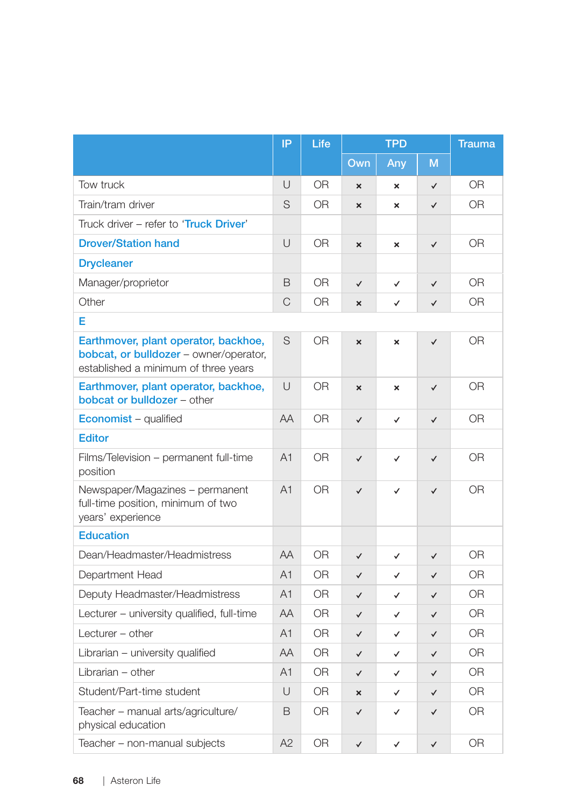|                                                                                                                        | IP             | Life           | <b>TPD</b>                |                           | <b>Trauma</b> |                |  |  |
|------------------------------------------------------------------------------------------------------------------------|----------------|----------------|---------------------------|---------------------------|---------------|----------------|--|--|
|                                                                                                                        |                |                | Own                       | Any                       | M             |                |  |  |
| Tow truck                                                                                                              | U              | <b>OR</b>      | ×                         | $\boldsymbol{\mathsf{x}}$ | $\checkmark$  | <b>OR</b>      |  |  |
| Train/tram driver                                                                                                      | S              | <b>OR</b>      | $\boldsymbol{\mathsf{x}}$ | ×                         | $\checkmark$  | 0R             |  |  |
| Truck driver – refer to 'Truck Driver'                                                                                 |                |                |                           |                           |               |                |  |  |
| <b>Drover/Station hand</b>                                                                                             | U              | <b>OR</b>      | ×                         | $\boldsymbol{\mathsf{x}}$ | $\checkmark$  | <b>OR</b>      |  |  |
| <b>Drycleaner</b>                                                                                                      |                |                |                           |                           |               |                |  |  |
| Manager/proprietor                                                                                                     | B              | <b>OR</b>      | $\checkmark$              | ✓                         | $\checkmark$  | 0R             |  |  |
| Other                                                                                                                  | C              | <b>OR</b>      | $\mathsf{x}$              | $\checkmark$              | $\checkmark$  | <b>OR</b>      |  |  |
| E                                                                                                                      |                |                |                           |                           |               |                |  |  |
| Earthmover, plant operator, backhoe,<br>bobcat, or bulldozer - owner/operator,<br>established a minimum of three years | S              | <b>OR</b>      | $\boldsymbol{\mathsf{x}}$ | $\boldsymbol{\mathsf{x}}$ | $\checkmark$  | 0R             |  |  |
| Earthmover, plant operator, backhoe,<br>bobcat or bulldozer - other                                                    | $\cup$         | <b>OR</b>      | ×                         | $\boldsymbol{\mathsf{x}}$ | $\checkmark$  | <b>OR</b>      |  |  |
| <b>Economist</b> – qualified                                                                                           | AA             | <b>OR</b>      | $\checkmark$              | ✓                         | $\checkmark$  | 0R             |  |  |
| <b>Editor</b>                                                                                                          |                |                |                           |                           |               |                |  |  |
| Films/Television - permanent full-time<br>position                                                                     | A <sub>1</sub> | 0R             | $\checkmark$              | $\checkmark$              | $\checkmark$  | 0R             |  |  |
| Newspaper/Magazines - permanent<br>full-time position, minimum of two<br>years' experience                             | A <sub>1</sub> | 0 <sub>R</sub> | $\checkmark$              | $\checkmark$              | $\checkmark$  | 0 <sub>R</sub> |  |  |
| <b>Education</b>                                                                                                       |                |                |                           |                           |               |                |  |  |
| Dean/Headmaster/Headmistress                                                                                           | AA             | <b>OR</b>      | $\checkmark$              | $\checkmark$              | $\checkmark$  | <b>OR</b>      |  |  |
| Department Head                                                                                                        | A <sub>1</sub> | <b>OR</b>      | $\checkmark$              | $\checkmark$              | $\checkmark$  | 0 <sub>R</sub> |  |  |
| Deputy Headmaster/Headmistress                                                                                         | A1             | OR.            | $\checkmark$              | $\checkmark$              | $\checkmark$  | 0R             |  |  |
| Lecturer - university qualified, full-time                                                                             | AA             | <b>OR</b>      | $\checkmark$              | $\checkmark$              | $\checkmark$  | <b>OR</b>      |  |  |
| Lecturer $-$ other                                                                                                     | A1             | <b>OR</b>      | $\checkmark$              | $\checkmark$              | $\checkmark$  | <b>OR</b>      |  |  |
| Librarian - university qualified                                                                                       | AA             | <b>OR</b>      | $\checkmark$              | $\checkmark$              | $\checkmark$  | 0 <sub>R</sub> |  |  |
| Librarian - other                                                                                                      | A1             | <b>OR</b>      | $\checkmark$              | ✓                         | $\checkmark$  | <b>OR</b>      |  |  |
| Student/Part-time student                                                                                              | U              | <b>OR</b>      | ×                         | ✓                         | $\checkmark$  | 0 <sub>R</sub> |  |  |
| Teacher - manual arts/agriculture/<br>physical education                                                               | B              | <b>OR</b>      | $\checkmark$              | ✓                         | $\checkmark$  | <b>OR</b>      |  |  |
| Teacher - non-manual subjects                                                                                          | A2             | <b>OR</b>      | $\checkmark$              | $\checkmark$              | $\checkmark$  | <b>OR</b>      |  |  |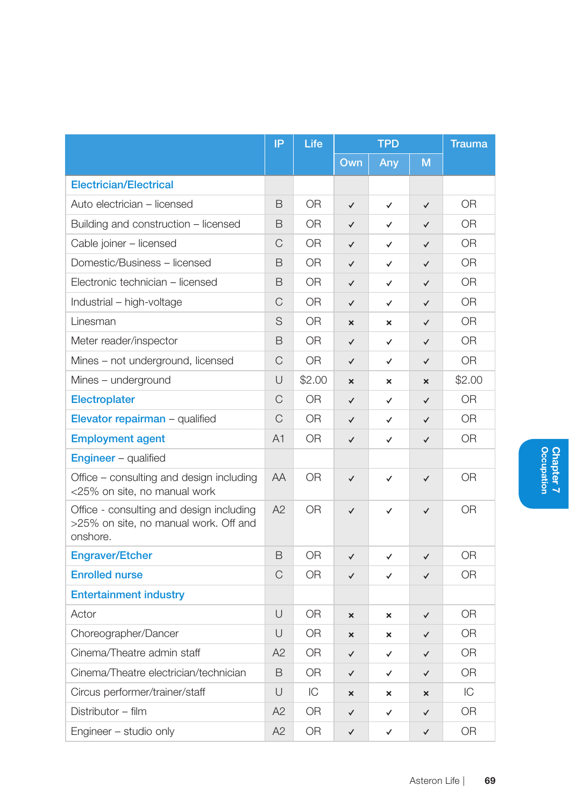|                                                                                               | IP     | Life           | <b>TPD</b>                |                           | <b>Trauma</b>             |                |
|-----------------------------------------------------------------------------------------------|--------|----------------|---------------------------|---------------------------|---------------------------|----------------|
|                                                                                               |        |                | Own                       | Any                       | M                         |                |
| <b>Electrician/Electrical</b>                                                                 |        |                |                           |                           |                           |                |
| Auto electrician – licensed                                                                   | B      | 0R             | ✓                         | $\checkmark$              | $\checkmark$              | 0R             |
| Building and construction – licensed                                                          | B      | 0 <sub>R</sub> | $\checkmark$              | ✓                         | $\checkmark$              | 0 <sub>R</sub> |
| Cable joiner - licensed                                                                       | C      | OR.            | $\checkmark$              | ✓                         | $\checkmark$              | 0R             |
| Domestic/Business - licensed                                                                  | B      | OR.            | $\checkmark$              | ✓                         | $\checkmark$              | 0 <sub>R</sub> |
| Electronic technician - licensed                                                              | B      | 0 <sub>R</sub> | $\checkmark$              | $\checkmark$              | $\checkmark$              | 0 <sub>R</sub> |
| Industrial - high-voltage                                                                     | C      | 0 <sub>R</sub> | ✓                         | ✓                         | ✓                         | 0 <sub>R</sub> |
| Linesman                                                                                      | S      | 0 <sub>R</sub> | ×                         | $\boldsymbol{\mathsf{x}}$ | $\checkmark$              | 0 <sub>R</sub> |
| Meter reader/inspector                                                                        | B      | OR.            | $\checkmark$              | ✓                         | $\checkmark$              | 0R             |
| Mines - not underground, licensed                                                             | C      | OR.            | ✓                         | ✓                         | ✓                         | 0R             |
| Mines - underground                                                                           | U      | \$2.00         | $\boldsymbol{\mathsf{x}}$ | ×                         | $\boldsymbol{\mathsf{x}}$ | \$2.00         |
| <b>Electroplater</b>                                                                          | C      | 0R             | ✓                         | ✓                         | ✓                         | <b>OR</b>      |
| Elevator repairman - qualified                                                                | C      | 0 <sub>R</sub> | ✓                         | ✓                         | $\checkmark$              | 0 <sub>R</sub> |
| <b>Employment agent</b>                                                                       | A1     | OR.            | $\checkmark$              | ✓                         | $\checkmark$              | <b>OR</b>      |
| <b>Engineer</b> - qualified                                                                   |        |                |                           |                           |                           |                |
| Office – consulting and design including<br><25% on site, no manual work                      | AA     | 0 <sub>R</sub> | $\checkmark$              | $\checkmark$              | $\checkmark$              | <b>OR</b>      |
| Office - consulting and design including<br>>25% on site, no manual work. Off and<br>onshore. | A2     | 0 <sub>R</sub> | $\checkmark$              | $\checkmark$              | $\checkmark$              | 0 <sub>R</sub> |
| <b>Engraver/Etcher</b>                                                                        | B      | 0R             | ✓                         | ✓                         | ✓                         | 0R             |
| <b>Enrolled nurse</b>                                                                         | C      | 0R             | ✓                         | ✓                         | $\checkmark$              | 0R             |
| <b>Entertainment industry</b>                                                                 |        |                |                           |                           |                           |                |
| Actor                                                                                         | U      | 0R             | ×                         | $\boldsymbol{\mathsf{x}}$ | $\checkmark$              | 0R             |
| Choreographer/Dancer                                                                          | U      | <b>OR</b>      | ×                         | ×                         | $\checkmark$              | 0 <sub>R</sub> |
| Cinema/Theatre admin staff                                                                    | A2     | 0R             | ✓                         | ✓                         | ✓                         | 0R             |
| Cinema/Theatre electrician/technician                                                         | B      | <b>OR</b>      | $\checkmark$              | ✓                         | ✓                         | <b>OR</b>      |
| Circus performer/trainer/staff                                                                | $\cup$ | IC             | $\mathbf{x}$              | $\boldsymbol{\mathsf{x}}$ | $\mathbf x$               | IC             |
| Distributor - film                                                                            | A2     | 0 <sub>R</sub> | ✓                         | ✓                         | ✓                         | 0R             |
| Engineer - studio only                                                                        | A2     | 0 <sub>R</sub> | $\checkmark$              | ✓                         | $\checkmark$              | OR             |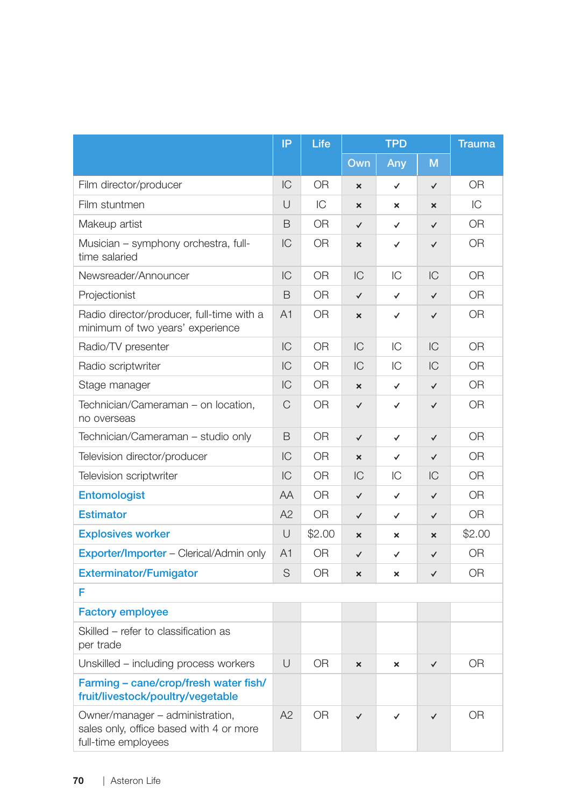|                                                                                                   | IP             | Life           | <b>TPD</b>                |                           |              | <b>Trauma</b>  |
|---------------------------------------------------------------------------------------------------|----------------|----------------|---------------------------|---------------------------|--------------|----------------|
|                                                                                                   |                |                | Own                       | Any                       | M            |                |
| Film director/producer                                                                            | IC             | 0 <sub>R</sub> | $\boldsymbol{\mathsf{x}}$ | $\checkmark$              | $\checkmark$ | 0 <sub>R</sub> |
| Film stuntmen                                                                                     | U              | IC             | $\boldsymbol{\mathsf{x}}$ | $\boldsymbol{\mathsf{x}}$ | ×            | IC             |
| Makeup artist                                                                                     | B              | 0 <sub>R</sub> | $\checkmark$              | $\checkmark$              | $\checkmark$ | 0 <sub>R</sub> |
| Musician - symphony orchestra, full-<br>time salaried                                             | IC             | 0R             | $\boldsymbol{\mathsf{x}}$ | ✓                         | $\checkmark$ | 0R             |
| Newsreader/Announcer                                                                              | IC             | <b>OR</b>      | IC                        | IС                        | IС           | 0 <sub>R</sub> |
| Projectionist                                                                                     | B              | OR             | $\checkmark$              | $\checkmark$              | $\checkmark$ | <b>OR</b>      |
| Radio director/producer, full-time with a<br>minimum of two years' experience                     | A <sub>1</sub> | OR.            | $\mathbf{x}$              | ✓                         | $\checkmark$ | 0 <sub>R</sub> |
| Radio/TV presenter                                                                                | IC             | <b>OR</b>      | IC                        | IC                        | IC           | 0 <sub>R</sub> |
| Radio scriptwriter                                                                                | IC             | <b>OR</b>      | IC                        | IС                        | IC           | 0R             |
| Stage manager                                                                                     | IC             | <b>OR</b>      | $\boldsymbol{\mathsf{x}}$ | $\checkmark$              | $\checkmark$ | 0 <sub>R</sub> |
| Technician/Cameraman - on location,<br>no overseas                                                | C              | OR.            | $\checkmark$              | ✓                         | $\checkmark$ | <b>OR</b>      |
| Technician/Cameraman – studio only                                                                | B              | <b>OR</b>      | $\checkmark$              | $\checkmark$              | $\checkmark$ | 0 <sub>R</sub> |
| Television director/producer                                                                      | IC             | <b>OR</b>      | $\overline{\mathbf{x}}$   | $\checkmark$              | $\checkmark$ | <b>OR</b>      |
| Television scriptwriter                                                                           | IC             | OR.            | IC                        | IС                        | IC           | 0 <sub>R</sub> |
| Entomologist                                                                                      | AA             | OR.            | $\checkmark$              | ✓                         | $\checkmark$ | 0R             |
| <b>Estimator</b>                                                                                  | A2             | <b>OR</b>      | $\checkmark$              | $\checkmark$              | $\checkmark$ | 0 <sub>R</sub> |
| <b>Explosives worker</b>                                                                          | U              | \$2.00         | ×                         | $\mathbf{x}$              | ×            | \$2.00         |
| Exporter/Importer - Clerical/Admin only                                                           | A <sub>1</sub> | <b>OR</b>      | $\checkmark$              | ✓                         | $\checkmark$ | <b>OR</b>      |
| <b>Exterminator/Fumigator</b>                                                                     | S              | 0 <sub>R</sub> | $\mathbf{x}$              | ×                         | $\checkmark$ | 0 <sub>R</sub> |
| F                                                                                                 |                |                |                           |                           |              |                |
| <b>Factory employee</b>                                                                           |                |                |                           |                           |              |                |
| Skilled - refer to classification as<br>per trade                                                 |                |                |                           |                           |              |                |
| Unskilled – including process workers                                                             | U              | 0R             | $\mathbf{x}$              | ×                         | $\checkmark$ | 0R             |
| Farming - cane/crop/fresh water fish/<br>fruit/livestock/poultry/vegetable                        |                |                |                           |                           |              |                |
| Owner/manager - administration,<br>sales only, office based with 4 or more<br>full-time employees | A2             | <b>OR</b>      | $\checkmark$              | $\checkmark$              | $\checkmark$ | <b>OR</b>      |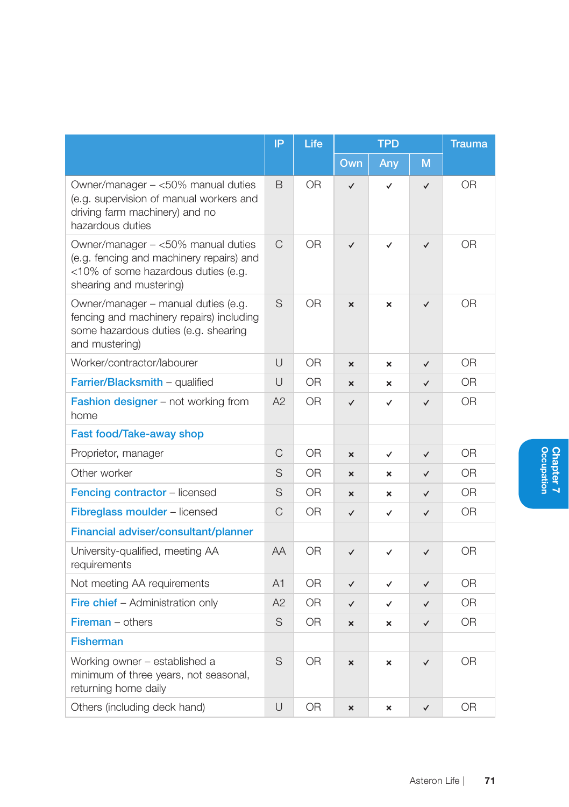|                                                                                                                                                  | IP             | Life           |                           | <b>TPD</b>                |              | <b>Trauma</b>  |
|--------------------------------------------------------------------------------------------------------------------------------------------------|----------------|----------------|---------------------------|---------------------------|--------------|----------------|
|                                                                                                                                                  |                |                | Own                       | Any                       | M            |                |
| Owner/manager - <50% manual duties<br>(e.g. supervision of manual workers and<br>driving farm machinery) and no<br>hazardous duties              | B              | <b>OR</b>      | ✓                         | $\checkmark$              | $\checkmark$ | <b>OR</b>      |
| Owner/manager - <50% manual duties<br>(e.g. fencing and machinery repairs) and<br><10% of some hazardous duties (e.g.<br>shearing and mustering) | C              | OR             | $\checkmark$              | $\checkmark$              | $\checkmark$ | <b>OR</b>      |
| Owner/manager - manual duties (e.g.<br>fencing and machinery repairs) including<br>some hazardous duties (e.g. shearing<br>and mustering)        | S              | 0 <sub>R</sub> | $\mathbf{x}$              | $\boldsymbol{\mathsf{x}}$ | $\checkmark$ | 0 <sub>R</sub> |
| Worker/contractor/labourer                                                                                                                       | U              | <b>OR</b>      | $\boldsymbol{\mathsf{x}}$ | $\boldsymbol{\mathsf{x}}$ | $\checkmark$ | 0 <sub>R</sub> |
| Farrier/Blacksmith - qualified                                                                                                                   | $\cup$         | 0R             | $\boldsymbol{\mathsf{x}}$ | $\boldsymbol{\mathsf{x}}$ | $\checkmark$ | 0R             |
| <b>Fashion designer</b> – not working from<br>home                                                                                               | A2             | OR             | $\checkmark$              | $\checkmark$              | $\checkmark$ | 0 <sub>R</sub> |
| Fast food/Take-away shop                                                                                                                         |                |                |                           |                           |              |                |
| Proprietor, manager                                                                                                                              | C              | 0 <sub>R</sub> | $\mathbf{x}$              | ✓                         | $\checkmark$ | 0 <sub>R</sub> |
| Other worker                                                                                                                                     | S              | <b>OR</b>      | ×                         | ×                         | $\checkmark$ | <b>OR</b>      |
| Fencing contractor - licensed                                                                                                                    | S              | 0 <sub>R</sub> | ×                         | ×                         | ✓            | 0 <sub>R</sub> |
| Fibreglass moulder - licensed                                                                                                                    | C              | 0R             | $\checkmark$              | ✓                         | $\checkmark$ | <b>OR</b>      |
| Financial adviser/consultant/planner                                                                                                             |                |                |                           |                           |              |                |
| University-qualified, meeting AA<br>requirements                                                                                                 | AA             | 0 <sub>R</sub> | $\checkmark$              | ✓                         | $\checkmark$ | 0 <sub>R</sub> |
| Not meeting AA requirements                                                                                                                      | A <sub>1</sub> | 0R             | $\checkmark$              | ✓                         | $\checkmark$ | O <sub>R</sub> |
| Fire chief - Administration only                                                                                                                 | A2             | 0 <sub>R</sub> | $\checkmark$              | ✓                         | $\checkmark$ | 0 <sub>R</sub> |
| <b>Fireman</b> $-$ others                                                                                                                        | S              | 0 <sub>R</sub> | $\mathbf{x}$              | $\boldsymbol{\mathsf{x}}$ | $\checkmark$ | 0 <sub>R</sub> |
| <b>Fisherman</b>                                                                                                                                 |                |                |                           |                           |              |                |
| Working owner - established a<br>minimum of three years, not seasonal,<br>returning home daily                                                   | S              | 0R             | ×                         | $\boldsymbol{\mathsf{x}}$ | $\checkmark$ | <b>OR</b>      |
| Others (including deck hand)                                                                                                                     | U              | <b>OR</b>      | ×                         | ×                         | $\checkmark$ | <b>OR</b>      |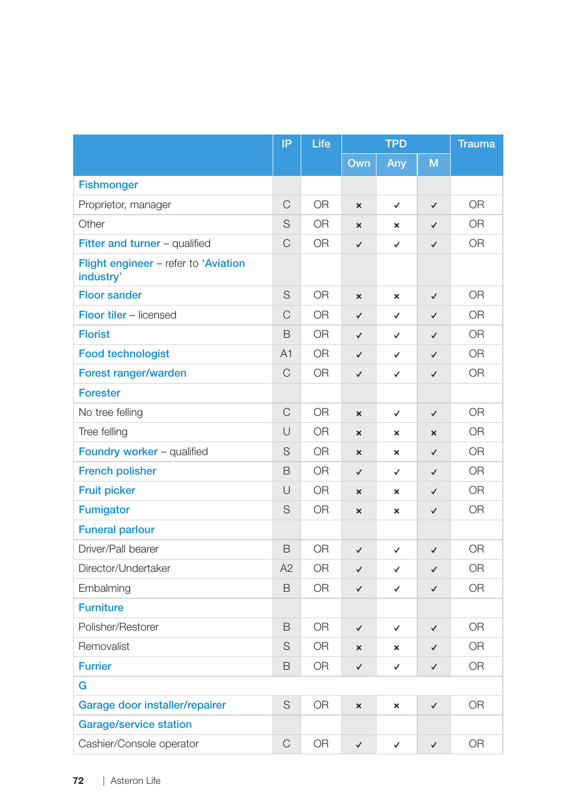|                                                   | IP          | Life           | <b>TPD</b>                |                           |              | <b>Trauma</b>  |  |
|---------------------------------------------------|-------------|----------------|---------------------------|---------------------------|--------------|----------------|--|
|                                                   |             |                | Own                       | Any                       | M            |                |  |
| <b>Fishmonger</b>                                 |             |                |                           |                           |              |                |  |
| Proprietor, manager                               | C           | 0 <sub>R</sub> | $\boldsymbol{\times}$     | $\checkmark$              | $\checkmark$ | <b>OR</b>      |  |
| Other                                             | S           | OR.            | $\boldsymbol{\mathsf{x}}$ | ×                         | $\checkmark$ | 0R             |  |
| Fitter and turner - qualified                     | C           | OR.            | $\checkmark$              | ✓                         | $\checkmark$ | <b>OR</b>      |  |
| Flight engineer - refer to 'Aviation<br>industry' |             |                |                           |                           |              |                |  |
| <b>Floor sander</b>                               | S           | 0R             | $\boldsymbol{\mathsf{x}}$ | $\boldsymbol{\mathsf{x}}$ | $\checkmark$ | <b>OR</b>      |  |
| Floor tiler - licensed                            | $\mathsf C$ | OR             | $\checkmark$              | ✓                         | $\checkmark$ | <b>OR</b>      |  |
| <b>Florist</b>                                    | B           | <b>OR</b>      | $\checkmark$              | ✓                         | $\checkmark$ | <b>OR</b>      |  |
| <b>Food technologist</b>                          | A1          | <b>OR</b>      | $\checkmark$              | $\checkmark$              | $\checkmark$ | <b>OR</b>      |  |
| Forest ranger/warden                              | C           | 0R             | $\checkmark$              | ✓                         | $\checkmark$ | <b>OR</b>      |  |
| <b>Forester</b>                                   |             |                |                           |                           |              |                |  |
| No tree felling                                   | C           | <b>OR</b>      | $\boldsymbol{\mathsf{x}}$ | ✓                         | $\checkmark$ | <b>OR</b>      |  |
| Tree felling                                      | U           | OR.            | $\mathbf{x}$              | ×                         | $\mathbf{x}$ | <b>OR</b>      |  |
| Foundry worker - qualified                        | S           | OR             | $\boldsymbol{\mathsf{x}}$ | ×                         | $\checkmark$ | <b>OR</b>      |  |
| <b>French polisher</b>                            | B           | <b>OR</b>      | $\checkmark$              | $\checkmark$              | $\checkmark$ | <b>OR</b>      |  |
| <b>Fruit picker</b>                               | U           | 0 <sub>R</sub> | $\mathbf{x}$              | $\boldsymbol{\mathsf{x}}$ | $\checkmark$ | <b>OR</b>      |  |
| <b>Fumigator</b>                                  | S           | <b>OR</b>      | $\boldsymbol{\mathsf{x}}$ | ×                         | $\checkmark$ | <b>OR</b>      |  |
| <b>Funeral parlour</b>                            |             |                |                           |                           |              |                |  |
| Driver/Pall bearer                                | B           | OR             | $\checkmark$              | ✓                         | $\checkmark$ | <b>OR</b>      |  |
| Director/Undertaker                               | A2          | <b>OR</b>      | $\checkmark$              | ✓                         | $\checkmark$ | <b>OR</b>      |  |
| Embalming                                         | B           | <b>OR</b>      | $\checkmark$              | $\checkmark$              | $\checkmark$ | 0 <sub>R</sub> |  |
| <b>Furniture</b>                                  |             |                |                           |                           |              |                |  |
| Polisher/Restorer                                 | B           | <b>OR</b>      | $\checkmark$              | ✓                         | $\checkmark$ | <b>OR</b>      |  |
| Removalist                                        | S           | 0R             | $\pmb{\times}$            | ×                         | $\checkmark$ | <b>OR</b>      |  |
| <b>Furrier</b>                                    | B           | 0R             | $\checkmark$              | ✓                         | $\checkmark$ | <b>OR</b>      |  |
| G                                                 |             |                |                           |                           |              |                |  |
| Garage door installer/repairer                    | S           | <b>OR</b>      | $\boldsymbol{\mathsf{x}}$ | ×                         | $\checkmark$ | <b>OR</b>      |  |
| <b>Garage/service station</b>                     |             |                |                           |                           |              |                |  |
| Cashier/Console operator                          | C           | <b>OR</b>      | $\checkmark$              | ✓                         | $\checkmark$ | <b>OR</b>      |  |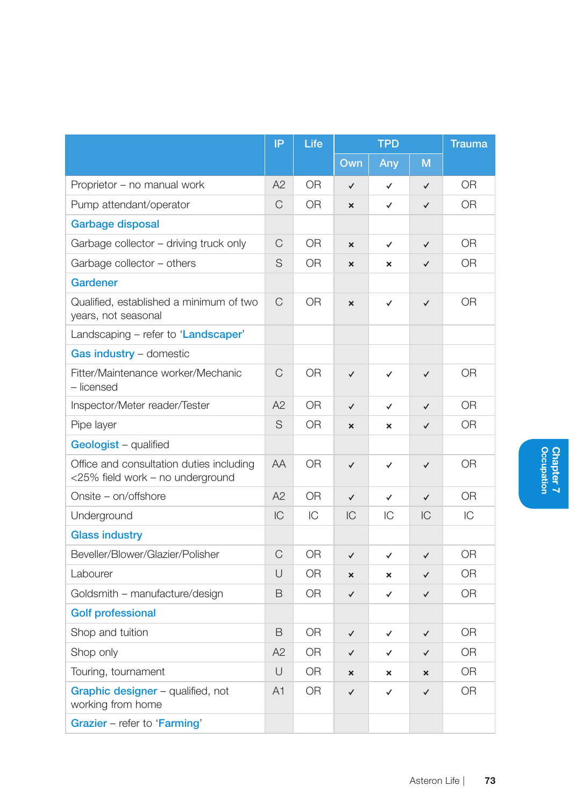|                                                                              | IP             | Life           | <b>TPD</b>                |                           | <b>Trauma</b> |                |
|------------------------------------------------------------------------------|----------------|----------------|---------------------------|---------------------------|---------------|----------------|
|                                                                              |                |                | Own                       | Any                       | M             |                |
| Proprietor - no manual work                                                  | A2             | 0 <sub>R</sub> | $\checkmark$              | $\checkmark$              | $\checkmark$  | 0 <sub>R</sub> |
| Pump attendant/operator                                                      | C              | ΟR             | $\mathbf{x}$              | ✓                         | $\checkmark$  | OR.            |
| <b>Garbage disposal</b>                                                      |                |                |                           |                           |               |                |
| Garbage collector - driving truck only                                       | C              | 0R             | $\boldsymbol{\mathsf{x}}$ | $\checkmark$              | $\checkmark$  | <b>OR</b>      |
| Garbage collector - others                                                   | S              | OR.            | $\mathbf{x}$              | $\boldsymbol{\mathsf{x}}$ | $\checkmark$  | OR.            |
| Gardener                                                                     |                |                |                           |                           |               |                |
| Qualified, established a minimum of two<br>years, not seasonal               | C              | 0R             | $\boldsymbol{\mathsf{x}}$ | $\checkmark$              | $\checkmark$  | <b>OR</b>      |
| Landscaping - refer to 'Landscaper'                                          |                |                |                           |                           |               |                |
| Gas industry - domestic                                                      |                |                |                           |                           |               |                |
| Fitter/Maintenance worker/Mechanic<br>- licensed                             | $\mathsf{C}$   | 0R             | $\checkmark$              | ✓                         | $\checkmark$  | 0R             |
| Inspector/Meter reader/Tester                                                | A2             | 0R             | $\checkmark$              | ✓                         | $\checkmark$  | 0R             |
| Pipe layer                                                                   | S              | OR             | $\mathbf{x}$              | $\boldsymbol{\mathsf{x}}$ | $\checkmark$  | 0 <sub>R</sub> |
| Geologist - qualified                                                        |                |                |                           |                           |               |                |
| Office and consultation duties including<br><25% field work - no underground | AA             | <b>OR</b>      | $\checkmark$              | $\checkmark$              | $\checkmark$  | <b>OR</b>      |
| Onsite - on/offshore                                                         | A2             | OR             | $\checkmark$              | $\checkmark$              | $\checkmark$  | <b>OR</b>      |
| Underground                                                                  | IC             | IC             | IC                        | IC                        | IC            | IC             |
| <b>Glass industry</b>                                                        |                |                |                           |                           |               |                |
| Beveller/Blower/Glazier/Polisher                                             | C              | 0 <sub>R</sub> | $\checkmark$              | ✓                         | $\checkmark$  | <b>OR</b>      |
| Labourer                                                                     | $\cup$         | 0R             | $\boldsymbol{\mathsf{x}}$ | $\boldsymbol{\mathsf{x}}$ | $\checkmark$  | 0 <sub>R</sub> |
| Goldsmith - manufacture/design                                               | B              | 0R             | $\checkmark$              | ✓                         | $\checkmark$  | OR.            |
| <b>Golf professional</b>                                                     |                |                |                           |                           |               |                |
| Shop and tuition                                                             | B              | <b>OR</b>      | $\checkmark$              | $\checkmark$              | $\checkmark$  | 0 <sub>R</sub> |
| Shop only                                                                    | A2             | 0R             | $\checkmark$              | $\checkmark$              | $\checkmark$  | 0 <sub>R</sub> |
| Touring, tournament                                                          | $\cup$         | OR.            | $\mathbf{x}$              | $\boldsymbol{\mathsf{x}}$ | $\mathbf x$   | O <sub>R</sub> |
| Graphic designer - qualified, not<br>working from home                       | A <sub>1</sub> | 0R             | $\checkmark$              | ✓                         | ✓             | <b>OR</b>      |
| Grazier - refer to 'Farming'                                                 |                |                |                           |                           |               |                |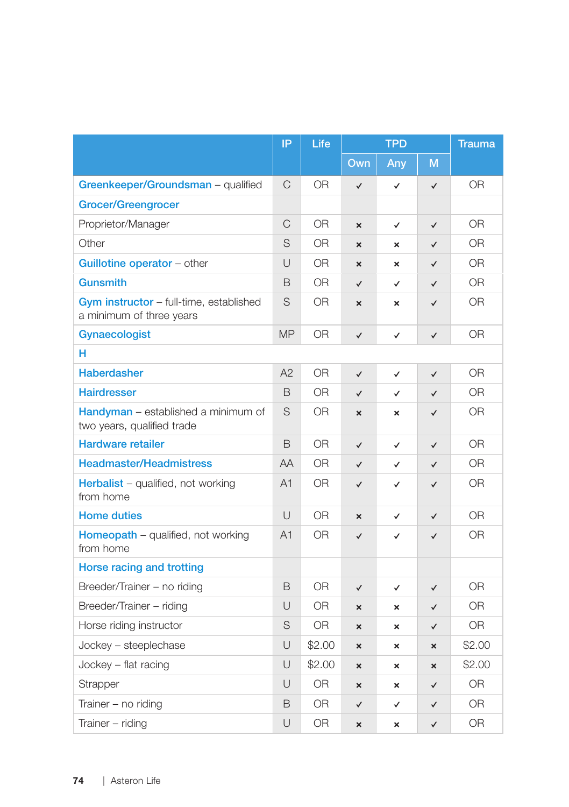|                                                                     | IP             | Life           | <b>TPD</b>                |                           | <b>Trauma</b>         |                |
|---------------------------------------------------------------------|----------------|----------------|---------------------------|---------------------------|-----------------------|----------------|
|                                                                     |                |                | Own                       | Any                       | M                     |                |
| Greenkeeper/Groundsman - qualified                                  | C              | <b>OR</b>      | $\checkmark$              | $\checkmark$              | $\checkmark$          | OR             |
| <b>Grocer/Greengrocer</b>                                           |                |                |                           |                           |                       |                |
| Proprietor/Manager                                                  | $\mathsf C$    | <b>OR</b>      | ×                         | $\checkmark$              | $\checkmark$          | <b>OR</b>      |
| Other                                                               | S              | <b>OR</b>      | $\boldsymbol{\mathsf{x}}$ | ×                         | $\checkmark$          | 0 <sub>R</sub> |
| Guillotine operator - other                                         | U              | <b>OR</b>      | $\boldsymbol{\mathsf{x}}$ | $\boldsymbol{\mathsf{x}}$ | $\checkmark$          | 0R             |
| <b>Gunsmith</b>                                                     | B              | <b>OR</b>      | $\checkmark$              | $\checkmark$              | $\checkmark$          | 0 <sub>R</sub> |
| Gym instructor - full-time, established<br>a minimum of three years | S              | <b>OR</b>      | ×                         | ×                         | ✓                     | 0R             |
| Gynaecologist                                                       | <b>MP</b>      | <b>OR</b>      | $\checkmark$              | $\checkmark$              | ✓                     | <b>OR</b>      |
| н                                                                   |                |                |                           |                           |                       |                |
| <b>Haberdasher</b>                                                  | A2             | <b>OR</b>      | $\checkmark$              | ✓                         | $\checkmark$          | 0R             |
| <b>Hairdresser</b>                                                  | B              | <b>OR</b>      | $\checkmark$              | $\checkmark$              | $\checkmark$          | <b>OR</b>      |
| Handyman - established a minimum of<br>two years, qualified trade   | S              | 0 <sub>R</sub> | $\boldsymbol{\mathsf{x}}$ | $\boldsymbol{\mathsf{x}}$ | $\checkmark$          | 0 <sub>R</sub> |
| <b>Hardware retailer</b>                                            | B              | <b>OR</b>      | $\checkmark$              | $\checkmark$              | $\checkmark$          | <b>OR</b>      |
| <b>Headmaster/Headmistress</b>                                      | AA             | 0 <sub>R</sub> | $\checkmark$              | $\checkmark$              | $\checkmark$          | 0 <sub>R</sub> |
| Herbalist - qualified, not working<br>from home                     | A <sub>1</sub> | 0R             | $\checkmark$              | ✓                         | $\checkmark$          | OR.            |
| <b>Home duties</b>                                                  | U              | OR.            | $\boldsymbol{\mathsf{x}}$ | ✓                         | $\checkmark$          | <b>OR</b>      |
| Homeopath - qualified, not working<br>from home                     | A <sub>1</sub> | 0R             | $\checkmark$              | $\checkmark$              | $\checkmark$          | 0R             |
| Horse racing and trotting                                           |                |                |                           |                           |                       |                |
| Breeder/Trainer - no riding                                         | B              | <b>OR</b>      | $\checkmark$              | $\checkmark$              | $\checkmark$          | <b>OR</b>      |
| Breeder/Trainer - riding                                            | U              | 0R             | $\boldsymbol{\mathsf{x}}$ | $\boldsymbol{\mathsf{x}}$ | $\checkmark$          | 0 <sub>R</sub> |
| Horse riding instructor                                             | S              | <b>OR</b>      | $\mathbf{x}$              | ×                         | ✓                     | 0 <sub>R</sub> |
| Jockey - steeplechase                                               | U              | \$2.00         | $\boldsymbol{\mathsf{x}}$ | ×                         | ×                     | \$2.00         |
| $Jockey$ – flat racing                                              | U              | \$2.00         | $\boldsymbol{\mathsf{x}}$ | $\boldsymbol{\mathsf{x}}$ | $\boldsymbol{\times}$ | \$2.00         |
| Strapper                                                            | U              | <b>OR</b>      | $\boldsymbol{\mathsf{x}}$ | $\boldsymbol{\mathsf{x}}$ | $\checkmark$          | 0 <sub>R</sub> |
| Trainer – no riding                                                 | B              | OR.            | $\checkmark$              | $\checkmark$              | $\checkmark$          | 0 <sub>R</sub> |
| Trainer - riding                                                    | U              | 0R             | $\boldsymbol{\mathsf{x}}$ | ×                         | ✓                     | <b>OR</b>      |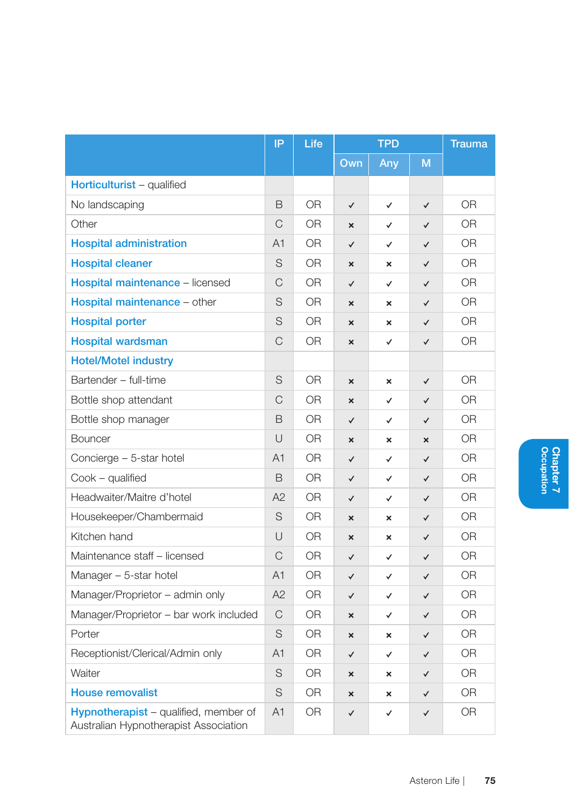|                                                                                | IP             | Life           | <b>TPD</b>                |                           | <b>Trauma</b>             |                |
|--------------------------------------------------------------------------------|----------------|----------------|---------------------------|---------------------------|---------------------------|----------------|
|                                                                                |                |                | Own                       | Any                       | M                         |                |
| Horticulturist - qualified                                                     |                |                |                           |                           |                           |                |
| No landscaping                                                                 | B              | 0R             | $\checkmark$              | $\checkmark$              | $\checkmark$              | 0R             |
| Other                                                                          | C              | 0 <sub>R</sub> | $\boldsymbol{\mathsf{x}}$ | ✓                         | ✓                         | 0R             |
| <b>Hospital administration</b>                                                 | A <sub>1</sub> | 0R             | $\checkmark$              | ✓                         | $\checkmark$              | 0R             |
| <b>Hospital cleaner</b>                                                        | S              | 0R             | $\boldsymbol{\mathsf{x}}$ | ×                         | $\checkmark$              | 0R             |
| <b>Hospital maintenance - licensed</b>                                         | $\mathsf{C}$   | 0 <sub>R</sub> | $\checkmark$              | $\checkmark$              | $\checkmark$              | 0 <sub>R</sub> |
| Hospital maintenance - other                                                   | S              | 0R             | ×                         | ×                         | ✓                         | 0R             |
| <b>Hospital porter</b>                                                         | S              | 0 <sub>R</sub> | $\mathbf{x}$              | $\boldsymbol{\mathsf{x}}$ | $\checkmark$              | 0 <sub>R</sub> |
| <b>Hospital wardsman</b>                                                       | $\mathsf{C}$   | 0R             | ×                         | ✓                         | ✓                         | 0R             |
| <b>Hotel/Motel industry</b>                                                    |                |                |                           |                           |                           |                |
| Bartender - full-time                                                          | S              | 0 <sub>R</sub> | $\boldsymbol{\mathsf{x}}$ | $\boldsymbol{\mathsf{x}}$ | $\checkmark$              | <b>OR</b>      |
| Bottle shop attendant                                                          | C              | 0R             | $\boldsymbol{\mathsf{x}}$ | ✓                         | ✓                         | 0R             |
| Bottle shop manager                                                            | B              | <b>OR</b>      | $\checkmark$              | ✓                         | $\checkmark$              | <b>OR</b>      |
| <b>Bouncer</b>                                                                 | U              | 0R             | ×                         | ×                         | $\boldsymbol{\mathsf{x}}$ | <b>OR</b>      |
| Concierge - 5-star hotel                                                       | A <sub>1</sub> | 0 <sub>R</sub> | $\checkmark$              | ✓                         | $\checkmark$              | 0R             |
| Cook - qualified                                                               | B              | 0R             | $\checkmark$              | ✓                         | ✓                         | 0R             |
| Headwaiter/Maitre d'hotel                                                      | A2             | 0R             | $\checkmark$              | ✓                         | ✓                         | OR             |
| Housekeeper/Chambermaid                                                        | S              | 0R             | $\boldsymbol{\mathsf{x}}$ | $\boldsymbol{\mathsf{x}}$ | ✓                         | <b>OR</b>      |
| Kitchen hand                                                                   | U              | 0R             | ×                         | ×                         | ✓                         | <b>OR</b>      |
| Maintenance staff - licensed                                                   | C              | <b>OR</b>      | $\checkmark$              | ✓                         | $\checkmark$              | <b>OR</b>      |
| Manager - 5-star hotel                                                         | A1             | 0R             | $\checkmark$              | ✓                         | ✓                         | 0R             |
| Manager/Proprietor - admin only                                                | A2             | 0 <sub>R</sub> | $\checkmark$              | ✓                         | ✓                         | 0R             |
| Manager/Proprietor - bar work included                                         | C              | 0R             | ×                         | ✓                         | ✓                         | OR.            |
| Porter                                                                         | S              | OR             | ×                         | ×                         | ✓                         | <b>OR</b>      |
| Receptionist/Clerical/Admin only                                               | A <sub>1</sub> | 0 <sub>R</sub> | $\checkmark$              | $\checkmark$              | ✓                         | 0 <sub>R</sub> |
| Waiter                                                                         | S              | <b>OR</b>      | ×                         | ×                         | ✓                         | OR.            |
| <b>House removalist</b>                                                        | S              | <b>OR</b>      | $\boldsymbol{\mathsf{x}}$ | ×                         | $\checkmark$              | <b>OR</b>      |
| Hypnotherapist - qualified, member of<br>Australian Hypnotherapist Association | A1             | <b>OR</b>      | ✓                         | ✓                         | ✓                         | <b>OR</b>      |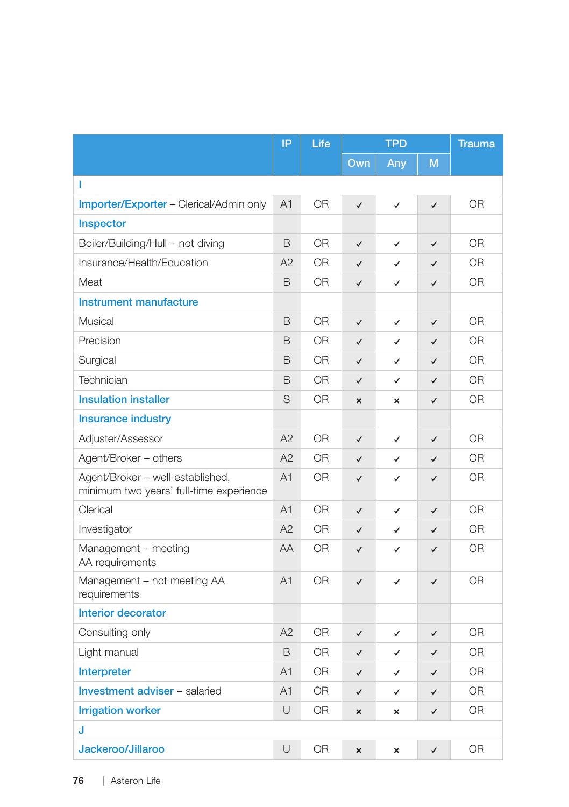|                                                                             | IP             | Life           | <b>TPD</b>                |              | <b>Trauma</b> |                |
|-----------------------------------------------------------------------------|----------------|----------------|---------------------------|--------------|---------------|----------------|
|                                                                             |                |                | Own                       | Any          | M             |                |
| T                                                                           |                |                |                           |              |               |                |
| Importer/Exporter - Clerical/Admin only                                     | A <sub>1</sub> | 0 <sub>R</sub> | $\checkmark$              | $\checkmark$ | $\checkmark$  | 0 <sub>R</sub> |
| Inspector                                                                   |                |                |                           |              |               |                |
| Boiler/Building/Hull - not diving                                           | B              | 0R             | $\checkmark$              | ✓            | $\checkmark$  | OR.            |
| Insurance/Health/Education                                                  | A2             | 0R             | $\checkmark$              | ✓            | $\checkmark$  | 0 <sub>R</sub> |
| Meat                                                                        | B              | 0R             | $\checkmark$              | ✓            | $\checkmark$  | 0R             |
| Instrument manufacture                                                      |                |                |                           |              |               |                |
| Musical                                                                     | B              | 0 <sub>R</sub> | $\checkmark$              | $\checkmark$ | $\checkmark$  | 0 <sub>R</sub> |
| Precision                                                                   | B              | 0R             | $\checkmark$              | ✓            | $\checkmark$  | 0 <sub>R</sub> |
| Surgical                                                                    | B              | <b>OR</b>      | $\checkmark$              | ✓            | ✓             | <b>OR</b>      |
| Technician                                                                  | B              | <b>OR</b>      | $\checkmark$              | ✓            | $\checkmark$  | <b>OR</b>      |
| <b>Insulation installer</b>                                                 | S              | OR             | $\boldsymbol{\mathsf{x}}$ | ×            | $\checkmark$  | <b>OR</b>      |
| <b>Insurance industry</b>                                                   |                |                |                           |              |               |                |
| Adjuster/Assessor                                                           | A2             | <b>OR</b>      | $\checkmark$              | ✓            | $\checkmark$  | 0 <sub>R</sub> |
| Agent/Broker - others                                                       | A2             | <b>OR</b>      | ✓                         | ✓            | ✓             | <b>OR</b>      |
| Agent/Broker - well-established,<br>minimum two years' full-time experience | A1             | 0R             | ✓                         | ✓            | ✓             | 0R             |
| Clerical                                                                    | A <sub>1</sub> | <b>OR</b>      | ✓                         | $\checkmark$ | $\checkmark$  | 0 <sub>R</sub> |
| Investigator                                                                | A2             | <b>OR</b>      | ✓                         | ✓            | $\checkmark$  | <b>OR</b>      |
| Management - meeting<br>AA requirements                                     | <b>AA</b>      | OR.            | $\checkmark$              | ✓            | $\checkmark$  | <b>OR</b>      |
| Management - not meeting AA<br>requirements                                 | A1             | <b>OR</b>      | ✓                         | $\checkmark$ | $\checkmark$  | <b>OR</b>      |
| <b>Interior decorator</b>                                                   |                |                |                           |              |               |                |
| Consulting only                                                             | A2             | <b>OR</b>      | $\checkmark$              | ✓            | $\checkmark$  | <b>OR</b>      |
| Light manual                                                                | B              | <b>OR</b>      | $\checkmark$              | ✓            | $\checkmark$  | <b>OR</b>      |
| Interpreter                                                                 | A <sub>1</sub> | <b>OR</b>      | $\checkmark$              | ✓            | $\checkmark$  | <b>OR</b>      |
| Investment adviser - salaried                                               | A1             | <b>OR</b>      | $\checkmark$              | ✓            | $\checkmark$  | <b>OR</b>      |
| <b>Irrigation worker</b>                                                    | U              | 0R             | $\boldsymbol{\mathsf{x}}$ | ×            | ✓             | <b>OR</b>      |
| J                                                                           |                |                |                           |              |               |                |
| Jackeroo/Jillaroo                                                           | U              | <b>OR</b>      | $\mathbf{x}$              | $\mathbf{x}$ | $\checkmark$  | 0 <sub>R</sub> |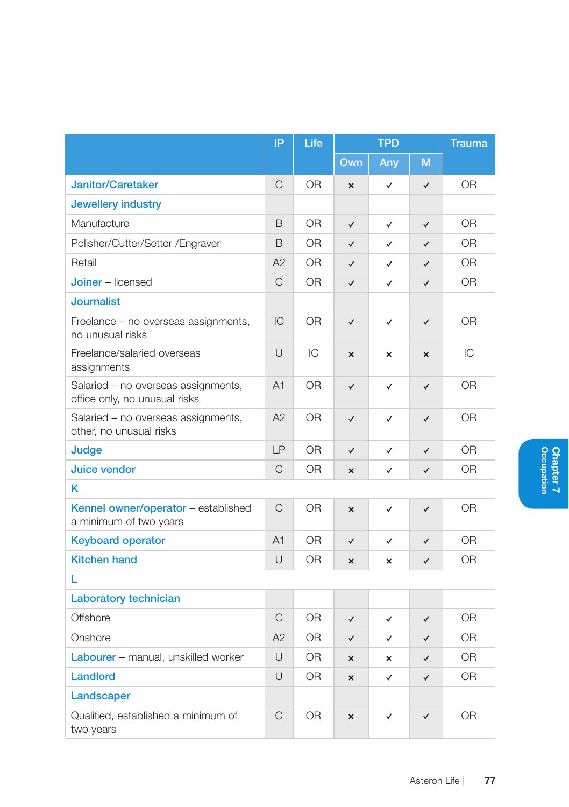|                                                                      | IP           | Life           |                           | <b>TPD</b>     |                           | <b>Trauma</b>  |
|----------------------------------------------------------------------|--------------|----------------|---------------------------|----------------|---------------------------|----------------|
|                                                                      |              |                | $Q$ wn                    | Any            | M                         |                |
| <b>Janitor/Caretaker</b>                                             | C            | 0R             | $\mathbf{x}$              | $\checkmark$   | $\checkmark$              | <b>OR</b>      |
| Jewellery industry                                                   |              |                |                           |                |                           |                |
| Manufacture                                                          | B            | 0R             | $\checkmark$              | $\checkmark$   | $\checkmark$              | 0 <sub>R</sub> |
| Polisher/Cutter/Setter /Engraver                                     | B            | 0R             | $\checkmark$              | ✓              | $\checkmark$              | 0R             |
| Retail                                                               | A2           | <b>OR</b>      | $\checkmark$              | ✓              | $\checkmark$              | OR.            |
| <b>Joiner</b> – licensed                                             | C            | 0 <sub>R</sub> | $\checkmark$              | ✓              | $\checkmark$              | 0 <sub>R</sub> |
| <b>Journalist</b>                                                    |              |                |                           |                |                           |                |
| Freelance – no overseas assignments,<br>no unusual risks             | IC           | 0 <sub>R</sub> | $\checkmark$              | $\checkmark$   | $\checkmark$              | <b>OR</b>      |
| Freelance/salaried overseas<br>assignments                           | $\cup$       | IC             | $\boldsymbol{\mathsf{x}}$ | $\pmb{\times}$ | $\boldsymbol{\mathsf{x}}$ | IC             |
| Salaried - no overseas assignments,<br>office only, no unusual risks | A1           | 0R             | $\checkmark$              | ✓              | $\checkmark$              | <b>OR</b>      |
| Salaried - no overseas assignments,<br>other, no unusual risks       | A2           | 0R             | $\checkmark$              | ✓              | $\checkmark$              | 0R             |
| Judge                                                                | LP           | 0 <sub>R</sub> | $\checkmark$              | ✓              | $\checkmark$              | 0 <sub>R</sub> |
| Juice vendor                                                         | $\mathsf{C}$ | 0R             | $\mathbf{x}$              | $\checkmark$   | $\checkmark$              | <b>OR</b>      |
| κ                                                                    |              |                |                           |                |                           |                |
| Kennel owner/operator - established<br>a minimum of two years        | $\mathsf{C}$ | <b>OR</b>      | $\mathbf{x}$              | $\checkmark$   | $\checkmark$              | <b>OR</b>      |
| <b>Keyboard operator</b>                                             | A1           | <b>OR</b>      | $\checkmark$              | $\checkmark$   | $\checkmark$              | <b>OR</b>      |
| <b>Kitchen hand</b>                                                  | U            | 0R             | $\mathbf{x}$              | $\pmb{\times}$ | $\checkmark$              | 0R             |
| L                                                                    |              |                |                           |                |                           |                |
| Laboratory technician                                                |              |                |                           |                |                           |                |
| Offshore                                                             | $\mathsf{C}$ | <b>OR</b>      | $\checkmark$              | ✓              | $\checkmark$              | <b>OR</b>      |
| Onshore                                                              | A2           | <b>OR</b>      | $\checkmark$              | $\checkmark$   | $\checkmark$              | 0 <sub>R</sub> |
| Labourer - manual, unskilled worker                                  | U            | <b>OR</b>      | $\mathbf{x}$              | $\mathbf{x}$   | $\checkmark$              | <b>OR</b>      |
| <b>Landlord</b>                                                      | U            | 0R             | $\mathbf{x}$              | ✓              | $\checkmark$              | 0R             |
| Landscaper                                                           |              |                |                           |                |                           |                |
| Qualified, established a minimum of<br>two years                     | C            | 0R             | ×                         | ✓              | ✓                         | 0R             |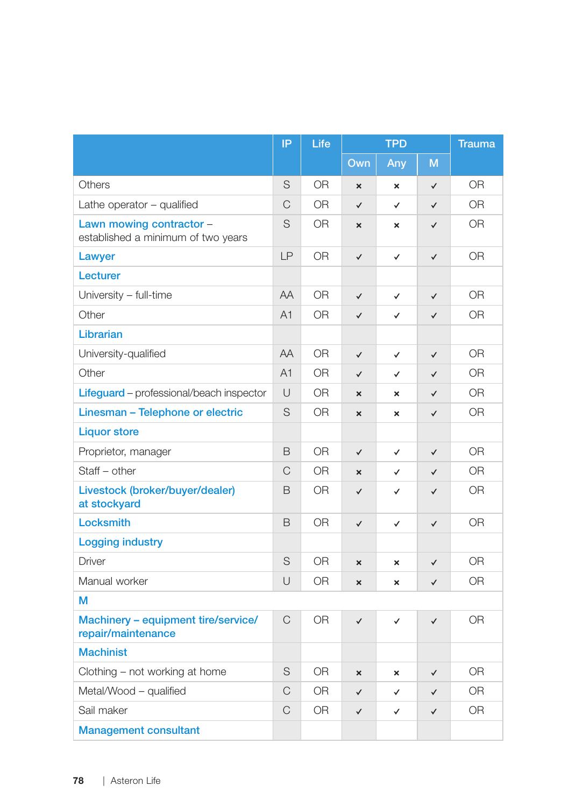|                                                                | IP           | Life           | <b>TPD</b>                |                           | <b>Trauma</b> |                |
|----------------------------------------------------------------|--------------|----------------|---------------------------|---------------------------|---------------|----------------|
|                                                                |              |                | Own                       | Any                       | M             |                |
| Others                                                         | S            | <b>OR</b>      | $\mathbf{x}$              | $\mathbf{x}$              | $\checkmark$  | 0 <sub>R</sub> |
| Lathe operator - qualified                                     | C            | 0R             | $\checkmark$              | ✓                         | $\checkmark$  | 0 <sub>R</sub> |
| Lawn mowing contractor -<br>established a minimum of two years | S            | OR.            | $\boldsymbol{\mathsf{x}}$ | $\boldsymbol{\mathsf{x}}$ | $\checkmark$  | 0 <sub>R</sub> |
| Lawyer                                                         | LP           | 0R             | $\checkmark$              | $\checkmark$              | $\checkmark$  | 0 <sub>R</sub> |
| Lecturer                                                       |              |                |                           |                           |               |                |
| University - full-time                                         | AA           | <b>OR</b>      | $\checkmark$              | $\checkmark$              | ✓             | <b>OR</b>      |
| Other                                                          | A1           | <b>OR</b>      | $\checkmark$              | ✓                         | $\checkmark$  | 0 <sub>R</sub> |
| Librarian                                                      |              |                |                           |                           |               |                |
| University-qualified                                           | AA           | <b>OR</b>      | $\checkmark$              | $\checkmark$              | $\checkmark$  | <b>OR</b>      |
| Other                                                          | A1           | OR.            | $\checkmark$              | ✓                         | $\checkmark$  | 0R             |
| <b>Lifeguard</b> – professional/beach inspector                | U            | OR.            | $\boldsymbol{\mathsf{x}}$ | ×                         | $\checkmark$  | <b>OR</b>      |
| Linesman - Telephone or electric                               | S            | <b>OR</b>      | ×                         | $\boldsymbol{\mathsf{x}}$ | $\checkmark$  | <b>OR</b>      |
| <b>Liquor store</b>                                            |              |                |                           |                           |               |                |
| Proprietor, manager                                            | B            | <b>OR</b>      | $\checkmark$              | $\checkmark$              | $\checkmark$  | 0 <sub>R</sub> |
| Staff - other                                                  | $\mathsf{C}$ | 0 <sub>R</sub> | $\mathbf{x}$              | ✓                         | $\checkmark$  | 0 <sub>R</sub> |
| Livestock (broker/buyer/dealer)<br>at stockyard                | B            | 0 <sub>R</sub> | $\checkmark$              | ✓                         | $\checkmark$  | 0 <sub>R</sub> |
| Locksmith                                                      | B            | <b>OR</b>      | $\checkmark$              | $\checkmark$              | $\checkmark$  | <b>OR</b>      |
| <b>Logging industry</b>                                        |              |                |                           |                           |               |                |
| <b>Driver</b>                                                  | S            | <b>OR</b>      | $\boldsymbol{\mathsf{x}}$ | $\boldsymbol{\mathsf{x}}$ | $\checkmark$  | 0 <sub>R</sub> |
| Manual worker                                                  | U            | <b>OR</b>      | $\boldsymbol{\mathsf{x}}$ | $\boldsymbol{\mathsf{x}}$ | $\checkmark$  | <b>OR</b>      |
| M                                                              |              |                |                           |                           |               |                |
| Machinery - equipment tire/service/<br>repair/maintenance      | $\mathsf{C}$ | <b>OR</b>      | $\checkmark$              | ✓                         | $\checkmark$  | <b>OR</b>      |
| <b>Machinist</b>                                               |              |                |                           |                           |               |                |
| Clothing – not working at home                                 | S            | OR.            | ×                         | $\mathbf{x}$              | $\checkmark$  | 0R             |
| Metal/Wood - qualified                                         | C            | OR.            | $\checkmark$              | ✓                         | ✓             | <b>OR</b>      |
| Sail maker                                                     | C            | <b>OR</b>      | $\checkmark$              | ✓                         | ✓             | <b>OR</b>      |
| <b>Management consultant</b>                                   |              |                |                           |                           |               |                |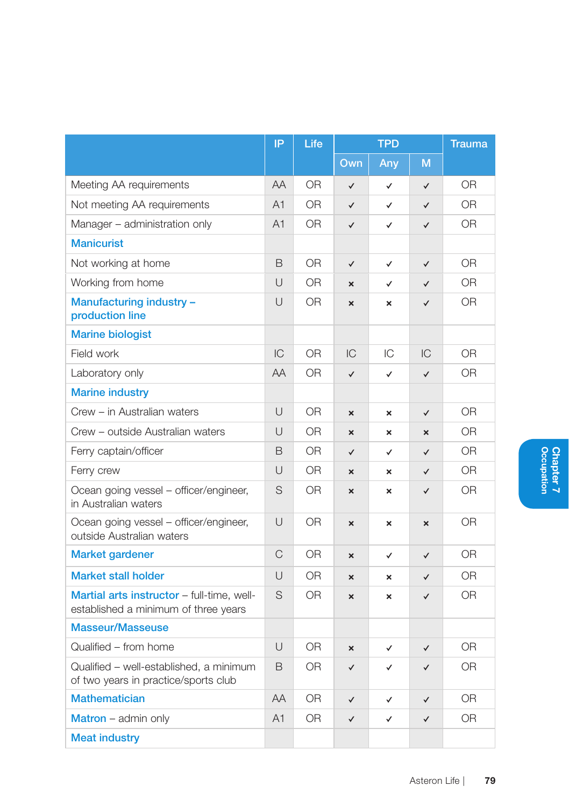|                                                                                    | IP             | Life           | <b>TPD</b>                |                           | <b>Trauma</b>             |                |
|------------------------------------------------------------------------------------|----------------|----------------|---------------------------|---------------------------|---------------------------|----------------|
|                                                                                    |                |                | Own                       | Any                       | M                         |                |
| Meeting AA requirements                                                            | AA             | <b>OR</b>      | $\checkmark$              | $\checkmark$              | $\checkmark$              | 0 <sub>R</sub> |
| Not meeting AA requirements                                                        | A <sub>1</sub> | 0 <sub>R</sub> | $\checkmark$              | ✓                         | ✓                         | 0 <sub>R</sub> |
| Manager - administration only                                                      | A <sub>1</sub> | 0 <sub>R</sub> | $\checkmark$              | $\checkmark$              | $\checkmark$              | 0 <sub>R</sub> |
| <b>Manicurist</b>                                                                  |                |                |                           |                           |                           |                |
| Not working at home                                                                | B              | 0 <sub>R</sub> | $\checkmark$              | $\checkmark$              | $\checkmark$              | 0 <sub>R</sub> |
| Working from home                                                                  | $\cup$         | <b>OR</b>      | $\mathbf x$               | ✓                         | $\checkmark$              | 0 <sub>R</sub> |
| Manufacturing industry -<br>production line                                        | U              | <b>OR</b>      | $\boldsymbol{\mathsf{x}}$ | $\boldsymbol{\mathsf{x}}$ | $\checkmark$              | 0 <sub>R</sub> |
| <b>Marine biologist</b>                                                            |                |                |                           |                           |                           |                |
| Field work                                                                         | IC             | 0R             | IC                        | IС                        | IС                        | 0 <sub>R</sub> |
| Laboratory only                                                                    | AA             | <b>OR</b>      | $\checkmark$              | $\checkmark$              | $\checkmark$              | <b>OR</b>      |
| <b>Marine industry</b>                                                             |                |                |                           |                           |                           |                |
| Crew - in Australian waters                                                        | U              | 0R             | $\boldsymbol{\mathsf{x}}$ | ×                         | $\checkmark$              | 0R             |
| Crew - outside Australian waters                                                   | $\cup$         | 0 <sub>R</sub> | $\mathbf{x}$              | $\boldsymbol{\mathsf{x}}$ | $\mathbf{x}$              | 0 <sub>R</sub> |
| Ferry captain/officer                                                              | B              | <b>OR</b>      | $\checkmark$              | ✓                         | $\checkmark$              | 0 <sub>R</sub> |
| Ferry crew                                                                         | $\cup$         | 0 <sub>R</sub> | $\mathbf{x}$              | $\mathbf x$               | $\checkmark$              | 0 <sub>R</sub> |
| Ocean going vessel - officer/engineer,<br>in Australian waters                     | S              | 0R             | $\mathbf{x}$              | ×                         | $\checkmark$              | OR.            |
| Ocean going vessel - officer/engineer,<br>outside Australian waters                | $\cup$         | 0 <sub>R</sub> | $\mathbf{x}$              | $\pmb{\times}$            | $\boldsymbol{\mathsf{x}}$ | 0 <sub>R</sub> |
| Market gardener                                                                    | C              | <b>OR</b>      | $\boldsymbol{\mathsf{x}}$ | ✓                         | $\checkmark$              | 0R             |
| <b>Market stall holder</b>                                                         | $\cup$         | <b>OR</b>      | ×                         | $\mathbf{x}$              | $\checkmark$              | 0 <sub>R</sub> |
| Martial arts instructor - full-time, well-<br>established a minimum of three years | S              | 0R             | $\mathbf{x}$              | ×                         | ✓                         | 0R             |
| <b>Masseur/Masseuse</b>                                                            |                |                |                           |                           |                           |                |
| Qualified - from home                                                              | U              | <b>OR</b>      | ×                         | ✓                         | $\checkmark$              | <b>OR</b>      |
| Qualified - well-established, a minimum<br>of two years in practice/sports club    | B              | 0 <sub>R</sub> | $\checkmark$              | $\checkmark$              | $\checkmark$              | 0R             |
| <b>Mathematician</b>                                                               | AA             | 0 <sub>R</sub> | $\checkmark$              | $\checkmark$              | ✓                         | 0 <sub>R</sub> |
| Matron - admin only                                                                | A <sub>1</sub> | 0 <sub>R</sub> | $\checkmark$              | ✓                         | ✓                         | 0 <sub>R</sub> |
| <b>Meat industry</b>                                                               |                |                |                           |                           |                           |                |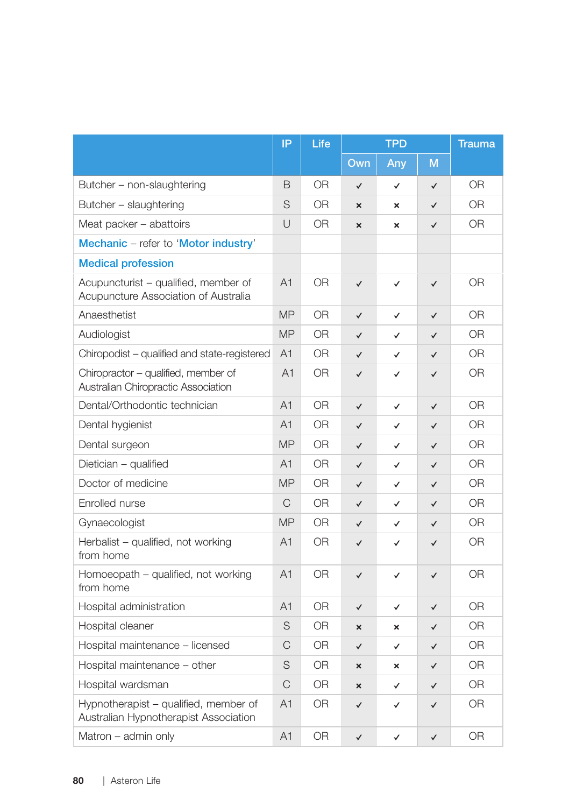|                                                                                | IP             | Life           | <b>TPD</b>                |                           | <b>Trauma</b> |                |
|--------------------------------------------------------------------------------|----------------|----------------|---------------------------|---------------------------|---------------|----------------|
|                                                                                |                |                | $Q$ wn                    | Any                       | M             |                |
| Butcher - non-slaughtering                                                     | B              | <b>OR</b>      | $\checkmark$              | $\checkmark$              | $\checkmark$  | 0 <sub>R</sub> |
| Butcher - slaughtering                                                         | S              | 0R             | $\boldsymbol{\mathsf{x}}$ | $\boldsymbol{\mathsf{x}}$ | $\checkmark$  | 0 <sub>R</sub> |
| Meat packer - abattoirs                                                        | U              | OR.            | $\boldsymbol{\mathsf{x}}$ | $\boldsymbol{\mathsf{x}}$ | ✓             | 0R             |
| Mechanic - refer to 'Motor industry'                                           |                |                |                           |                           |               |                |
| <b>Medical profession</b>                                                      |                |                |                           |                           |               |                |
| Acupuncturist - qualified, member of<br>Acupuncture Association of Australia   | A <sub>1</sub> | <b>OR</b>      | $\checkmark$              | $\checkmark$              | $\checkmark$  | <b>OR</b>      |
| Anaesthetist                                                                   | <b>MP</b>      | <b>OR</b>      | $\checkmark$              | $\checkmark$              | ✓             | 0R             |
| Audiologist                                                                    | <b>MP</b>      | <b>OR</b>      | $\checkmark$              | ✓                         | $\checkmark$  | 0R             |
| Chiropodist - qualified and state-registered                                   | A <sub>1</sub> | 0R             | $\checkmark$              | ✓                         | ✓             | 0R             |
| Chiropractor - qualified, member of<br>Australian Chiropractic Association     | A1             | 0R             | $\checkmark$              | $\checkmark$              | $\checkmark$  | 0 <sub>R</sub> |
| Dental/Orthodontic technician                                                  | A <sub>1</sub> | <b>OR</b>      | $\checkmark$              | $\checkmark$              | $\checkmark$  | 0R             |
| Dental hygienist                                                               | A <sub>1</sub> | 0R             | $\checkmark$              | ✓                         | ✓             | <b>OR</b>      |
| Dental surgeon                                                                 | <b>MP</b>      | 0R             | $\checkmark$              | $\checkmark$              | $\checkmark$  | 0R             |
| Dietician - qualified                                                          | A1             | <b>OR</b>      | $\checkmark$              | $\checkmark$              | $\checkmark$  | 0 <sub>R</sub> |
| Doctor of medicine                                                             | <b>MP</b>      | OR.            | ✓                         | ✓                         | ✓             | <b>OR</b>      |
| Enrolled nurse                                                                 | C              | 0R             | $\checkmark$              | ✓                         | ✓             | 0R             |
| Gynaecologist                                                                  | <b>MP</b>      | 0R             | $\checkmark$              | $\checkmark$              | $\checkmark$  | <b>OR</b>      |
| Herbalist - qualified, not working<br>from home                                | A <sub>1</sub> | 0R             | $\checkmark$              | ✓                         | $\checkmark$  | 0R             |
| Homoeopath - qualified, not working<br>from home                               | A <sub>1</sub> | <b>OR</b>      | $\checkmark$              | ✓                         | ✓             | 0R             |
| Hospital administration                                                        | A <sub>1</sub> | <b>OR</b>      | $\checkmark$              | ✓                         | $\checkmark$  | 0R             |
| Hospital cleaner                                                               | S              | 0R             | $\mathbf{x}$              | ×                         | $\checkmark$  | <b>OR</b>      |
| Hospital maintenance - licensed                                                | C              | 0 <sub>R</sub> | $\checkmark$              | $\checkmark$              | $\checkmark$  | 0 <sub>R</sub> |
| Hospital maintenance – other                                                   | S              | OR.            | ×                         | ×                         | $\checkmark$  | 0R             |
| Hospital wardsman                                                              | C              | 0R             | ×                         | ✓                         | ✓             | 0R             |
| Hypnotherapist – qualified, member of<br>Australian Hypnotherapist Association | A1             | 0R             | $\checkmark$              | ✓                         | ✓             | 0R             |
| Matron - admin only                                                            | A1             | <b>OR</b>      | $\checkmark$              | $\checkmark$              | ✓             | 0 <sub>R</sub> |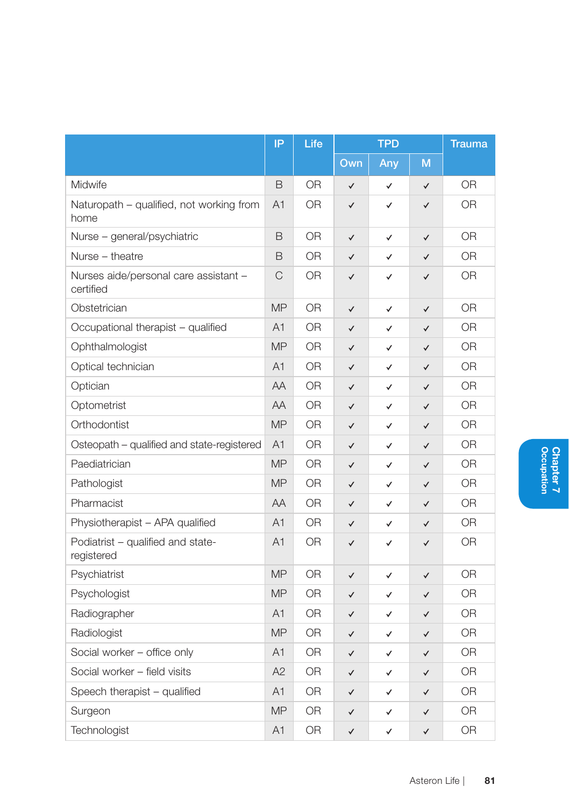|                                                    | IP             | Life           | <b>TPD</b>   |              | <b>Trauma</b> |                |
|----------------------------------------------------|----------------|----------------|--------------|--------------|---------------|----------------|
|                                                    |                |                | $Q$ wn       | Any          | M             |                |
| Midwife                                            | B              | <b>OR</b>      | ✓            | ✓            | $\checkmark$  | <b>OR</b>      |
| Naturopath - qualified, not working from<br>home   | A1             | 0 <sub>R</sub> | $\checkmark$ | ✓            | $\checkmark$  | OR             |
| Nurse - general/psychiatric                        | B              | 0 <sub>R</sub> | $\checkmark$ | $\checkmark$ | ✓             | 0 <sub>R</sub> |
| Nurse - theatre                                    | B              | <b>OR</b>      | $\checkmark$ | ✓            | $\checkmark$  | <b>OR</b>      |
| Nurses aide/personal care assistant -<br>certified | C              | <b>OR</b>      | ✓            | ✓            | ✓             | <b>OR</b>      |
| Obstetrician                                       | <b>MP</b>      | <b>OR</b>      | ✓            | ✓            | ✓             | <b>OR</b>      |
| Occupational therapist - qualified                 | A <sub>1</sub> | 0R             | ✓            | ✓            | $\checkmark$  | OR             |
| Ophthalmologist                                    | <b>MP</b>      | <b>OR</b>      | ✓            | ✓            | ✓             | <b>OR</b>      |
| Optical technician                                 | A1             | <b>OR</b>      | $\checkmark$ | ✓            | $\checkmark$  | <b>OR</b>      |
| Optician                                           | AA             | 0R             | ✓            | ✓            | ✓             | OR             |
| Optometrist                                        | AA             | <b>OR</b>      | $\checkmark$ | ✓            | ✓             | <b>OR</b>      |
| Orthodontist                                       | <b>MP</b>      | 0R             | ✓            | ✓            | ✓             | OR             |
| Osteopath - qualified and state-registered         | A1             | OR             | ✓            | ✓            | ✓             | <b>OR</b>      |
| Paediatrician                                      | <b>MP</b>      | <b>OR</b>      | $\checkmark$ | ✓            | $\checkmark$  | OR             |
| Pathologist                                        | <b>MP</b>      | 0R             | ✓            | ✓            | ✓             | OR             |
| Pharmacist                                         | AA             | <b>OR</b>      | $\checkmark$ | ✓            | ✓             | <b>OR</b>      |
| Physiotherapist - APA qualified                    | A <sub>1</sub> | 0R             | ✓            | ✓            | ✓             | <b>OR</b>      |
| Podiatrist - qualified and state-<br>registered    | A <sub>1</sub> | <b>OR</b>      | $\checkmark$ | ✓            | ✓             | OR             |
| Psychiatrist                                       | <b>MP</b>      | <b>OR</b>      | ✓            | ✓            | √             | <b>OR</b>      |
| Psychologist                                       | <b>MP</b>      | 0R             | $\checkmark$ | ✓            | ✓             | <b>OR</b>      |
| Radiographer                                       | A <sub>1</sub> | <b>OR</b>      | ✓            | ✓            | ✓             | <b>OR</b>      |
| Radiologist                                        | <b>MP</b>      | <b>OR</b>      | $\checkmark$ | ✓            | ✓             | <b>OR</b>      |
| Social worker - office only                        | A1             | 0R             | ✓            | ✓            | ✓             | OR             |
| Social worker - field visits                       | A2             | 0R             | ✓            | ✓            | ✓             | <b>OR</b>      |
| Speech therapist - qualified                       | A1             | 0R             | ✓            | ✓            | ✓             | <b>OR</b>      |
| Surgeon                                            | <b>MP</b>      | 0R             | ✓            | ✓            | ✓             | <b>OR</b>      |
| Technologist                                       | A <sub>1</sub> | OR             | ✓            | ✓            | ✓             | OR             |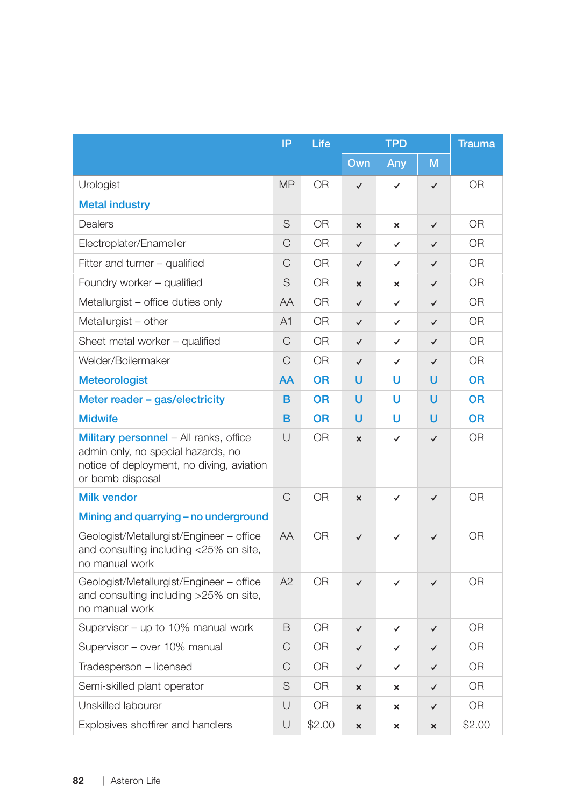|                                                                                                                                               | IP        | Life           | <b>TPD</b>                |                           | <b>Trauma</b> |                |
|-----------------------------------------------------------------------------------------------------------------------------------------------|-----------|----------------|---------------------------|---------------------------|---------------|----------------|
|                                                                                                                                               |           |                | Own                       | Any                       | M             |                |
| Urologist                                                                                                                                     | <b>MP</b> | 0 <sub>R</sub> | $\checkmark$              | $\checkmark$              | $\checkmark$  | 0 <sub>R</sub> |
| <b>Metal industry</b>                                                                                                                         |           |                |                           |                           |               |                |
| Dealers                                                                                                                                       | S         | <b>OR</b>      | ×                         | ×                         | ✓             | <b>OR</b>      |
| Electroplater/Enameller                                                                                                                       | C         | <b>OR</b>      | $\checkmark$              | $\checkmark$              | $\checkmark$  | 0 <sub>R</sub> |
| Fitter and turner - qualified                                                                                                                 | C         | <b>OR</b>      | $\checkmark$              | $\checkmark$              | ✓             | <b>OR</b>      |
| Foundry worker - qualified                                                                                                                    | S         | 0R             | $\boldsymbol{\mathsf{x}}$ | ×                         | ✓             | 0 <sub>R</sub> |
| Metallurgist - office duties only                                                                                                             | AA        | 0 <sub>R</sub> | $\checkmark$              | $\checkmark$              | ✓             | 0 <sub>R</sub> |
| Metallurgist - other                                                                                                                          | A1        | OR             | $\checkmark$              | ✓                         | $\checkmark$  | 0R             |
| Sheet metal worker - qualified                                                                                                                | C         | 0R             | $\checkmark$              | $\checkmark$              | $\checkmark$  | <b>OR</b>      |
| Welder/Boilermaker                                                                                                                            | C         | <b>OR</b>      | $\checkmark$              | $\checkmark$              | $\checkmark$  | <b>OR</b>      |
| <b>Meteorologist</b>                                                                                                                          | AA        | <b>OR</b>      | u                         | U                         | u             | 0R             |
| Meter reader - gas/electricity                                                                                                                | B         | <b>OR</b>      | u                         | U                         | U             | <b>OR</b>      |
| <b>Midwife</b>                                                                                                                                | B         | <b>OR</b>      | U                         | U                         | U             | <b>OR</b>      |
| Military personnel - All ranks, office<br>admin only, no special hazards, no<br>notice of deployment, no diving, aviation<br>or bomb disposal | $\cup$    | <b>OR</b>      | $\mathbf{x}$              | $\checkmark$              | $\checkmark$  | <b>OR</b>      |
| <b>Milk vendor</b>                                                                                                                            | C         | 0 <sub>R</sub> | ×                         | $\checkmark$              | $\checkmark$  | 0 <sub>R</sub> |
| Mining and quarrying - no underground                                                                                                         |           |                |                           |                           |               |                |
| Geologist/Metallurgist/Engineer - office<br>and consulting including <25% on site,<br>no manual work                                          | AA        | 0 <sub>R</sub> | $\checkmark$              | $\checkmark$              | $\checkmark$  | <b>OR</b>      |
| Geologist/Metallurgist/Engineer - office<br>and consulting including >25% on site,<br>no manual work                                          | A2        | 0 <sub>R</sub> | $\checkmark$              | $\checkmark$              | $\checkmark$  | 0R             |
| Supervisor - up to 10% manual work                                                                                                            | B         | 0R             | $\checkmark$              | ✓                         | ✓             | 0R             |
| Supervisor - over 10% manual                                                                                                                  | C         | 0R             | $\checkmark$              | ✓                         | ✓             | <b>OR</b>      |
| Tradesperson - licensed                                                                                                                       | C         | 0R             | $\checkmark$              | ✓                         | ✓             | <b>OR</b>      |
| Semi-skilled plant operator                                                                                                                   | S         | 0 <sub>R</sub> | $\mathbf{x}$              | $\boldsymbol{\mathsf{x}}$ | ✓             | 0R             |
| Unskilled labourer                                                                                                                            | U         | 0R             | $\boldsymbol{\mathsf{x}}$ | ×                         | ✓             | <b>OR</b>      |
| Explosives shotfirer and handlers                                                                                                             | U         | \$2.00         | $\boldsymbol{\mathsf{x}}$ | ×                         | ×             | \$2.00         |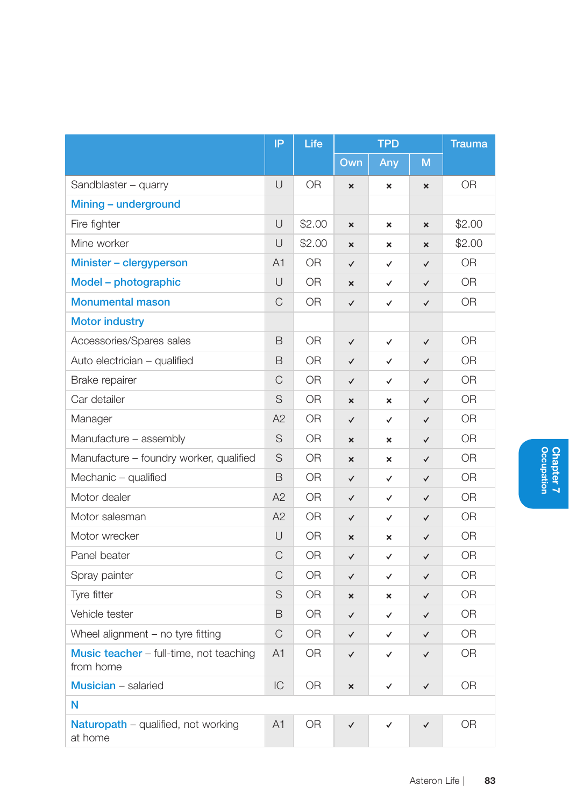|                                                       | IP.            | Life           | <b>TPD</b>                |                           | <b>Trauma</b>             |                |
|-------------------------------------------------------|----------------|----------------|---------------------------|---------------------------|---------------------------|----------------|
|                                                       |                |                | Own                       | Any                       | M                         |                |
| Sandblaster - quarry                                  | U              | <b>OR</b>      | $\boldsymbol{\times}$     | $\boldsymbol{\times}$     | $\boldsymbol{\mathsf{x}}$ | 0R             |
| Mining – underground                                  |                |                |                           |                           |                           |                |
| Fire fighter                                          | U              | \$2.00         | $\boldsymbol{\mathsf{x}}$ | $\boldsymbol{\mathsf{x}}$ | ×                         | \$2.00         |
| Mine worker                                           | $\cup$         | \$2.00         | $\boldsymbol{\mathsf{x}}$ | ×                         | ×                         | \$2.00         |
| Minister - clergyperson                               | A <sub>1</sub> | <b>OR</b>      | ✓                         | ✓                         | $\checkmark$              | 0R             |
| Model – photographic                                  | U              | <b>OR</b>      | $\boldsymbol{\mathsf{x}}$ | ✓                         | $\checkmark$              | <b>OR</b>      |
| <b>Monumental mason</b>                               | C              | 0 <sub>R</sub> | ✓                         | ✓                         | $\checkmark$              | 0 <sub>R</sub> |
| <b>Motor industry</b>                                 |                |                |                           |                           |                           |                |
| Accessories/Spares sales                              | B              | 0R             | $\checkmark$              | $\checkmark$              | $\checkmark$              | 0 <sub>R</sub> |
| Auto electrician - qualified                          | B              | 0R             | ✓                         | ✓                         | ✓                         | 0R             |
| Brake repairer                                        | C              | <b>OR</b>      | $\checkmark$              | ✓                         | $\checkmark$              | <b>OR</b>      |
| Car detailer                                          | S              | 0R             | $\boldsymbol{\mathsf{x}}$ | ×                         | ✓                         | <b>OR</b>      |
| Manager                                               | A2             | 0R             | ✓                         | ✓                         | $\checkmark$              | 0R             |
| Manufacture - assembly                                | S              | 0R             | ×                         | ×                         | $\checkmark$              | <b>OR</b>      |
| Manufacture - foundry worker, qualified               | S              | 0R             | $\mathbf{x}$              | $\boldsymbol{\mathsf{x}}$ | $\checkmark$              | 0R             |
| Mechanic - qualified                                  | B              | <b>OR</b>      | $\checkmark$              | ✓                         | $\checkmark$              | 0 <sub>R</sub> |
| Motor dealer                                          | A2             | <b>OR</b>      | $\checkmark$              | ✓                         | $\checkmark$              | 0R             |
| Motor salesman                                        | A2             | 0 <sub>R</sub> | $\checkmark$              | ✓                         | ✓                         | 0R             |
| Motor wrecker                                         | U              | <b>OR</b>      | ×                         | ×                         | ✓                         | 0R             |
| Panel beater                                          | C              | <b>OR</b>      | $\checkmark$              | ✓                         | $\checkmark$              | <b>OR</b>      |
| Spray painter                                         | C              | 0R             | ✓                         | ✓                         | ✓                         | 0R             |
| Tyre fitter                                           | S              | <b>OR</b>      | ×                         | $\boldsymbol{\mathsf{x}}$ | ✓                         | <b>OR</b>      |
| Vehicle tester                                        | B              | <b>OR</b>      | $\checkmark$              | ✓                         | $\checkmark$              | <b>OR</b>      |
| Wheel alignment - no tyre fitting                     | C              | 0R             | $\checkmark$              | ✓                         | ✓                         | 0R             |
| Music teacher - full-time, not teaching<br>from home  | A <sub>1</sub> | 0 <sub>R</sub> | $\checkmark$              | ✓                         | ✓                         | <b>OR</b>      |
| <b>Musician</b> – salaried                            | IC             | <b>OR</b>      | $\mathbf{x}$              | ✓                         | ✓                         | <b>OR</b>      |
| N                                                     |                |                |                           |                           |                           |                |
| <b>Naturopath</b> – qualified, not working<br>at home | A <sub>1</sub> | <b>OR</b>      | $\checkmark$              | ✓                         | ✓                         | 0R             |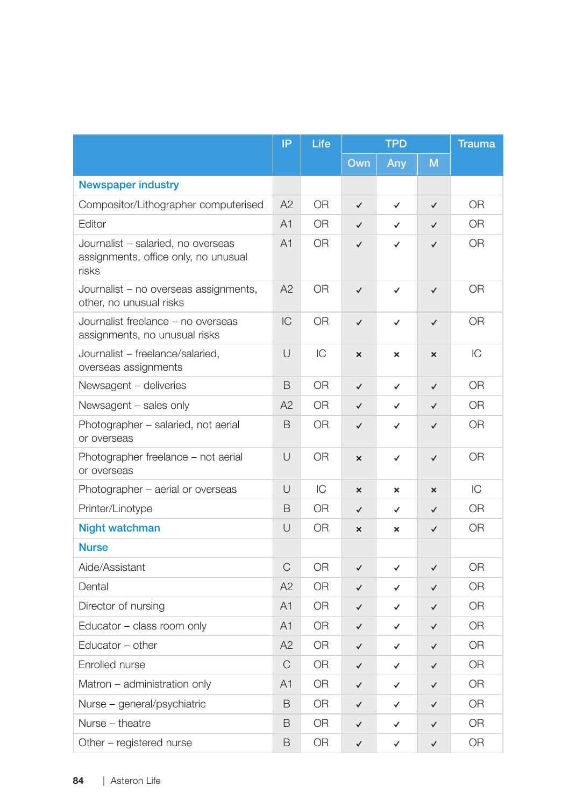|                                                                                     | IP             | Life           | <b>TPD</b>                |                           | <b>Trauma</b>             |                |
|-------------------------------------------------------------------------------------|----------------|----------------|---------------------------|---------------------------|---------------------------|----------------|
|                                                                                     |                |                | Own                       | Any                       | M                         |                |
| <b>Newspaper industry</b>                                                           |                |                |                           |                           |                           |                |
| Compositor/Lithographer computerised                                                | A2             | <b>OR</b>      | $\checkmark$              | $\checkmark$              | $\checkmark$              | <b>OR</b>      |
| Editor                                                                              | A1             | OR.            | $\checkmark$              | ✓                         | $\checkmark$              | <b>OR</b>      |
| Journalist - salaried, no overseas<br>assignments, office only, no unusual<br>risks | A <sub>1</sub> | OR.            | $\checkmark$              | $\checkmark$              | $\checkmark$              | 0R             |
| Journalist - no overseas assignments,<br>other, no unusual risks                    | A2             | <b>OR</b>      | $\checkmark$              | $\checkmark$              | $\checkmark$              | <b>OR</b>      |
| Journalist freelance - no overseas<br>assignments, no unusual risks                 | IC             | <b>OR</b>      | $\checkmark$              | $\checkmark$              | $\checkmark$              | 0 <sub>R</sub> |
| Journalist - freelance/salaried,<br>overseas assignments                            | U              | IC             | $\boldsymbol{\mathsf{x}}$ | $\boldsymbol{\mathsf{x}}$ | $\boldsymbol{\mathsf{x}}$ | IС             |
| Newsagent - deliveries                                                              | B              | <b>OR</b>      | $\checkmark$              | $\checkmark$              | $\checkmark$              | <b>OR</b>      |
| Newsagent - sales only                                                              | A2             | 0 <sub>R</sub> | $\checkmark$              | ✓                         | $\checkmark$              | 0 <sub>R</sub> |
| Photographer – salaried, not aerial<br>or overseas                                  | B              | 0R             | $\checkmark$              | $\checkmark$              | $\checkmark$              | <b>OR</b>      |
| Photographer freelance - not aerial<br>or overseas                                  | U              | 0R             | $\boldsymbol{\mathsf{x}}$ | $\checkmark$              | $\checkmark$              | 0R             |
| Photographer – aerial or overseas                                                   | $\cup$         | IC             | $\boldsymbol{\mathsf{x}}$ | $\boldsymbol{\mathsf{x}}$ | $\boldsymbol{\mathsf{x}}$ | IC             |
| Printer/Linotype                                                                    | B              | 0R             | $\checkmark$              | ✓                         | ✓                         | 0R             |
| <b>Night watchman</b>                                                               | U              | 0 <sub>R</sub> | $\boldsymbol{\mathsf{x}}$ | $\mathbf x$               | $\checkmark$              | 0 <sub>R</sub> |
| <b>Nurse</b>                                                                        |                |                |                           |                           |                           |                |
| Aide/Assistant                                                                      | C              | <b>OR</b>      | $\checkmark$              | $\checkmark$              | $\checkmark$              | <b>OR</b>      |
| Dental                                                                              | A2             | OR.            | $\checkmark$              | ✓                         | $\checkmark$              | 0 <sub>R</sub> |
| Director of nursing                                                                 | A <sub>1</sub> | OR.            | $\checkmark$              | ✓                         | $\checkmark$              | 0R             |
| Educator - class room only                                                          | A <sub>1</sub> | OR             | $\checkmark$              | ✓                         | $\checkmark$              | <b>OR</b>      |
| Educator - other                                                                    | A2             | OR.            | $\checkmark$              | ✓                         | $\checkmark$              | 0R             |
| Enrolled nurse                                                                      | C              | <b>OR</b>      | $\checkmark$              | ✓                         | $\checkmark$              | <b>OR</b>      |
| Matron - administration only                                                        | A1             | <b>OR</b>      | $\checkmark$              | ✓                         | $\checkmark$              | 0 <sub>R</sub> |
| Nurse - general/psychiatric                                                         | B              | OR.            | $\checkmark$              | ✓                         | $\checkmark$              | 0R             |
| Nurse - theatre                                                                     | B              | <b>OR</b>      | $\checkmark$              | ✓                         | ✓                         | <b>OR</b>      |
| Other - registered nurse                                                            | B              | 0R             | $\checkmark$              | $\checkmark$              | $\checkmark$              | 0 <sub>R</sub> |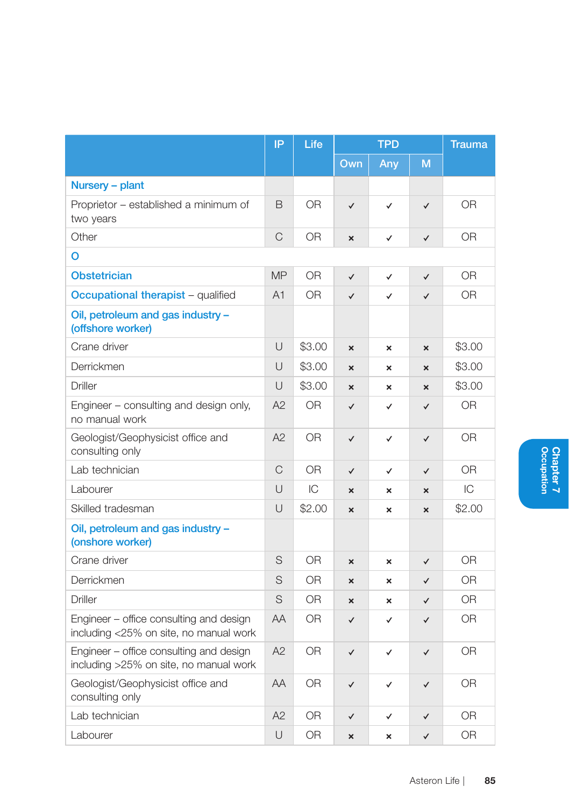|                                                                                   | IP             | Life           | <b>TPD</b>                |                           | <b>Trauma</b>             |                |
|-----------------------------------------------------------------------------------|----------------|----------------|---------------------------|---------------------------|---------------------------|----------------|
|                                                                                   |                |                | Own                       | Any                       | M                         |                |
| Nursery - plant                                                                   |                |                |                           |                           |                           |                |
| Proprietor - established a minimum of<br>two years                                | B              | 0 <sub>R</sub> | $\checkmark$              | $\checkmark$              | $\checkmark$              | 0 <sub>R</sub> |
| Other                                                                             | C              | 0 <sub>R</sub> | $\boldsymbol{\mathsf{x}}$ | ✓                         | $\checkmark$              | 0 <sub>R</sub> |
| o                                                                                 |                |                |                           |                           |                           |                |
| <b>Obstetrician</b>                                                               | <b>MP</b>      | 0 <sub>R</sub> | $\checkmark$              | $\checkmark$              | $\checkmark$              | 0 <sub>R</sub> |
| Occupational therapist - qualified                                                | A <sub>1</sub> | OR.            | $\checkmark$              | ✓                         | $\checkmark$              | OR.            |
| Oil, petroleum and gas industry -<br>(offshore worker)                            |                |                |                           |                           |                           |                |
| Crane driver                                                                      | $\cup$         | \$3.00         | $\mathbf{x}$              | $\boldsymbol{\mathsf{x}}$ | $\mathbf{x}$              | \$3.00         |
| Derrickmen                                                                        | U              | \$3.00         | $\boldsymbol{\times}$     | ×                         | $\boldsymbol{\mathsf{x}}$ | \$3.00         |
| Driller                                                                           | $\cup$         | \$3.00         | $\mathbf x$               | $\boldsymbol{\mathsf{x}}$ | $\boldsymbol{\times}$     | \$3.00         |
| Engineer - consulting and design only,<br>no manual work                          | A2             | 0R             | $\checkmark$              | $\checkmark$              | ✓                         | 0 <sub>R</sub> |
| Geologist/Geophysicist office and<br>consulting only                              | A2             | 0 <sub>R</sub> | $\checkmark$              | ✓                         | $\checkmark$              | 0 <sub>R</sub> |
| Lab technician                                                                    | C              | 0 <sub>R</sub> | $\checkmark$              | ✓                         | $\checkmark$              | 0 <sub>R</sub> |
| Labourer                                                                          | $\cup$         | IC             | $\boldsymbol{\mathsf{x}}$ | $\boldsymbol{\mathsf{x}}$ | $\boldsymbol{\mathsf{x}}$ | IC             |
| Skilled tradesman                                                                 | $\cup$         | \$2.00         | $\mathbf{x}$              | $\boldsymbol{\mathsf{x}}$ | $\mathbf{x}$              | \$2.00         |
| Oil, petroleum and gas industry -<br>(onshore worker)                             |                |                |                           |                           |                           |                |
| Crane driver                                                                      | S              | <b>OR</b>      | ×                         | ×                         | $\checkmark$              | 0 <sub>R</sub> |
| Derrickmen                                                                        | S              | 0 <sub>R</sub> | $\mathbf{x}$              | $\mathbf x$               | $\checkmark$              | 0 <sub>R</sub> |
| Driller                                                                           | S              | 0R             | $\boldsymbol{\mathsf{x}}$ | ×                         | ✓                         | 0R             |
| Engineer - office consulting and design<br>including <25% on site, no manual work | AA             | 0 <sub>R</sub> | $\checkmark$              | ✓                         | $\checkmark$              | 0R             |
| Engineer - office consulting and design<br>including >25% on site, no manual work | A2             | 0 <sub>R</sub> | $\checkmark$              | ✓                         | $\checkmark$              | 0 <sub>R</sub> |
| Geologist/Geophysicist office and<br>consulting only                              | AA             | 0 <sub>R</sub> | $\checkmark$              | ✓                         | ✓                         | 0R             |
| Lab technician                                                                    | A2             | 0 <sub>R</sub> | $\checkmark$              | ✓                         | $\checkmark$              | 0R             |
| Labourer                                                                          | Ū              | 0R             | $\mathbf{x}$              | $\boldsymbol{\mathsf{x}}$ | $\checkmark$              | OR             |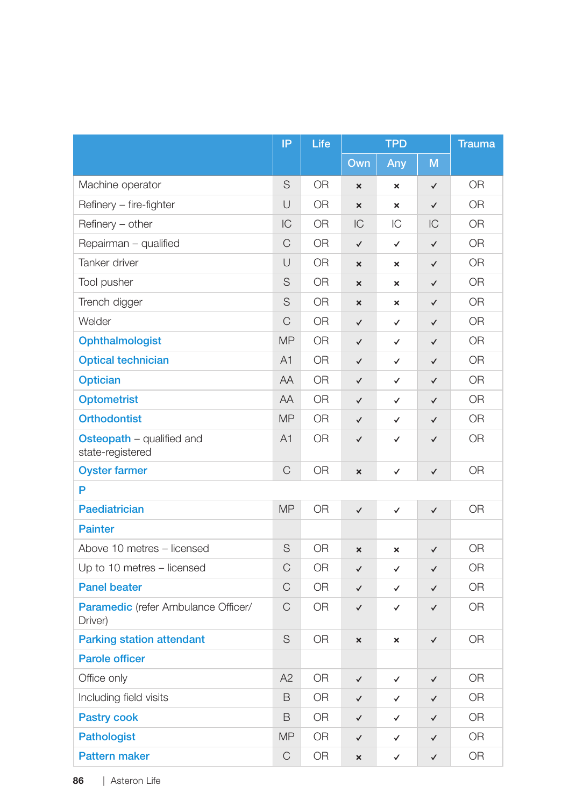|                                                       | IP          | Life      | <b>TPD</b>                |                           | <b>Trauma</b> |                |
|-------------------------------------------------------|-------------|-----------|---------------------------|---------------------------|---------------|----------------|
|                                                       |             |           | Own                       | Any                       | M             |                |
| Machine operator                                      | S           | <b>OR</b> | $\boldsymbol{\mathsf{x}}$ | ×                         | ✓             | <b>OR</b>      |
| Refinery - fire-fighter                               | U           | OR        | $\boldsymbol{\mathsf{x}}$ | $\boldsymbol{\mathsf{x}}$ | $\checkmark$  | <b>OR</b>      |
| Refinery - other                                      | IC          | <b>OR</b> | IC                        | IC                        | IC            | <b>OR</b>      |
| Repairman - qualified                                 | C           | <b>OR</b> | $\checkmark$              | $\checkmark$              | $\checkmark$  | <b>OR</b>      |
| Tanker driver                                         | U           | 0R        | $\boldsymbol{\mathsf{x}}$ | $\boldsymbol{\mathsf{x}}$ | ✓             | <b>OR</b>      |
| Tool pusher                                           | S           | <b>OR</b> | ×                         | $\boldsymbol{\mathsf{x}}$ | $\checkmark$  | OR             |
| Trench digger                                         | S           | 0R        | $\boldsymbol{\mathsf{x}}$ | ×                         | $\checkmark$  | 0R             |
| Welder                                                | C           | <b>OR</b> | $\checkmark$              | $\checkmark$              | $\checkmark$  | <b>OR</b>      |
| Ophthalmologist                                       | <b>MP</b>   | <b>OR</b> | $\checkmark$              | $\checkmark$              | $\checkmark$  | <b>OR</b>      |
| <b>Optical technician</b>                             | A1          | OR        | $\checkmark$              | $\checkmark$              | $\checkmark$  | <b>OR</b>      |
| <b>Optician</b>                                       | AA          | <b>OR</b> | $\checkmark$              | $\checkmark$              | $\checkmark$  | 0R             |
| <b>Optometrist</b>                                    | AA          | <b>OR</b> | $\checkmark$              | ✓                         | $\checkmark$  | <b>OR</b>      |
| <b>Orthodontist</b>                                   | <b>MP</b>   | <b>OR</b> | $\checkmark$              | $\checkmark$              | $\checkmark$  | 0 <sub>R</sub> |
| Osteopath - qualified and<br>state-registered         | A1          | <b>OR</b> | $\checkmark$              | $\checkmark$              | $\checkmark$  | <b>OR</b>      |
| <b>Oyster farmer</b>                                  | $\mathsf C$ | 0R        | ×                         | $\checkmark$              | ✓             | <b>OR</b>      |
| P                                                     |             |           |                           |                           |               |                |
| <b>Paediatrician</b>                                  | <b>MP</b>   | <b>OR</b> | $\checkmark$              | $\checkmark$              | $\checkmark$  | <b>OR</b>      |
| <b>Painter</b>                                        |             |           |                           |                           |               |                |
| Above 10 metres - licensed                            | S           | <b>OR</b> | ×                         | ×                         | $\checkmark$  | <b>OR</b>      |
| Up to 10 metres - licensed                            | C           | 0R        | $\checkmark$              | ✓                         | ✓             | 0R             |
| <b>Panel beater</b>                                   | C           | 0R        | $\checkmark$              | $\checkmark$              | $\checkmark$  | <b>OR</b>      |
| <b>Paramedic</b> (refer Ambulance Officer/<br>Driver) | C           | 0R        | $\checkmark$              | $\checkmark$              | ✓             | 0R             |
| <b>Parking station attendant</b>                      | S           | <b>OR</b> | $\mathbf{x}$              | ×                         | $\checkmark$  | <b>OR</b>      |
| <b>Parole officer</b>                                 |             |           |                           |                           |               |                |
| Office only                                           | A2          | <b>OR</b> | $\checkmark$              | $\checkmark$              | $\checkmark$  | <b>OR</b>      |
| Including field visits                                | B           | <b>OR</b> | $\checkmark$              | $\checkmark$              | $\checkmark$  | 0R             |
| <b>Pastry cook</b>                                    | B           | <b>OR</b> | $\checkmark$              | ✓                         | $\checkmark$  | <b>OR</b>      |
| <b>Pathologist</b>                                    | <b>MP</b>   | 0R        | $\checkmark$              | ✓                         | ✓             | 0 <sub>R</sub> |
| <b>Pattern maker</b>                                  | $\mathsf C$ | <b>OR</b> | ×                         | $\checkmark$              | ✓             | <b>OR</b>      |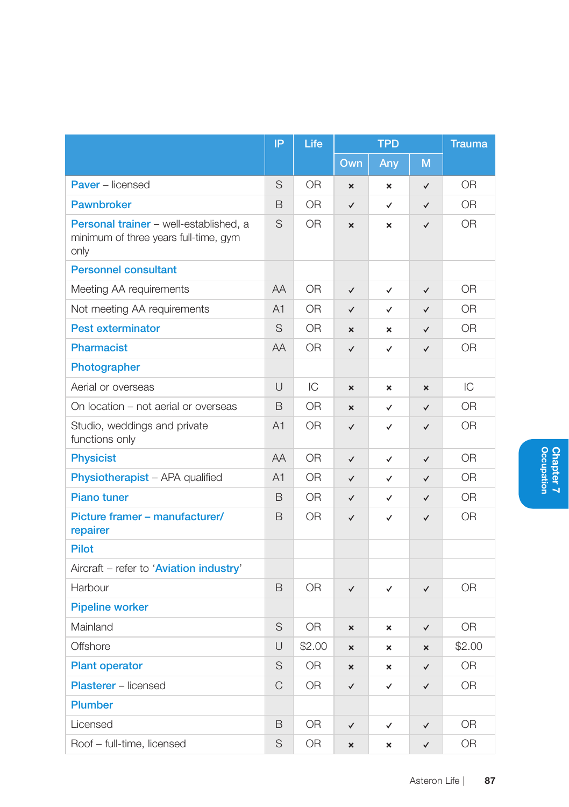|                                                                                         | IP             | Life           | <b>TPD</b>                |                           |                           | <b>Trauma</b>  |  |
|-----------------------------------------------------------------------------------------|----------------|----------------|---------------------------|---------------------------|---------------------------|----------------|--|
|                                                                                         |                |                | Own                       | Any                       | M                         |                |  |
| <b>Paver</b> – licensed                                                                 | S              | <b>OR</b>      | $\boldsymbol{\mathsf{x}}$ | $\boldsymbol{\mathsf{x}}$ | $\checkmark$              | 0 <sub>R</sub> |  |
| <b>Pawnbroker</b>                                                                       | B              | 0 <sub>R</sub> | $\checkmark$              | ✓                         | $\checkmark$              | 0 <sub>R</sub> |  |
| Personal trainer - well-established, a<br>minimum of three years full-time, gym<br>only | S              | 0 <sub>R</sub> | $\boldsymbol{\mathsf{x}}$ | $\boldsymbol{\mathsf{x}}$ | $\checkmark$              | <b>OR</b>      |  |
| <b>Personnel consultant</b>                                                             |                |                |                           |                           |                           |                |  |
| Meeting AA requirements                                                                 | AA             | <b>OR</b>      | $\checkmark$              | $\checkmark$              | $\checkmark$              | <b>OR</b>      |  |
| Not meeting AA requirements                                                             | A <sub>1</sub> | 0 <sub>R</sub> | $\checkmark$              | $\checkmark$              | $\checkmark$              | 0 <sub>R</sub> |  |
| <b>Pest exterminator</b>                                                                | S              | OR.            | ×                         | $\mathbf{x}$              | $\checkmark$              | 0 <sub>R</sub> |  |
| Pharmacist                                                                              | AA             | 0 <sub>R</sub> | $\checkmark$              | ✓                         | $\checkmark$              | 0 <sub>R</sub> |  |
| Photographer                                                                            |                |                |                           |                           |                           |                |  |
| Aerial or overseas                                                                      | U              | IC             | ×                         | $\boldsymbol{\mathsf{x}}$ | $\boldsymbol{\times}$     | IC             |  |
| On location - not aerial or overseas                                                    | B              | <b>OR</b>      | $\mathbf{x}$              | ✓                         | $\checkmark$              | 0 <sub>R</sub> |  |
| Studio, weddings and private<br>functions only                                          | A <sub>1</sub> | 0 <sub>R</sub> | $\checkmark$              | $\checkmark$              | $\checkmark$              | 0 <sub>R</sub> |  |
| <b>Physicist</b>                                                                        | AA             | <b>OR</b>      | $\checkmark$              | $\checkmark$              | $\checkmark$              | 0 <sub>R</sub> |  |
| Physiotherapist - APA qualified                                                         | A1             | <b>OR</b>      | $\checkmark$              | ✓                         | $\checkmark$              | <b>OR</b>      |  |
| <b>Piano tuner</b>                                                                      | B              | OR.            | $\checkmark$              | ✓                         | ✓                         | 0R             |  |
| Picture framer - manufacturer/<br>repairer                                              | B              | 0 <sub>R</sub> | $\checkmark$              | $\checkmark$              | $\checkmark$              | 0 <sub>R</sub> |  |
| <b>Pilot</b>                                                                            |                |                |                           |                           |                           |                |  |
| Aircraft - refer to 'Aviation industry'                                                 |                |                |                           |                           |                           |                |  |
| Harbour                                                                                 | B              | 0R             | $\checkmark$              | $\checkmark$              | $\checkmark$              | 0R             |  |
| <b>Pipeline worker</b>                                                                  |                |                |                           |                           |                           |                |  |
| Mainland                                                                                | S              | 0 <sub>R</sub> | ×                         | $\pmb{\times}$            | $\checkmark$              | 0R             |  |
| Offshore                                                                                | U              | \$2.00         | $\mathbf{x}$              | $\mathbf{x}$              | $\boldsymbol{\mathsf{x}}$ | \$2.00         |  |
| <b>Plant operator</b>                                                                   | S              | 0R             | $\boldsymbol{\mathsf{x}}$ | $\pmb{\times}$            | $\checkmark$              | O <sub>R</sub> |  |
| <b>Plasterer</b> - licensed                                                             | $\mathsf{C}$   | <b>OR</b>      | $\checkmark$              | ✓                         | ✓                         | <b>OR</b>      |  |
| <b>Plumber</b>                                                                          |                |                |                           |                           |                           |                |  |
| Licensed                                                                                | B              | 0 <sub>R</sub> | $\checkmark$              | ✓                         | $\checkmark$              | OR             |  |
| Roof - full-time, licensed                                                              | S              | 0 <sub>R</sub> | ×                         | $\mathbf{x}$              | $\checkmark$              | 0 <sub>R</sub> |  |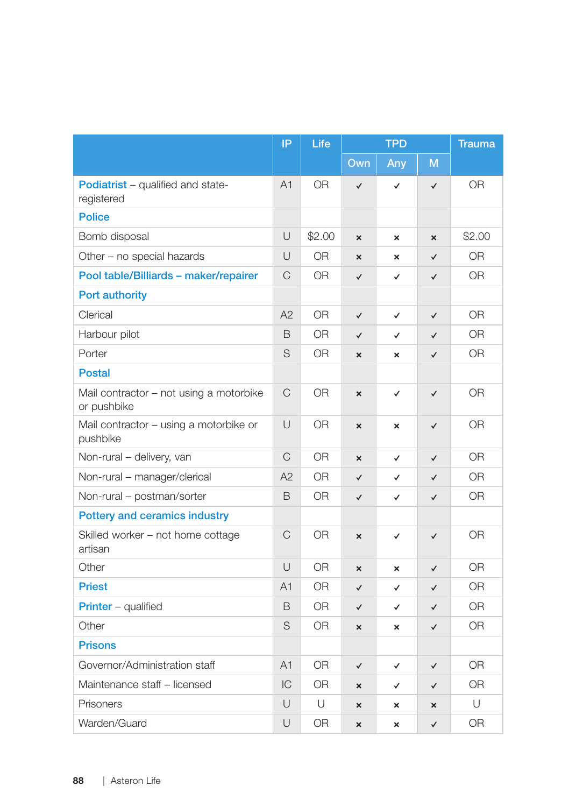|                                                        | IP             | Life      | <b>TPD</b>                |                           | <b>Trauma</b>             |                |
|--------------------------------------------------------|----------------|-----------|---------------------------|---------------------------|---------------------------|----------------|
|                                                        |                |           | Own                       | Any                       | M                         |                |
| <b>Podiatrist</b> – qualified and state-<br>registered | A <sub>1</sub> | <b>OR</b> | ✓                         | $\checkmark$              | $\checkmark$              | 0R             |
| <b>Police</b>                                          |                |           |                           |                           |                           |                |
| Bomb disposal                                          | U              | \$2.00    | ×                         | ×                         | $\boldsymbol{\mathsf{x}}$ | \$2.00         |
| Other - no special hazards                             | $\cup$         | <b>OR</b> | $\mathbf{x}$              | $\mathbf x$               | $\checkmark$              | <b>OR</b>      |
| Pool table/Billiards - maker/repairer                  | C              | OR.       | $\checkmark$              | $\checkmark$              | ✓                         | 0R             |
| Port authority                                         |                |           |                           |                           |                           |                |
| Clerical                                               | A2             | <b>OR</b> | $\checkmark$              | $\checkmark$              | ✓                         | <b>OR</b>      |
| Harbour pilot                                          | B              | OR.       | $\checkmark$              | ✓                         | $\checkmark$              | <b>OR</b>      |
| Porter                                                 | S              | 0R        | $\boldsymbol{\mathsf{x}}$ | ×                         | $\checkmark$              | 0 <sub>R</sub> |
| <b>Postal</b>                                          |                |           |                           |                           |                           |                |
| Mail contractor - not using a motorbike<br>or pushbike | C              | <b>OR</b> | $\boldsymbol{\mathsf{x}}$ | $\checkmark$              | $\checkmark$              | 0 <sub>R</sub> |
| Mail contractor - using a motorbike or<br>pushbike     | U              | <b>OR</b> | ×                         | ×                         | ✓                         | <b>OR</b>      |
| Non-rural - delivery, van                              | C              | <b>OR</b> | ×                         | $\checkmark$              | $\checkmark$              | <b>OR</b>      |
| Non-rural - manager/clerical                           | A2             | OR.       | $\checkmark$              | ✓                         | $\checkmark$              | 0 <sub>R</sub> |
| Non-rural - postman/sorter                             | B              | <b>OR</b> | $\checkmark$              | ✓                         | $\checkmark$              | <b>OR</b>      |
| <b>Pottery and ceramics industry</b>                   |                |           |                           |                           |                           |                |
| Skilled worker - not home cottage<br>artisan           | C              | <b>OR</b> | ×                         | $\checkmark$              | $\checkmark$              | <b>OR</b>      |
| Other                                                  | U              | <b>OR</b> | ×                         | $\boldsymbol{\mathsf{x}}$ | $\checkmark$              | 0 <sub>R</sub> |
| <b>Priest</b>                                          | A1             | OR        | $\checkmark$              | $\checkmark$              | $\checkmark$              | 0 <sub>R</sub> |
| <b>Printer</b> - qualified                             | B              | <b>OR</b> | $\checkmark$              | ✓                         | $\checkmark$              | 0R             |
| Other                                                  | S              | <b>OR</b> | $\boldsymbol{\mathsf{x}}$ | $\boldsymbol{\mathsf{x}}$ | $\checkmark$              | <b>OR</b>      |
| <b>Prisons</b>                                         |                |           |                           |                           |                           |                |
| Governor/Administration staff                          | A1             | <b>OR</b> | $\checkmark$              | $\checkmark$              | $\checkmark$              | <b>OR</b>      |
| Maintenance staff - licensed                           | IC             | 0R        | ×                         | ✓                         | ✓                         | <b>OR</b>      |
| Prisoners                                              | U              | U         | ×                         | ×                         | ×                         | U              |
| Warden/Guard                                           | U              | <b>OR</b> | ×                         | ×                         | $\checkmark$              | 0R             |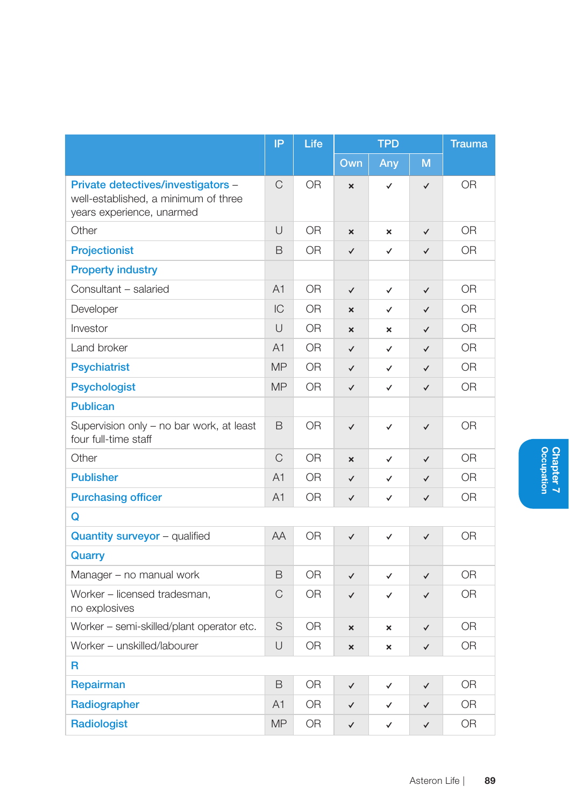|                                                                                                         | IP             | Life           | <b>TPD</b>                |                           |              | <b>Trauma</b>  |  |
|---------------------------------------------------------------------------------------------------------|----------------|----------------|---------------------------|---------------------------|--------------|----------------|--|
|                                                                                                         |                |                | Own                       | Any                       | M            |                |  |
| Private detectives/investigators -<br>well-established, a minimum of three<br>years experience, unarmed | C              | 0R             | $\boldsymbol{\mathsf{x}}$ | $\checkmark$              | $\checkmark$ | <b>OR</b>      |  |
| Other                                                                                                   | $\cup$         | 0 <sub>R</sub> | $\boldsymbol{\mathsf{x}}$ | $\boldsymbol{\mathsf{x}}$ | $\checkmark$ | 0 <sub>R</sub> |  |
| Projectionist                                                                                           | B              | <b>OR</b>      | $\checkmark$              | ✓                         | $\checkmark$ | <b>OR</b>      |  |
| <b>Property industry</b>                                                                                |                |                |                           |                           |              |                |  |
| Consultant - salaried                                                                                   | A1             | 0 <sub>R</sub> | $\checkmark$              | $\checkmark$              | $\checkmark$ | 0 <sub>R</sub> |  |
| Developer                                                                                               | IC             | 0R             | $\mathbf{x}$              | ✓                         | ✓            | 0R             |  |
| Investor                                                                                                | U              | <b>OR</b>      | $\boldsymbol{\mathsf{x}}$ | ×                         | $\checkmark$ | 0 <sub>R</sub> |  |
| Land broker                                                                                             | A1             | <b>OR</b>      | $\checkmark$              | ✓                         | $\checkmark$ | <b>OR</b>      |  |
| <b>Psychiatrist</b>                                                                                     | <b>MP</b>      | 0R             | $\checkmark$              | ✓                         | ✓            | 0R             |  |
| <b>Psychologist</b>                                                                                     | <b>MP</b>      | 0 <sub>R</sub> | $\checkmark$              | ✓                         | $\checkmark$ | <b>OR</b>      |  |
| <b>Publican</b>                                                                                         |                |                |                           |                           |              |                |  |
| Supervision only - no bar work, at least<br>four full-time staff                                        | B              | <b>OR</b>      | ✓                         | $\checkmark$              | $\checkmark$ | 0R             |  |
| Other                                                                                                   | $\mathsf{C}$   | <b>OR</b>      | $\mathbf{x}$              | ✓                         | ✓            | 0 <sub>R</sub> |  |
| <b>Publisher</b>                                                                                        | A <sub>1</sub> | 0R             | ✓                         | ✓                         | ✓            | 0R             |  |
| <b>Purchasing officer</b>                                                                               | A <sub>1</sub> | <b>OR</b>      | $\checkmark$              | ✓                         | $\checkmark$ | <b>OR</b>      |  |
| Q                                                                                                       |                |                |                           |                           |              |                |  |
| <b>Quantity surveyor</b> - qualified                                                                    | AA             | 0R             | $\checkmark$              | ✓                         | $\checkmark$ | 0R             |  |
| Quarry                                                                                                  |                |                |                           |                           |              |                |  |
| Manager - no manual work                                                                                | B              | 0R             | $\checkmark$              | ✓                         | $\checkmark$ | 0R             |  |
| Worker - licensed tradesman,<br>no explosives                                                           | C              | <b>OR</b>      | $\checkmark$              | ✓                         | ✓            | <b>OR</b>      |  |
| Worker - semi-skilled/plant operator etc.                                                               | S              | 0R             | $\boldsymbol{\mathsf{x}}$ | ×                         | ✓            | <b>OR</b>      |  |
| Worker - unskilled/labourer                                                                             | U              | 0R             | ×                         | ×                         | ✓            | <b>OR</b>      |  |
| R                                                                                                       |                |                |                           |                           |              |                |  |
| Repairman                                                                                               | B              | 0R             | $\checkmark$              | ✓                         | ✓            | 0R             |  |
| Radiographer                                                                                            | A <sub>1</sub> | <b>OR</b>      | $\checkmark$              | ✓                         | ✓            | <b>OR</b>      |  |
| Radiologist                                                                                             | <b>MP</b>      | <b>OR</b>      | ✓                         | ✓                         | ✓            | <b>OR</b>      |  |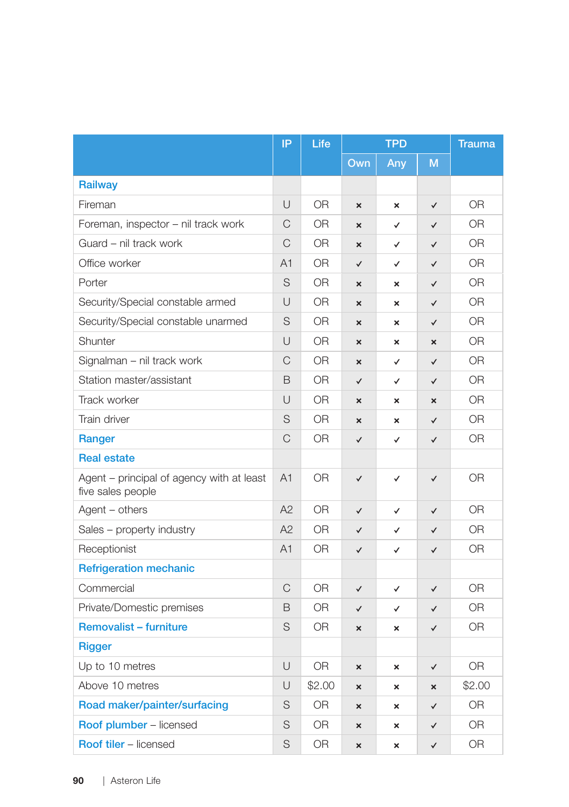|                                                                | IP             | Life           | <b>TPD</b>                |                           | <b>Trauma</b>             |                |
|----------------------------------------------------------------|----------------|----------------|---------------------------|---------------------------|---------------------------|----------------|
|                                                                |                |                | Own                       | Any                       | M                         |                |
| <b>Railway</b>                                                 |                |                |                           |                           |                           |                |
| Fireman                                                        | $\cup$         | <b>OR</b>      | $\pmb{\times}$            | ×                         | $\checkmark$              | OR             |
| Foreman, inspector - nil track work                            | C              | <b>OR</b>      | $\boldsymbol{\mathsf{x}}$ | ✓                         | $\checkmark$              | <b>OR</b>      |
| Guard - nil track work                                         | $\mathsf{C}$   | <b>OR</b>      | $\pmb{\times}$            | ✓                         | $\checkmark$              | 0 <sub>R</sub> |
| Office worker                                                  | A <sub>1</sub> | <b>OR</b>      | $\checkmark$              | $\checkmark$              | $\checkmark$              | 0 <sub>R</sub> |
| Porter                                                         | S              | <b>OR</b>      | $\boldsymbol{\mathsf{x}}$ | $\mathbf x$               | $\checkmark$              | 0 <sub>R</sub> |
| Security/Special constable armed                               | U              | <b>OR</b>      | $\boldsymbol{\mathsf{x}}$ | ×                         | $\checkmark$              | <b>OR</b>      |
| Security/Special constable unarmed                             | S              | 0R             | $\boldsymbol{\mathsf{x}}$ | $\boldsymbol{\mathsf{x}}$ | $\checkmark$              | <b>OR</b>      |
| Shunter                                                        | U              | <b>OR</b>      | $\boldsymbol{\mathsf{x}}$ | ×                         | ×                         | <b>OR</b>      |
| Signalman - nil track work                                     | C              | 0R             | $\pmb{\times}$            | ✓                         | $\checkmark$              | <b>OR</b>      |
| Station master/assistant                                       | B              | 0 <sub>R</sub> | $\checkmark$              | ✓                         | $\checkmark$              | 0 <sub>R</sub> |
| Track worker                                                   | U              | OR.            | $\boldsymbol{\mathsf{x}}$ | ×                         | $\boldsymbol{\mathsf{x}}$ | <b>OR</b>      |
| Train driver                                                   | S              | 0R             | $\pmb{\times}$            | $\boldsymbol{\mathsf{x}}$ | $\checkmark$              | <b>OR</b>      |
| Ranger                                                         | $\mathsf{C}$   | 0R             | $\checkmark$              | ✓                         | $\checkmark$              | 0 <sub>R</sub> |
| <b>Real estate</b>                                             |                |                |                           |                           |                           |                |
| Agent - principal of agency with at least<br>five sales people | A <sub>1</sub> | <b>OR</b>      | $\checkmark$              | $\checkmark$              | $\checkmark$              | <b>OR</b>      |
| Agent – others                                                 | A2             | 0R             | $\checkmark$              | ✓                         | $\checkmark$              | 0 <sub>R</sub> |
| Sales – property industry                                      | A2             | 0R             | $\checkmark$              | ✓                         | $\checkmark$              | 0R             |
| Receptionist                                                   | A1             | <b>OR</b>      | $\checkmark$              | ✓                         | $\checkmark$              | <b>OR</b>      |
| <b>Refrigeration mechanic</b>                                  |                |                |                           |                           |                           |                |
| Commercial                                                     | $\mathsf{C}$   | 0 <sub>R</sub> | $\checkmark$              | $\checkmark$              | $\checkmark$              | <b>OR</b>      |
| Private/Domestic premises                                      | B              | 0R             | $\checkmark$              | ✓                         | $\checkmark$              | 0 <sub>R</sub> |
| <b>Removalist - furniture</b>                                  | S              | 0R             | $\boldsymbol{\mathsf{x}}$ | ×                         | $\checkmark$              | <b>OR</b>      |
| <b>Rigger</b>                                                  |                |                |                           |                           |                           |                |
| Up to 10 metres                                                | U              | <b>OR</b>      | $\pmb{\times}$            | ×                         | $\checkmark$              | <b>OR</b>      |
| Above 10 metres                                                | U              | \$2.00         | $\boldsymbol{\mathsf{x}}$ | $\pmb{\times}$            | $\pmb{\times}$            | \$2.00         |
| Road maker/painter/surfacing                                   | S              | 0 <sub>R</sub> | $\boldsymbol{\mathsf{x}}$ | $\pmb{\times}$            | ✓                         | OR             |
| Roof plumber - licensed                                        | S              | 0 <sub>R</sub> | $\boldsymbol{\mathsf{x}}$ | ×                         | ✓                         | 0 <sub>R</sub> |
| <b>Roof tiler - licensed</b>                                   | S              | OR             | $\boldsymbol{\mathsf{x}}$ | $\boldsymbol{\mathsf{x}}$ | $\checkmark$              | <b>OR</b>      |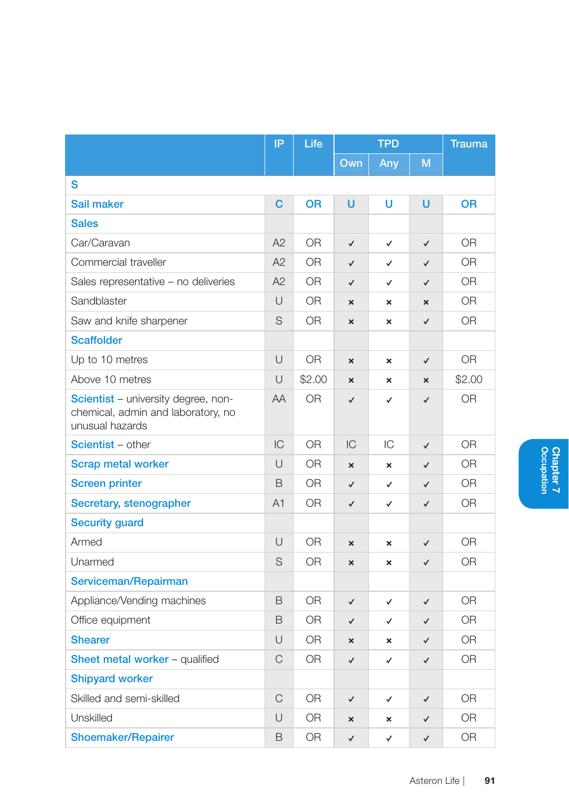|                                                                                              | IP             | Life           | <b>TPD</b>                |                           | <b>Trauma</b>             |                |  |  |  |
|----------------------------------------------------------------------------------------------|----------------|----------------|---------------------------|---------------------------|---------------------------|----------------|--|--|--|
|                                                                                              |                |                | Own                       | Any                       | M                         |                |  |  |  |
| S                                                                                            |                |                |                           |                           |                           |                |  |  |  |
| Sail maker                                                                                   | C              | <b>OR</b>      | U                         | U                         | U                         | <b>OR</b>      |  |  |  |
| <b>Sales</b>                                                                                 |                |                |                           |                           |                           |                |  |  |  |
| Car/Caravan                                                                                  | A2             | 0 <sub>R</sub> | $\checkmark$              | $\checkmark$              | $\checkmark$              | <b>OR</b>      |  |  |  |
| Commercial traveller                                                                         | A2             | 0R             | $\checkmark$              | $\checkmark$              | $\checkmark$              | 0R             |  |  |  |
| Sales representative - no deliveries                                                         | A2             | 0R             | $\checkmark$              | ✓                         | $\checkmark$              | 0R             |  |  |  |
| Sandblaster                                                                                  | U              | <b>OR</b>      | $\boldsymbol{\mathsf{x}}$ | $\boldsymbol{\mathsf{x}}$ | $\boldsymbol{\mathsf{x}}$ | <b>OR</b>      |  |  |  |
| Saw and knife sharpener                                                                      | S              | OR             | ×                         | ×                         | $\checkmark$              | 0R             |  |  |  |
| <b>Scaffolder</b>                                                                            |                |                |                           |                           |                           |                |  |  |  |
| Up to 10 metres                                                                              | U              | <b>OR</b>      | $\boldsymbol{\mathsf{x}}$ | ×                         | $\checkmark$              | <b>OR</b>      |  |  |  |
| Above 10 metres                                                                              | U              | \$2.00         | $\mathbf{x}$              | $\mathbf{x}$              | $\mathbf{x}$              | \$2.00         |  |  |  |
| Scientist - university degree, non-<br>chemical, admin and laboratory, no<br>unusual hazards | AA             | 0 <sub>R</sub> | $\checkmark$              | $\checkmark$              | $\checkmark$              | 0 <sub>R</sub> |  |  |  |
| <b>Scientist</b> - other                                                                     | IC             | <b>OR</b>      | IC                        | IС                        | $\checkmark$              | 0R             |  |  |  |
| <b>Scrap metal worker</b>                                                                    | U              | <b>OR</b>      | ×                         | ×                         | $\checkmark$              | <b>OR</b>      |  |  |  |
| <b>Screen printer</b>                                                                        | B              | 0R             | $\checkmark$              | ✓                         | $\checkmark$              | 0R             |  |  |  |
| Secretary, stenographer                                                                      | A <sub>1</sub> | 0 <sub>R</sub> | $\checkmark$              | $\checkmark$              | $\checkmark$              | <b>OR</b>      |  |  |  |
| <b>Security guard</b>                                                                        |                |                |                           |                           |                           |                |  |  |  |
| Armed                                                                                        | U              | 0 <sub>R</sub> | ×                         | ×                         | $\checkmark$              | 0 <sub>R</sub> |  |  |  |
| Unarmed                                                                                      | S              | 0 <sub>R</sub> | $\mathbf{x}$              | $\mathbf{x}$              | $\checkmark$              | 0 <sub>R</sub> |  |  |  |
| Serviceman/Repairman                                                                         |                |                |                           |                           |                           |                |  |  |  |
| Appliance/Vending machines                                                                   | B              | <b>OR</b>      | $\checkmark$              | ✓                         | $\checkmark$              | <b>OR</b>      |  |  |  |
| Office equipment                                                                             | B              | 0 <sub>R</sub> | $\checkmark$              | $\checkmark$              | $\checkmark$              | 0 <sub>R</sub> |  |  |  |
| <b>Shearer</b>                                                                               | U              | <b>OR</b>      | ×                         | ×                         | $\checkmark$              | OR.            |  |  |  |
| <b>Sheet metal worker</b> – qualified                                                        | C              | 0R             | $\checkmark$              | ✓                         | $\checkmark$              | <b>OR</b>      |  |  |  |
| <b>Shipyard worker</b>                                                                       |                |                |                           |                           |                           |                |  |  |  |
| Skilled and semi-skilled                                                                     | C              | <b>OR</b>      | $\checkmark$              | ✓                         | ✓                         | <b>OR</b>      |  |  |  |
| Unskilled                                                                                    | U              | 0R             | $\mathbf{x}$              | ×                         | $\checkmark$              | 0R             |  |  |  |
| <b>Shoemaker/Repairer</b>                                                                    | B              | OR             | $\checkmark$              | $\checkmark$              | $\checkmark$              | OR             |  |  |  |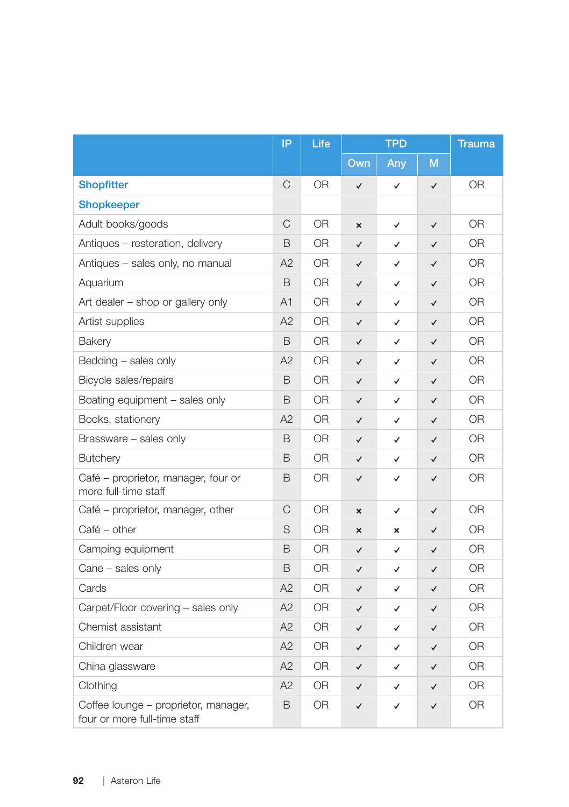|                                                                      | IP             | Life           | <b>TPD</b>                |              | <b>Trauma</b> |                |
|----------------------------------------------------------------------|----------------|----------------|---------------------------|--------------|---------------|----------------|
|                                                                      |                |                | Own                       | Any          | M             |                |
| <b>Shopfitter</b>                                                    | C              | 0R             | ✓                         | ✓            | $\checkmark$  | OR             |
| <b>Shopkeeper</b>                                                    |                |                |                           |              |               |                |
| Adult books/goods                                                    | C              | <b>OR</b>      | ×                         | $\checkmark$ | $\checkmark$  | <b>OR</b>      |
| Antiques - restoration, delivery                                     | B              | OR.            | $\checkmark$              | $\checkmark$ | $\checkmark$  | <b>OR</b>      |
| Antiques - sales only, no manual                                     | A2             | <b>OR</b>      | $\checkmark$              | $\checkmark$ | $\checkmark$  | 0R             |
| Aquarium                                                             | B              | 0R             | ✓                         | ✓            | ✓             | 0R             |
| Art dealer - shop or gallery only                                    | A <sub>1</sub> | 0R             | $\checkmark$              | ✓            | ✓             | <b>OR</b>      |
| Artist supplies                                                      | A2             | OR.            | $\checkmark$              | $\checkmark$ | ✓             | <b>OR</b>      |
| Bakery                                                               | B              | 0 <sub>R</sub> | $\checkmark$              | $\checkmark$ | $\checkmark$  | 0 <sub>R</sub> |
| Bedding - sales only                                                 | A2             | <b>OR</b>      | $\checkmark$              | ✓            | $\checkmark$  | 0R             |
| Bicycle sales/repairs                                                | B              | <b>OR</b>      | ✓                         | ✓            | $\checkmark$  | 0R             |
| Boating equipment - sales only                                       | B              | 0R             | $\checkmark$              | ✓            | $\checkmark$  | <b>OR</b>      |
| Books, stationery                                                    | A2             | OR.            | $\checkmark$              | ✓            | $\checkmark$  | 0R             |
| Brassware - sales only                                               | B              | OR.            | $\checkmark$              | ✓            | $\checkmark$  | <b>OR</b>      |
| <b>Butchery</b>                                                      | B              | 0R             | ✓                         | ✓            | $\checkmark$  | <b>OR</b>      |
| Café - proprietor, manager, four or<br>more full-time staff          | B              | 0R             | $\checkmark$              | $\checkmark$ | $\checkmark$  | <b>OR</b>      |
| Café – proprietor, manager, other                                    | C              | <b>OR</b>      | $\boldsymbol{\mathsf{x}}$ | $\checkmark$ | ✓             | <b>OR</b>      |
| Café - other                                                         | S              | 0R             | $\boldsymbol{\mathsf{x}}$ | ×            | ✓             | <b>OR</b>      |
| Camping equipment                                                    | B              | 0R             | $\checkmark$              | $\checkmark$ | $\checkmark$  | 0 <sub>R</sub> |
| Cane - sales only                                                    | B              | OR.            | $\checkmark$              | ✓            | $\checkmark$  | 0R             |
| Cards                                                                | A2             | 0R             | $\checkmark$              | ✓            | ✓             | 0R             |
| Carpet/Floor covering - sales only                                   | A2             | <b>OR</b>      | $\checkmark$              | ✓            | $\checkmark$  | <b>OR</b>      |
| Chemist assistant                                                    | A2             | OR.            | $\checkmark$              | ✓            | $\checkmark$  | 0R             |
| Children wear                                                        | A2             | <b>OR</b>      | $\checkmark$              | ✓            | $\checkmark$  | <b>OR</b>      |
| China glassware                                                      | A2             | OR.            | $\checkmark$              | ✓            | $\checkmark$  | 0R             |
| Clothing                                                             | A2             | <b>OR</b>      | $\checkmark$              | ✓            | ✓             | <b>OR</b>      |
| Coffee lounge - proprietor, manager,<br>four or more full-time staff | B              | OR             | $\checkmark$              | ✓            | ✓             | OR             |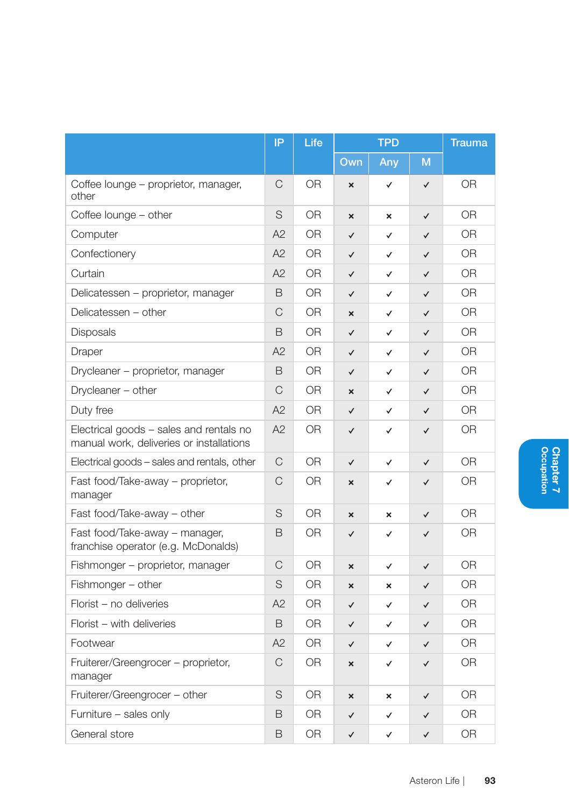|                                                                                     | IP | Life           | <b>TPD</b>                |                           | <b>Trauma</b> |                |
|-------------------------------------------------------------------------------------|----|----------------|---------------------------|---------------------------|---------------|----------------|
|                                                                                     |    |                | Own                       | Any                       | M             |                |
| Coffee lounge – proprietor, manager,<br>other                                       | C  | 0R             | $\overline{\mathsf{x}}$   | $\checkmark$              | $\checkmark$  | <b>OR</b>      |
| Coffee lounge – other                                                               | S  | 0R             | ×                         | ×                         | $\checkmark$  | 0R             |
| Computer                                                                            | A2 | 0 <sub>R</sub> | $\checkmark$              | ✓                         | $\checkmark$  | 0 <sub>R</sub> |
| Confectionery                                                                       | A2 | <b>OR</b>      | $\checkmark$              | ✓                         | $\checkmark$  | ΟR             |
| Curtain                                                                             | A2 | 0R             | $\checkmark$              | ✓                         | ✓             | 0R             |
| Delicatessen - proprietor, manager                                                  | B  | 0R             | $\checkmark$              | ✓                         | $\checkmark$  | <b>OR</b>      |
| Delicatessen - other                                                                | C  | 0R             | $\boldsymbol{\mathsf{x}}$ | ✓                         | $\checkmark$  | 0R             |
| <b>Disposals</b>                                                                    | B  | <b>OR</b>      | $\checkmark$              | ✓                         | ✓             | <b>OR</b>      |
| Draper                                                                              | A2 | 0R             | $\checkmark$              | ✓                         | ✓             | 0 <sub>R</sub> |
| Drycleaner – proprietor, manager                                                    | B  | 0 <sub>R</sub> | $\checkmark$              | ✓                         | ✓             | 0 <sub>R</sub> |
| Drycleaner - other                                                                  | C  | 0 <sub>R</sub> | ×                         | ✓                         | $\checkmark$  | 0 <sub>R</sub> |
| Duty free                                                                           | A2 | OR             | ✓                         | ✓                         | ✓             | <b>OR</b>      |
| Electrical goods - sales and rentals no<br>manual work, deliveries or installations | A2 | <b>OR</b>      | $\checkmark$              | ✓                         | ✓             | <b>OR</b>      |
| Electrical goods – sales and rentals, other                                         | C  | 0 <sub>R</sub> | $\checkmark$              | ✓                         | $\checkmark$  | 0 <sub>R</sub> |
| Fast food/Take-away – proprietor,<br>manager                                        | C  | <b>OR</b>      | $\boldsymbol{\mathsf{x}}$ | ✓                         | ✓             | <b>OR</b>      |
| Fast food/Take-away - other                                                         | S  | 0 <sub>R</sub> | $\overline{\mathbf{x}}$   | $\boldsymbol{\mathsf{x}}$ | $\checkmark$  | 0 <sub>R</sub> |
| Fast food/Take-away - manager,<br>franchise operator (e.g. McDonalds)               | B  | 0 <sub>R</sub> | $\checkmark$              | ✓                         | ✓             | 0 <sub>R</sub> |
| Fishmonger – proprietor, manager                                                    | C  | <b>OR</b>      | $\boldsymbol{\mathsf{x}}$ | ✓                         | ✓             | <b>OR</b>      |
| Fishmonger - other                                                                  | S  | 0R             | $\boldsymbol{\mathsf{x}}$ | ×                         | $\checkmark$  | 0 <sub>R</sub> |
| Florist - no deliveries                                                             | A2 | OR             | $\checkmark$              | ✓                         | ✓             | <b>OR</b>      |
| Florist - with deliveries                                                           | B  | 0R             | $\checkmark$              | ✓                         | ✓             | <b>OR</b>      |
| Footwear                                                                            | A2 | 0R             | $\checkmark$              | ✓                         | $\checkmark$  | <b>OR</b>      |
| Fruiterer/Greengrocer - proprietor,<br>manager                                      | C  | 0 <sub>R</sub> | $\overline{\mathbf{x}}$   | ✓                         | $\checkmark$  | 0 <sub>R</sub> |
| Fruiterer/Greengrocer - other                                                       | S  | 0R             | $\boldsymbol{\mathsf{x}}$ | $\boldsymbol{\mathsf{x}}$ | ✓             | <b>OR</b>      |
| Furniture - sales only                                                              | B  | 0R             | ✓                         | ✓                         | $\checkmark$  | <b>OR</b>      |
| General store                                                                       | B  | 0 <sub>R</sub> | $\checkmark$              | ✓                         | $\checkmark$  | <b>OR</b>      |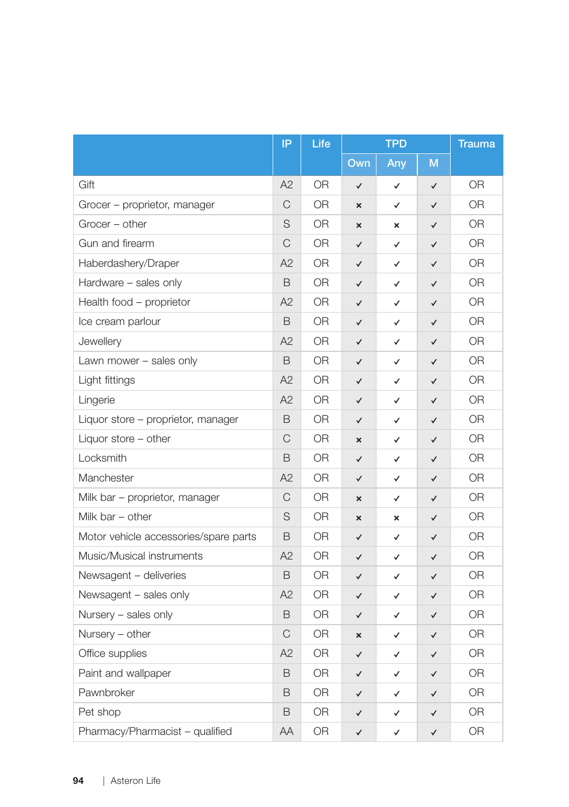|                                       | IP            | Life           | <b>TPD</b>                |              | <b>Trauma</b> |           |
|---------------------------------------|---------------|----------------|---------------------------|--------------|---------------|-----------|
|                                       |               |                | Own                       | Any          | M             |           |
| Gift                                  | A2            | <b>OR</b>      | $\checkmark$              | $\checkmark$ | ✓             | 0R        |
| Grocer - proprietor, manager          | C             | OR.            | ×                         | ✓            | ✓             | 0R        |
| Grocer - other                        | S             | OR.            | $\boldsymbol{\mathsf{x}}$ | ×            | ✓             | 0R        |
| Gun and firearm                       | $\mathsf C$   | OR.            | $\checkmark$              | ✓            | ✓             | ΟR        |
| Haberdashery/Draper                   | A2            | OR.            | $\checkmark$              | $\checkmark$ | ✓             | 0R        |
| Hardware - sales only                 | B             | 0R             | $\checkmark$              | $\checkmark$ | ✓             | <b>OR</b> |
| Health food - proprietor              | A2            | OR.            | $\checkmark$              | $\checkmark$ | ✓             | <b>OR</b> |
| Ice cream parlour                     | B             | 0R             | $\checkmark$              | ✓            | ✓             | 0R        |
| Jewellery                             | A2            | 0R             | $\checkmark$              | $\checkmark$ | ✓             | <b>OR</b> |
| Lawn mower - sales only               | B             | OR.            | $\checkmark$              | $\checkmark$ | ✓             | <b>OR</b> |
| Light fittings                        | A2            | 0R             | $\checkmark$              | $\checkmark$ | ✓             | <b>OR</b> |
| Lingerie                              | A2            | OR.            | $\checkmark$              | $\checkmark$ | ✓             | OR        |
| Liquor store – proprietor, manager    | B             | 0R             | $\checkmark$              | $\checkmark$ | ✓             | <b>OR</b> |
| Liquor store - other                  | $\mathsf C$   | 0R             | ×                         | $\checkmark$ | ✓             | <b>OR</b> |
| Locksmith                             | B             | OR.            | $\checkmark$              | $\checkmark$ | $\checkmark$  | <b>OR</b> |
| Manchester                            | A2            | 0R             | $\checkmark$              | $\checkmark$ | $\checkmark$  | <b>OR</b> |
| Milk bar – proprietor, manager        | C             | 0R             | $\boldsymbol{\mathsf{x}}$ | ✓            | ✓             | <b>OR</b> |
| Milk bar - other                      | S             | 0R             | ×                         | ×            | ✓             | <b>OR</b> |
| Motor vehicle accessories/spare parts | B             | 0R             | $\checkmark$              | ✓            | ✓             | <b>OR</b> |
| Music/Musical instruments             | A2            | 0R             | $\checkmark$              | $\checkmark$ | $\checkmark$  | <b>OR</b> |
| Newsagent - deliveries                | B             | <b>OR</b>      | $\checkmark$              | $\checkmark$ | $\checkmark$  | <b>OR</b> |
| Newsagent - sales only                | A2            | 0R             | $\checkmark$              | ✓            | ✓             | 0R        |
| Nursery - sales only                  | B             | <b>OR</b>      | $\checkmark$              | ✓            | ✓             | <b>OR</b> |
| Nursery - other                       | $\mathcal{C}$ | <b>OR</b>      | $\mathbf{x}$              | ✓            | ✓             | <b>OR</b> |
| Office supplies                       | A2            | <b>OR</b>      | $\checkmark$              | $\checkmark$ | ✓             | <b>OR</b> |
| Paint and wallpaper                   | B             | <b>OR</b>      | $\checkmark$              | ✓            | $\checkmark$  | <b>OR</b> |
| Pawnbroker                            | B             | OR.            | $\checkmark$              | ✓            | ✓             | 0R        |
| Pet shop                              | B             | <b>OR</b>      | $\checkmark$              | ✓            | ✓             | <b>OR</b> |
| Pharmacy/Pharmacist - qualified       | AA            | 0 <sub>R</sub> | $\checkmark$              | $\checkmark$ | $\checkmark$  | OR        |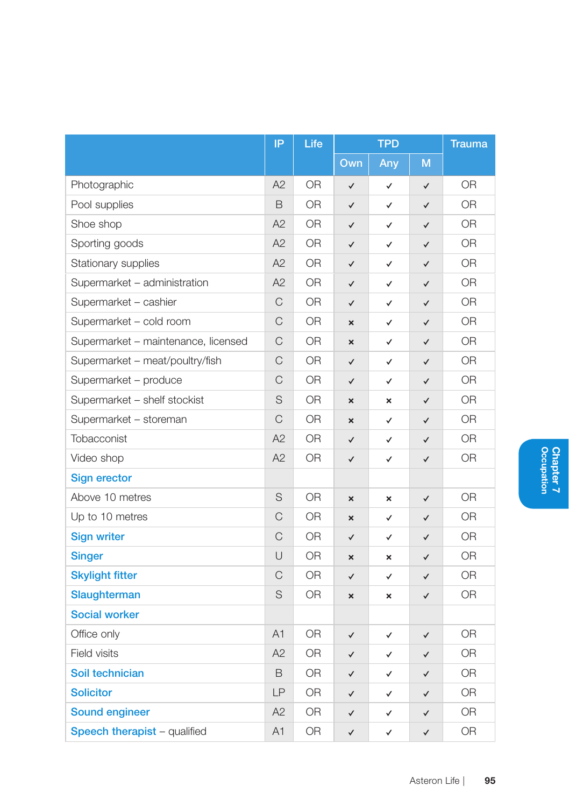|                                     | IP           | Life           | <b>TPD</b>   |     | <b>Trauma</b> |                |
|-------------------------------------|--------------|----------------|--------------|-----|---------------|----------------|
|                                     |              |                | Own          | Any | M             |                |
| Photographic                        | A2           | <b>OR</b>      | ✓            | ✓   | $\checkmark$  | <b>OR</b>      |
| Pool supplies                       | B            | 0R             | ✓            | ✓   | ✓             | OR             |
| Shoe shop                           | A2           | <b>OR</b>      | $\checkmark$ | ✓   | ✓             | <b>OR</b>      |
| Sporting goods                      | A2           | <b>OR</b>      | $\checkmark$ | ✓   | $\checkmark$  | <b>OR</b>      |
| Stationary supplies                 | A2           | <b>OR</b>      | ✓            | ✓   | $\checkmark$  | <b>OR</b>      |
| Supermarket - administration        | A2           | <b>OR</b>      | $\checkmark$ | ✓   | $\checkmark$  | <b>OR</b>      |
| Supermarket - cashier               | $\mathsf C$  | OR             | ✓            | ✓   | ✓             | OR             |
| Supermarket - cold room             | $\mathsf{C}$ | 0R             | ×            | ✓   | ✓             | 0R             |
| Supermarket - maintenance, licensed | $\mathsf{C}$ | 0R             | ×            | ✓   | $\checkmark$  | <b>OR</b>      |
| Supermarket - meat/poultry/fish     | C            | 0R             | ✓            | ✓   | ✓             | <b>OR</b>      |
| Supermarket - produce               | $\mathsf{C}$ | <b>OR</b>      | $\checkmark$ | ✓   | ✓             | <b>OR</b>      |
| Supermarket - shelf stockist        | S            | 0 <sub>R</sub> | $\mathbf{x}$ | ×   | $\checkmark$  | 0 <sub>R</sub> |
| Supermarket - storeman              | C            | <b>OR</b>      | $\mathbf{x}$ | ✓   | ✓             | <b>OR</b>      |
| Tobacconist                         | A2           | <b>OR</b>      | ✓            | ✓   | ✓             | OR             |
| Video shop                          | A2           | 0R             | ✓            | ✓   | $\checkmark$  | OR             |
| <b>Sign erector</b>                 |              |                |              |     |               |                |
| Above 10 metres                     | S            | <b>OR</b>      | ×            | ×   | $\checkmark$  | <b>OR</b>      |
| Up to 10 metres                     | $\mathcal C$ | <b>OR</b>      | ×            | ✓   | ✓             | <b>OR</b>      |
| <b>Sign writer</b>                  | C            | <b>OR</b>      | $\checkmark$ | ✓   | $\checkmark$  | <b>OR</b>      |
| <b>Singer</b>                       | U            | <b>OR</b>      | $\mathbf{x}$ | ×   | $\checkmark$  | <b>OR</b>      |
| <b>Skylight fitter</b>              | $\mathcal C$ | <b>OR</b>      | $\checkmark$ | ✓   | $\checkmark$  | <b>OR</b>      |
| Slaughterman                        | S            | <b>OR</b>      | ×            | ×   | ✓             | OR.            |
| <b>Social worker</b>                |              |                |              |     |               |                |
| Office only                         | A1           | <b>OR</b>      | $\checkmark$ | ✓   | ✓             | <b>OR</b>      |
| Field visits                        | A2           | OR             | ✓            | ✓   | $\checkmark$  | OR             |
| Soil technician                     | B            | <b>OR</b>      | $\checkmark$ | ✓   | ✓             | <b>OR</b>      |
| <b>Solicitor</b>                    | LP           | <b>OR</b>      | $\checkmark$ | ✓   | $\checkmark$  | <b>OR</b>      |
| <b>Sound engineer</b>               | A2           | <b>OR</b>      | ✓            | ✓   | ✓             | <b>OR</b>      |
| Speech therapist - qualified        | A1           | <b>OR</b>      | $\checkmark$ | ✓   | $\checkmark$  | <b>OR</b>      |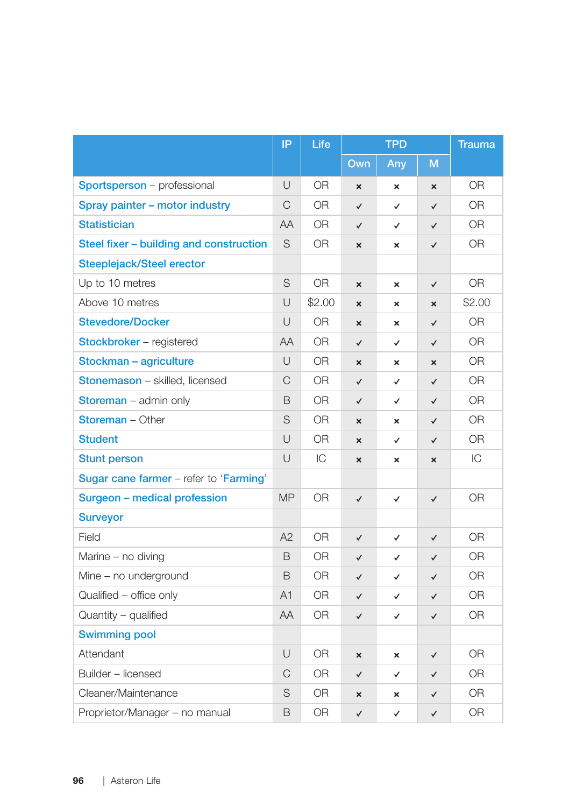|                                         | IP            | Life           | <b>TPD</b>                |                           | <b>Trauma</b>             |                |
|-----------------------------------------|---------------|----------------|---------------------------|---------------------------|---------------------------|----------------|
|                                         |               |                | Own                       | Any                       | M                         |                |
| Sportsperson - professional             | U             | <b>OR</b>      | $\boldsymbol{\mathsf{x}}$ | $\boldsymbol{\mathsf{x}}$ | $\boldsymbol{\times}$     | <b>OR</b>      |
| Spray painter - motor industry          | C             | OR.            | $\checkmark$              | ✓                         | ✓                         | 0R             |
| <b>Statistician</b>                     | AA            | OR.            | $\checkmark$              | ✓                         | $\checkmark$              | 0 <sub>R</sub> |
| Steel fixer - building and construction | S             | OR.            | ×                         | ×                         | $\checkmark$              | <b>OR</b>      |
| Steeplejack/Steel erector               |               |                |                           |                           |                           |                |
| Up to 10 metres                         | S             | <b>OR</b>      | ×                         | $\boldsymbol{\mathsf{x}}$ | $\checkmark$              | <b>OR</b>      |
| Above 10 metres                         | U             | \$2.00         | ×                         | ×                         | $\boldsymbol{\times}$     | \$2.00         |
| <b>Stevedore/Docker</b>                 | $\cup$        | <b>OR</b>      | $\boldsymbol{\mathsf{x}}$ | ×                         | $\checkmark$              | 0R             |
| Stockbroker - registered                | AA            | OR.            | $\checkmark$              | $\checkmark$              | $\checkmark$              | 0 <sub>R</sub> |
| Stockman - agriculture                  | $\cup$        | <b>OR</b>      | $\boldsymbol{\mathsf{x}}$ | ×                         | $\boldsymbol{\times}$     | <b>OR</b>      |
| <b>Stonemason</b> - skilled, licensed   | C             | <b>OR</b>      | $\checkmark$              | ✓                         | ✓                         | <b>OR</b>      |
| Storeman - admin only                   | B             | OR.            | $\checkmark$              | ✓                         | $\checkmark$              | 0 <sub>R</sub> |
| <b>Storeman</b> - Other                 | S             | OR.            | $\boldsymbol{\mathsf{x}}$ | ×                         | $\checkmark$              | <b>OR</b>      |
| <b>Student</b>                          | U             | 0R             | $\boldsymbol{\mathsf{x}}$ | ✓                         | $\checkmark$              | OR             |
| <b>Stunt person</b>                     | U             | IC             | ×                         | ×                         | $\boldsymbol{\mathsf{x}}$ | IC             |
| Sugar cane farmer - refer to 'Farming'  |               |                |                           |                           |                           |                |
| Surgeon - medical profession            | <b>MP</b>     | 0 <sub>R</sub> | ✓                         | ✓                         | $\checkmark$              | <b>OR</b>      |
| <b>Surveyor</b>                         |               |                |                           |                           |                           |                |
| Field                                   | A2            | <b>OR</b>      | ✓                         | ✓                         | $\checkmark$              | <b>OR</b>      |
| Marine - no diving                      | B             | OR.            | $\checkmark$              | ✓                         | $\checkmark$              | <b>OR</b>      |
| Mine - no underground                   | B             | 0 <sub>R</sub> | $\checkmark$              | ✓                         | $\checkmark$              | 0 <sub>R</sub> |
| Qualified - office only                 | A1            | OR.            | $\checkmark$              | ✓                         | $\checkmark$              | 0R             |
| Quantity - qualified                    | AA            | OR.            | ✓                         | ✓                         | $\checkmark$              | <b>OR</b>      |
| <b>Swimming pool</b>                    |               |                |                           |                           |                           |                |
| Attendant                               | U             | OR.            | ×                         | ×                         | $\checkmark$              | <b>OR</b>      |
| Builder - licensed                      | $\mathcal{C}$ | OR.            | ✓                         | ✓                         | ✓                         | 0 <sub>R</sub> |
| Cleaner/Maintenance                     | S             | <b>OR</b>      | ×                         | ×                         | $\checkmark$              | <b>OR</b>      |
| Proprietor/Manager - no manual          | B             | <b>OR</b>      | $\checkmark$              | ✓                         | $\checkmark$              | <b>OR</b>      |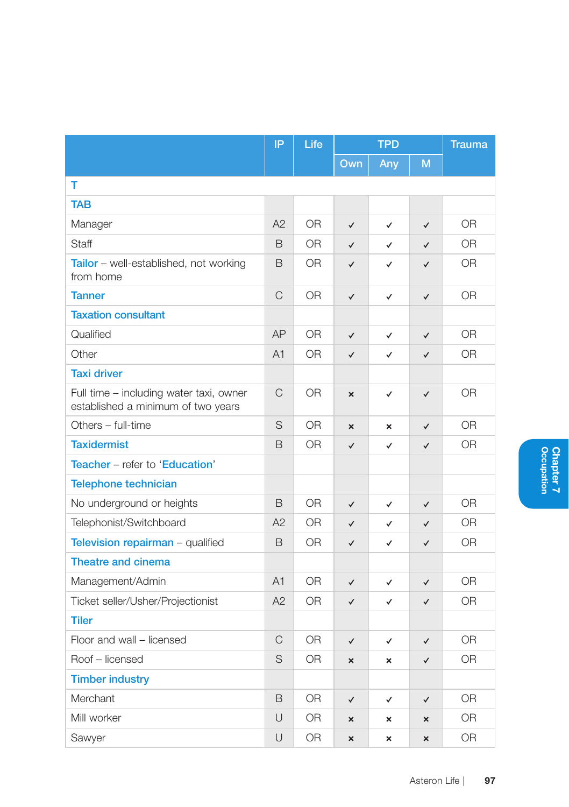|                                                                               | IP | Life           | <b>TPD</b>                |                           |                           | <b>Trauma</b>  |
|-------------------------------------------------------------------------------|----|----------------|---------------------------|---------------------------|---------------------------|----------------|
|                                                                               |    |                | Own                       | Any                       | M                         |                |
| т                                                                             |    |                |                           |                           |                           |                |
| <b>TAB</b>                                                                    |    |                |                           |                           |                           |                |
| Manager                                                                       | A2 | 0 <sub>R</sub> | $\checkmark$              | ✓                         | $\checkmark$              | 0 <sub>R</sub> |
| <b>Staff</b>                                                                  | B  | <b>OR</b>      | $\checkmark$              | ✓                         | $\checkmark$              | <b>OR</b>      |
| Tailor - well-established, not working<br>from home                           | B  | 0R             | ✓                         | ✓                         | $\checkmark$              | 0R             |
| <b>Tanner</b>                                                                 | C  | 0 <sub>R</sub> | $\checkmark$              | $\checkmark$              | $\checkmark$              | 0 <sub>R</sub> |
| <b>Taxation consultant</b>                                                    |    |                |                           |                           |                           |                |
| Qualified                                                                     | AP | 0 <sub>R</sub> | $\checkmark$              | $\checkmark$              | $\checkmark$              | 0 <sub>R</sub> |
| Other                                                                         | A1 | <b>OR</b>      | $\checkmark$              | ✓                         | $\checkmark$              | <b>OR</b>      |
| <b>Taxi driver</b>                                                            |    |                |                           |                           |                           |                |
| Full time - including water taxi, owner<br>established a minimum of two years | C  | 0R             | $\boldsymbol{\mathsf{x}}$ | $\checkmark$              | $\checkmark$              | 0R             |
| Others - full-time                                                            | S  | 0R             | $\boldsymbol{\mathsf{x}}$ | $\boldsymbol{\mathsf{x}}$ | $\checkmark$              | <b>OR</b>      |
| <b>Taxidermist</b>                                                            | B  | 0R             | $\checkmark$              | ✓                         | $\checkmark$              | 0R             |
| Teacher - refer to 'Education'                                                |    |                |                           |                           |                           |                |
| <b>Telephone technician</b>                                                   |    |                |                           |                           |                           |                |
| No underground or heights                                                     | B  | 0 <sub>R</sub> | $\checkmark$              | ✓                         | $\checkmark$              | 0 <sub>R</sub> |
| Telephonist/Switchboard                                                       | A2 | 0R             | $\checkmark$              | ✓                         | $\checkmark$              | <b>OR</b>      |
| Television repairman - qualified                                              | B  | 0R             | $\checkmark$              | ✓                         | $\checkmark$              | 0R             |
| <b>Theatre and cinema</b>                                                     |    |                |                           |                           |                           |                |
| Management/Admin                                                              | A1 | <b>OR</b>      | $\checkmark$              | $\checkmark$              | $\checkmark$              | <b>OR</b>      |
| Ticket seller/Usher/Projectionist                                             | A2 | 0R             | $\checkmark$              | ✓                         | $\checkmark$              | 0R             |
| <b>Tiler</b>                                                                  |    |                |                           |                           |                           |                |
| Floor and wall - licensed                                                     | C  | 0R             | $\checkmark$              | ✓                         | ✓                         | 0R             |
| Roof - licensed                                                               | S  | 0R             | $\boldsymbol{\mathsf{x}}$ | ×                         | $\checkmark$              | 0R             |
| <b>Timber industry</b>                                                        |    |                |                           |                           |                           |                |
| Merchant                                                                      | B  | 0R             | $\checkmark$              | ✓                         | ✓                         | 0R             |
| Mill worker                                                                   | U  | 0R             | $\mathbf{x}$              | $\boldsymbol{\mathsf{x}}$ | $\mathbf x$               | 0R             |
| Sawyer                                                                        | U  | 0 <sub>R</sub> | $\mathbf{x}$              | $\boldsymbol{\mathsf{x}}$ | $\boldsymbol{\mathsf{x}}$ | 0 <sub>R</sub> |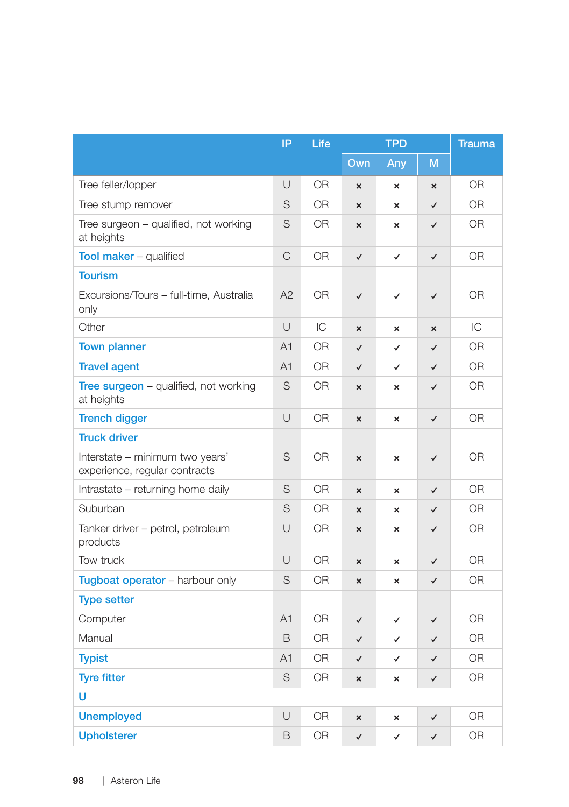|                                                                  | IP             | Life           | <b>TPD</b>                |                           | <b>Trauma</b>  |                |
|------------------------------------------------------------------|----------------|----------------|---------------------------|---------------------------|----------------|----------------|
|                                                                  |                |                | Own                       | Any                       | M              |                |
| Tree feller/lopper                                               | U              | <b>OR</b>      | ×                         | $\boldsymbol{\mathsf{x}}$ | $\pmb{\times}$ | 0R             |
| Tree stump remover                                               | S              | <b>OR</b>      | $\mathbf{x}$              | $\boldsymbol{\mathsf{x}}$ | $\checkmark$   | 0 <sub>R</sub> |
| Tree surgeon – qualified, not working<br>at heights              | S              | <b>OR</b>      | ×                         | ×                         | ✓              | <b>OR</b>      |
| <b>Tool maker - qualified</b>                                    | C              | 0 <sub>R</sub> | $\checkmark$              | $\checkmark$              | $\checkmark$   | 0 <sub>R</sub> |
| <b>Tourism</b>                                                   |                |                |                           |                           |                |                |
| Excursions/Tours - full-time, Australia<br>only                  | A2             | <b>OR</b>      | $\checkmark$              | $\checkmark$              | $\checkmark$   | <b>OR</b>      |
| Other                                                            | U              | IC             | $\boldsymbol{\mathsf{x}}$ | $\boldsymbol{\mathsf{x}}$ | ×              | IC             |
| <b>Town planner</b>                                              | A <sub>1</sub> | 0 <sub>R</sub> | $\checkmark$              | ✓                         | $\checkmark$   | 0 <sub>R</sub> |
| <b>Travel agent</b>                                              | A <sub>1</sub> | OR             | $\checkmark$              | $\checkmark$              | ✓              | <b>OR</b>      |
| Tree surgeon - qualified, not working<br>at heights              | S              | 0 <sub>R</sub> | $\boldsymbol{\mathsf{x}}$ | $\mathbf{x}$              | $\checkmark$   | 0 <sub>R</sub> |
| <b>Trench digger</b>                                             | $\cup$         | <b>OR</b>      | $\boldsymbol{\mathsf{x}}$ | $\boldsymbol{\mathsf{x}}$ | $\checkmark$   | <b>OR</b>      |
| <b>Truck driver</b>                                              |                |                |                           |                           |                |                |
| Interstate - minimum two years'<br>experience, regular contracts | S              | <b>OR</b>      | $\boldsymbol{\mathsf{x}}$ | $\boldsymbol{\mathsf{x}}$ | $\checkmark$   | 0R             |
| Intrastate - returning home daily                                | S              | <b>OR</b>      | ×                         | $\boldsymbol{\mathsf{x}}$ | ✓              | 0 <sub>R</sub> |
| Suburban                                                         | S              | OR.            | $\mathbf{x}$              | $\boldsymbol{\mathsf{x}}$ | $\checkmark$   | 0R             |
| Tanker driver - petrol, petroleum<br>products                    | U              | <b>OR</b>      | ×                         | ×                         | $\checkmark$   | <b>OR</b>      |
| Tow truck                                                        | $\cup$         | <b>OR</b>      | $\mathbf{x}$              | $\boldsymbol{\mathsf{x}}$ | $\checkmark$   | 0 <sub>R</sub> |
| Tugboat operator - harbour only                                  | S              | 0R             | ×                         | ×                         | ✓              | 0R             |
| <b>Type setter</b>                                               |                |                |                           |                           |                |                |
| Computer                                                         | A <sub>1</sub> | <b>OR</b>      | $\checkmark$              | ✓                         | ✓              | <b>OR</b>      |
| Manual                                                           | B              | <b>OR</b>      | $\checkmark$              | $\checkmark$              | $\checkmark$   | <b>OR</b>      |
| <b>Typist</b>                                                    | A1             | <b>OR</b>      | $\checkmark$              | $\checkmark$              | $\checkmark$   | <b>OR</b>      |
| <b>Tyre fitter</b>                                               | S              | OR.            | $\mathbf{x}$              | ×                         | ✓              | 0R             |
| Ü                                                                |                |                |                           |                           |                |                |
| <b>Unemployed</b>                                                | U              | <b>OR</b>      | $\boldsymbol{\mathsf{x}}$ | ×                         | $\checkmark$   | OR             |
| <b>Upholsterer</b>                                               | B              | 0 <sub>R</sub> | $\checkmark$              | $\checkmark$              | $\checkmark$   | 0 <sub>R</sub> |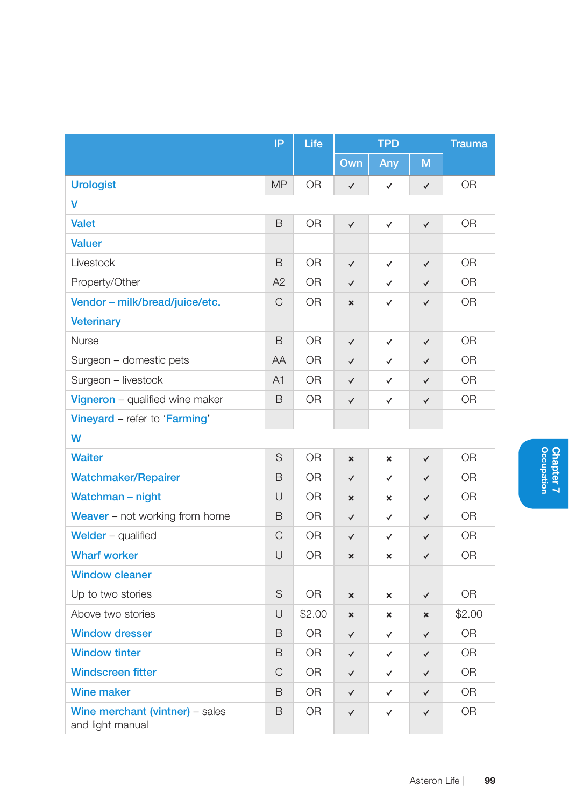|                                                     | IP        | Life           | <b>TPD</b>                |                           | <b>Trauma</b> |                |
|-----------------------------------------------------|-----------|----------------|---------------------------|---------------------------|---------------|----------------|
|                                                     |           |                | Own                       | Any                       | M             |                |
| <b>Urologist</b>                                    | <b>MP</b> | 0R             | $\checkmark$              | $\checkmark$              | $\checkmark$  | 0R             |
| v                                                   |           |                |                           |                           |               |                |
| <b>Valet</b>                                        | B         | <b>OR</b>      | $\checkmark$              | $\checkmark$              | $\checkmark$  | <b>OR</b>      |
| <b>Valuer</b>                                       |           |                |                           |                           |               |                |
| Livestock                                           | B         | 0 <sub>R</sub> | $\checkmark$              | $\checkmark$              | $\checkmark$  | 0 <sub>R</sub> |
| Property/Other                                      | A2        | <b>OR</b>      | $\checkmark$              | $\checkmark$              | $\checkmark$  | 0 <sub>R</sub> |
| Vendor - milk/bread/juice/etc.                      | C         | <b>OR</b>      | ×                         | ✓                         | $\checkmark$  | 0R             |
| <b>Veterinary</b>                                   |           |                |                           |                           |               |                |
| <b>Nurse</b>                                        | B         | OR.            | $\checkmark$              | ✓                         | $\checkmark$  | 0R             |
| Surgeon - domestic pets                             | AA        | <b>OR</b>      | $\checkmark$              | ✓                         | $\checkmark$  | <b>OR</b>      |
| Surgeon - livestock                                 | A1        | <b>OR</b>      | ✓                         | ✓                         | $\checkmark$  | OR             |
| Vigneron - qualified wine maker                     | B         | 0 <sub>R</sub> | ✓                         | ✓                         | $\checkmark$  | 0R             |
| Vineyard - refer to 'Farming'                       |           |                |                           |                           |               |                |
| W                                                   |           |                |                           |                           |               |                |
| <b>Waiter</b>                                       | S         | <b>OR</b>      | $\boldsymbol{\mathsf{x}}$ | $\boldsymbol{\mathsf{x}}$ | $\checkmark$  | 0R             |
| <b>Watchmaker/Repairer</b>                          | B         | OR             | $\checkmark$              | $\checkmark$              | $\checkmark$  | OR             |
| Watchman - night                                    | $\cup$    | <b>OR</b>      | $\boldsymbol{\mathsf{x}}$ | $\boldsymbol{\mathsf{x}}$ | $\checkmark$  | 0 <sub>R</sub> |
| Weaver - not working from home                      | B         | OR.            | $\checkmark$              | ✓                         | $\checkmark$  | 0R             |
| Welder $-$ qualified                                | C         | 0 <sub>R</sub> | $\checkmark$              | ✓                         | $\checkmark$  | 0R             |
| <b>Wharf worker</b>                                 | $\cup$    | 0 <sub>R</sub> | $\boldsymbol{\mathsf{x}}$ | $\boldsymbol{\mathsf{x}}$ | $\checkmark$  | 0 <sub>R</sub> |
| <b>Window cleaner</b>                               |           |                |                           |                           |               |                |
| Up to two stories                                   | S         | <b>OR</b>      | $\boldsymbol{\mathsf{x}}$ | ×                         | $\checkmark$  | <b>OR</b>      |
| Above two stories                                   | Ū         | \$2.00         | $\mathbf{x}$              | $\boldsymbol{\mathsf{x}}$ | $\mathsf{x}$  | \$2.00         |
| <b>Window dresser</b>                               | B         | <b>OR</b>      | ✓                         | ✓                         | $\checkmark$  | <b>OR</b>      |
| <b>Window tinter</b>                                | B         | <b>OR</b>      | $\checkmark$              | ✓                         | ✓             | <b>OR</b>      |
| <b>Windscreen fitter</b>                            | C         | 0 <sub>R</sub> | $\checkmark$              | ✓                         | $\checkmark$  | 0 <sub>R</sub> |
| <b>Wine maker</b>                                   | B         | OR.            | $\checkmark$              | ✓                         | $\checkmark$  | <b>OR</b>      |
| Wine merchant (vintner) - sales<br>and light manual | B         | <b>OR</b>      | ✓                         | ✓                         | ✓             | OR             |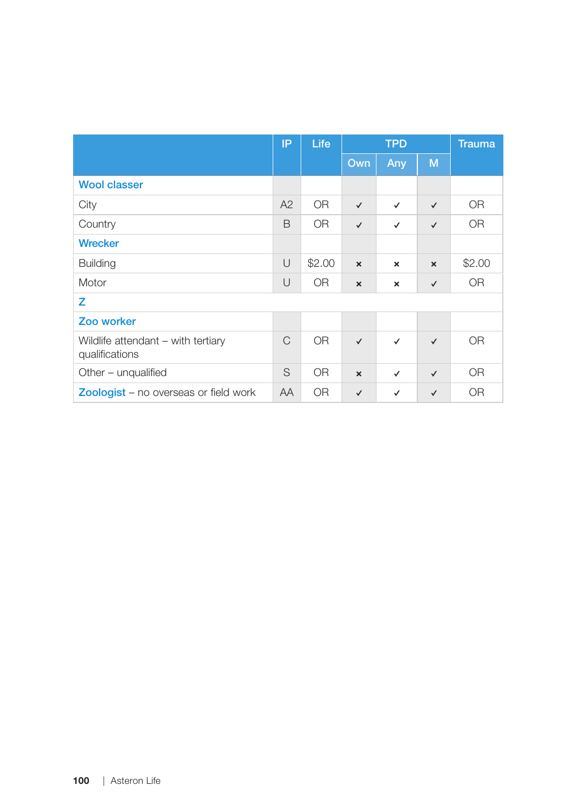|                                                      | IP        | Life      |                           | <b>TPD</b>   |                           | <b>Trauma</b> |
|------------------------------------------------------|-----------|-----------|---------------------------|--------------|---------------------------|---------------|
|                                                      |           |           | Own                       | Any          | M                         |               |
| <b>Wool classer</b>                                  |           |           |                           |              |                           |               |
| City                                                 | A2        | <b>OR</b> | $\checkmark$              | ✓            | $\checkmark$              | <b>OR</b>     |
| Country                                              | B         | <b>OR</b> | $\checkmark$              | $\checkmark$ | $\checkmark$              | <b>OR</b>     |
| <b>Wrecker</b>                                       |           |           |                           |              |                           |               |
| <b>Building</b>                                      | $\cup$    | \$2.00    | $\boldsymbol{\mathsf{x}}$ | ×            | $\boldsymbol{\mathsf{x}}$ | \$2.00        |
| Motor                                                | U         | <b>OR</b> | $\boldsymbol{\mathsf{x}}$ | ×            | $\checkmark$              | <b>OR</b>     |
| z                                                    |           |           |                           |              |                           |               |
| Zoo worker                                           |           |           |                           |              |                           |               |
| Wildlife attendant - with tertiary<br>qualifications | C         | <b>OR</b> | $\checkmark$              | $\checkmark$ | $\checkmark$              | <b>OR</b>     |
| Other - unqualified                                  | S         | <b>OR</b> | $\boldsymbol{\mathsf{x}}$ | ✓            | $\checkmark$              | <b>OR</b>     |
| <b>Zoologist</b> – no overseas or field work         | <b>AA</b> | <b>OR</b> | $\checkmark$              | $\checkmark$ | $\checkmark$              | <b>OR</b>     |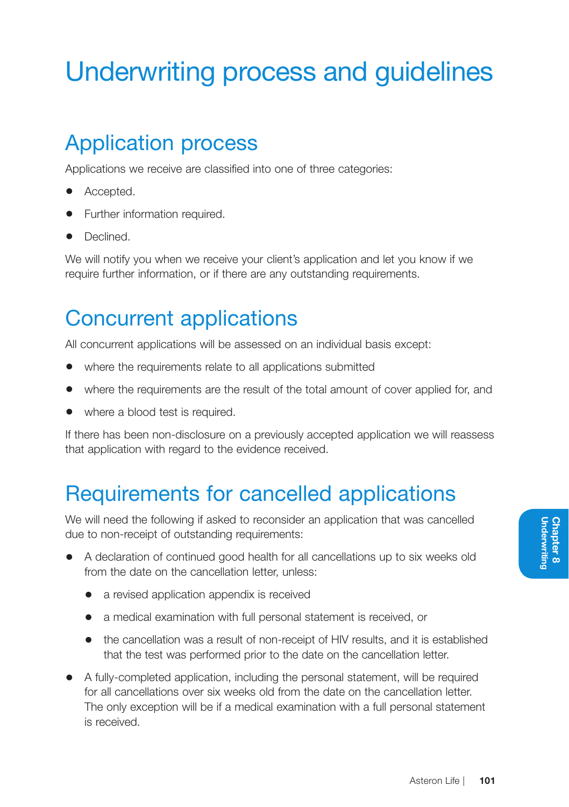# Underwriting process and guidelines

## Application process

Applications we receive are classified into one of three categories:

- Accepted.
- Further information required.
- Declined.

We will notify you when we receive your client's application and let you know if we require further information, or if there are any outstanding requirements.

### Concurrent applications

All concurrent applications will be assessed on an individual basis except:

- where the requirements relate to all applications submitted
- where the requirements are the result of the total amount of cover applied for, and
- where a blood test is required.

If there has been non-disclosure on a previously accepted application we will reassess that application with regard to the evidence received.

### Requirements for cancelled applications

We will need the following if asked to reconsider an application that was cancelled due to non-receipt of outstanding requirements:

- A declaration of continued good health for all cancellations up to six weeks old from the date on the cancellation letter, unless:
	- a revised application appendix is received
	- a medical examination with full personal statement is received, or
	- the cancellation was a result of non-receipt of HIV results, and it is established that the test was performed prior to the date on the cancellation letter.
- A fully-completed application, including the personal statement, will be required for all cancellations over six weeks old from the date on the cancellation letter. The only exception will be if a medical examination with a full personal statement is received.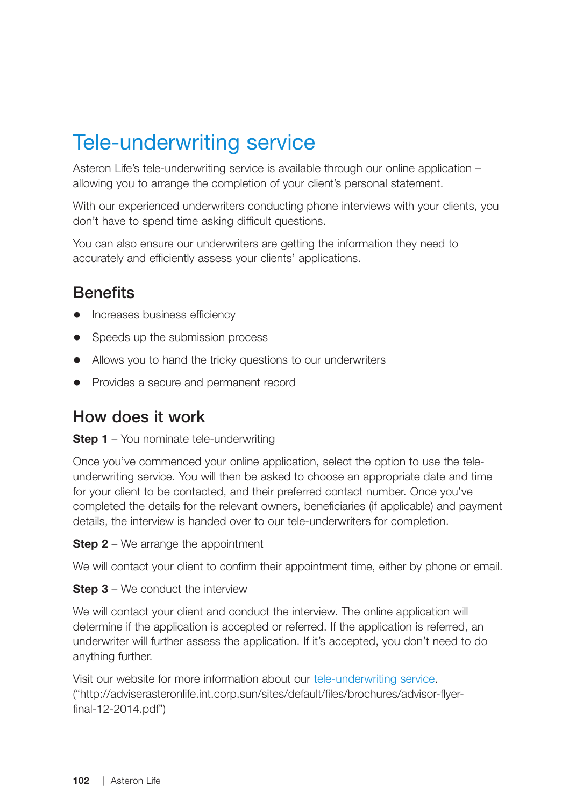### Tele-underwriting service

Asteron Life's tele-underwriting service is available through our online application – allowing you to arrange the completion of your client's personal statement.

With our experienced underwriters conducting phone interviews with your clients, you don't have to spend time asking difficult questions.

You can also ensure our underwriters are getting the information they need to accurately and efficiently assess your clients' applications.

#### **Benefits**

- Increases business efficiency
- Speeds up the submission process
- Allows you to hand the tricky questions to our underwriters
- Provides a secure and permanent record

#### How does it work

#### **Step 1** – You nominate tele-underwriting

Once you've commenced your online application, select the option to use the teleunderwriting service. You will then be asked to choose an appropriate date and time for your client to be contacted, and their preferred contact number. Once you've completed the details for the relevant owners, beneficiaries (if applicable) and payment details, the interview is handed over to our tele-underwriters for completion.

**Step 2** – We arrange the appointment

We will contact your client to confirm their appointment time, either by phone or email.

**Step 3** – We conduct the interview

We will contact your client and conduct the interview. The online application will determine if the application is accepted or referred. If the application is referred, an underwriter will further assess the application. If it's accepted, you don't need to do anything further.

Visit our website for more information about our tele-underwriting service. ("http://adviserasteronlife.int.corp.sun/sites/default/files/brochures/advisor-flyerfinal-12-2014.pdf")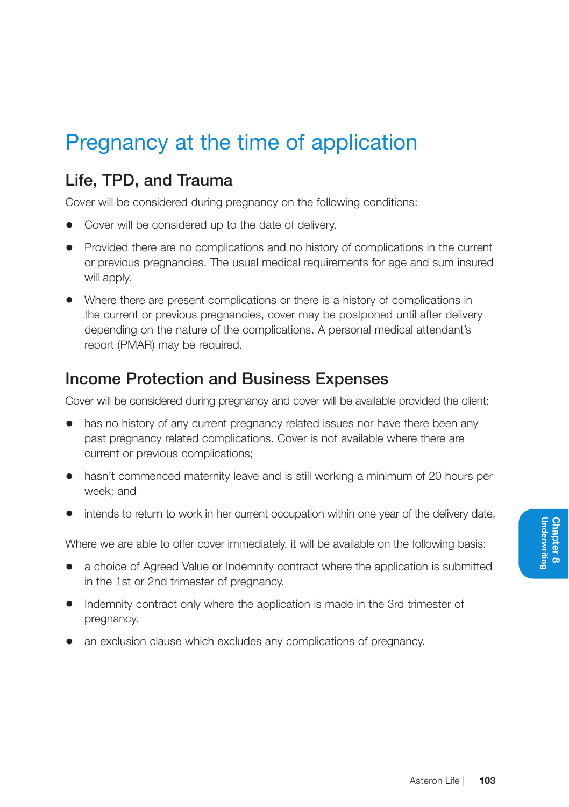### Pregnancy at the time of application

#### Life, TPD, and Trauma

Cover will be considered during pregnancy on the following conditions:

- Cover will be considered up to the date of delivery.
- Provided there are no complications and no history of complications in the current or previous pregnancies. The usual medical requirements for age and sum insured will apply.
- Where there are present complications or there is a history of complications in the current or previous pregnancies, cover may be postponed until after delivery depending on the nature of the complications. A personal medical attendant's report (PMAR) may be required.

#### Income Protection and Business Expenses

Cover will be considered during pregnancy and cover will be available provided the client:

- has no history of any current pregnancy related issues nor have there been any past pregnancy related complications. Cover is not available where there are current or previous complications;
- hasn't commenced maternity leave and is still working a minimum of 20 hours per week; and
- intends to return to work in her current occupation within one year of the delivery date.

Where we are able to offer cover immediately, it will be available on the following basis:

- a choice of Agreed Value or Indemnity contract where the application is submitted in the 1st or 2nd trimester of pregnancy.
- Indemnity contract only where the application is made in the 3rd trimester of pregnancy.
- an exclusion clause which excludes any complications of pregnancy.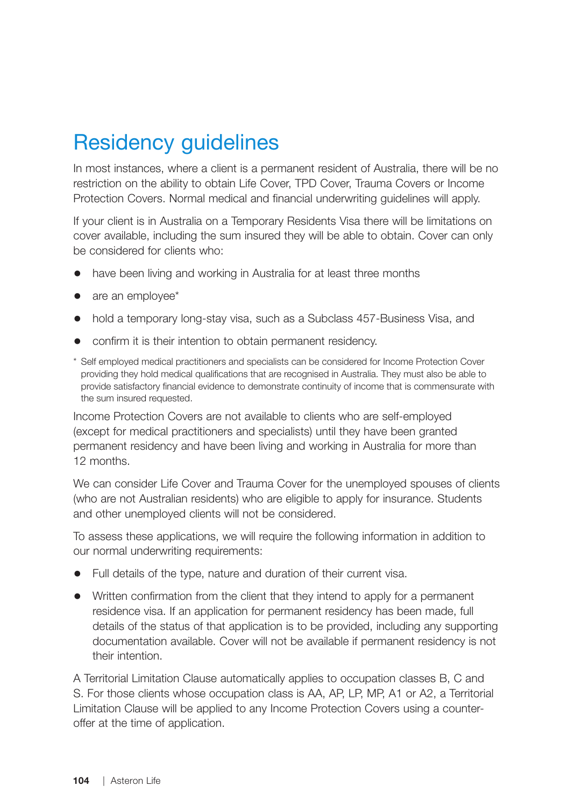### Residency guidelines

In most instances, where a client is a permanent resident of Australia, there will be no restriction on the ability to obtain Life Cover, TPD Cover, Trauma Covers or Income Protection Covers. Normal medical and financial underwriting guidelines will apply.

If your client is in Australia on a Temporary Residents Visa there will be limitations on cover available, including the sum insured they will be able to obtain. Cover can only be considered for clients who:

- have been living and working in Australia for at least three months
- are an employee\*
- hold a temporary long-stay visa, such as a Subclass 457-Business Visa, and
- confirm it is their intention to obtain permanent residency.
- \* Self employed medical practitioners and specialists can be considered for Income Protection Cover providing they hold medical qualifications that are recognised in Australia. They must also be able to provide satisfactory financial evidence to demonstrate continuity of income that is commensurate with the sum insured requested.

Income Protection Covers are not available to clients who are self-employed (except for medical practitioners and specialists) until they have been granted permanent residency and have been living and working in Australia for more than 12 months.

We can consider Life Cover and Trauma Cover for the unemployed spouses of clients (who are not Australian residents) who are eligible to apply for insurance. Students and other unemployed clients will not be considered.

To assess these applications, we will require the following information in addition to our normal underwriting requirements:

- Full details of the type, nature and duration of their current visa.
- Written confirmation from the client that they intend to apply for a permanent residence visa. If an application for permanent residency has been made, full details of the status of that application is to be provided, including any supporting documentation available. Cover will not be available if permanent residency is not their intention.

A Territorial Limitation Clause automatically applies to occupation classes B, C and S. For those clients whose occupation class is AA, AP, LP, MP, A1 or A2, a Territorial Limitation Clause will be applied to any Income Protection Covers using a counteroffer at the time of application.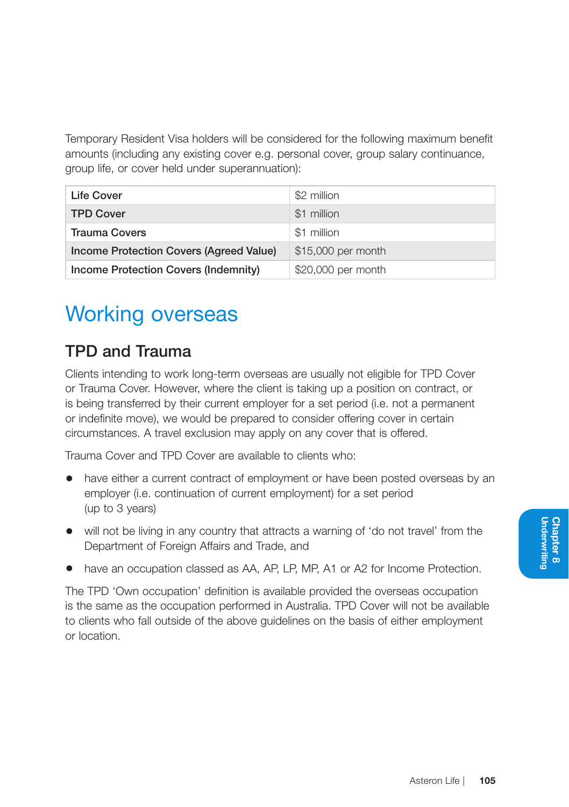Temporary Resident Visa holders will be considered for the following maximum benefit amounts (including any existing cover e.g. personal cover, group salary continuance, group life, or cover held under superannuation):

| Life Cover                              | \$2 million        |
|-----------------------------------------|--------------------|
| <b>TPD Cover</b>                        | \$1 million        |
| <b>Trauma Covers</b>                    | \$1 million        |
| Income Protection Covers (Agreed Value) | \$15,000 per month |
| Income Protection Covers (Indemnity)    | \$20,000 per month |

## Working overseas

#### TPD and Trauma

Clients intending to work long-term overseas are usually not eligible for TPD Cover or Trauma Cover. However, where the client is taking up a position on contract, or is being transferred by their current employer for a set period (i.e. not a permanent or indefinite move), we would be prepared to consider offering cover in certain circumstances. A travel exclusion may apply on any cover that is offered.

Trauma Cover and TPD Cover are available to clients who:

- have either a current contract of employment or have been posted overseas by an employer (i.e. continuation of current employment) for a set period (up to 3 years)
- will not be living in any country that attracts a warning of 'do not travel' from the Department of Foreign Affairs and Trade, and
- have an occupation classed as AA, AP, LP, MP, A1 or A2 for Income Protection.

The TPD 'Own occupation' definition is available provided the overseas occupation is the same as the occupation performed in Australia. TPD Cover will not be available to clients who fall outside of the above guidelines on the basis of either employment or location.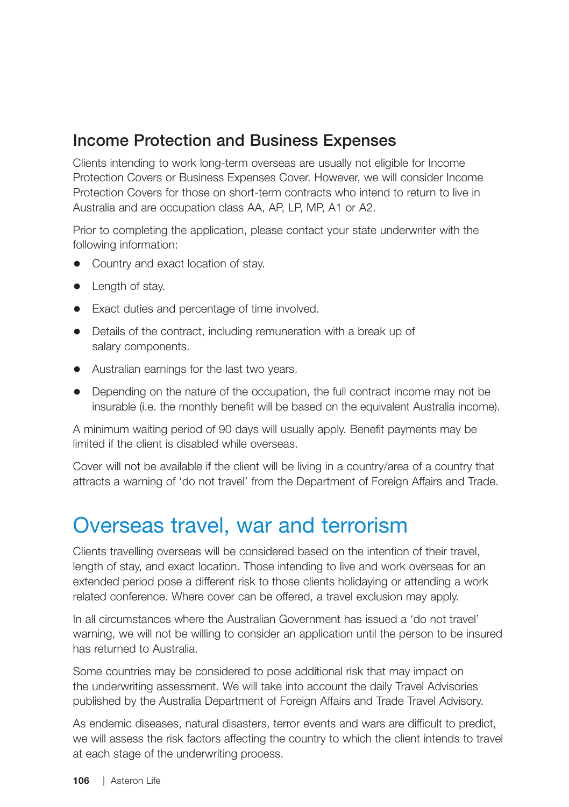#### Income Protection and Business Expenses

Clients intending to work long-term overseas are usually not eligible for Income Protection Covers or Business Expenses Cover. However, we will consider Income Protection Covers for those on short-term contracts who intend to return to live in Australia and are occupation class AA, AP, LP, MP, A1 or A2.

Prior to completing the application, please contact your state underwriter with the following information:

- Country and exact location of stay.
- Length of stay.
- Exact duties and percentage of time involved.
- Details of the contract, including remuneration with a break up of salary components.
- Australian earnings for the last two years.
- Depending on the nature of the occupation, the full contract income may not be insurable (i.e. the monthly benefit will be based on the equivalent Australia income).

A minimum waiting period of 90 days will usually apply. Benefit payments may be limited if the client is disabled while overseas.

Cover will not be available if the client will be living in a country/area of a country that attracts a warning of 'do not travel' from the Department of Foreign Affairs and Trade.

#### Overseas travel, war and terrorism

Clients travelling overseas will be considered based on the intention of their travel, length of stay, and exact location. Those intending to live and work overseas for an extended period pose a different risk to those clients holidaying or attending a work related conference. Where cover can be offered, a travel exclusion may apply.

In all circumstances where the Australian Government has issued a 'do not travel' warning, we will not be willing to consider an application until the person to be insured has returned to Australia.

Some countries may be considered to pose additional risk that may impact on the underwriting assessment. We will take into account the daily Travel Advisories published by the Australia Department of Foreign Affairs and Trade Travel Advisory.

As endemic diseases, natural disasters, terror events and wars are difficult to predict, we will assess the risk factors affecting the country to which the client intends to travel at each stage of the underwriting process.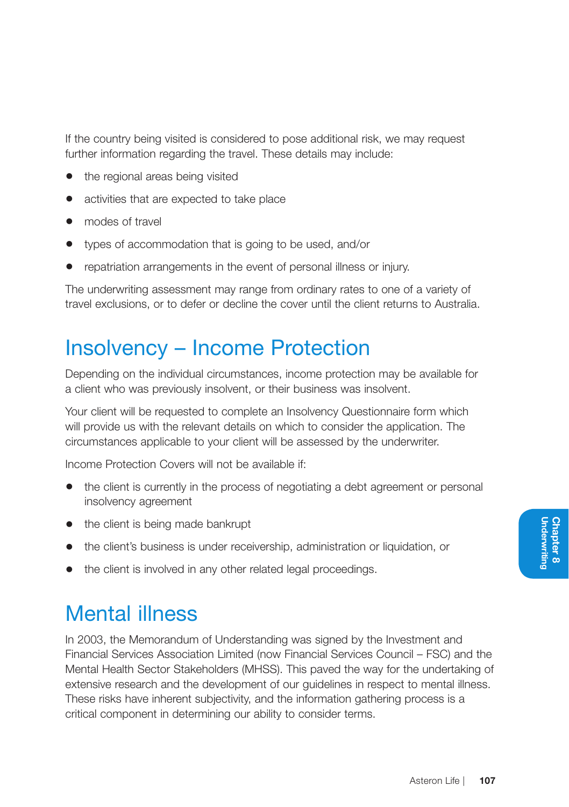If the country being visited is considered to pose additional risk, we may request further information regarding the travel. These details may include:

- the regional areas being visited
- activities that are expected to take place
- modes of travel
- types of accommodation that is going to be used, and/or
- repatriation arrangements in the event of personal illness or injury.

The underwriting assessment may range from ordinary rates to one of a variety of travel exclusions, or to defer or decline the cover until the client returns to Australia.

## Insolvency – Income Protection

Depending on the individual circumstances, income protection may be available for a client who was previously insolvent, or their business was insolvent.

Your client will be requested to complete an Insolvency Questionnaire form which will provide us with the relevant details on which to consider the application. The circumstances applicable to your client will be assessed by the underwriter.

Income Protection Covers will not be available if:

- the client is currently in the process of negotiating a debt agreement or personal insolvency agreement
- the client is being made bankrupt
- the client's business is under receivership, administration or liquidation, or
- the client is involved in any other related legal proceedings.

# Mental illness

In 2003, the Memorandum of Understanding was signed by the Investment and Financial Services Association Limited (now Financial Services Council – FSC) and the Mental Health Sector Stakeholders (MHSS). This paved the way for the undertaking of extensive research and the development of our guidelines in respect to mental illness. These risks have inherent subjectivity, and the information gathering process is a critical component in determining our ability to consider terms.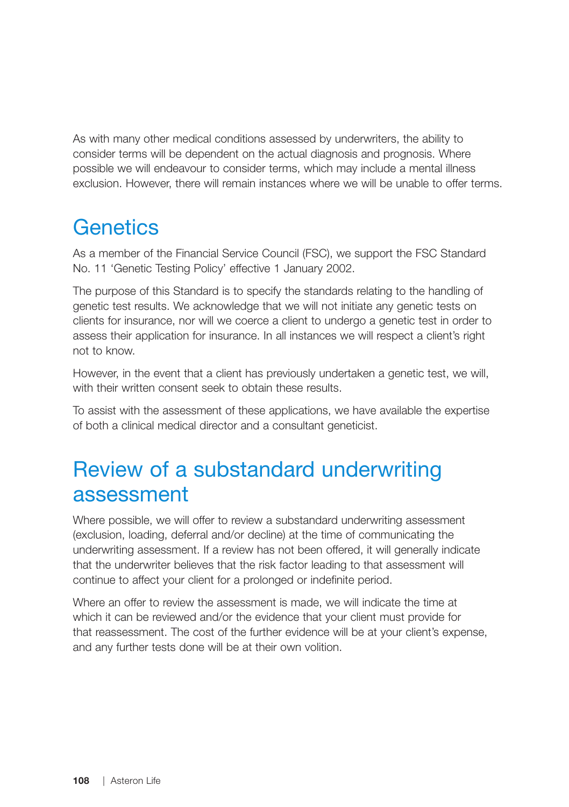As with many other medical conditions assessed by underwriters, the ability to consider terms will be dependent on the actual diagnosis and prognosis. Where possible we will endeavour to consider terms, which may include a mental illness exclusion. However, there will remain instances where we will be unable to offer terms.

# **Genetics**

As a member of the Financial Service Council (FSC), we support the FSC Standard No. 11 'Genetic Testing Policy' effective 1 January 2002.

The purpose of this Standard is to specify the standards relating to the handling of genetic test results. We acknowledge that we will not initiate any genetic tests on clients for insurance, nor will we coerce a client to undergo a genetic test in order to assess their application for insurance. In all instances we will respect a client's right not to know.

However, in the event that a client has previously undertaken a genetic test, we will, with their written consent seek to obtain these results.

To assist with the assessment of these applications, we have available the expertise of both a clinical medical director and a consultant geneticist.

# Review of a substandard underwriting assessment

Where possible, we will offer to review a substandard underwriting assessment (exclusion, loading, deferral and/or decline) at the time of communicating the underwriting assessment. If a review has not been offered, it will generally indicate that the underwriter believes that the risk factor leading to that assessment will continue to affect your client for a prolonged or indefinite period.

Where an offer to review the assessment is made, we will indicate the time at which it can be reviewed and/or the evidence that your client must provide for that reassessment. The cost of the further evidence will be at your client's expense, and any further tests done will be at their own volition.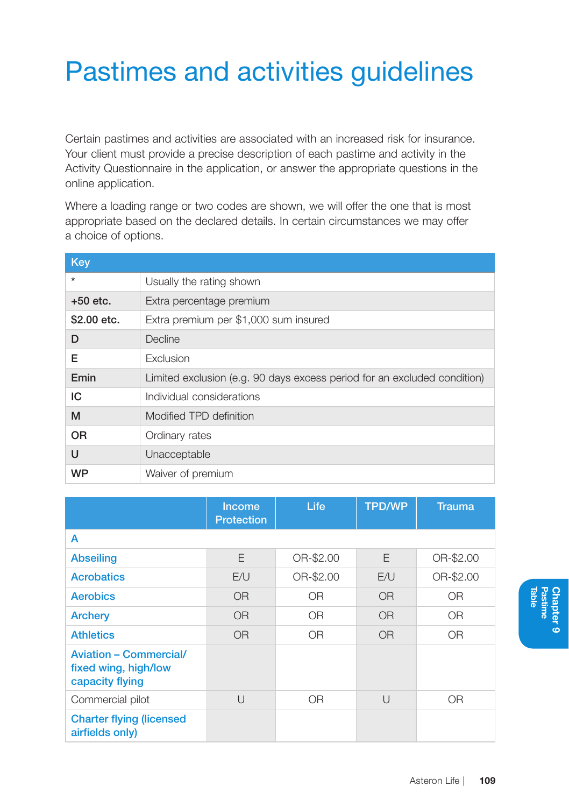# Pastimes and activities guidelines

Certain pastimes and activities are associated with an increased risk for insurance. Your client must provide a precise description of each pastime and activity in the Activity Questionnaire in the application, or answer the appropriate questions in the online application.

Where a loading range or two codes are shown, we will offer the one that is most appropriate based on the declared details. In certain circumstances we may offer a choice of options.

| Key         |                                                                          |
|-------------|--------------------------------------------------------------------------|
| $\star$     | Usually the rating shown                                                 |
| $+50$ etc.  | Extra percentage premium                                                 |
| \$2,00 etc. | Extra premium per \$1,000 sum insured                                    |
| D           | Decline                                                                  |
| Е           | Exclusion                                                                |
| Emin        | Limited exclusion (e.g. 90 days excess period for an excluded condition) |
| IC          | Individual considerations                                                |
| M           | Modified TPD definition                                                  |
| <b>OR</b>   | Ordinary rates                                                           |
| U           | Unacceptable                                                             |
| <b>WP</b>   | Waiver of premium                                                        |

|                                                                          | <b>Income</b><br><b>Protection</b> | Life           | <b>TPD/WP</b>  | <b>Trauma</b> |
|--------------------------------------------------------------------------|------------------------------------|----------------|----------------|---------------|
| A                                                                        |                                    |                |                |               |
| <b>Abseiling</b>                                                         | F                                  | OR-\$2.00      | F              | OR-\$2.00     |
| <b>Acrobatics</b>                                                        | E/U                                | OR-\$2.00      | E/U            | OR-\$2.00     |
| <b>Aerobics</b>                                                          | O <sub>R</sub>                     | 0 <sub>R</sub> | 0 <sub>R</sub> | <b>OR</b>     |
| <b>Archery</b>                                                           | O <sub>R</sub>                     | 0 <sub>R</sub> | 0 <sub>R</sub> | <b>OR</b>     |
| <b>Athletics</b>                                                         | O <sub>R</sub>                     | 0 <sub>R</sub> | <b>OR</b>      | <b>OR</b>     |
| <b>Aviation - Commercial/</b><br>fixed wing, high/low<br>capacity flying |                                    |                |                |               |
| Commercial pilot                                                         | $\cup$                             | <b>OR</b>      | $\cup$         | <b>OR</b>     |
| <b>Charter flying (licensed)</b><br>airfields only)                      |                                    |                |                |               |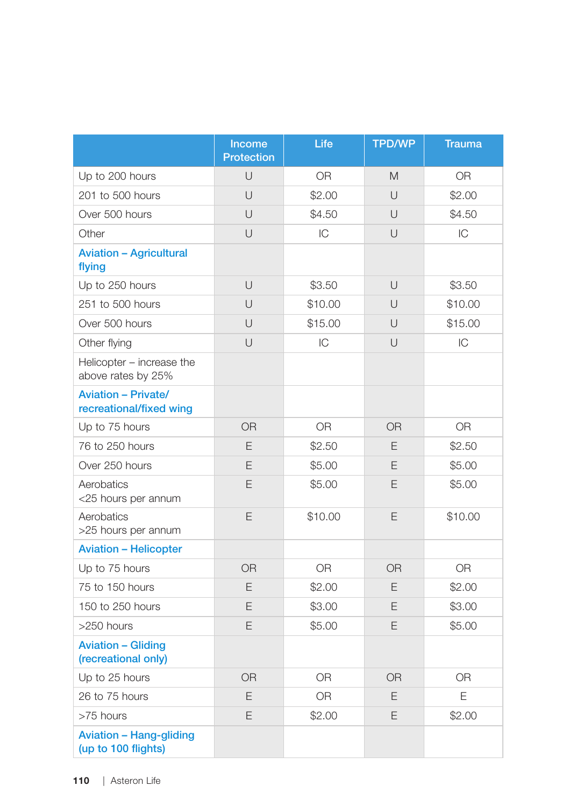|                                                       | Income<br><b>Protection</b> | Life           | <b>TPD/WP</b>  | <b>Trauma</b>  |
|-------------------------------------------------------|-----------------------------|----------------|----------------|----------------|
| Up to 200 hours                                       | $\cup$                      | <b>OR</b>      | M              | 0R             |
| 201 to 500 hours                                      | U                           | \$2.00         | $\cup$         | \$2.00         |
| Over 500 hours                                        | U                           | \$4.50         | U              | \$4.50         |
| Other                                                 | U                           | IC             | $\cup$         | IC             |
| <b>Aviation - Agricultural</b><br>flying              |                             |                |                |                |
| Up to 250 hours                                       | U                           | \$3.50         | $\cup$         | \$3.50         |
| 251 to 500 hours                                      | U                           | \$10.00        | U              | \$10.00        |
| Over 500 hours                                        | U                           | \$15.00        | U              | \$15.00        |
| Other flying                                          | U                           | IC             | U              | IC             |
| Helicopter - increase the<br>above rates by 25%       |                             |                |                |                |
| <b>Aviation - Private/</b><br>recreational/fixed wing |                             |                |                |                |
| Up to 75 hours                                        | OR                          | 0 <sub>R</sub> | <b>OR</b>      | 0 <sub>R</sub> |
| 76 to 250 hours                                       | E                           | \$2.50         | E              | \$2.50         |
| Over 250 hours                                        | E                           | \$5.00         | E              | \$5.00         |
| Aerobatics<br><25 hours per annum                     | E                           | \$5.00         | E              | \$5.00         |
| Aerobatics<br>>25 hours per annum                     | E                           | \$10.00        | Ε              | \$10.00        |
| <b>Aviation - Helicopter</b>                          |                             |                |                |                |
| Up to 75 hours                                        | <b>OR</b>                   | <b>OR</b>      | <b>OR</b>      | <b>OR</b>      |
| 75 to 150 hours                                       | E                           | \$2.00         | E              | \$2.00         |
| 150 to 250 hours                                      | E                           | \$3.00         | E              | \$3.00         |
| >250 hours                                            | E                           | \$5.00         | E              | \$5.00         |
| <b>Aviation - Gliding</b><br>(recreational only)      |                             |                |                |                |
| Up to 25 hours                                        | <b>OR</b>                   | <b>OR</b>      | 0 <sub>R</sub> | 0 <sub>R</sub> |
| 26 to 75 hours                                        | E                           | 0 <sub>R</sub> | E              | E              |
| >75 hours                                             | E                           | \$2.00         | E              | \$2.00         |
| <b>Aviation - Hang-gliding</b><br>(up to 100 flights) |                             |                |                |                |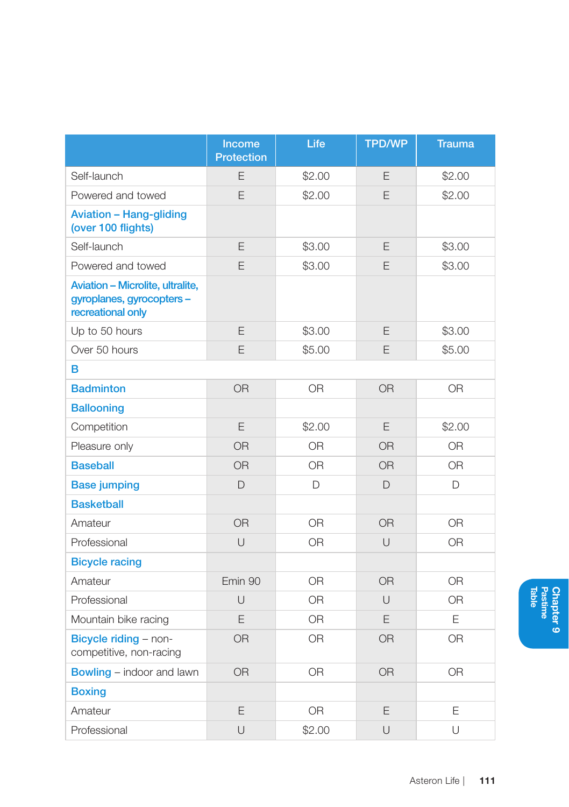|                                                                                    | Income<br><b>Protection</b> | Life           | <b>TPD/WP</b> | <b>Trauma</b>  |
|------------------------------------------------------------------------------------|-----------------------------|----------------|---------------|----------------|
| Self-launch                                                                        | E                           | \$2.00         | E             | \$2.00         |
| Powered and towed                                                                  | E                           | \$2.00         | E             | \$2.00         |
| <b>Aviation - Hang-gliding</b><br>(over 100 flights)                               |                             |                |               |                |
| Self-launch                                                                        | E                           | \$3.00         | E             | \$3.00         |
| Powered and towed                                                                  | E                           | \$3.00         | E             | \$3.00         |
| Aviation - Microlite, ultralite,<br>gyroplanes, gyrocopters -<br>recreational only |                             |                |               |                |
| Up to 50 hours                                                                     | E                           | \$3.00         | E             | \$3.00         |
| Over 50 hours                                                                      | E                           | \$5.00         | E             | \$5.00         |
| в                                                                                  |                             |                |               |                |
| <b>Badminton</b>                                                                   | <b>OR</b>                   | <b>OR</b>      | <b>OR</b>     | <b>OR</b>      |
| <b>Ballooning</b>                                                                  |                             |                |               |                |
| Competition                                                                        | E                           | \$2.00         | E             | \$2.00         |
| Pleasure only                                                                      | <b>OR</b>                   | 0 <sub>R</sub> | <b>OR</b>     | 0 <sub>R</sub> |
| <b>Baseball</b>                                                                    | <b>OR</b>                   | <b>OR</b>      | <b>OR</b>     | <b>OR</b>      |
| <b>Base jumping</b>                                                                | $\Box$                      | D              | $\Box$        | D              |
| <b>Basketball</b>                                                                  |                             |                |               |                |
| Amateur                                                                            | OR.                         | <b>OR</b>      | <b>OR</b>     | <b>OR</b>      |
| Professional                                                                       | $\cup$                      | 0 <sub>R</sub> | $\cup$        | <b>OR</b>      |
| <b>Bicycle racing</b>                                                              |                             |                |               |                |
| Amateur                                                                            | Emin 90                     | <b>OR</b>      | <b>OR</b>     | <b>OR</b>      |
| Professional                                                                       | $\cup$                      | <b>OR</b>      | $\cup$        | 0R             |
| Mountain bike racing                                                               | E                           | <b>OR</b>      | E             | E              |
| Bicycle riding - non-<br>competitive, non-racing                                   | <b>OR</b>                   | <b>OR</b>      | OR            | 0 <sub>R</sub> |
| <b>Bowling - indoor and lawn</b>                                                   | <b>OR</b>                   | <b>OR</b>      | <b>OR</b>     | <b>OR</b>      |
| <b>Boxing</b>                                                                      |                             |                |               |                |
| Amateur                                                                            | E                           | <b>OR</b>      | Ε             | E              |
| Professional                                                                       | $\cup$                      | \$2.00         | U             | U              |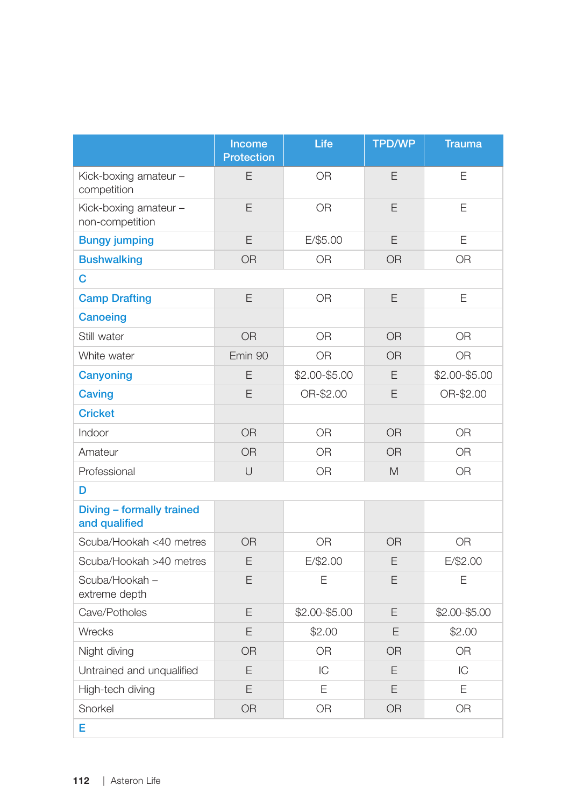|                                            | Income<br>Protection | Life           | <b>TPD/WP</b>  | <b>Trauma</b>  |
|--------------------------------------------|----------------------|----------------|----------------|----------------|
| Kick-boxing amateur -<br>competition       | E                    | <b>OR</b>      | E              | E              |
| Kick-boxing amateur -<br>non-competition   | E                    | <b>OR</b>      | E              | E              |
| <b>Bungy jumping</b>                       | E                    | E/\$5.00       | E              | E              |
| <b>Bushwalking</b>                         | <b>OR</b>            | 0 <sub>R</sub> | <b>OR</b>      | OR             |
| с                                          |                      |                |                |                |
| <b>Camp Drafting</b>                       | E                    | <b>OR</b>      | E              | E              |
| Canoeing                                   |                      |                |                |                |
| Still water                                | <b>OR</b>            | <b>OR</b>      | <b>OR</b>      | <b>OR</b>      |
| White water                                | Emin 90              | <b>OR</b>      | <b>OR</b>      | <b>OR</b>      |
| Canyoning                                  | E                    | \$2.00-\$5.00  | E              | \$2.00-\$5.00  |
| Caving                                     | E                    | OR-\$2.00      | E              | OR-\$2.00      |
| <b>Cricket</b>                             |                      |                |                |                |
| Indoor                                     | OR                   | 0 <sub>R</sub> | 0 <sub>R</sub> | 0 <sub>R</sub> |
| Amateur                                    | <b>OR</b>            | 0 <sub>R</sub> | <b>OR</b>      | <b>OR</b>      |
| Professional                               | $\cup$               | OR             | M              | <b>OR</b>      |
| D                                          |                      |                |                |                |
| Diving - formally trained<br>and qualified |                      |                |                |                |
| Scuba/Hookah <40 metres                    | <b>OR</b>            | <b>OR</b>      | <b>OR</b>      | <b>OR</b>      |
| Scuba/Hookah >40 metres                    | E                    | E/\$2.00       | E              | $E/\$2.00$     |
| Scuba/Hookah-<br>extreme depth             | E                    | E              | E              | E              |
| Cave/Potholes                              | E                    | \$2.00-\$5.00  | E              | \$2.00-\$5.00  |
| Wrecks                                     | E                    | \$2.00         | E              | \$2.00         |
| Night diving                               | <b>OR</b>            | <b>OR</b>      | <b>OR</b>      | <b>OR</b>      |
| Untrained and unqualified                  | E                    | IC             | E              | IC             |
| High-tech diving                           | E                    | E              | E              | E              |
| Snorkel                                    | <b>OR</b>            | <b>OR</b>      | <b>OR</b>      | <b>OR</b>      |
| Е                                          |                      |                |                |                |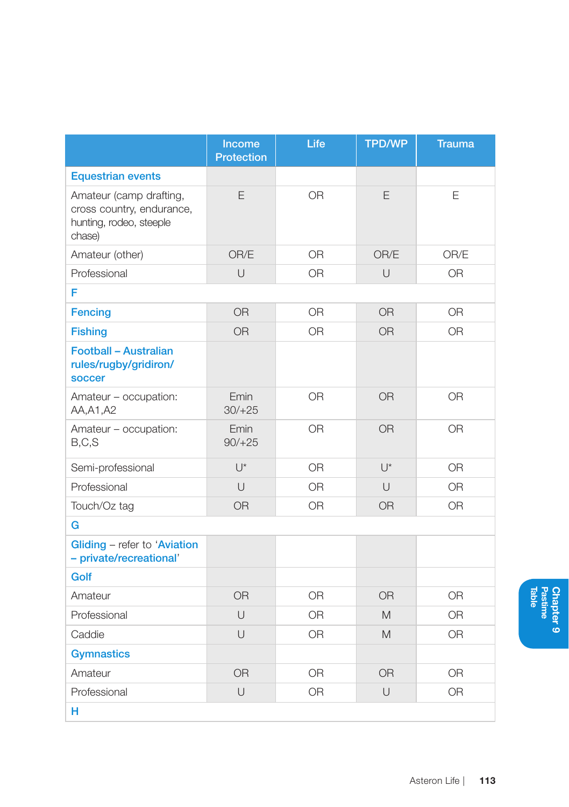|                                                                                           | Income<br><b>Protection</b> | Life           | <b>TPD/WP</b> | <b>Trauma</b> |
|-------------------------------------------------------------------------------------------|-----------------------------|----------------|---------------|---------------|
| <b>Equestrian events</b>                                                                  |                             |                |               |               |
| Amateur (camp drafting,<br>cross country, endurance,<br>hunting, rodeo, steeple<br>chase) | E                           | OR             | E             | E             |
| Amateur (other)                                                                           | OR/E                        | OR             | OR/E          | OR/E          |
| Professional                                                                              | $\cup$                      | 0R             | U             | <b>OR</b>     |
| F                                                                                         |                             |                |               |               |
| <b>Fencing</b>                                                                            | <b>OR</b>                   | 0 <sub>R</sub> | <b>OR</b>     | <b>OR</b>     |
| <b>Fishing</b>                                                                            | <b>OR</b>                   | <b>OR</b>      | <b>OR</b>     | <b>OR</b>     |
| Football - Australian<br>rules/rugby/gridiron/<br><b>soccer</b>                           |                             |                |               |               |
| Amateur - occupation:<br>AA, A1, A2                                                       | Emin<br>$30/+25$            | 0 <sub>R</sub> | <b>OR</b>     | <b>OR</b>     |
| Amateur - occupation:<br>B, C, S                                                          | Emin<br>$90/+25$            | <b>OR</b>      | <b>OR</b>     | <b>OR</b>     |
| Semi-professional                                                                         | $U^*$                       | <b>OR</b>      | $\bigcup^*$   | <b>OR</b>     |
| Professional                                                                              | $\cup$                      | <b>OR</b>      | $\cup$        | 0R            |
| Touch/Oz tag                                                                              | <b>OR</b>                   | OR             | <b>OR</b>     | <b>OR</b>     |
| G                                                                                         |                             |                |               |               |
| Gliding - refer to 'Aviation<br>- private/recreational'                                   |                             |                |               |               |
| Golf                                                                                      |                             |                |               |               |
| Amateur                                                                                   | <b>OR</b>                   | <b>OR</b>      | <b>OR</b>     | <b>OR</b>     |
| Professional                                                                              | U                           | OR             | M             | <b>OR</b>     |
| Caddie                                                                                    | $\cup$                      | <b>OR</b>      | M             | <b>OR</b>     |
| <b>Gymnastics</b>                                                                         |                             |                |               |               |
| Amateur                                                                                   | <b>OR</b>                   | <b>OR</b>      | <b>OR</b>     | <b>OR</b>     |
| Professional                                                                              | U                           | <b>OR</b>      | U             | <b>OR</b>     |
| н                                                                                         |                             |                |               |               |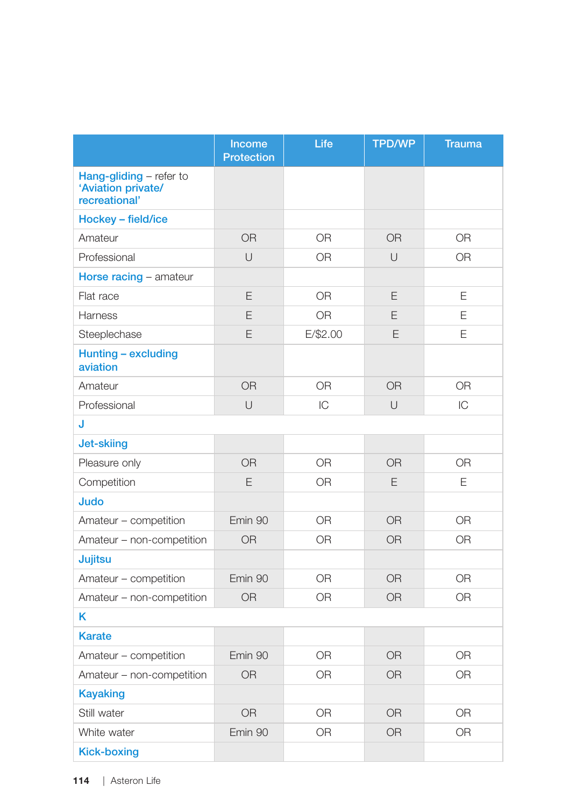|                                                                | Income<br><b>Protection</b> | Life           | <b>TPD/WP</b> | <b>Trauma</b>  |
|----------------------------------------------------------------|-----------------------------|----------------|---------------|----------------|
| Hang-gliding - refer to<br>'Aviation private/<br>recreational' |                             |                |               |                |
| Hockey - field/ice                                             |                             |                |               |                |
| Amateur                                                        | <b>OR</b>                   | <b>OR</b>      | <b>OR</b>     | <b>OR</b>      |
| Professional                                                   | $\cup$                      | OR             | $\cup$        | <b>OR</b>      |
| Horse racing - amateur                                         |                             |                |               |                |
| Flat race                                                      | E                           | <b>OR</b>      | E             | E              |
| Harness                                                        | E                           | <b>OR</b>      | E             | E              |
| Steeplechase                                                   | E                           | $E/\$2.00$     | E             | E              |
| Hunting - excluding<br>aviation                                |                             |                |               |                |
| Amateur                                                        | <b>OR</b>                   | OR             | <b>OR</b>     | <b>OR</b>      |
| Professional                                                   | U                           | IC             | U             | IC             |
| J                                                              |                             |                |               |                |
| <b>Jet-skiing</b>                                              |                             |                |               |                |
| Pleasure only                                                  | <b>OR</b>                   | <b>OR</b>      | <b>OR</b>     | <b>OR</b>      |
| Competition                                                    | E                           | <b>OR</b>      | E             | E              |
| Judo                                                           |                             |                |               |                |
| Amateur - competition                                          | Emin 90                     | <b>OR</b>      | <b>OR</b>     | <b>OR</b>      |
| Amateur - non-competition                                      | OR                          | 0 <sub>R</sub> | <b>OR</b>     | 0 <sub>R</sub> |
| Jujitsu                                                        |                             |                |               |                |
| Amateur - competition                                          | Emin 90                     | <b>OR</b>      | <b>OR</b>     | <b>OR</b>      |
| Amateur - non-competition                                      | <b>OR</b>                   | <b>OR</b>      | <b>OR</b>     | <b>OR</b>      |
| ĸ                                                              |                             |                |               |                |
| <b>Karate</b>                                                  |                             |                |               |                |
| Amateur - competition                                          | Emin 90                     | <b>OR</b>      | <b>OR</b>     | <b>OR</b>      |
| Amateur - non-competition                                      | <b>OR</b>                   | <b>OR</b>      | <b>OR</b>     | <b>OR</b>      |
| <b>Kayaking</b>                                                |                             |                |               |                |
| Still water                                                    | <b>OR</b>                   | 0R             | <b>OR</b>     | <b>OR</b>      |
| White water                                                    | Emin 90                     | <b>OR</b>      | <b>OR</b>     | <b>OR</b>      |
| <b>Kick-boxing</b>                                             |                             |                |               |                |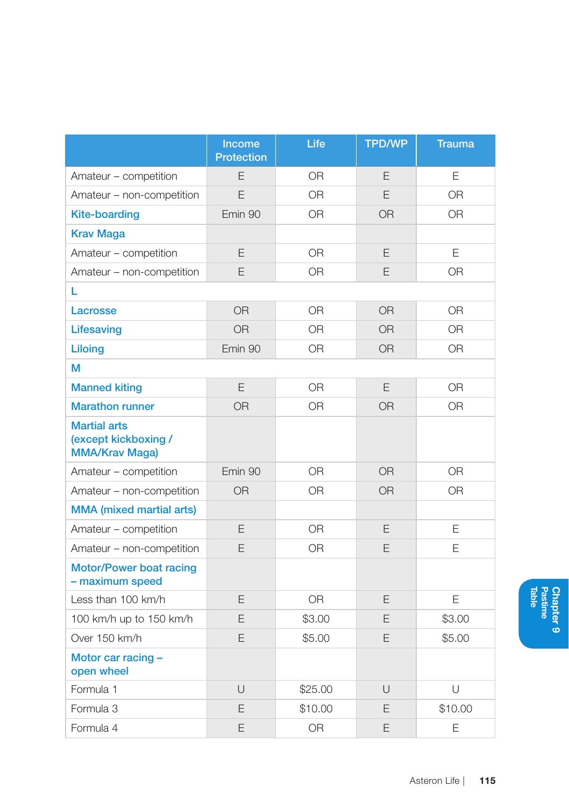|                                                                      | Income<br><b>Protection</b> | Life           | <b>TPD/WP</b>  | <b>Trauma</b>  |
|----------------------------------------------------------------------|-----------------------------|----------------|----------------|----------------|
| Amateur - competition                                                | E                           | <b>OR</b>      | E              | E              |
| Amateur - non-competition                                            | F                           | 0 <sub>R</sub> | F              | 0 <sub>R</sub> |
| <b>Kite-boarding</b>                                                 | Emin 90                     | <b>OR</b>      | <b>OR</b>      | <b>OR</b>      |
| <b>Krav Maga</b>                                                     |                             |                |                |                |
| Amateur - competition                                                | E                           | <b>OR</b>      | E              | E              |
| Amateur - non-competition                                            | E                           | <b>OR</b>      | E              | 0 <sub>R</sub> |
| L                                                                    |                             |                |                |                |
| Lacrosse                                                             | <b>OR</b>                   | <b>OR</b>      | <b>OR</b>      | <b>OR</b>      |
| Lifesaving                                                           | <b>OR</b>                   | 0 <sub>R</sub> | OR             | <b>OR</b>      |
| Liloing                                                              | Emin 90                     | 0 <sub>R</sub> | OR             | 0 <sub>R</sub> |
| М                                                                    |                             |                |                |                |
| <b>Manned kiting</b>                                                 | E                           | <b>OR</b>      | E              | <b>OR</b>      |
| <b>Marathon runner</b>                                               | <b>OR</b>                   | 0 <sub>R</sub> | <b>OR</b>      | <b>OR</b>      |
| <b>Martial arts</b><br>(except kickboxing /<br><b>MMA/Krav Maga)</b> |                             |                |                |                |
| Amateur - competition                                                | Emin 90                     | 0 <sub>R</sub> | O <sub>R</sub> | O <sub>R</sub> |
| Amateur - non-competition                                            | <b>OR</b>                   | <b>OR</b>      | <b>OR</b>      | 0 <sub>R</sub> |
| <b>MMA</b> (mixed martial arts)                                      |                             |                |                |                |
| Amateur - competition                                                | E                           | <b>OR</b>      | E              | E              |
| Amateur - non-competition                                            | E                           | <b>OR</b>      | E              | E              |
| Motor/Power boat racing<br>- maximum speed                           |                             |                |                |                |
| Less than 100 km/h                                                   | E                           | <b>OR</b>      | E              | E              |
| 100 km/h up to 150 km/h                                              | E                           | \$3.00         | E              | \$3.00         |
| Over 150 km/h                                                        | E                           | \$5.00         | E              | \$5.00         |
| Motor car racing -<br>open wheel                                     |                             |                |                |                |
| Formula 1                                                            | $\cup$                      | \$25.00        | $\cup$         | U              |
| Formula 3                                                            | E                           | \$10.00        | E              | \$10.00        |
| Formula 4                                                            | E                           | <b>OR</b>      | E              | E              |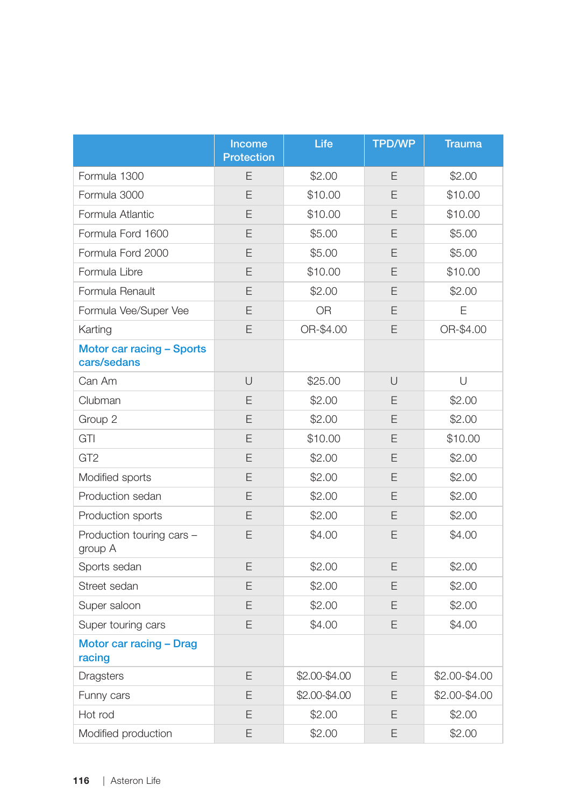|                                          | Income<br><b>Protection</b> | Life          | <b>TPD/WP</b> | <b>Trauma</b> |
|------------------------------------------|-----------------------------|---------------|---------------|---------------|
| Formula 1300                             | E                           | \$2.00        | Ε             | \$2.00        |
| Formula 3000                             | E                           | \$10.00       | E             | \$10.00       |
| Formula Atlantic                         | E                           | \$10.00       | E             | \$10.00       |
| Formula Ford 1600                        | E                           | \$5.00        | E             | \$5.00        |
| Formula Ford 2000                        | E                           | \$5.00        | E             | \$5.00        |
| Formula Libre                            | E                           | \$10.00       | E             | \$10.00       |
| Formula Renault                          | E                           | \$2.00        | E             | \$2.00        |
| Formula Vee/Super Vee                    | E                           | <b>OR</b>     | E             | E             |
| Karting                                  | E                           | OR-\$4.00     | E             | OR-\$4.00     |
| Motor car racing - Sports<br>cars/sedans |                             |               |               |               |
| Can Am                                   | U                           | \$25.00       | $\cup$        | U             |
| Clubman                                  | E                           | \$2.00        | E             | \$2.00        |
| Group 2                                  | E                           | \$2.00        | E             | \$2.00        |
| GTI                                      | E                           | \$10.00       | E             | \$10.00       |
| GT <sub>2</sub>                          | E                           | \$2.00        | E             | \$2.00        |
| Modified sports                          | E                           | \$2.00        | E             | \$2.00        |
| Production sedan                         | E                           | \$2.00        | E             | \$2.00        |
| Production sports                        | E                           | \$2.00        | E             | \$2.00        |
| Production touring cars -<br>group A     | E                           | \$4.00        | E             | \$4.00        |
| Sports sedan                             | E                           | \$2.00        | E             | \$2.00        |
| Street sedan                             | E                           | \$2.00        | E             | \$2.00        |
| Super saloon                             | E                           | \$2.00        | E             | \$2.00        |
| Super touring cars                       | E                           | \$4.00        | E             | \$4.00        |
| Motor car racing - Drag<br>racing        |                             |               |               |               |
| <b>Dragsters</b>                         | E                           | \$2.00-\$4.00 | E             | \$2.00-\$4.00 |
| Funny cars                               | E                           | \$2,00-\$4,00 | E             | \$2.00-\$4.00 |
| Hot rod                                  | E                           | \$2.00        | E             | \$2.00        |
| Modified production                      | E                           | \$2.00        | E             | \$2.00        |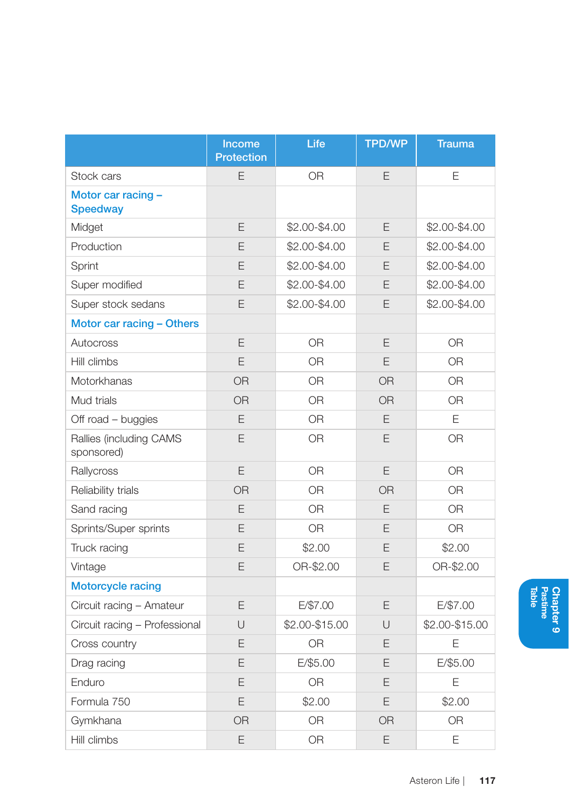|                                       | Income<br><b>Protection</b> | Life           | <b>TPD/WP</b> | <b>Trauma</b>  |
|---------------------------------------|-----------------------------|----------------|---------------|----------------|
| Stock cars                            | E                           | OR             | E             | E              |
| Motor car racing -<br><b>Speedway</b> |                             |                |               |                |
| Midget                                | E                           | \$2.00-\$4.00  | E             | \$2.00-\$4.00  |
| Production                            | E                           | \$2.00-\$4.00  | E             | \$2.00-\$4.00  |
| Sprint                                | E                           | \$2.00-\$4.00  | E             | \$2.00-\$4.00  |
| Super modified                        | E                           | \$2.00-\$4.00  | E             | \$2.00-\$4.00  |
| Super stock sedans                    | E                           | \$2.00-\$4.00  | E             | \$2,00-\$4,00  |
| Motor car racing - Others             |                             |                |               |                |
| Autocross                             | E                           | <b>OR</b>      | E             | <b>OR</b>      |
| Hill climbs                           | E                           | <b>OR</b>      | E             | 0 <sub>R</sub> |
| Motorkhanas                           | <b>OR</b>                   | <b>OR</b>      | <b>OR</b>     | <b>OR</b>      |
| Mud trials                            | <b>OR</b>                   | <b>OR</b>      | <b>OR</b>     | <b>OR</b>      |
| Off road – buggies                    | E                           | <b>OR</b>      | E             | E              |
| Rallies (including CAMS<br>sponsored) | E                           | <b>OR</b>      | E             | <b>OR</b>      |
| Rallycross                            | E                           | 0 <sub>R</sub> | E             | 0 <sub>R</sub> |
| Reliability trials                    | <b>OR</b>                   | <b>OR</b>      | <b>OR</b>     | <b>OR</b>      |
| Sand racing                           | E                           | <b>OR</b>      | E             | 0R             |
| Sprints/Super sprints                 | E                           | <b>OR</b>      | E             | <b>OR</b>      |
| Truck racing                          | E                           | \$2.00         | E             | \$2.00         |
| Vintage                               | E                           | OR-\$2.00      | E             | OR-\$2.00      |
| <b>Motorcycle racing</b>              |                             |                |               |                |
| Circuit racing - Amateur              | E                           | E/\$7.00       | E             | E/\$7.00       |
| Circuit racing - Professional         | U                           | \$2.00-\$15.00 | U             | \$2.00-\$15.00 |
| Cross country                         | E                           | <b>OR</b>      | E             | E              |
| Drag racing                           | E                           | E/\$5.00       | E             | E/\$5.00       |
| Enduro                                | E                           | <b>OR</b>      | E             | E              |
| Formula 750                           | E                           | \$2.00         | E             | \$2.00         |
| Gymkhana                              | <b>OR</b>                   | <b>OR</b>      | <b>OR</b>     | <b>OR</b>      |
| Hill climbs                           | E                           | 0 <sub>R</sub> | E             | E              |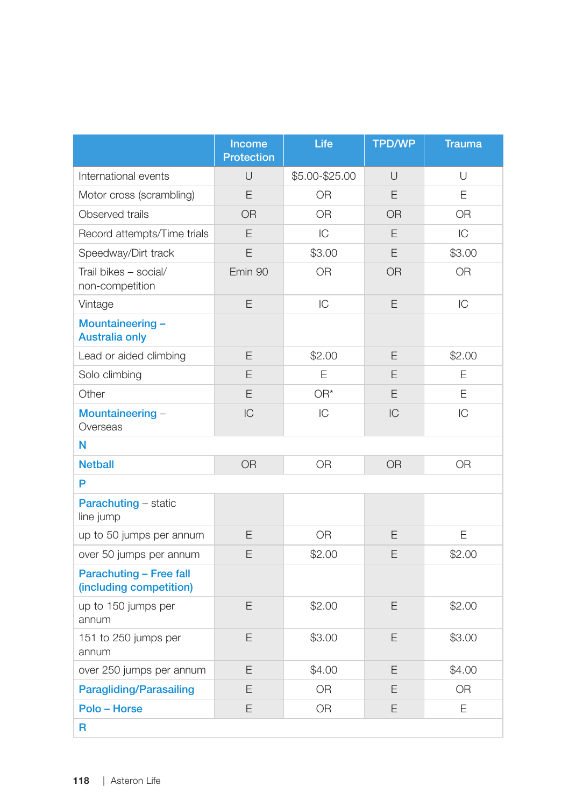|                                                           | Income<br><b>Protection</b> | Life           | <b>TPD/WP</b>  | <b>Trauma</b>  |
|-----------------------------------------------------------|-----------------------------|----------------|----------------|----------------|
| International events                                      | $\cup$                      | \$5.00-\$25.00 | $\cup$         | U              |
| Motor cross (scrambling)                                  | F                           | 0R             | E              | E              |
| Observed trails                                           | <b>OR</b>                   | 0 <sub>R</sub> | <b>OR</b>      | 0R             |
| Record attempts/Time trials                               | E                           | IC             | E              | IC             |
| Speedway/Dirt track                                       | E                           | \$3.00         | E              | \$3.00         |
| Trail bikes - social/<br>non-competition                  | Emin 90                     | <b>OR</b>      | <b>OR</b>      | <b>OR</b>      |
| Vintage                                                   | E                           | IC             | E              | IC             |
| Mountaineering-<br><b>Australia only</b>                  |                             |                |                |                |
| Lead or aided climbing                                    | E                           | \$2.00         | E              | \$2.00         |
| Solo climbing                                             | E                           | Ε              | E              | E              |
| Other                                                     | E                           | $OR^*$         | E              | E              |
| Mountaineering -<br>Overseas                              | IC                          | IC             | IC             | IC             |
| Ν                                                         |                             |                |                |                |
| <b>Netball</b>                                            | <b>OR</b>                   | 0R             | 0 <sub>R</sub> | 0 <sub>R</sub> |
| P                                                         |                             |                |                |                |
| <b>Parachuting - static</b><br>line jump                  |                             |                |                |                |
| up to 50 jumps per annum                                  | E                           | <b>OR</b>      | E              | E              |
| over 50 jumps per annum                                   | E                           | \$2.00         | E              | \$2.00         |
| <b>Parachuting - Free fall</b><br>(including competition) |                             |                |                |                |
| up to 150 jumps per<br>annum                              | E                           | \$2.00         | E              | \$2.00         |
| 151 to 250 jumps per<br>annum                             | E                           | \$3.00         | E              | \$3.00         |
| over 250 jumps per annum                                  | E                           | \$4.00         | E              | \$4.00         |
| <b>Paragliding/Parasailing</b>                            | E                           | 0R             | E              | 0R             |
| Polo - Horse                                              | E                           | <b>OR</b>      | E              | E              |
| R                                                         |                             |                |                |                |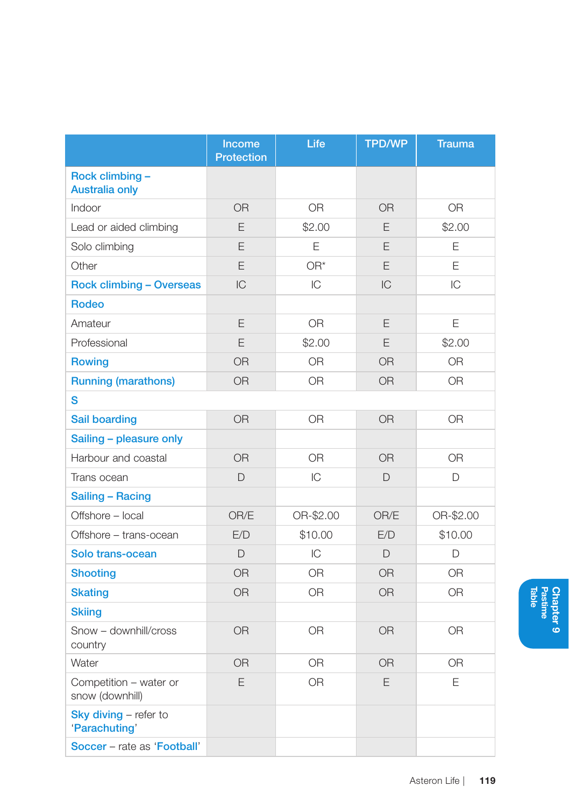|                                           | Income<br><b>Protection</b> | Life           | <b>TPD/WP</b> | <b>Trauma</b> |
|-------------------------------------------|-----------------------------|----------------|---------------|---------------|
| Rock climbing -<br><b>Australia only</b>  |                             |                |               |               |
| Indoor                                    | 0 <sub>R</sub>              | 0 <sub>R</sub> | <b>OR</b>     | <b>OR</b>     |
| Lead or aided climbing                    | E                           | \$2.00         | E             | \$2.00        |
| Solo climbing                             | E                           | E              | E             | E             |
| Other                                     | E                           | $OR^*$         | E             | E             |
| <b>Rock climbing - Overseas</b>           | IC                          | IC             | IC            | IC            |
| Rodeo                                     |                             |                |               |               |
| Amateur                                   | E                           | 0R             | E             | E             |
| Professional                              | E                           | \$2.00         | E             | \$2.00        |
| <b>Rowing</b>                             | <b>OR</b>                   | <b>OR</b>      | <b>OR</b>     | <b>OR</b>     |
| <b>Running (marathons)</b>                | <b>OR</b>                   | 0 <sub>R</sub> | <b>OR</b>     | <b>OR</b>     |
| S                                         |                             |                |               |               |
| Sail boarding                             | <b>OR</b>                   | OR.            | <b>OR</b>     | <b>OR</b>     |
| Sailing - pleasure only                   |                             |                |               |               |
| Harbour and coastal                       | <b>OR</b>                   | <b>OR</b>      | <b>OR</b>     | <b>OR</b>     |
| Trans ocean                               | D                           | IC             | D             | D             |
| Sailing - Racing                          |                             |                |               |               |
| Offshore - local                          | OR/E                        | OR-\$2.00      | OR/E          | OR-\$2.00     |
| Offshore - trans-ocean                    | E/D                         | \$10.00        | E/D           | \$10.00       |
| Solo trans-ocean                          | $\Box$                      | IC             | D             | D             |
| <b>Shooting</b>                           | <b>OR</b>                   | <b>OR</b>      | <b>OR</b>     | <b>OR</b>     |
| <b>Skating</b>                            | <b>OR</b>                   | <b>OR</b>      | <b>OR</b>     | <b>OR</b>     |
| <b>Skiing</b>                             |                             |                |               |               |
| Snow - downhill/cross<br>country          | <b>OR</b>                   | 0R             | <b>OR</b>     | <b>OR</b>     |
| Water                                     | <b>OR</b>                   | <b>OR</b>      | <b>OR</b>     | <b>OR</b>     |
| Competition - water or<br>snow (downhill) | E                           | <b>OR</b>      | F             | F             |
| Sky diving - refer to<br>'Parachuting'    |                             |                |               |               |
| Soccer - rate as 'Football'               |                             |                |               |               |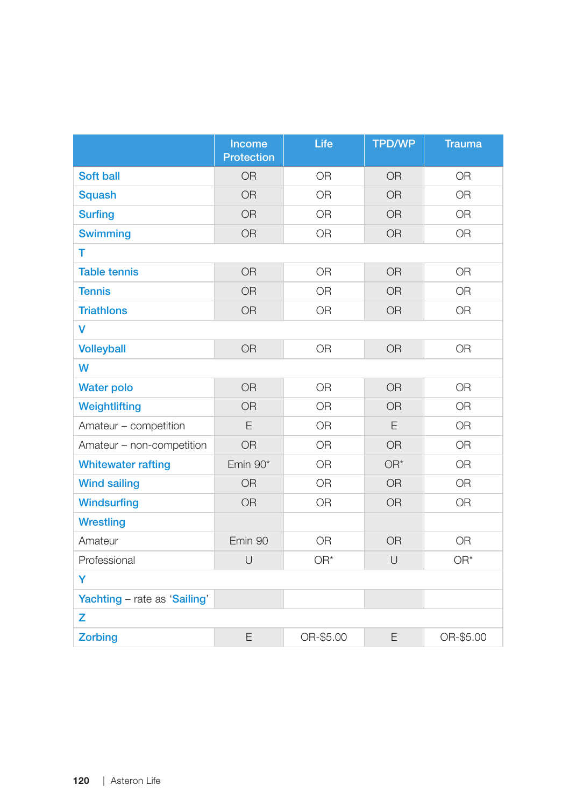|                              | <b>Income</b><br>Protection | Life           | <b>TPD/WP</b> | <b>Trauma</b> |
|------------------------------|-----------------------------|----------------|---------------|---------------|
| Soft ball                    | <b>OR</b>                   | <b>OR</b>      | <b>OR</b>     | <b>OR</b>     |
| <b>Squash</b>                | <b>OR</b>                   | <b>OR</b>      | <b>OR</b>     | <b>OR</b>     |
| <b>Surfing</b>               | <b>OR</b>                   | <b>OR</b>      | <b>OR</b>     | <b>OR</b>     |
| <b>Swimming</b>              | <b>OR</b>                   | 0 <sub>R</sub> | <b>OR</b>     | <b>OR</b>     |
| T                            |                             |                |               |               |
| <b>Table tennis</b>          | <b>OR</b>                   | <b>OR</b>      | <b>OR</b>     | <b>OR</b>     |
| <b>Tennis</b>                | <b>OR</b>                   | <b>OR</b>      | <b>OR</b>     | <b>OR</b>     |
| <b>Triathlons</b>            | <b>OR</b>                   | <b>OR</b>      | <b>OR</b>     | <b>OR</b>     |
| v                            |                             |                |               |               |
| <b>Volleyball</b>            | <b>OR</b>                   | <b>OR</b>      | <b>OR</b>     | <b>OR</b>     |
| W                            |                             |                |               |               |
| <b>Water polo</b>            | <b>OR</b>                   | <b>OR</b>      | <b>OR</b>     | <b>OR</b>     |
| Weightlifting                | <b>OR</b>                   | <b>OR</b>      | <b>OR</b>     | <b>OR</b>     |
| Amateur - competition        | E                           | <b>OR</b>      | E             | <b>OR</b>     |
| Amateur - non-competition    | <b>OR</b>                   | <b>OR</b>      | <b>OR</b>     | <b>OR</b>     |
| <b>Whitewater rafting</b>    | Emin $90*$                  | <b>OR</b>      | OR*           | <b>OR</b>     |
| <b>Wind sailing</b>          | <b>OR</b>                   | <b>OR</b>      | <b>OR</b>     | <b>OR</b>     |
| <b>Windsurfing</b>           | <b>OR</b>                   | <b>OR</b>      | <b>OR</b>     | <b>OR</b>     |
| <b>Wrestling</b>             |                             |                |               |               |
| Amateur                      | Emin 90                     | <b>OR</b>      | <b>OR</b>     | <b>OR</b>     |
| Professional                 | $\cup$                      | OR*            | $\cup$        | $OR^*$        |
| Y                            |                             |                |               |               |
| Yachting - rate as 'Sailing' |                             |                |               |               |
| z                            |                             |                |               |               |
| <b>Zorbing</b>               | E                           | OR-\$5.00      | E             | OR-\$5.00     |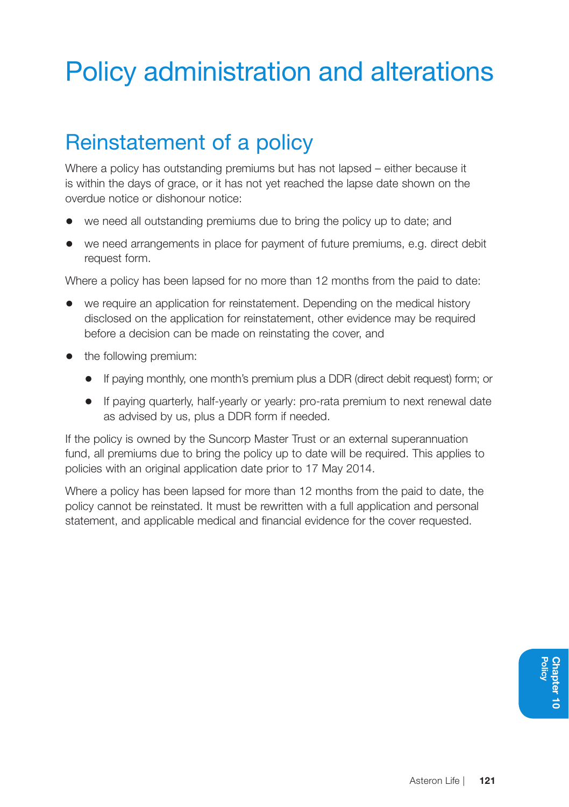# Policy administration and alterations

# Reinstatement of a policy

Where a policy has outstanding premiums but has not lapsed – either because it is within the days of grace, or it has not yet reached the lapse date shown on the overdue notice or dishonour notice:

- we need all outstanding premiums due to bring the policy up to date; and
- we need arrangements in place for payment of future premiums, e.g. direct debit request form.

Where a policy has been lapsed for no more than 12 months from the paid to date:

- we require an application for reinstatement. Depending on the medical history disclosed on the application for reinstatement, other evidence may be required before a decision can be made on reinstating the cover, and
- the following premium:
	- If paying monthly, one month's premium plus a DDR (direct debit request) form; or
	- If paying quarterly, half-yearly or yearly: pro-rata premium to next renewal date as advised by us, plus a DDR form if needed.

If the policy is owned by the Suncorp Master Trust or an external superannuation fund, all premiums due to bring the policy up to date will be required. This applies to policies with an original application date prior to 17 May 2014.

Where a policy has been lapsed for more than 12 months from the paid to date, the policy cannot be reinstated. It must be rewritten with a full application and personal statement, and applicable medical and financial evidence for the cover requested.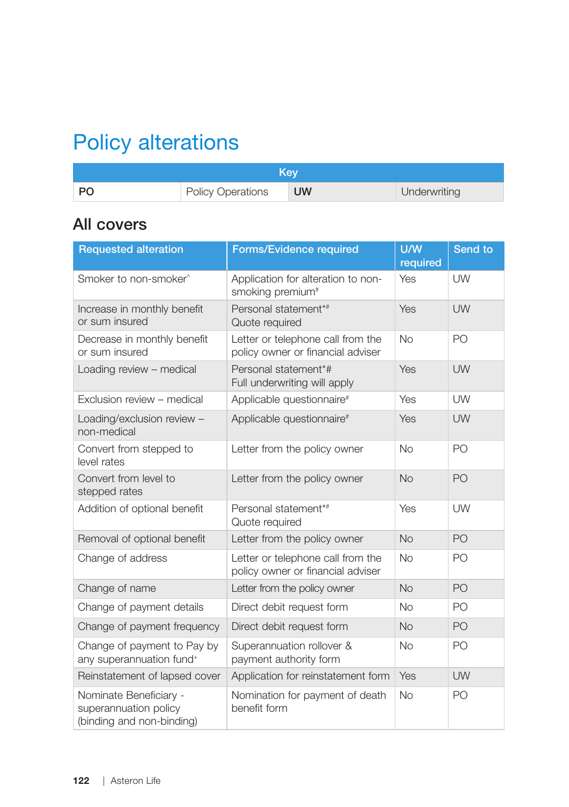# Policy alterations

| Kev       |                          |           |              |
|-----------|--------------------------|-----------|--------------|
| <b>PO</b> | <b>Policy Operations</b> | <b>UW</b> | Underwriting |

#### All covers

| <b>Requested alteration</b>                                                  | <b>Forms/Evidence required</b>                                         | U/W<br>required | Send to   |
|------------------------------------------------------------------------------|------------------------------------------------------------------------|-----------------|-----------|
| Smoker to non-smoker <sup>^</sup>                                            | Application for alteration to non-<br>smoking premium <sup>#</sup>     | Yes             | UW        |
| Increase in monthly benefit<br>or sum insured                                | Personal statement*#<br>Quote required                                 | Yes             | UW        |
| Decrease in monthly benefit<br>or sum insured                                | Letter or telephone call from the<br>policy owner or financial adviser | <b>No</b>       | PO        |
| Loading review - medical                                                     | Personal statement*#<br>Full underwriting will apply                   | Yes             | UW        |
| Exclusion review - medical                                                   | Applicable questionnaire <sup>#</sup>                                  | Yes             | UW        |
| Loading/exclusion review -<br>non-medical                                    | Applicable questionnaire <sup>#</sup>                                  | Yes             | UW        |
| Convert from stepped to<br>level rates                                       | Letter from the policy owner                                           | <b>No</b>       | PO        |
| Convert from level to<br>stepped rates                                       | Letter from the policy owner                                           | <b>No</b>       | PO        |
| Addition of optional benefit                                                 | Personal statement*#<br>Quote required                                 | Yes             | <b>UW</b> |
| Removal of optional benefit                                                  | Letter from the policy owner                                           | No              | PO        |
| Change of address                                                            | Letter or telephone call from the<br>policy owner or financial adviser | <b>No</b>       | PO        |
| Change of name                                                               | Letter from the policy owner                                           | <b>No</b>       | PO        |
| Change of payment details                                                    | Direct debit request form                                              | <b>No</b>       | PO        |
| Change of payment frequency                                                  | Direct debit request form                                              | <b>No</b>       | PO        |
| Change of payment to Pay by<br>any superannuation fund <sup>+</sup>          | Superannuation rollover &<br>payment authority form                    | <b>No</b>       | PO        |
| Reinstatement of lapsed cover                                                | Application for reinstatement form                                     | Yes             | <b>UW</b> |
| Nominate Beneficiary -<br>superannuation policy<br>(binding and non-binding) | Nomination for payment of death<br>benefit form                        | <b>No</b>       | PO        |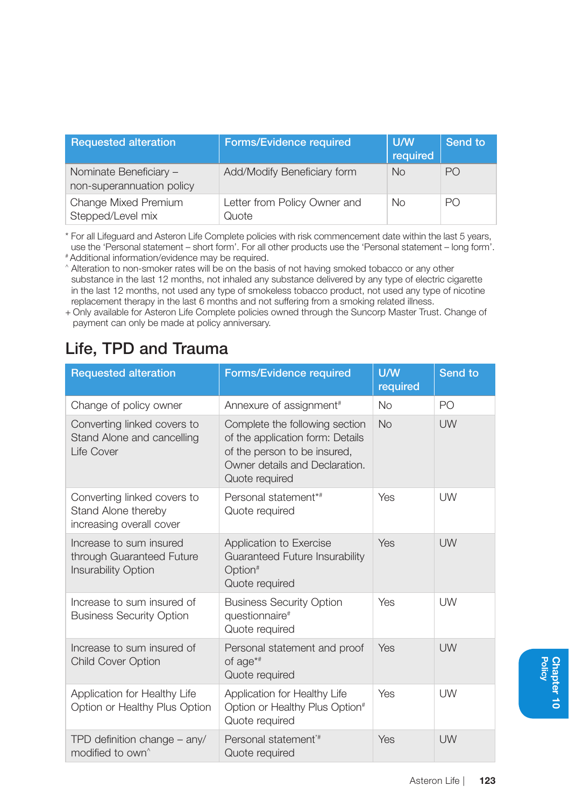| <b>Requested alteration</b>                         | <b>Forms/Evidence required</b>        | U/W<br>required | Send to        |
|-----------------------------------------------------|---------------------------------------|-----------------|----------------|
| Nominate Beneficiary -<br>non-superannuation policy | Add/Modify Beneficiary form           | <b>No</b>       | PO             |
| Change Mixed Premium<br>Stepped/Level mix           | Letter from Policy Owner and<br>Quote | Nο              | P <sub>O</sub> |

\* For all Lifeguard and Asteron Life Complete policies with risk commencement date within the last 5 years, use the 'Personal statement – short form'. For all other products use the 'Personal statement – long form'.

# Additional information/evidence may be required.

^ Alteration to non-smoker rates will be on the basis of not having smoked tobacco or any other substance in the last 12 months, not inhaled any substance delivered by any type of electric cigarette in the last 12 months, not used any type of smokeless tobacco product, not used any type of nicotine replacement therapy in the last 6 months and not suffering from a smoking related illness.

+ Only available for Asteron Life Complete policies owned through the Suncorp Master Trust. Change of payment can only be made at policy anniversary.

#### Life, TPD and Trauma

| <b>Requested alteration</b>                                                        | Forms/Evidence required                                                                                                                                | U/W<br>required | Send to        |
|------------------------------------------------------------------------------------|--------------------------------------------------------------------------------------------------------------------------------------------------------|-----------------|----------------|
| Change of policy owner                                                             | Annexure of assignment <sup>#</sup>                                                                                                                    | <b>No</b>       | P <sub>O</sub> |
| Converting linked covers to<br>Stand Alone and cancelling<br>Life Cover            | Complete the following section<br>of the application form: Details<br>of the person to be insured,<br>Owner details and Declaration.<br>Quote required | <b>No</b>       | UW             |
| Converting linked covers to<br>Stand Alone thereby<br>increasing overall cover     | Personal statement*#<br>Quote required                                                                                                                 | Yes             | UW             |
| Increase to sum insured<br>through Guaranteed Future<br><b>Insurability Option</b> | Application to Exercise<br>Guaranteed Future Insurability<br>Option <sup>#</sup><br>Quote required                                                     | Yes             | UW             |
| Increase to sum insured of<br><b>Business Security Option</b>                      | <b>Business Security Option</b><br>questionnaire <sup>#</sup><br>Quote required                                                                        | Yes             | UW             |
| Increase to sum insured of<br><b>Child Cover Option</b>                            | Personal statement and proof<br>of $aq e^{i\#}$<br>Quote required                                                                                      | Yes             | UW             |
| Application for Healthy Life<br>Option or Healthy Plus Option                      | Application for Healthy Life<br>Option or Healthy Plus Option <sup>#</sup><br>Quote required                                                           | Yes             | UW             |
| TPD definition change - any/<br>modified to own <sup>^</sup>                       | Personal statement <sup>*#</sup><br>Quote required                                                                                                     | Yes             | UW             |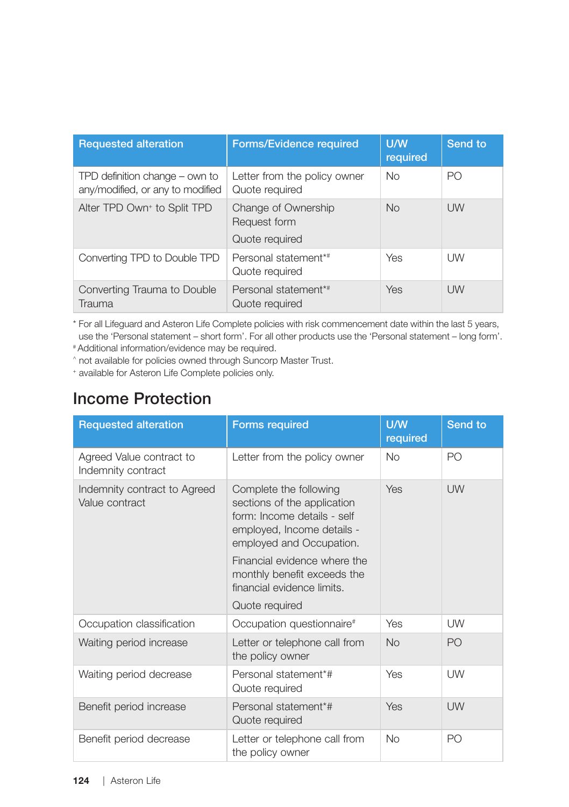| <b>Requested alteration</b>                                        | <b>Forms/Evidence required</b>                        | U/W<br>required | Send to        |
|--------------------------------------------------------------------|-------------------------------------------------------|-----------------|----------------|
| TPD definition change – own to<br>any/modified, or any to modified | Letter from the policy owner<br>Quote required        | N <sub>0</sub>  | P <sub>O</sub> |
| Alter TPD Own <sup>+</sup> to Split TPD                            | Change of Ownership<br>Request form<br>Quote required | <b>No</b>       | UW             |
| Converting TPD to Double TPD                                       | Personal statement*#<br>Quote required                | Yes             | UW             |
| Converting Trauma to Double<br>Trauma                              | Personal statement*#<br>Quote required                | Yes             | UW             |

\* For all Lifeguard and Asteron Life Complete policies with risk commencement date within the last 5 years, use the 'Personal statement – short form'. For all other products use the 'Personal statement – long form'.

# Additional information/evidence may be required.

^ not available for policies owned through Suncorp Master Trust.

+ available for Asteron Life Complete policies only.

#### Income Protection

| <b>Requested alteration</b>                    | <b>Forms required</b>                                                                                                                          | U/W<br>required | Send to        |
|------------------------------------------------|------------------------------------------------------------------------------------------------------------------------------------------------|-----------------|----------------|
| Agreed Value contract to<br>Indemnity contract | Letter from the policy owner                                                                                                                   | <b>No</b>       | PO             |
| Indemnity contract to Agreed<br>Value contract | Complete the following<br>sections of the application<br>form: Income details - self<br>employed, Income details -<br>employed and Occupation. | Yes             | <b>UW</b>      |
|                                                | Financial evidence where the<br>monthly benefit exceeds the<br>financial evidence limits.                                                      |                 |                |
|                                                | Quote required                                                                                                                                 |                 |                |
| Occupation classification                      | Occupation questionnaire <sup>#</sup>                                                                                                          | Yes             | UW             |
| Waiting period increase                        | Letter or telephone call from<br>the policy owner                                                                                              | <b>No</b>       | P <sub>O</sub> |
| Waiting period decrease                        | Personal statement*#<br>Quote required                                                                                                         | Yes             | UW             |
| Benefit period increase                        | Personal statement*#<br>Quote required                                                                                                         | Yes             | UW             |
| Benefit period decrease                        | Letter or telephone call from<br>the policy owner                                                                                              | <b>No</b>       | PO             |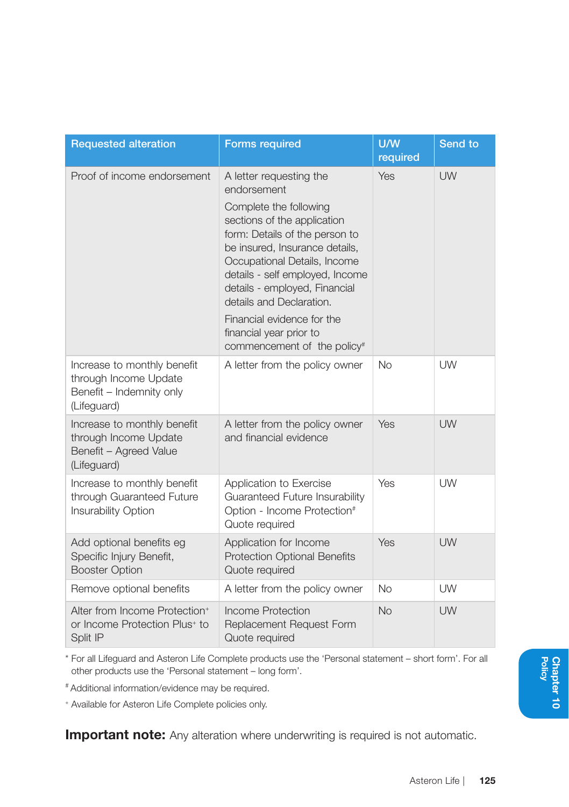| <b>Requested alteration</b>                                                                        | <b>Forms required</b>                                                                                                                                                                                                                                                                                                                                                                       | U/W<br>required | Send to   |
|----------------------------------------------------------------------------------------------------|---------------------------------------------------------------------------------------------------------------------------------------------------------------------------------------------------------------------------------------------------------------------------------------------------------------------------------------------------------------------------------------------|-----------------|-----------|
| Proof of income endorsement                                                                        | A letter requesting the<br>endorsement<br>Complete the following<br>sections of the application<br>form: Details of the person to<br>be insured, Insurance details,<br>Occupational Details, Income<br>details - self employed, Income<br>details - employed, Financial<br>details and Declaration.<br>Financial evidence for the<br>financial year prior to<br>commencement of the policy# | Yes             | <b>UW</b> |
| Increase to monthly benefit<br>through Income Update<br>Benefit - Indemnity only<br>(Lifeguard)    | A letter from the policy owner                                                                                                                                                                                                                                                                                                                                                              | No              | <b>UW</b> |
| Increase to monthly benefit<br>through Income Update<br>Benefit - Agreed Value<br>(Lifeguard)      | A letter from the policy owner<br>and financial evidence                                                                                                                                                                                                                                                                                                                                    | Yes             | UW        |
| Increase to monthly benefit<br>through Guaranteed Future<br><b>Insurability Option</b>             | Application to Exercise<br>Guaranteed Future Insurability<br>Option - Income Protection#<br>Quote required                                                                                                                                                                                                                                                                                  | Yes             | <b>UW</b> |
| Add optional benefits eg<br>Specific Injury Benefit,<br><b>Booster Option</b>                      | Application for Income<br>Protection Optional Benefits<br>Quote required                                                                                                                                                                                                                                                                                                                    | Yes             | UW        |
| Remove optional benefits                                                                           | A letter from the policy owner                                                                                                                                                                                                                                                                                                                                                              | <b>No</b>       | <b>UW</b> |
| Alter from Income Protection <sup>+</sup><br>or Income Protection Plus <sup>+</sup> to<br>Split IP | <b>Income Protection</b><br>Replacement Request Form<br>Quote required                                                                                                                                                                                                                                                                                                                      | No              | <b>UW</b> |

\* For all Lifeguard and Asteron Life Complete products use the 'Personal statement – short form'. For all other products use the 'Personal statement – long form'.

# Additional information/evidence may be required.

+ Available for Asteron Life Complete policies only.

**Important note:** Any alteration where underwriting is required is not automatic.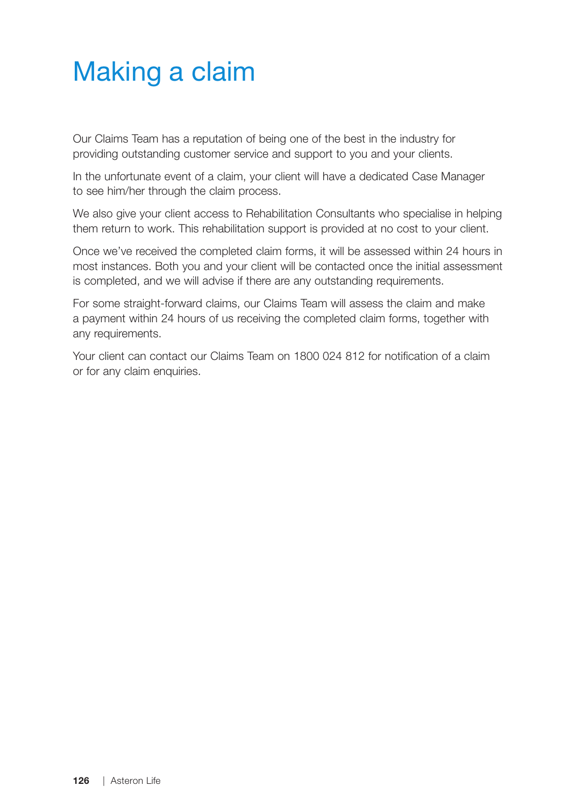# Making a claim

Our Claims Team has a reputation of being one of the best in the industry for providing outstanding customer service and support to you and your clients.

In the unfortunate event of a claim, your client will have a dedicated Case Manager to see him/her through the claim process.

We also give your client access to Rehabilitation Consultants who specialise in helping them return to work. This rehabilitation support is provided at no cost to your client.

Once we've received the completed claim forms, it will be assessed within 24 hours in most instances. Both you and your client will be contacted once the initial assessment is completed, and we will advise if there are any outstanding requirements.

For some straight-forward claims, our Claims Team will assess the claim and make a payment within 24 hours of us receiving the completed claim forms, together with any requirements.

Your client can contact our Claims Team on 1800 024 812 for notification of a claim or for any claim enquiries.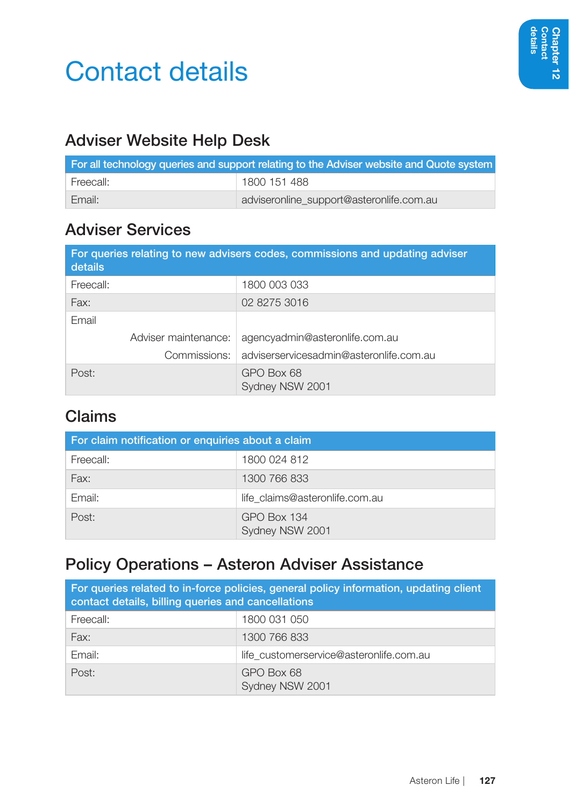# Contact details

### Adviser Website Help Desk

|           | For all technology queries and support relating to the Adviser website and Quote system |
|-----------|-----------------------------------------------------------------------------------------|
| Freecall: | 1800 151 488                                                                            |
| Email:    | adviseronline support@asteronlife.com.au                                                |

#### Adviser Services

| details   |                      | For queries relating to new advisers codes, commissions and updating adviser |
|-----------|----------------------|------------------------------------------------------------------------------|
| Freecall: |                      | 1800 003 033                                                                 |
| Fax:      |                      | 02 8275 3016                                                                 |
| Email     |                      |                                                                              |
|           | Adviser maintenance: | agencyadmin@asteronlife.com.au                                               |
|           | Commissions:         | adviserservicesadmin@asteronlife.com.au                                      |
| Post:     |                      | GPO Box 68<br>Sydney NSW 2001                                                |

#### Claims

| For claim notification or enquiries about a claim |                                |  |
|---------------------------------------------------|--------------------------------|--|
| Freecall:                                         | 1800 024 812                   |  |
| Fax:                                              | 1300 766 833                   |  |
| Email:                                            | life claims@asteronlife.com.au |  |
| Post:                                             | GPO Box 134<br>Sydney NSW 2001 |  |

#### Policy Operations – Asteron Adviser Assistance

| For queries related to in-force policies, general policy information, updating client<br>contact details, billing queries and cancellations |                                         |  |
|---------------------------------------------------------------------------------------------------------------------------------------------|-----------------------------------------|--|
| Freecall:                                                                                                                                   | 1800 031 050                            |  |
| Fax:                                                                                                                                        | 1300 766 833                            |  |
| Email:                                                                                                                                      | life customerservice@asteronlife.com.au |  |
| Post:                                                                                                                                       | GPO Box 68<br>Sydney NSW 2001           |  |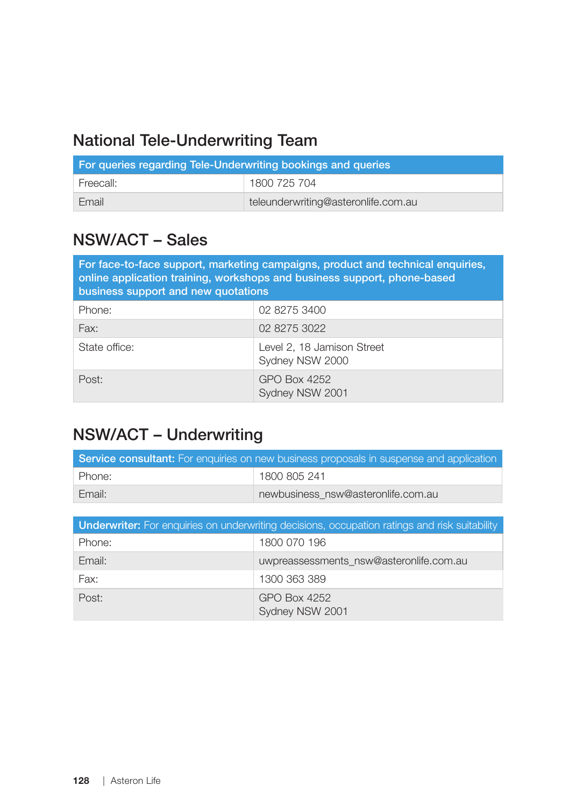#### National Tele-Underwriting Team

| For queries regarding Tele-Underwriting bookings and queries |                                     |  |
|--------------------------------------------------------------|-------------------------------------|--|
| Freecall:                                                    | 1800 725 704                        |  |
| Email                                                        | teleunderwriting@asteronlife.com.au |  |

#### NSW/ACT – Sales

| For face-to-face support, marketing campaigns, product and technical enguiries,<br>online application training, workshops and business support, phone-based<br>business support and new quotations |                                               |
|----------------------------------------------------------------------------------------------------------------------------------------------------------------------------------------------------|-----------------------------------------------|
| Phone:                                                                                                                                                                                             | 02 8275 3400                                  |
| Fax:                                                                                                                                                                                               | 02 8275 3022                                  |
| State office:                                                                                                                                                                                      | Level 2, 18 Jamison Street<br>Sydney NSW 2000 |
| Post:                                                                                                                                                                                              | GPO Box 4252<br>Sydney NSW 2001               |

#### NSW/ACT – Underwriting

| <b>Service consultant:</b> For enquiries on new business proposals in suspense and application |                                    |
|------------------------------------------------------------------------------------------------|------------------------------------|
| Phone:                                                                                         | 1800 805 241                       |
| Email:                                                                                         | newbusiness nsw@asteronlife.com.au |

| <b>Underwriter:</b> For enquiries on underwriting decisions, occupation ratings and risk suitability |                                         |  |
|------------------------------------------------------------------------------------------------------|-----------------------------------------|--|
| Phone:                                                                                               | 1800 070 196                            |  |
| Email:                                                                                               | uwpreassessments nsw@asteronlife.com.au |  |
| Fax:                                                                                                 | 1300 363 389                            |  |
| Post:                                                                                                | GPO Box 4252<br>Sydney NSW 2001         |  |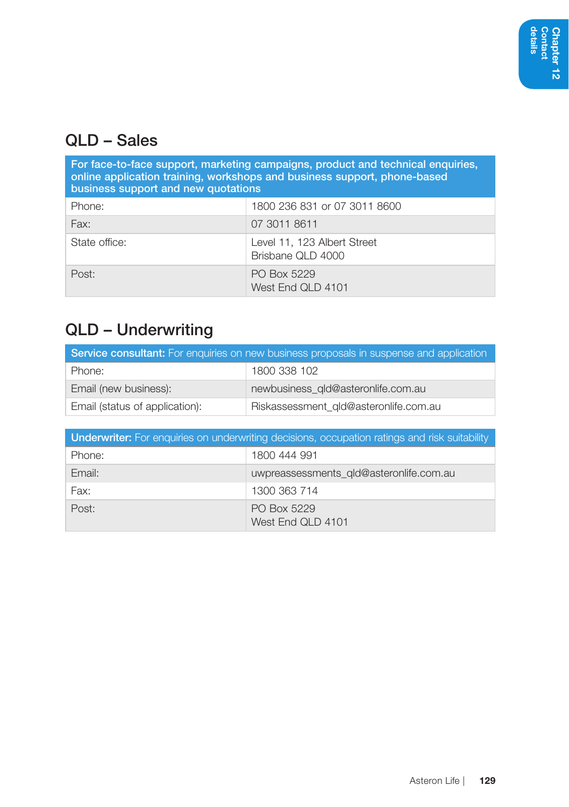#### QLD – Sales

| For face-to-face support, marketing campaigns, product and technical enquiries,<br>online application training, workshops and business support, phone-based<br>business support and new quotations |                                                  |  |
|----------------------------------------------------------------------------------------------------------------------------------------------------------------------------------------------------|--------------------------------------------------|--|
| Phone:                                                                                                                                                                                             | 1800 236 831 or 07 3011 8600                     |  |
| Fax:                                                                                                                                                                                               | 07 3011 8611                                     |  |
| State office:                                                                                                                                                                                      | Level 11, 123 Albert Street<br>Brisbane QLD 4000 |  |
| Post:                                                                                                                                                                                              | PO Box 5229<br>West End QLD 4101                 |  |

## QLD – Underwriting

| <b>Service consultant:</b> For enquiries on new business proposals in suspense and application |                                       |
|------------------------------------------------------------------------------------------------|---------------------------------------|
| Phone:                                                                                         | 1800 338 102                          |
| Email (new business):                                                                          | newbusiness gld@asteronlife.com.au    |
| Email (status of application):                                                                 | Riskassessment_gld@asteronlife.com.au |

| <b>Underwriter:</b> For enquiries on underwriting decisions, occupation ratings and risk suitability |                                         |
|------------------------------------------------------------------------------------------------------|-----------------------------------------|
| Phone:                                                                                               | 1800 444 991                            |
| Email:                                                                                               | uwpreassessments_gld@asteronlife.com.au |
| Fax:                                                                                                 | 1300 363 714                            |
| Post:                                                                                                | PO Box 5229<br>West End QLD 4101        |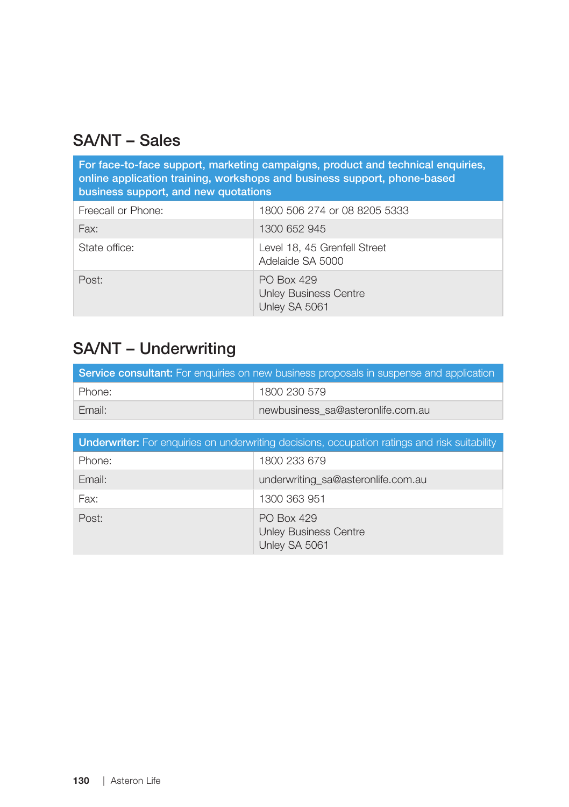### SA/NT – Sales

| For face-to-face support, marketing campaigns, product and technical enquiries,<br>online application training, workshops and business support, phone-based<br>business support, and new quotations |                                                             |  |
|-----------------------------------------------------------------------------------------------------------------------------------------------------------------------------------------------------|-------------------------------------------------------------|--|
| Freecall or Phone:                                                                                                                                                                                  | 1800 506 274 or 08 8205 5333                                |  |
| Fax:                                                                                                                                                                                                | 1300 652 945                                                |  |
| State office:                                                                                                                                                                                       | Level 18, 45 Grenfell Street<br>Adelaide SA 5000            |  |
| Post:                                                                                                                                                                                               | PO Box 429<br><b>Unley Business Centre</b><br>Unley SA 5061 |  |

#### SA/NT – Underwriting

| <b>Service consultant:</b> For enquiries on new business proposals in suspense and application |                                   |  |
|------------------------------------------------------------------------------------------------|-----------------------------------|--|
| Phone:                                                                                         | 1800 230 579                      |  |
| Email:                                                                                         | newbusiness sa@asteronlife.com.au |  |

| <b>Underwriter:</b> For enquiries on underwriting decisions, occupation ratings and risk suitability |                                                             |  |
|------------------------------------------------------------------------------------------------------|-------------------------------------------------------------|--|
| Phone:                                                                                               | 1800 233 679                                                |  |
| Email:                                                                                               | underwriting_sa@asteronlife.com.au                          |  |
| Fax:                                                                                                 | 1300 363 951                                                |  |
| Post:                                                                                                | PO Box 429<br><b>Unley Business Centre</b><br>Unley SA 5061 |  |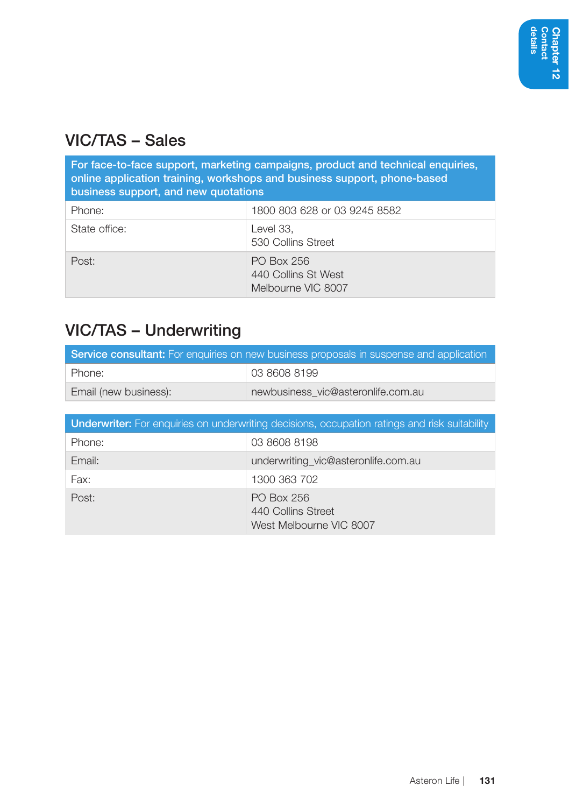#### VIC/TAS – Sales

| For face-to-face support, marketing campaigns, product and technical enquiries,<br>online application training, workshops and business support, phone-based<br>business support, and new quotations |                                                         |
|-----------------------------------------------------------------------------------------------------------------------------------------------------------------------------------------------------|---------------------------------------------------------|
| Phone:                                                                                                                                                                                              | 1800 803 628 or 03 9245 8582                            |
| State office:                                                                                                                                                                                       | Level 33.<br>530 Collins Street                         |
| Post:                                                                                                                                                                                               | PO Box 256<br>440 Collins St West<br>Melbourne VIC 8007 |

## VIC/TAS – Underwriting

| <b>Service consultant:</b> For enquiries on new business proposals in suspense and application |                                    |
|------------------------------------------------------------------------------------------------|------------------------------------|
| Phone:                                                                                         | 03 8608 8199                       |
| Email (new business):                                                                          | newbusiness vic@asteronlife.com.au |

| <b>Underwriter:</b> For enquiries on underwriting decisions, occupation ratings and risk suitability |                                                             |  |
|------------------------------------------------------------------------------------------------------|-------------------------------------------------------------|--|
| Phone:                                                                                               | 03 8608 8198                                                |  |
| Email:                                                                                               | underwriting_vic@asteronlife.com.au                         |  |
| Fax:                                                                                                 | 1300 363 702                                                |  |
| Post:                                                                                                | PO Box 256<br>440 Collins Street<br>West Melbourne VIC 8007 |  |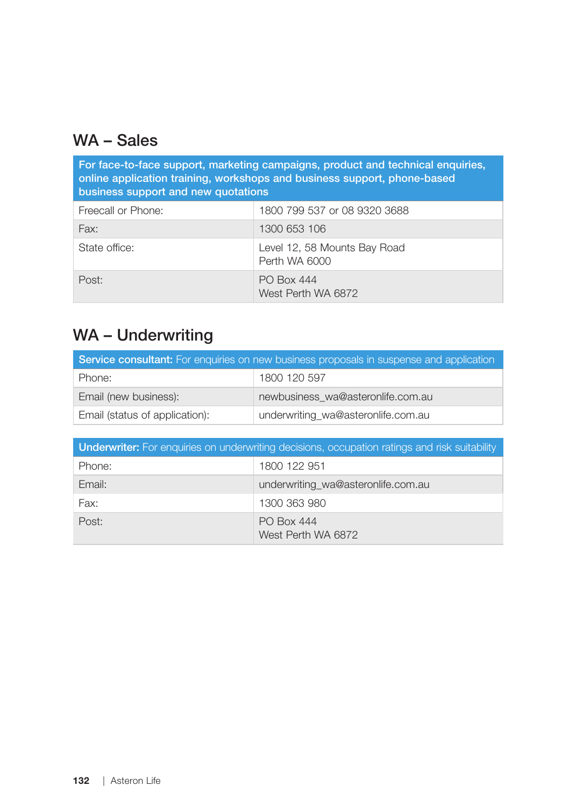#### WA – Sales

| For face-to-face support, marketing campaigns, product and technical enquiries,<br>online application training, workshops and business support, phone-based<br>business support and new quotations |                                               |  |
|----------------------------------------------------------------------------------------------------------------------------------------------------------------------------------------------------|-----------------------------------------------|--|
| Freecall or Phone:                                                                                                                                                                                 | 1800 799 537 or 08 9320 3688                  |  |
| Fax:                                                                                                                                                                                               | 1300 653 106                                  |  |
| State office:                                                                                                                                                                                      | Level 12, 58 Mounts Bay Road<br>Perth WA 6000 |  |
| Post:                                                                                                                                                                                              | <b>PO Box 444</b><br>West Perth WA 6872       |  |

## WA – Underwriting

| <b>Service consultant:</b> For enquiries on new business proposals in suspense and application |                                    |  |
|------------------------------------------------------------------------------------------------|------------------------------------|--|
| Phone:                                                                                         | 1800 120 597                       |  |
| Email (new business):                                                                          | newbusiness wa@asteronlife.com.au  |  |
| Email (status of application):                                                                 | underwriting_wa@asteronlife.com.au |  |

| <b>Underwriter:</b> For enquiries on underwriting decisions, occupation ratings and risk suitability |                                         |  |  |
|------------------------------------------------------------------------------------------------------|-----------------------------------------|--|--|
| Phone:                                                                                               | 1800 122 951                            |  |  |
| Email:                                                                                               | underwriting_wa@asteronlife.com.au      |  |  |
| Fax:                                                                                                 | 1300 363 980                            |  |  |
| Post:                                                                                                | <b>PO Box 444</b><br>West Perth WA 6872 |  |  |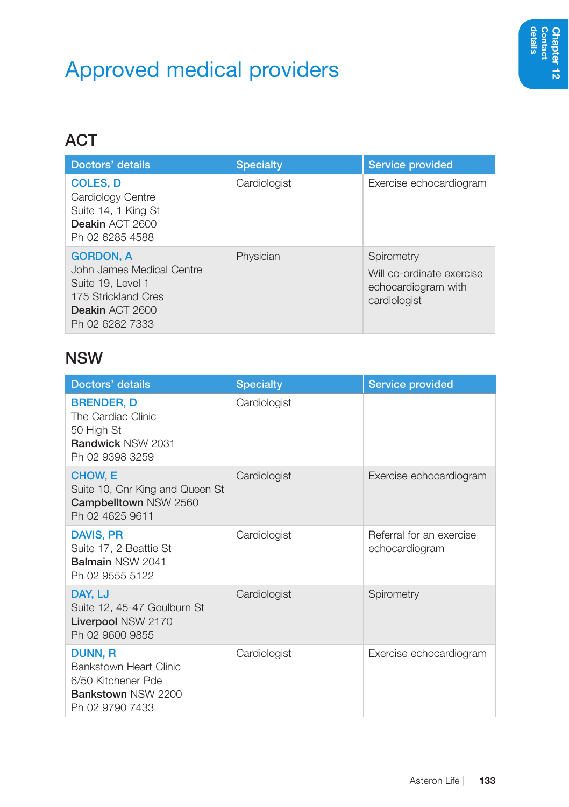# Approved medical providers

## **ACT**

| Doctors' details                                                                                                                | <b>Specialty</b> | Service provided                                                               |
|---------------------------------------------------------------------------------------------------------------------------------|------------------|--------------------------------------------------------------------------------|
| <b>COLES, D</b><br>Cardiology Centre<br>Suite 14, 1 King St<br>Deakin ACT 2600<br>Ph 02 6285 4588                               | Cardiologist     | Exercise echocardiogram                                                        |
| <b>GORDON, A</b><br>John James Medical Centre<br>Suite 19, Level 1<br>175 Strickland Cres<br>Deakin ACT 2600<br>Ph 02 6282 7333 | Physician        | Spirometry<br>Will co-ordinate exercise<br>echocardiogram with<br>cardiologist |

#### NSW

| Doctors' details                                                                                 | <b>Specialty</b> | Service provided                           |
|--------------------------------------------------------------------------------------------------|------------------|--------------------------------------------|
| <b>BRENDER, D</b><br>The Cardiac Clinic<br>50 High St<br>Randwick NSW 2031<br>Ph 02 9398 3259    | Cardiologist     |                                            |
| CHOW, E<br>Suite 10, Cnr King and Queen St<br>Campbelltown NSW 2560<br>Ph 02 4625 9611           | Cardiologist     | Exercise echocardiogram                    |
| <b>DAVIS, PR</b><br>Suite 17, 2 Beattie St<br>Balmain NSW 2041<br>Ph 02 9555 5122                | Cardiologist     | Referral for an exercise<br>echocardiogram |
| DAY, LJ<br>Suite 12, 45-47 Goulburn St<br>Liverpool NSW 2170<br>Ph 02 9600 9855                  | Cardiologist     | Spirometry                                 |
| DUNN, R<br>Bankstown Heart Clinic<br>6/50 Kitchener Pde<br>Bankstown NSW 2200<br>Ph 02 9790 7433 | Cardiologist     | Exercise echocardiogram                    |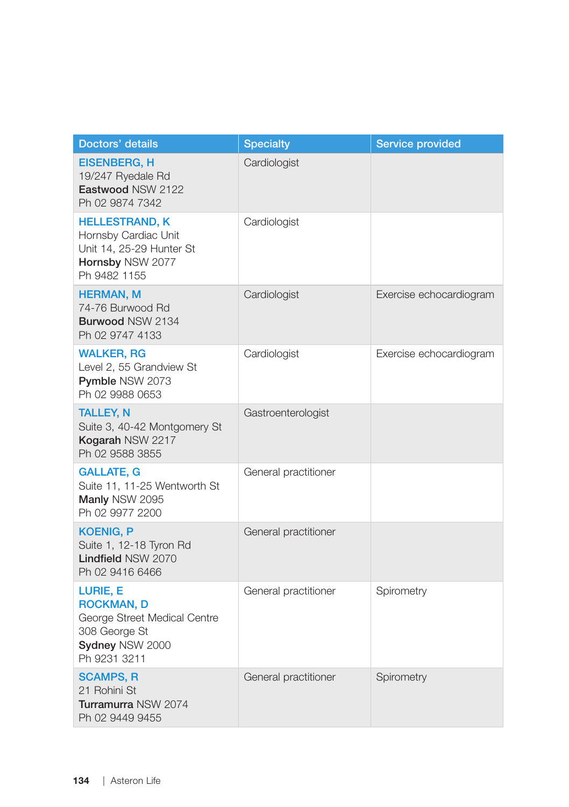| Doctors' details                                                                                                  | <b>Specialty</b>     | Service provided        |
|-------------------------------------------------------------------------------------------------------------------|----------------------|-------------------------|
| <b>EISENBERG, H</b><br>19/247 Ryedale Rd<br>Eastwood NSW 2122<br>Ph 02 9874 7342                                  | Cardiologist         |                         |
| <b>HELLESTRAND, K</b><br>Hornsby Cardiac Unit<br>Unit 14, 25-29 Hunter St<br>Hornsby NSW 2077<br>Ph 9482 1155     | Cardiologist         |                         |
| <b>HERMAN, M</b><br>74-76 Burwood Rd<br>Burwood NSW 2134<br>Ph 02 9747 4133                                       | Cardiologist         | Exercise echocardiogram |
| <b>WALKER, RG</b><br>Level 2, 55 Grandview St<br><b>Pymble NSW 2073</b><br>Ph 02 9988 0653                        | Cardiologist         | Exercise echocardiogram |
| <b>TALLEY, N</b><br>Suite 3, 40-42 Montgomery St<br>Kogarah NSW 2217<br>Ph 02 9588 3855                           | Gastroenterologist   |                         |
| <b>GALLATE, G</b><br>Suite 11, 11-25 Wentworth St<br>Manly NSW 2095<br>Ph 02 9977 2200                            | General practitioner |                         |
| <b>KOENIG, P</b><br>Suite 1, 12-18 Tyron Rd<br><b>Lindfield NSW 2070</b><br>Ph 02 9416 6466                       | General practitioner |                         |
| LURIE, E<br><b>ROCKMAN, D</b><br>George Street Medical Centre<br>308 George St<br>Sydney NSW 2000<br>Ph 9231 3211 | General practitioner | Spirometry              |
| <b>SCAMPS, R</b><br>21 Rohini St<br>Turramurra NSW 2074<br>Ph 02 9449 9455                                        | General practitioner | Spirometry              |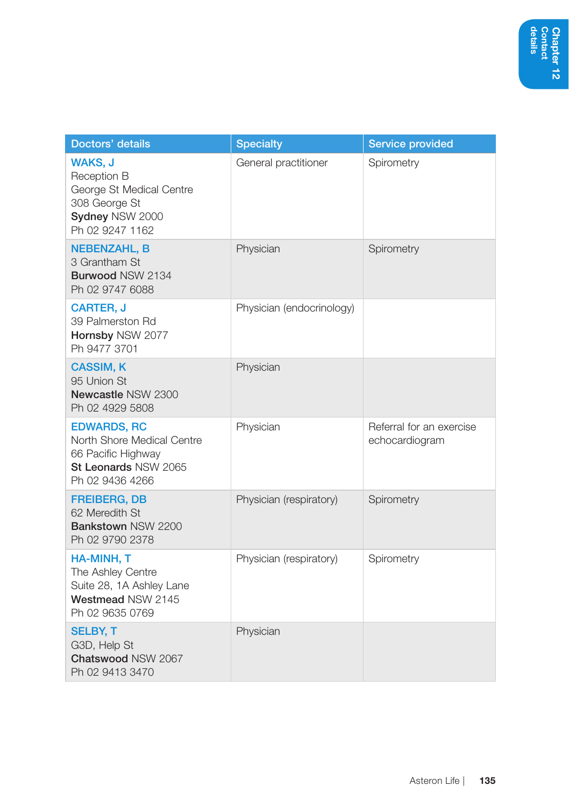| Doctors' details                                                                                                  | <b>Specialty</b>          | <b>Service provided</b>                    |
|-------------------------------------------------------------------------------------------------------------------|---------------------------|--------------------------------------------|
| WAKS, J<br>Reception B<br>George St Medical Centre<br>308 George St<br>Sydney NSW 2000<br>Ph 02 9247 1162         | General practitioner      | Spirometry                                 |
| <b>NEBENZAHL, B</b><br>3 Grantham St<br>Burwood NSW 2134<br>Ph 02 9747 6088                                       | Physician                 | Spirometry                                 |
| <b>CARTER, J</b><br>39 Palmerston Rd<br>Hornsby NSW 2077<br>Ph 9477 3701                                          | Physician (endocrinology) |                                            |
| <b>CASSIM, K</b><br>95 Union St<br>Newcastle NSW 2300<br>Ph 02 4929 5808                                          | Physician                 |                                            |
| <b>EDWARDS, RC</b><br>North Shore Medical Centre<br>66 Pacific Highway<br>St Leonards NSW 2065<br>Ph 02 9436 4266 | Physician                 | Referral for an exercise<br>echocardiogram |
| <b>FREIBERG, DB</b><br>62 Meredith St<br>Bankstown NSW 2200<br>Ph 02 9790 2378                                    | Physician (respiratory)   | Spirometry                                 |
| HA-MINH, T<br>The Ashley Centre<br>Suite 28, 1A Ashley Lane<br>Westmead NSW 2145<br>Ph 02 9635 0769               | Physician (respiratory)   | Spirometry                                 |
| <b>SELBY, T</b><br>G3D, Help St<br><b>Chatswood NSW 2067</b><br>Ph 02 9413 3470                                   | Physician                 |                                            |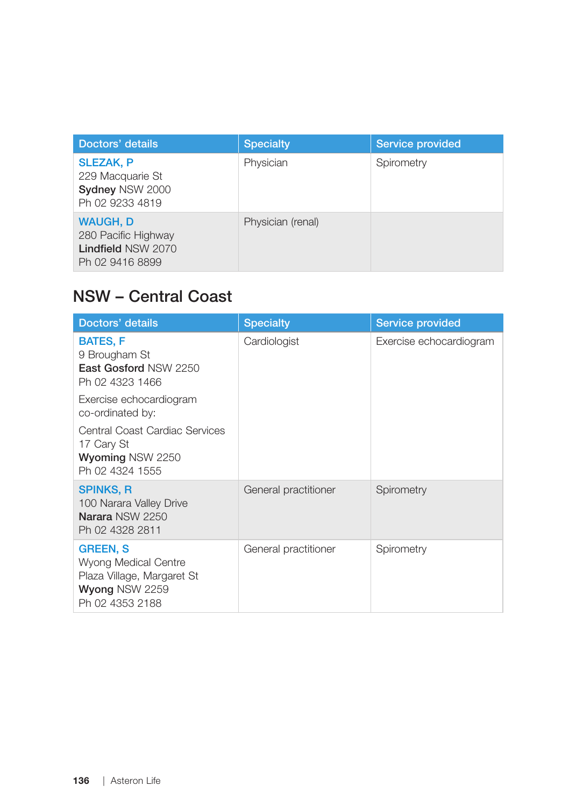| Doctors' details                                                                       | <b>Specialty</b>  | <b>Service provided</b> |
|----------------------------------------------------------------------------------------|-------------------|-------------------------|
| <b>SLEZAK, P</b><br>229 Macquarie St<br>Sydney NSW 2000<br>Ph 02 9233 4819             | Physician         | Spirometry              |
| <b>WAUGH, D</b><br>280 Pacific Highway<br><b>Lindfield NSW 2070</b><br>Ph 02 9416 8899 | Physician (renal) |                         |

#### NSW – Central Coast

| Doctors' details                                                                                           | <b>Specialty</b>     | <b>Service provided</b> |
|------------------------------------------------------------------------------------------------------------|----------------------|-------------------------|
| <b>BATES, F</b><br>9 Brougham St<br>East Gosford NSW 2250<br>Ph 02 4323 1466                               | Cardiologist         | Exercise echocardiogram |
| Exercise echocardiogram<br>co-ordinated by:                                                                |                      |                         |
| Central Coast Cardiac Services<br>17 Cary St<br>Wyoming NSW 2250<br>Ph 02 4324 1555                        |                      |                         |
| <b>SPINKS, R</b><br>100 Narara Valley Drive<br>Narara NSW 2250<br>Ph 02 4328 2811                          | General practitioner | Spirometry              |
| <b>GREEN, S</b><br>Wyong Medical Centre<br>Plaza Village, Margaret St<br>Wyong NSW 2259<br>Ph 02 4353 2188 | General practitioner | Spirometry              |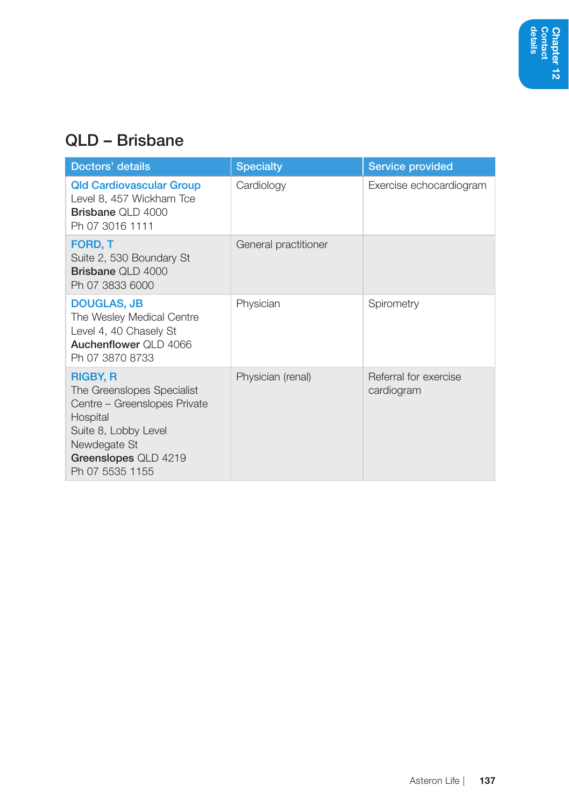#### QLD – Brisbane

| Doctors' details                                                                                                                                                             | <b>Specialty</b>     | <b>Service provided</b>             |
|------------------------------------------------------------------------------------------------------------------------------------------------------------------------------|----------------------|-------------------------------------|
| <b>Qld Cardiovascular Group</b><br>Level 8, 457 Wickham Tce<br>Brisbane QLD 4000<br>Ph 07 3016 1111                                                                          | Cardiology           | Exercise echocardiogram             |
| FORD, T<br>Suite 2, 530 Boundary St<br><b>Brisbane QLD 4000</b><br>Ph 07 3833 6000                                                                                           | General practitioner |                                     |
| <b>DOUGLAS, JB</b><br>The Wesley Medical Centre<br>Level 4, 40 Chasely St<br>Auchenflower QLD 4066<br>Ph 07 3870 8733                                                        | Physician            | Spirometry                          |
| <b>RIGBY, R</b><br>The Greenslopes Specialist<br>Centre - Greenslopes Private<br>Hospital<br>Suite 8, Lobby Level<br>Newdegate St<br>Greenslopes QLD 4219<br>Ph 07 5535 1155 | Physician (renal)    | Referral for exercise<br>cardiogram |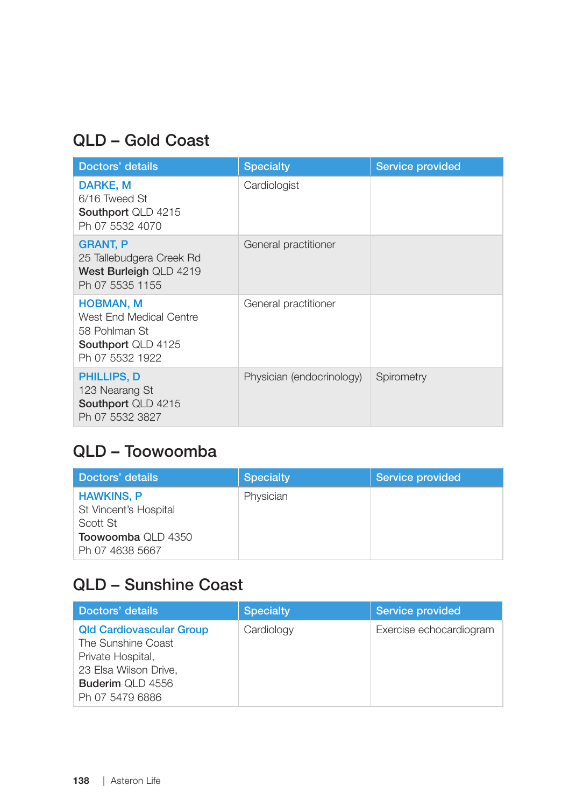#### QLD – Gold Coast

| Doctors' details                                                                                             | <b>Specialty</b>          | <b>Service provided</b> |
|--------------------------------------------------------------------------------------------------------------|---------------------------|-------------------------|
| DARKE, M<br>6/16 Tweed St<br><b>Southport QLD 4215</b><br>Ph 07 5532 4070                                    | Cardiologist              |                         |
| <b>GRANT, P</b><br>25 Tallebudgera Creek Rd<br>West Burleigh QLD 4219<br>Ph 07 5535 1155                     | General practitioner      |                         |
| <b>HOBMAN, M</b><br>West End Medical Centre<br>58 Pohlman St<br><b>Southport QLD 4125</b><br>Ph 07 5532 1922 | General practitioner      |                         |
| <b>PHILLIPS, D</b><br>123 Nearang St<br>Southport QLD 4215<br>Ph 07 5532 3827                                | Physician (endocrinology) | Spirometry              |

#### QLD – Toowoomba

| Doctors' details                                                                                | <b>Specialty</b> | Service provided |
|-------------------------------------------------------------------------------------------------|------------------|------------------|
| <b>HAWKINS, P</b><br>St Vincent's Hospital<br>Scott St<br>Toowoomba QLD 4350<br>Ph 07 4638 5667 | Physician        |                  |

### QLD – Sunshine Coast

| Doctors' details                                                                                                                                  | <b>Specialty</b> | Service provided        |
|---------------------------------------------------------------------------------------------------------------------------------------------------|------------------|-------------------------|
| <b>Qld Cardiovascular Group</b><br>The Sunshine Coast<br>Private Hospital,<br>23 Elsa Wilson Drive,<br><b>Buderim QLD 4556</b><br>Ph 07 5479 6886 | Cardiology       | Exercise echocardiogram |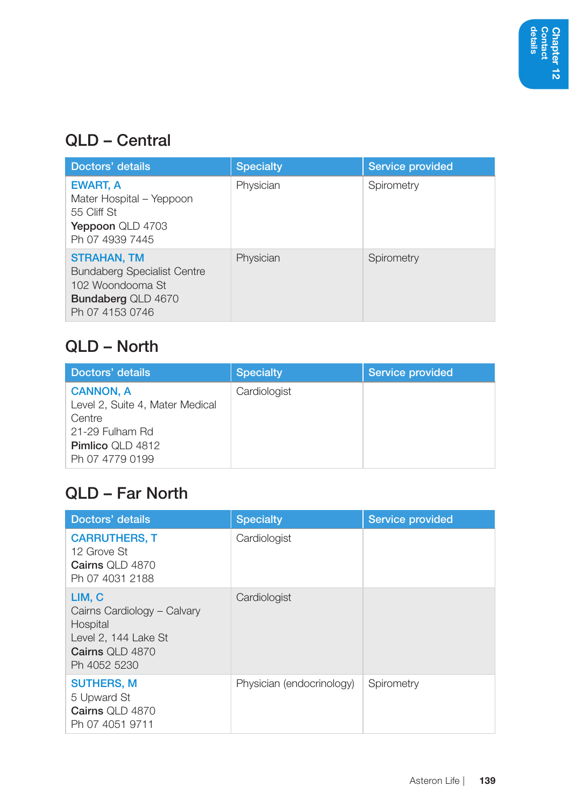#### QLD – Central

| Doctors' details                                                                                                             | <b>Specialty</b> | Service provided |
|------------------------------------------------------------------------------------------------------------------------------|------------------|------------------|
| EWART, A<br>Mater Hospital - Yeppoon<br>55 Cliff St<br>Yeppoon QLD 4703<br>Ph 07 4939 7445                                   | Physician        | Spirometry       |
| <b>STRAHAN, TM</b><br><b>Bundaberg Specialist Centre</b><br>102 Woondooma St<br><b>Bundaberg QLD 4670</b><br>Ph 07 4153 0746 | Physician        | Spirometry       |

#### QLD – North

| Doctors' details                | <b>Specialty</b> | Service provided |
|---------------------------------|------------------|------------------|
| <b>CANNON, A</b>                | Cardiologist     |                  |
| Level 2, Suite 4, Mater Medical |                  |                  |
| Centre                          |                  |                  |
| 21-29 Fulham Rd                 |                  |                  |
| <b>Pimlico QLD 4812</b>         |                  |                  |
| Ph 07 4779 0199                 |                  |                  |

#### QLD – Far North

| Doctors' details                                                                                             | <b>Specialty</b>          | Service provided |
|--------------------------------------------------------------------------------------------------------------|---------------------------|------------------|
| <b>CARRUTHERS, T</b><br>12 Grove St<br>Cairns OLD 4870<br>Ph 07 4031 2188                                    | Cardiologist              |                  |
| LIM, C<br>Cairns Cardiology - Calvary<br>Hospital<br>Level 2, 144 Lake St<br>Cairns OLD 4870<br>Ph 4052 5230 | Cardiologist              |                  |
| <b>SUTHERS, M</b><br>5 Upward St<br>Cairns OLD 4870<br>Ph 07 4051 9711                                       | Physician (endocrinology) | Spirometry       |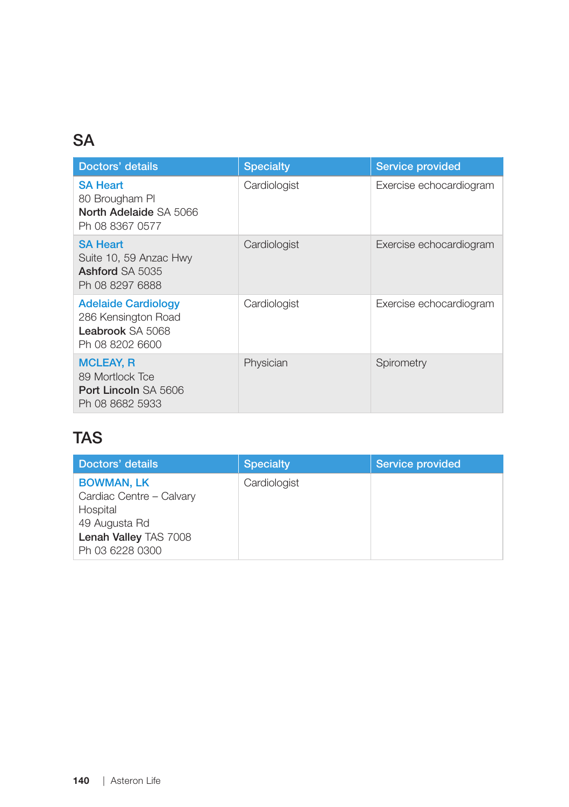### **SA**

| Doctors' details                                                                         | <b>Specialty</b> | Service provided        |
|------------------------------------------------------------------------------------------|------------------|-------------------------|
| <b>SA Heart</b><br>80 Brougham Pl<br>North Adelaide SA 5066<br>Ph 08 8367 0577           | Cardiologist     | Exercise echocardiogram |
| <b>SA Heart</b><br>Suite 10, 59 Anzac Hwy<br><b>Ashford SA 5035</b><br>Ph 08 8297 6888   | Cardiologist     | Exercise echocardiogram |
| <b>Adelaide Cardiology</b><br>286 Kensington Road<br>Leabrook SA 5068<br>Ph 08 8202 6600 | Cardiologist     | Exercise echocardiogram |
| <b>MCLEAY, R</b><br>89 Mortlock Tce<br><b>Port Lincoln SA 5606</b><br>Ph 08 8682 5933    | Physician        | Spirometry              |

#### TAS

| Doctors' details                                                                                                       | <b>Specialty</b> | Service provided |
|------------------------------------------------------------------------------------------------------------------------|------------------|------------------|
| <b>BOWMAN, LK</b><br>Cardiac Centre - Calvary<br>Hospital<br>49 Augusta Rd<br>Lenah Valley TAS 7008<br>Ph 03 6228 0300 | Cardiologist     |                  |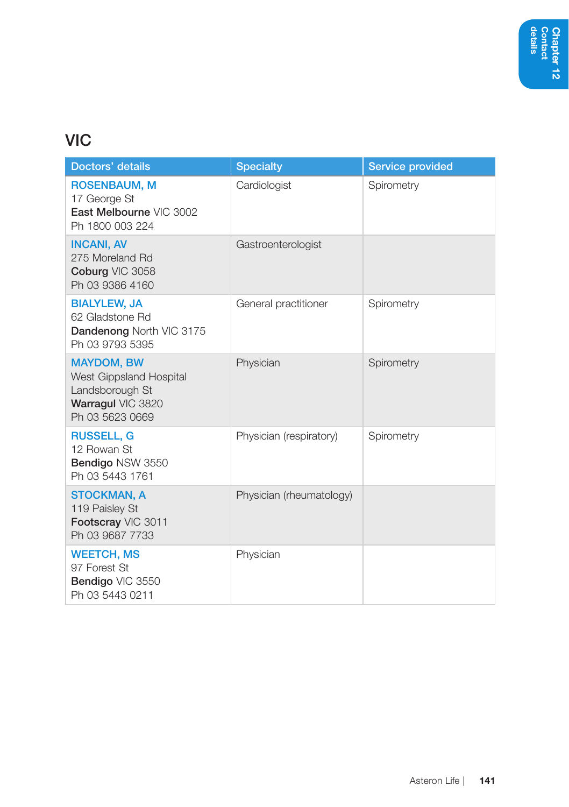### **VIC**

| Doctors' details                                                                                        | <b>Specialty</b>         | <b>Service provided</b> |
|---------------------------------------------------------------------------------------------------------|--------------------------|-------------------------|
| <b>ROSENBAUM, M</b><br>17 George St<br>East Melbourne VIC 3002<br>Ph 1800 003 224                       | Cardiologist             | Spirometry              |
| <b>INCANI, AV</b><br>275 Moreland Rd<br>Coburg VIC 3058<br>Ph 03 9386 4160                              | Gastroenterologist       |                         |
| <b>BIALYLEW, JA</b><br>62 Gladstone Rd<br>Dandenong North VIC 3175<br>Ph 03 9793 5395                   | General practitioner     | Spirometry              |
| <b>MAYDOM, BW</b><br>West Gippsland Hospital<br>Landsborough St<br>Warragul VIC 3820<br>Ph 03 5623 0669 | Physician                | Spirometry              |
| <b>RUSSELL, G</b><br>12 Rowan St<br>Bendigo NSW 3550<br>Ph 03 5443 1761                                 | Physician (respiratory)  | Spirometry              |
| <b>STOCKMAN, A</b><br>119 Paisley St<br>Footscray VIC 3011<br>Ph 03 9687 7733                           | Physician (rheumatology) |                         |
| <b>WEETCH, MS</b><br>97 Forest St<br>Bendigo VIC 3550<br>Ph 03 5443 0211                                | Physician                |                         |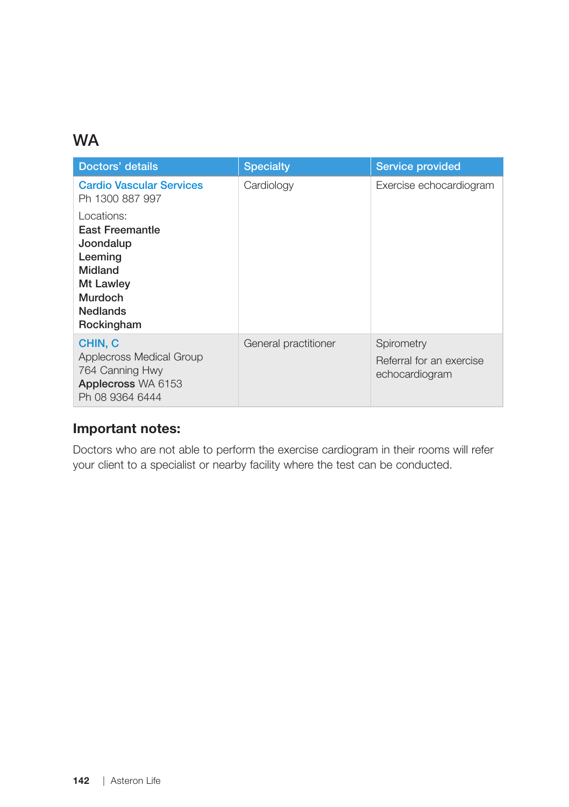#### **WA**

| Doctors' details                                                                                                          | <b>Specialty</b>     | Service provided                                         |
|---------------------------------------------------------------------------------------------------------------------------|----------------------|----------------------------------------------------------|
| <b>Cardio Vascular Services</b><br>Ph 1300 887 997                                                                        | Cardiology           | Exercise echocardiogram                                  |
| Locations:<br>East Freemantle<br>Joondalup<br>Leeming<br>Midland<br>Mt Lawley<br>Murdoch<br><b>Nedlands</b><br>Rockingham |                      |                                                          |
| CHIN, C<br>Applecross Medical Group<br>764 Canning Hwy<br>Applecross WA 6153<br>Ph 08 9364 6444                           | General practitioner | Spirometry<br>Referral for an exercise<br>echocardiogram |

#### Important notes:

Doctors who are not able to perform the exercise cardiogram in their rooms will refer your client to a specialist or nearby facility where the test can be conducted.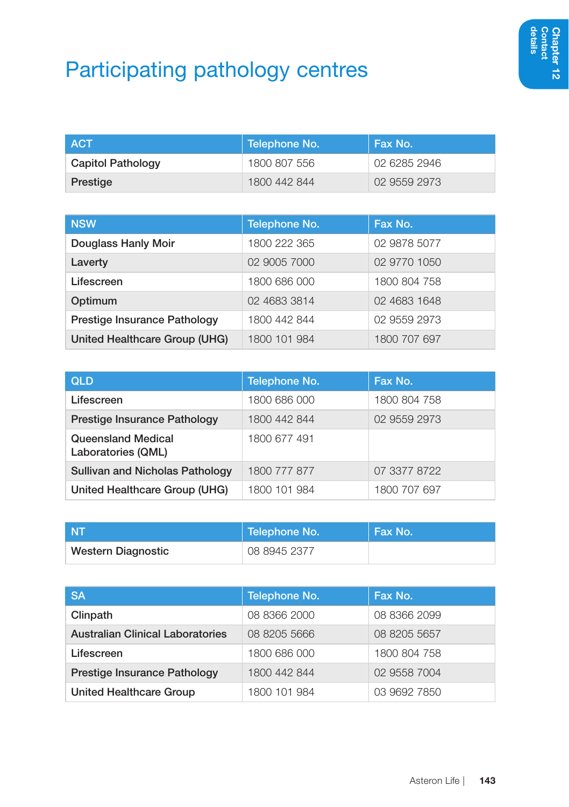# Participating pathology centres

| I ACT             | Telephone No. | Fax No.      |
|-------------------|---------------|--------------|
| Capitol Pathology | 1800 807 556  | 02 6285 2946 |
| Prestige          | 1800 442 844  | 02 9559 2973 |

| <b>NSW</b>                    | Telephone No. | Fax No.      |
|-------------------------------|---------------|--------------|
| Douglass Hanly Moir           | 1800 222 365  | 02 9878 5077 |
| Laverty                       | 02 9005 7000  | 02 9770 1050 |
| Lifescreen                    | 1800 686 000  | 1800 804 758 |
| Optimum                       | 02 4683 3814  | 02 4683 1648 |
| Prestige Insurance Pathology  | 1800 442 844  | 02 9559 2973 |
| United Healthcare Group (UHG) | 1800 101 984  | 1800 707 697 |

| <b>QLD</b>                                      | Telephone No. | Fax No.      |
|-------------------------------------------------|---------------|--------------|
| Lifescreen                                      | 1800 686 000  | 1800 804 758 |
| Prestige Insurance Pathology                    | 1800 442 844  | 02 9559 2973 |
| <b>Queensland Medical</b><br>Laboratories (QML) | 1800 677 491  |              |
| <b>Sullivan and Nicholas Pathology</b>          | 1800 777 877  | 07 3377 8722 |
| United Healthcare Group (UHG)                   | 1800 101 984  | 1800 707 697 |

| <b>NT</b>          | Telephone No. | ∣ Fax No. |
|--------------------|---------------|-----------|
| Western Diagnostic | 08 8945 2377  |           |

| <b>SA</b>                               | Telephone No. | Fax No.      |
|-----------------------------------------|---------------|--------------|
| Clinpath                                | 08 8366 2000  | 08 8366 2099 |
| <b>Australian Clinical Laboratories</b> | 08 8205 5666  | 08 8205 5657 |
| Lifescreen                              | 1800 686 000  | 1800 804 758 |
| Prestige Insurance Pathology            | 1800 442 844  | 02 9558 7004 |
| United Healthcare Group                 | 1800 101 984  | 03 9692 7850 |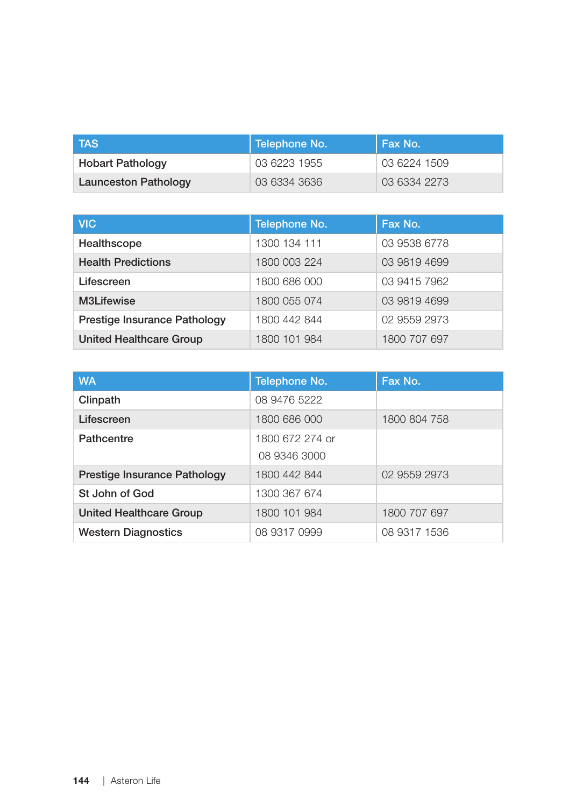| <b>TAS</b>                  | Telephone No. | Fax No.      |
|-----------------------------|---------------|--------------|
| <b>Hobart Pathology</b>     | 03 6223 1955  | 03 6224 1509 |
| <b>Launceston Pathology</b> | 03 6334 3636  | 03 6334 2273 |

| <b>VIC</b>                     | Telephone No. | Fax No.      |
|--------------------------------|---------------|--------------|
| Healthscope                    | 1300 134 111  | 03 9538 6778 |
| <b>Health Predictions</b>      | 1800 003 224  | 03 9819 4699 |
| Lifescreen                     | 1800 686 000  | 03 9415 7962 |
| M3Lifewise                     | 1800 055 074  | 03 9819 4699 |
| Prestige Insurance Pathology   | 1800 442 844  | 02 9559 2973 |
| <b>United Healthcare Group</b> | 1800 101 984  | 1800 707 697 |

| <b>WA</b>                      | Telephone No.   | Fax No.      |
|--------------------------------|-----------------|--------------|
| Clinpath                       | 08 9476 5222    |              |
| Lifescreen                     | 1800 686 000    | 1800 804 758 |
| Pathcentre                     | 1800 672 274 or |              |
|                                | 08 9346 3000    |              |
| Prestige Insurance Pathology   | 1800 442 844    | 02 9559 2973 |
| St John of God                 | 1300 367 674    |              |
| <b>United Healthcare Group</b> | 1800 101 984    | 1800 707 697 |
| <b>Western Diagnostics</b>     | 08 9317 0999    | 08 9317 1536 |